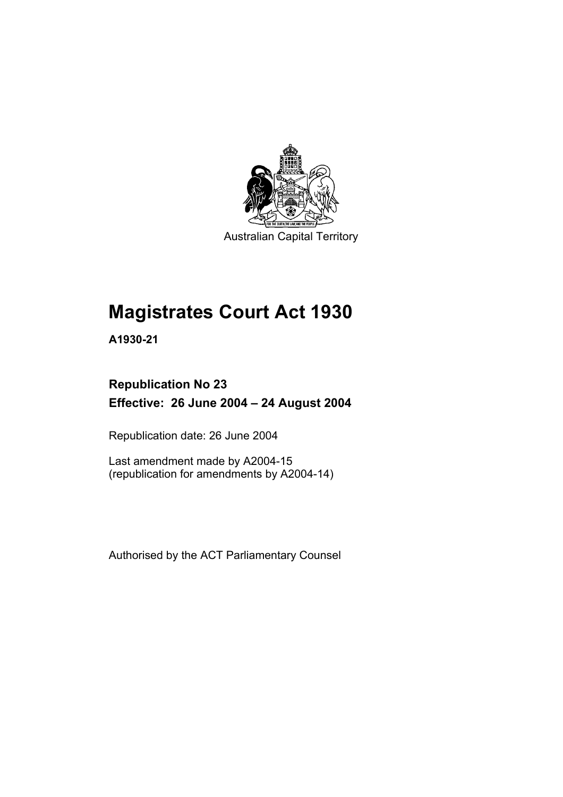

Australian Capital Territory

# **Magistrates Court Act 1930**

**A1930-21** 

# **Republication No 23 Effective: 26 June 2004 – 24 August 2004**

Republication date: 26 June 2004

Last amendment made by A2004-15 (republication for amendments by A2004-14)

Authorised by the ACT Parliamentary Counsel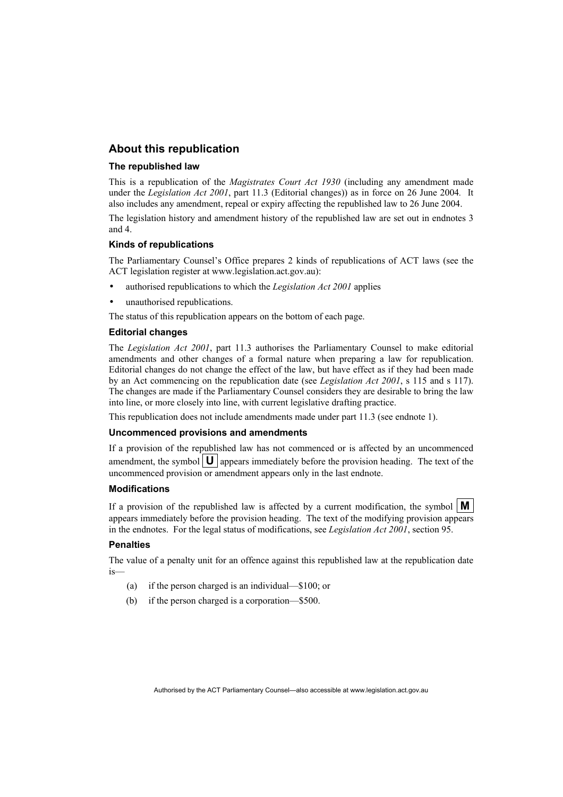#### **About this republication**

#### **The republished law**

This is a republication of the *Magistrates Court Act 1930* (including any amendment made under the *Legislation Act 2001*, part 11.3 (Editorial changes)) as in force on 26 June 2004*.* It also includes any amendment, repeal or expiry affecting the republished law to 26 June 2004.

The legislation history and amendment history of the republished law are set out in endnotes 3 and 4.

#### **Kinds of republications**

The Parliamentary Counsel's Office prepares 2 kinds of republications of ACT laws (see the ACT legislation register at www.legislation.act.gov.au):

- authorised republications to which the *Legislation Act 2001* applies
- unauthorised republications.

The status of this republication appears on the bottom of each page.

#### **Editorial changes**

The *Legislation Act 2001*, part 11.3 authorises the Parliamentary Counsel to make editorial amendments and other changes of a formal nature when preparing a law for republication. Editorial changes do not change the effect of the law, but have effect as if they had been made by an Act commencing on the republication date (see *Legislation Act 2001*, s 115 and s 117). The changes are made if the Parliamentary Counsel considers they are desirable to bring the law into line, or more closely into line, with current legislative drafting practice.

This republication does not include amendments made under part 11.3 (see endnote 1).

#### **Uncommenced provisions and amendments**

If a provision of the republished law has not commenced or is affected by an uncommenced amendment, the symbol  $\mathbf{U}$  appears immediately before the provision heading. The text of the uncommenced provision or amendment appears only in the last endnote.

#### **Modifications**

If a provision of the republished law is affected by a current modification, the symbol  $\mathbf{M}$ appears immediately before the provision heading. The text of the modifying provision appears in the endnotes. For the legal status of modifications, see *Legislation Act 2001*, section 95.

#### **Penalties**

The value of a penalty unit for an offence against this republished law at the republication date is—

- (a) if the person charged is an individual—\$100; or
- (b) if the person charged is a corporation—\$500.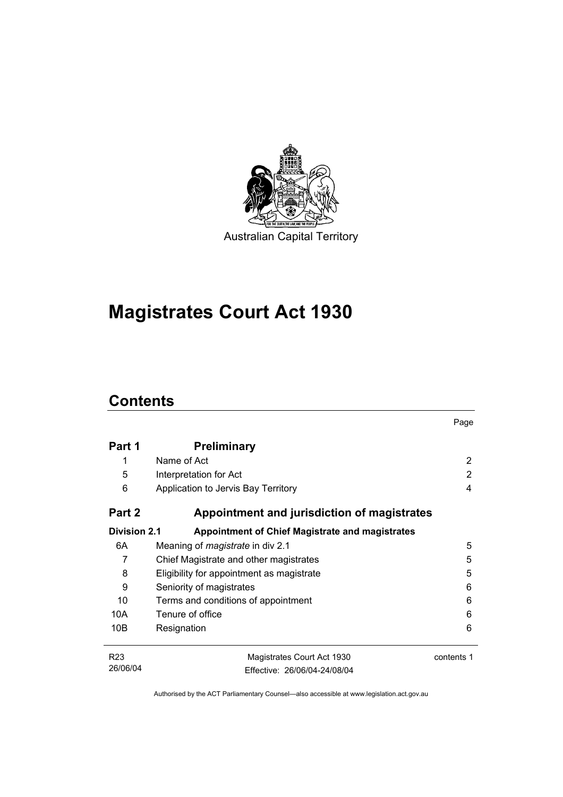

# **Magistrates Court Act 1930**

# **Contents**

|                     |                                                        | Page       |
|---------------------|--------------------------------------------------------|------------|
| Part 1              | <b>Preliminary</b>                                     |            |
| 1                   | Name of Act                                            | 2          |
| 5                   | Interpretation for Act                                 | 2          |
| 6                   | Application to Jervis Bay Territory                    | 4          |
| Part 2              | Appointment and jurisdiction of magistrates            |            |
| <b>Division 2.1</b> | <b>Appointment of Chief Magistrate and magistrates</b> |            |
| 6A                  | Meaning of <i>magistrate</i> in div 2.1                | 5          |
| 7                   | Chief Magistrate and other magistrates                 | 5          |
| 8                   | Eligibility for appointment as magistrate              | 5          |
| 9                   | Seniority of magistrates                               | 6          |
| 10                  | Terms and conditions of appointment                    | 6          |
| 10A                 | Tenure of office                                       | 6          |
| 10B                 | Resignation                                            | 6          |
| R <sub>23</sub>     | Magistrates Court Act 1930                             | contents 1 |
| 26/06/04            | Effective: 26/06/04-24/08/04                           |            |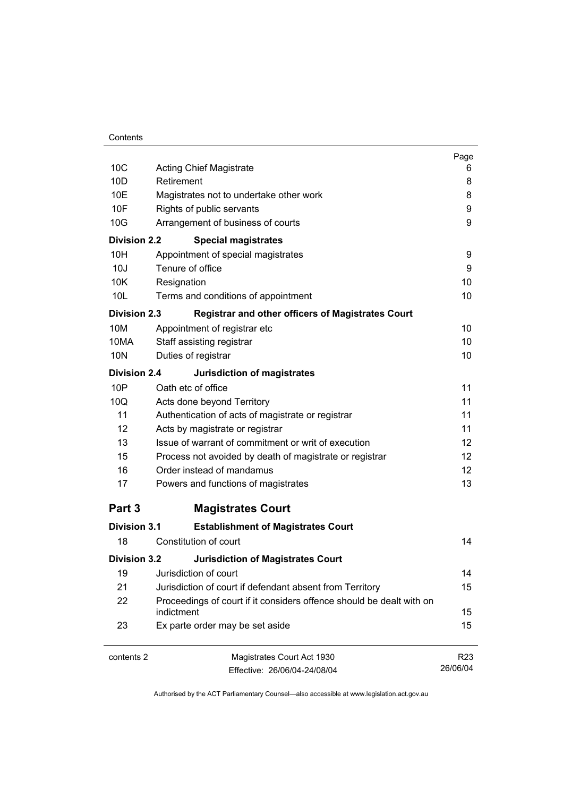| Contents |
|----------|
|----------|

|                     |                                                                      | Page            |
|---------------------|----------------------------------------------------------------------|-----------------|
| 10 <sub>C</sub>     | <b>Acting Chief Magistrate</b>                                       | 6               |
| 10 <sub>D</sub>     | Retirement                                                           | 8               |
| 10E                 | Magistrates not to undertake other work                              | 8               |
| 10F                 | Rights of public servants                                            | 9               |
| 10G                 | Arrangement of business of courts                                    | 9               |
| <b>Division 2.2</b> | <b>Special magistrates</b>                                           |                 |
| 10H                 | Appointment of special magistrates                                   | 9               |
| 10J                 | Tenure of office                                                     | 9               |
| 10K                 | Resignation                                                          | 10              |
| 10 <sub>L</sub>     | Terms and conditions of appointment                                  | 10              |
| <b>Division 2.3</b> | <b>Registrar and other officers of Magistrates Court</b>             |                 |
| 10M                 | Appointment of registrar etc                                         | 10              |
| 10MA                | Staff assisting registrar                                            | 10              |
| 10N                 | Duties of registrar                                                  | 10              |
| <b>Division 2.4</b> | <b>Jurisdiction of magistrates</b>                                   |                 |
| 10P                 | Oath etc of office                                                   | 11              |
| 10Q                 | Acts done beyond Territory                                           | 11              |
| 11                  | Authentication of acts of magistrate or registrar                    | 11              |
| 12                  | Acts by magistrate or registrar                                      | 11              |
| 13                  | Issue of warrant of commitment or writ of execution                  | 12              |
| 15                  | Process not avoided by death of magistrate or registrar              | 12              |
| 16                  | Order instead of mandamus                                            | 12 <sup>2</sup> |
| 17                  | Powers and functions of magistrates                                  | 13              |
| Part 3              | <b>Magistrates Court</b>                                             |                 |
| <b>Division 3.1</b> | <b>Establishment of Magistrates Court</b>                            |                 |
| 18                  | Constitution of court                                                | 14              |
| <b>Division 3.2</b> | <b>Jurisdiction of Magistrates Court</b>                             |                 |
| 19                  | Jurisdiction of court                                                | 14              |
| 21                  | Jurisdiction of court if defendant absent from Territory             | 15              |
| 22                  | Proceedings of court if it considers offence should be dealt with on |                 |
|                     | indictment                                                           | 15              |
| 23                  | Ex parte order may be set aside                                      | 15              |
| contents 2          | Magistrates Court Act 1930                                           | R <sub>23</sub> |
|                     | Effective: 26/06/04-24/08/04                                         | 26/06/04        |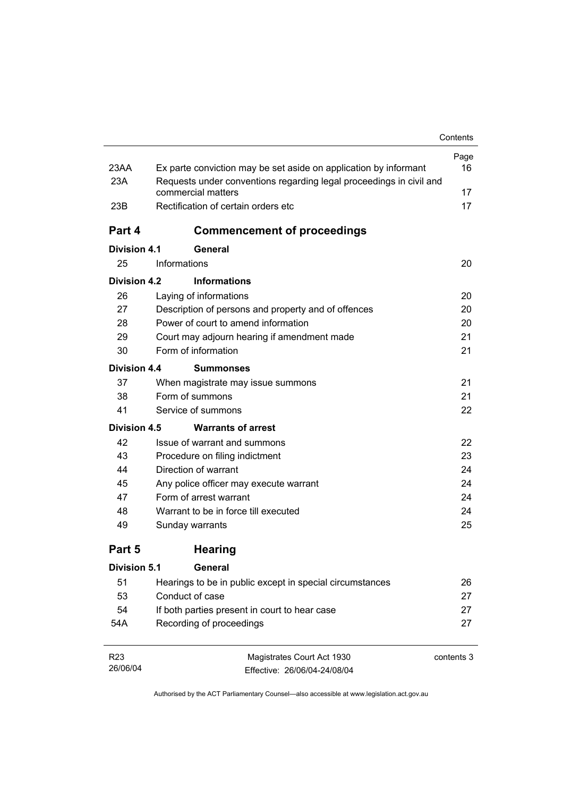| 23AA<br>Ex parte conviction may be set aside on application by informant<br>23A<br>Requests under conventions regarding legal proceedings in civil and<br>commercial matters<br>23B<br>Rectification of certain orders etc<br>Part 4<br><b>Commencement of proceedings</b><br><b>Division 4.1</b><br>General<br>25<br>Informations<br>Division 4.2<br><b>Informations</b><br>26<br>Laying of informations<br>27<br>Description of persons and property and of offences<br>28<br>Power of court to amend information<br>29<br>Court may adjourn hearing if amendment made<br>30<br>Form of information<br>Division 4.4<br><b>Summonses</b><br>37<br>When magistrate may issue summons<br>Form of summons<br>38<br>41<br>Service of summons<br><b>Division 4.5</b><br><b>Warrants of arrest</b><br>42<br>Issue of warrant and summons<br>43<br>Procedure on filing indictment<br>Direction of warrant<br>44<br>45<br>Any police officer may execute warrant<br>Form of arrest warrant<br>47<br>48<br>Warrant to be in force till executed<br>49<br>Sunday warrants<br>Part 5<br><b>Hearing</b><br><b>Division 5.1</b><br>General<br>51<br>Hearings to be in public except in special circumstances<br>53<br>Conduct of case<br>54<br>If both parties present in court to hear case<br>Recording of proceedings<br>54A |  | Contents   |
|---------------------------------------------------------------------------------------------------------------------------------------------------------------------------------------------------------------------------------------------------------------------------------------------------------------------------------------------------------------------------------------------------------------------------------------------------------------------------------------------------------------------------------------------------------------------------------------------------------------------------------------------------------------------------------------------------------------------------------------------------------------------------------------------------------------------------------------------------------------------------------------------------------------------------------------------------------------------------------------------------------------------------------------------------------------------------------------------------------------------------------------------------------------------------------------------------------------------------------------------------------------------------------------------------------------------|--|------------|
|                                                                                                                                                                                                                                                                                                                                                                                                                                                                                                                                                                                                                                                                                                                                                                                                                                                                                                                                                                                                                                                                                                                                                                                                                                                                                                                     |  | Page       |
|                                                                                                                                                                                                                                                                                                                                                                                                                                                                                                                                                                                                                                                                                                                                                                                                                                                                                                                                                                                                                                                                                                                                                                                                                                                                                                                     |  | 16         |
|                                                                                                                                                                                                                                                                                                                                                                                                                                                                                                                                                                                                                                                                                                                                                                                                                                                                                                                                                                                                                                                                                                                                                                                                                                                                                                                     |  |            |
|                                                                                                                                                                                                                                                                                                                                                                                                                                                                                                                                                                                                                                                                                                                                                                                                                                                                                                                                                                                                                                                                                                                                                                                                                                                                                                                     |  | 17         |
|                                                                                                                                                                                                                                                                                                                                                                                                                                                                                                                                                                                                                                                                                                                                                                                                                                                                                                                                                                                                                                                                                                                                                                                                                                                                                                                     |  | 17         |
|                                                                                                                                                                                                                                                                                                                                                                                                                                                                                                                                                                                                                                                                                                                                                                                                                                                                                                                                                                                                                                                                                                                                                                                                                                                                                                                     |  |            |
|                                                                                                                                                                                                                                                                                                                                                                                                                                                                                                                                                                                                                                                                                                                                                                                                                                                                                                                                                                                                                                                                                                                                                                                                                                                                                                                     |  |            |
|                                                                                                                                                                                                                                                                                                                                                                                                                                                                                                                                                                                                                                                                                                                                                                                                                                                                                                                                                                                                                                                                                                                                                                                                                                                                                                                     |  | 20         |
|                                                                                                                                                                                                                                                                                                                                                                                                                                                                                                                                                                                                                                                                                                                                                                                                                                                                                                                                                                                                                                                                                                                                                                                                                                                                                                                     |  |            |
|                                                                                                                                                                                                                                                                                                                                                                                                                                                                                                                                                                                                                                                                                                                                                                                                                                                                                                                                                                                                                                                                                                                                                                                                                                                                                                                     |  | 20         |
|                                                                                                                                                                                                                                                                                                                                                                                                                                                                                                                                                                                                                                                                                                                                                                                                                                                                                                                                                                                                                                                                                                                                                                                                                                                                                                                     |  | 20         |
|                                                                                                                                                                                                                                                                                                                                                                                                                                                                                                                                                                                                                                                                                                                                                                                                                                                                                                                                                                                                                                                                                                                                                                                                                                                                                                                     |  | 20         |
|                                                                                                                                                                                                                                                                                                                                                                                                                                                                                                                                                                                                                                                                                                                                                                                                                                                                                                                                                                                                                                                                                                                                                                                                                                                                                                                     |  | 21         |
|                                                                                                                                                                                                                                                                                                                                                                                                                                                                                                                                                                                                                                                                                                                                                                                                                                                                                                                                                                                                                                                                                                                                                                                                                                                                                                                     |  | 21         |
|                                                                                                                                                                                                                                                                                                                                                                                                                                                                                                                                                                                                                                                                                                                                                                                                                                                                                                                                                                                                                                                                                                                                                                                                                                                                                                                     |  |            |
|                                                                                                                                                                                                                                                                                                                                                                                                                                                                                                                                                                                                                                                                                                                                                                                                                                                                                                                                                                                                                                                                                                                                                                                                                                                                                                                     |  | 21         |
|                                                                                                                                                                                                                                                                                                                                                                                                                                                                                                                                                                                                                                                                                                                                                                                                                                                                                                                                                                                                                                                                                                                                                                                                                                                                                                                     |  | 21         |
|                                                                                                                                                                                                                                                                                                                                                                                                                                                                                                                                                                                                                                                                                                                                                                                                                                                                                                                                                                                                                                                                                                                                                                                                                                                                                                                     |  | 22         |
|                                                                                                                                                                                                                                                                                                                                                                                                                                                                                                                                                                                                                                                                                                                                                                                                                                                                                                                                                                                                                                                                                                                                                                                                                                                                                                                     |  |            |
|                                                                                                                                                                                                                                                                                                                                                                                                                                                                                                                                                                                                                                                                                                                                                                                                                                                                                                                                                                                                                                                                                                                                                                                                                                                                                                                     |  | 22         |
|                                                                                                                                                                                                                                                                                                                                                                                                                                                                                                                                                                                                                                                                                                                                                                                                                                                                                                                                                                                                                                                                                                                                                                                                                                                                                                                     |  | 23         |
|                                                                                                                                                                                                                                                                                                                                                                                                                                                                                                                                                                                                                                                                                                                                                                                                                                                                                                                                                                                                                                                                                                                                                                                                                                                                                                                     |  | 24         |
|                                                                                                                                                                                                                                                                                                                                                                                                                                                                                                                                                                                                                                                                                                                                                                                                                                                                                                                                                                                                                                                                                                                                                                                                                                                                                                                     |  | 24         |
|                                                                                                                                                                                                                                                                                                                                                                                                                                                                                                                                                                                                                                                                                                                                                                                                                                                                                                                                                                                                                                                                                                                                                                                                                                                                                                                     |  | 24         |
|                                                                                                                                                                                                                                                                                                                                                                                                                                                                                                                                                                                                                                                                                                                                                                                                                                                                                                                                                                                                                                                                                                                                                                                                                                                                                                                     |  | 24         |
|                                                                                                                                                                                                                                                                                                                                                                                                                                                                                                                                                                                                                                                                                                                                                                                                                                                                                                                                                                                                                                                                                                                                                                                                                                                                                                                     |  | 25         |
|                                                                                                                                                                                                                                                                                                                                                                                                                                                                                                                                                                                                                                                                                                                                                                                                                                                                                                                                                                                                                                                                                                                                                                                                                                                                                                                     |  |            |
|                                                                                                                                                                                                                                                                                                                                                                                                                                                                                                                                                                                                                                                                                                                                                                                                                                                                                                                                                                                                                                                                                                                                                                                                                                                                                                                     |  |            |
|                                                                                                                                                                                                                                                                                                                                                                                                                                                                                                                                                                                                                                                                                                                                                                                                                                                                                                                                                                                                                                                                                                                                                                                                                                                                                                                     |  | 26         |
|                                                                                                                                                                                                                                                                                                                                                                                                                                                                                                                                                                                                                                                                                                                                                                                                                                                                                                                                                                                                                                                                                                                                                                                                                                                                                                                     |  | 27         |
|                                                                                                                                                                                                                                                                                                                                                                                                                                                                                                                                                                                                                                                                                                                                                                                                                                                                                                                                                                                                                                                                                                                                                                                                                                                                                                                     |  | 27         |
|                                                                                                                                                                                                                                                                                                                                                                                                                                                                                                                                                                                                                                                                                                                                                                                                                                                                                                                                                                                                                                                                                                                                                                                                                                                                                                                     |  | 27         |
| R <sub>23</sub><br>Magistrates Court Act 1930                                                                                                                                                                                                                                                                                                                                                                                                                                                                                                                                                                                                                                                                                                                                                                                                                                                                                                                                                                                                                                                                                                                                                                                                                                                                       |  | contents 3 |

Authorised by the ACT Parliamentary Counsel—also accessible at www.legislation.act.gov.au

Effective: 26/06/04-24/08/04

26/06/04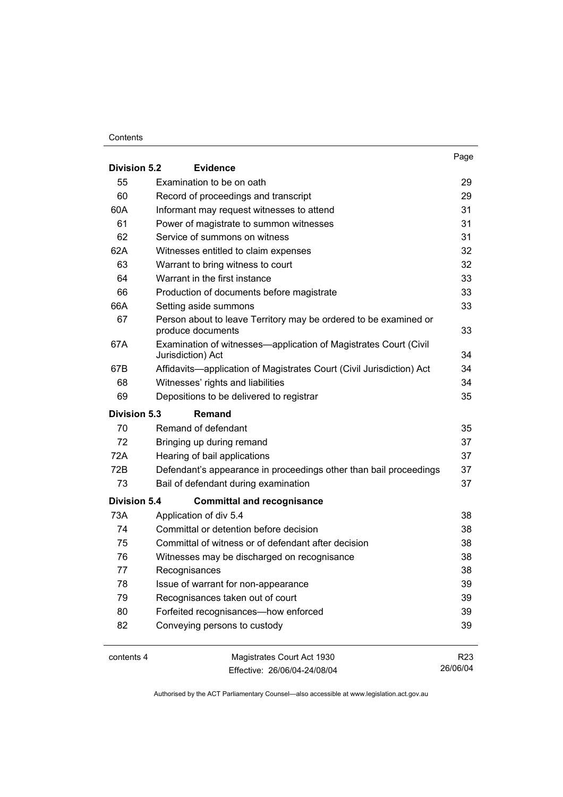#### **Contents**

| <b>Division 5.2</b> | <b>Evidence</b>                                                                       | Page            |
|---------------------|---------------------------------------------------------------------------------------|-----------------|
| 55                  | Examination to be on oath                                                             | 29              |
| 60                  | Record of proceedings and transcript                                                  | 29              |
| 60A                 | Informant may request witnesses to attend                                             | 31              |
| 61                  | Power of magistrate to summon witnesses                                               | 31              |
| 62                  | Service of summons on witness                                                         | 31              |
| 62A                 | Witnesses entitled to claim expenses                                                  | 32              |
| 63                  | Warrant to bring witness to court                                                     | 32              |
| 64                  | Warrant in the first instance                                                         | 33              |
| 66                  | Production of documents before magistrate                                             | 33              |
| 66A                 | Setting aside summons                                                                 | 33              |
| 67                  | Person about to leave Territory may be ordered to be examined or<br>produce documents | 33              |
| 67A                 | Examination of witnesses—application of Magistrates Court (Civil<br>Jurisdiction) Act | 34              |
| 67B                 | Affidavits-application of Magistrates Court (Civil Jurisdiction) Act                  | 34              |
| 68                  | Witnesses' rights and liabilities                                                     | 34              |
| 69                  | Depositions to be delivered to registrar                                              | 35              |
| <b>Division 5.3</b> | Remand                                                                                |                 |
| 70                  | Remand of defendant                                                                   | 35              |
| 72                  | Bringing up during remand                                                             | 37              |
| 72A                 | Hearing of bail applications                                                          | 37              |
| 72B                 | Defendant's appearance in proceedings other than bail proceedings                     | 37              |
| 73                  | Bail of defendant during examination                                                  | 37              |
| <b>Division 5.4</b> | <b>Committal and recognisance</b>                                                     |                 |
| 73A                 | Application of div 5.4                                                                | 38              |
| 74                  | Committal or detention before decision                                                | 38              |
| 75                  | Committal of witness or of defendant after decision                                   | 38              |
| 76                  | Witnesses may be discharged on recognisance                                           | 38              |
| 77                  | Recognisances                                                                         | 38              |
| 78                  | Issue of warrant for non-appearance                                                   | 39              |
| 79                  | Recognisances taken out of court                                                      | 39              |
| 80                  | Forfeited recognisances-how enforced                                                  | 39              |
| 82                  | Conveying persons to custody                                                          | 39              |
| contents 4          | Magistrates Court Act 1930                                                            | R <sub>23</sub> |

Effective: 26/06/04-24/08/04

26/06/04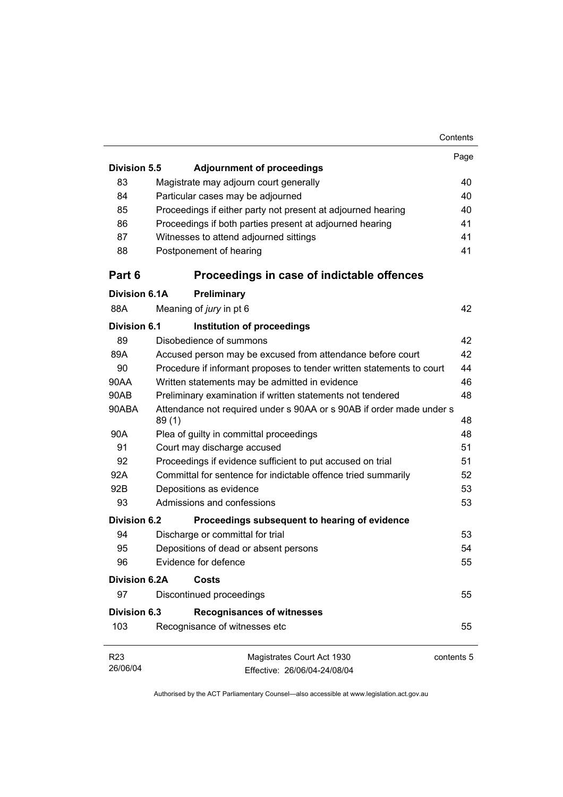|                      |                                                                               |            | Contents |
|----------------------|-------------------------------------------------------------------------------|------------|----------|
|                      |                                                                               |            | Page     |
| <b>Division 5.5</b>  | <b>Adjournment of proceedings</b>                                             |            |          |
| 83                   | Magistrate may adjourn court generally                                        |            | 40       |
| 84                   | Particular cases may be adjourned                                             |            | 40       |
| 85                   | Proceedings if either party not present at adjourned hearing                  |            | 40       |
| 86                   | Proceedings if both parties present at adjourned hearing                      |            | 41       |
| 87                   | Witnesses to attend adjourned sittings                                        |            | 41       |
| 88                   | Postponement of hearing                                                       |            | 41       |
| Part 6               | Proceedings in case of indictable offences                                    |            |          |
| Division 6.1A        | Preliminary                                                                   |            |          |
| 88A                  | Meaning of jury in pt 6                                                       |            | 42       |
| Division 6.1         | Institution of proceedings                                                    |            |          |
| 89                   | Disobedience of summons                                                       |            | 42       |
| 89A                  | Accused person may be excused from attendance before court                    |            | 42       |
| 90                   | Procedure if informant proposes to tender written statements to court         |            | 44       |
| 90AA                 | Written statements may be admitted in evidence                                |            | 46       |
| 90AB                 | Preliminary examination if written statements not tendered                    |            | 48       |
| 90ABA                | Attendance not required under s 90AA or s 90AB if order made under s<br>89(1) |            | 48       |
| 90A                  | Plea of guilty in committal proceedings                                       |            | 48       |
| 91                   | Court may discharge accused                                                   |            | 51       |
| 92                   | Proceedings if evidence sufficient to put accused on trial                    |            | 51       |
| 92A                  | Committal for sentence for indictable offence tried summarily                 |            | 52       |
| 92B                  | Depositions as evidence                                                       |            | 53       |
| 93                   | Admissions and confessions                                                    |            | 53       |
| Division 6.2         | Proceedings subsequent to hearing of evidence                                 |            |          |
| 94                   | Discharge or committal for trial                                              |            | 53       |
| 95                   | Depositions of dead or absent persons                                         |            | 54       |
| 96                   | Evidence for defence                                                          |            | 55       |
| <b>Division 6.2A</b> | Costs                                                                         |            |          |
| 97                   | Discontinued proceedings                                                      |            | 55       |
| <b>Division 6.3</b>  | <b>Recognisances of witnesses</b>                                             |            |          |
| 103                  | Recognisance of witnesses etc                                                 |            | 55       |
| R <sub>23</sub>      | Magistrates Court Act 1930                                                    | contents 5 |          |
| 26/06/04             | Effective: 26/06/04-24/08/04                                                  |            |          |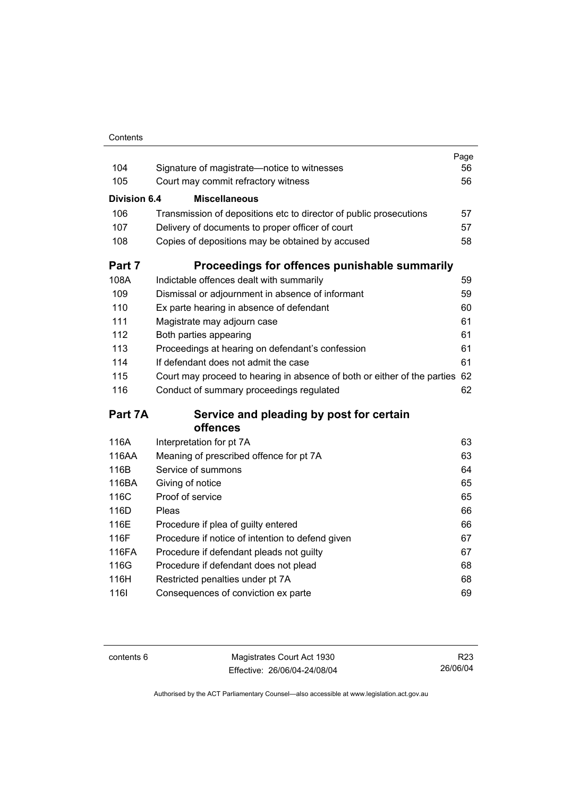| Contents |
|----------|

| 104          |                                                                          | Page<br>56 |
|--------------|--------------------------------------------------------------------------|------------|
| 105          | Signature of magistrate-notice to witnesses                              | 56         |
|              | Court may commit refractory witness                                      |            |
| Division 6.4 | <b>Miscellaneous</b>                                                     |            |
| 106          | Transmission of depositions etc to director of public prosecutions       | 57         |
| 107          | Delivery of documents to proper officer of court                         | 57         |
| 108          | Copies of depositions may be obtained by accused                         | 58         |
| Part 7       | Proceedings for offences punishable summarily                            |            |
| 108A         | Indictable offences dealt with summarily                                 | 59         |
| 109          | Dismissal or adjournment in absence of informant                         | 59         |
| 110          | Ex parte hearing in absence of defendant                                 | 60         |
| 111          | Magistrate may adjourn case                                              | 61         |
| 112          | Both parties appearing                                                   | 61         |
| 113          | Proceedings at hearing on defendant's confession                         | 61         |
| 114          | If defendant does not admit the case                                     | 61         |
| 115          | Court may proceed to hearing in absence of both or either of the parties | 62         |
| 116          | Conduct of summary proceedings regulated                                 | 62         |
| Part 7A      | Service and pleading by post for certain                                 |            |
|              | offences                                                                 |            |
| 116A         | Interpretation for pt 7A                                                 | 63         |
| 116AA        | Meaning of prescribed offence for pt 7A                                  | 63         |
| 116B         | Service of summons                                                       | 64         |
| 116BA        | Giving of notice                                                         | 65         |
| 116C         | Proof of service                                                         | 65         |
| 116D         | Pleas                                                                    | 66         |
| 116E         | Procedure if plea of guilty entered                                      | 66         |
| 116F         | Procedure if notice of intention to defend given                         | 67         |
| 116FA        | Procedure if defendant pleads not guilty                                 | 67         |
| 116G         | Procedure if defendant does not plead                                    | 68         |
| 116H         | Restricted penalties under pt 7A                                         | 68         |
| 1161         | Consequences of conviction ex parte                                      | 69         |

contents 6 Magistrates Court Act 1930 Effective: 26/06/04-24/08/04

R23 26/06/04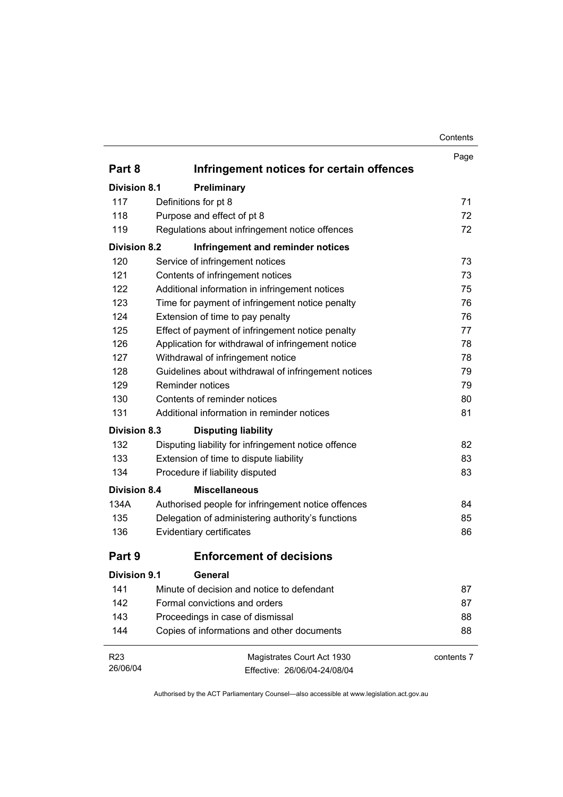| Contents |
|----------|
|----------|

|                     |                                                     | Contents   |
|---------------------|-----------------------------------------------------|------------|
|                     |                                                     | Page       |
| Part 8              | Infringement notices for certain offences           |            |
| <b>Division 8.1</b> | Preliminary                                         |            |
| 117                 | Definitions for pt 8                                | 71         |
| 118                 | Purpose and effect of pt 8                          | 72         |
| 119                 | Regulations about infringement notice offences      | 72         |
| <b>Division 8.2</b> | Infringement and reminder notices                   |            |
| 120                 | Service of infringement notices                     | 73         |
| 121                 | Contents of infringement notices                    | 73         |
| 122                 | Additional information in infringement notices      | 75         |
| 123                 | Time for payment of infringement notice penalty     | 76         |
| 124                 | Extension of time to pay penalty                    | 76         |
| 125                 | Effect of payment of infringement notice penalty    | 77         |
| 126                 | Application for withdrawal of infringement notice   | 78         |
| 127                 | Withdrawal of infringement notice                   | 78         |
| 128                 | Guidelines about withdrawal of infringement notices | 79         |
| 129                 | Reminder notices                                    | 79         |
| 130                 | Contents of reminder notices                        | 80         |
| 131                 | Additional information in reminder notices          | 81         |
| <b>Division 8.3</b> | <b>Disputing liability</b>                          |            |
| 132                 | Disputing liability for infringement notice offence | 82         |
| 133                 | Extension of time to dispute liability              | 83         |
| 134                 | Procedure if liability disputed                     | 83         |
| <b>Division 8.4</b> | <b>Miscellaneous</b>                                |            |
| 134A                | Authorised people for infringement notice offences  | 84         |
| 135                 | Delegation of administering authority's functions   | 85         |
| 136                 | Evidentiary certificates                            | 86         |
| Part 9              | Enforcement of decisions                            |            |
| <b>Division 9.1</b> | <b>General</b>                                      |            |
| 141                 | Minute of decision and notice to defendant          | 87         |
| 142                 | Formal convictions and orders                       | 87         |
| 143                 | Proceedings in case of dismissal                    | 88         |
| 144                 | Copies of informations and other documents          | 88         |
| R <sub>23</sub>     | Magistrates Court Act 1930                          | contents 7 |
|                     | Effective: 26/06/04-24/08/04                        |            |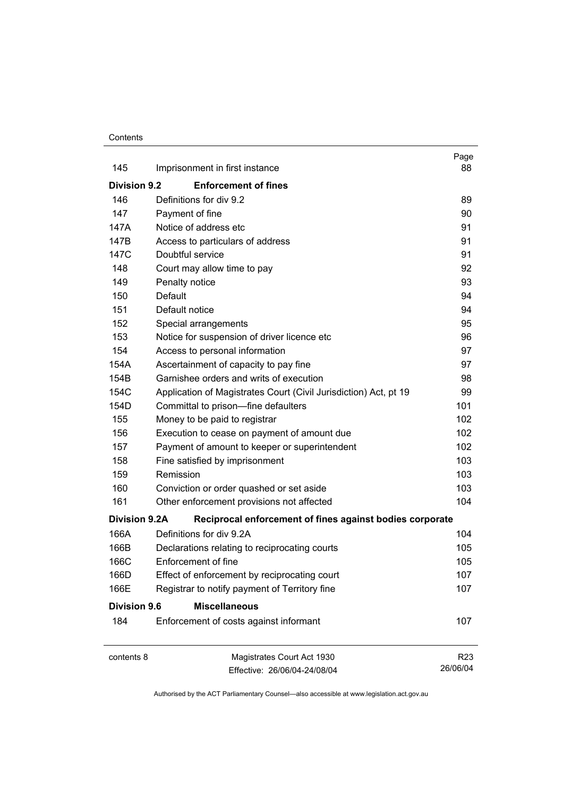#### **Contents**

|                      |                                                                  | Page                        |
|----------------------|------------------------------------------------------------------|-----------------------------|
| 145                  | Imprisonment in first instance                                   | 88                          |
| <b>Division 9.2</b>  | <b>Enforcement of fines</b>                                      |                             |
| 146                  | Definitions for div 9.2                                          | 89                          |
| 147                  | Payment of fine                                                  | 90                          |
| 147A                 | Notice of address etc                                            | 91                          |
| 147B                 | Access to particulars of address                                 | 91                          |
| 147C                 | Doubtful service                                                 | 91                          |
| 148                  | Court may allow time to pay                                      | 92                          |
| 149                  | Penalty notice                                                   | 93                          |
| 150                  | Default                                                          | 94                          |
| 151                  | Default notice                                                   | 94                          |
| 152                  | Special arrangements                                             | 95                          |
| 153                  | Notice for suspension of driver licence etc                      | 96                          |
| 154                  | Access to personal information                                   | 97                          |
| 154A                 | Ascertainment of capacity to pay fine                            | 97                          |
| 154B                 | Garnishee orders and writs of execution                          | 98                          |
| 154C                 | Application of Magistrates Court (Civil Jurisdiction) Act, pt 19 | 99                          |
| 154D                 | Committal to prison-fine defaulters                              | 101                         |
| 155                  | Money to be paid to registrar                                    | 102                         |
| 156                  | Execution to cease on payment of amount due                      | 102                         |
| 157                  | Payment of amount to keeper or superintendent                    | 102                         |
| 158                  | Fine satisfied by imprisonment                                   | 103                         |
| 159                  | Remission                                                        | 103                         |
| 160                  | Conviction or order quashed or set aside                         | 103                         |
| 161                  | Other enforcement provisions not affected                        | 104                         |
| <b>Division 9.2A</b> | Reciprocal enforcement of fines against bodies corporate         |                             |
| 166A                 | Definitions for div 9.2A                                         | 104                         |
| 166B                 | Declarations relating to reciprocating courts                    | 105                         |
| 166C                 | Enforcement of fine                                              | 105                         |
| 166D                 | Effect of enforcement by reciprocating court                     | 107                         |
| 166E                 | Registrar to notify payment of Territory fine                    | 107                         |
| <b>Division 9.6</b>  | <b>Miscellaneous</b>                                             |                             |
| 184                  | Enforcement of costs against informant                           | 107                         |
| contents 8           | Magistrates Court Act 1930                                       | R <sub>23</sub><br>26/06/04 |
|                      | Effective: 26/06/04-24/08/04                                     |                             |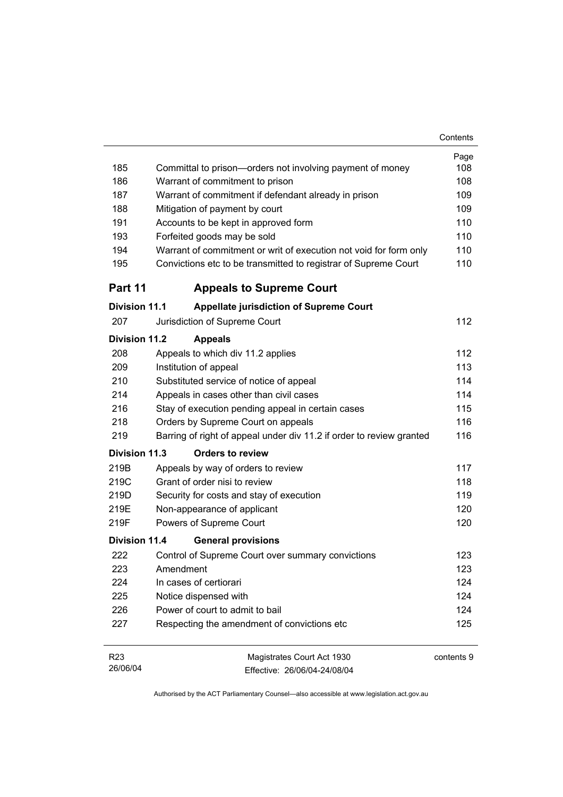|                                                                        | Contents                                                                                                                                                                                                                                                                                                                                                                                                                                 |
|------------------------------------------------------------------------|------------------------------------------------------------------------------------------------------------------------------------------------------------------------------------------------------------------------------------------------------------------------------------------------------------------------------------------------------------------------------------------------------------------------------------------|
|                                                                        | Page                                                                                                                                                                                                                                                                                                                                                                                                                                     |
|                                                                        | 108                                                                                                                                                                                                                                                                                                                                                                                                                                      |
|                                                                        | 108                                                                                                                                                                                                                                                                                                                                                                                                                                      |
|                                                                        | 109                                                                                                                                                                                                                                                                                                                                                                                                                                      |
|                                                                        | 109                                                                                                                                                                                                                                                                                                                                                                                                                                      |
|                                                                        | 110                                                                                                                                                                                                                                                                                                                                                                                                                                      |
|                                                                        | 110                                                                                                                                                                                                                                                                                                                                                                                                                                      |
|                                                                        | 110                                                                                                                                                                                                                                                                                                                                                                                                                                      |
| Convictions etc to be transmitted to registrar of Supreme Court        | 110                                                                                                                                                                                                                                                                                                                                                                                                                                      |
| <b>Appeals to Supreme Court</b>                                        |                                                                                                                                                                                                                                                                                                                                                                                                                                          |
| <b>Division 11.1</b><br><b>Appellate jurisdiction of Supreme Court</b> |                                                                                                                                                                                                                                                                                                                                                                                                                                          |
| Jurisdiction of Supreme Court                                          | 112                                                                                                                                                                                                                                                                                                                                                                                                                                      |
| Division 11.2<br><b>Appeals</b>                                        |                                                                                                                                                                                                                                                                                                                                                                                                                                          |
| Appeals to which div 11.2 applies                                      | 112                                                                                                                                                                                                                                                                                                                                                                                                                                      |
| Institution of appeal                                                  | 113                                                                                                                                                                                                                                                                                                                                                                                                                                      |
| Substituted service of notice of appeal                                | 114                                                                                                                                                                                                                                                                                                                                                                                                                                      |
| Appeals in cases other than civil cases                                | 114                                                                                                                                                                                                                                                                                                                                                                                                                                      |
| Stay of execution pending appeal in certain cases                      | 115                                                                                                                                                                                                                                                                                                                                                                                                                                      |
| Orders by Supreme Court on appeals                                     | 116                                                                                                                                                                                                                                                                                                                                                                                                                                      |
|                                                                        | 116                                                                                                                                                                                                                                                                                                                                                                                                                                      |
| Division 11.3<br><b>Orders to review</b>                               |                                                                                                                                                                                                                                                                                                                                                                                                                                          |
| Appeals by way of orders to review                                     | 117                                                                                                                                                                                                                                                                                                                                                                                                                                      |
| Grant of order nisi to review                                          | 118                                                                                                                                                                                                                                                                                                                                                                                                                                      |
| Security for costs and stay of execution                               | 119                                                                                                                                                                                                                                                                                                                                                                                                                                      |
| Non-appearance of applicant                                            | 120                                                                                                                                                                                                                                                                                                                                                                                                                                      |
| Powers of Supreme Court                                                | 120                                                                                                                                                                                                                                                                                                                                                                                                                                      |
| Division 11.4<br><b>General provisions</b>                             |                                                                                                                                                                                                                                                                                                                                                                                                                                          |
| Control of Supreme Court over summary convictions                      | 123                                                                                                                                                                                                                                                                                                                                                                                                                                      |
| Amendment                                                              | 123                                                                                                                                                                                                                                                                                                                                                                                                                                      |
| In cases of certiorari                                                 | 124                                                                                                                                                                                                                                                                                                                                                                                                                                      |
| Notice dispensed with                                                  | 124                                                                                                                                                                                                                                                                                                                                                                                                                                      |
| Power of court to admit to bail                                        | 124                                                                                                                                                                                                                                                                                                                                                                                                                                      |
| Respecting the amendment of convictions etc                            | 125                                                                                                                                                                                                                                                                                                                                                                                                                                      |
|                                                                        | contents 9                                                                                                                                                                                                                                                                                                                                                                                                                               |
| Effective: 26/06/04-24/08/04                                           |                                                                                                                                                                                                                                                                                                                                                                                                                                          |
|                                                                        | Committal to prison-orders not involving payment of money<br>Warrant of commitment to prison<br>Warrant of commitment if defendant already in prison<br>Mitigation of payment by court<br>Accounts to be kept in approved form<br>Forfeited goods may be sold<br>Warrant of commitment or writ of execution not void for form only<br>Barring of right of appeal under div 11.2 if order to review granted<br>Magistrates Court Act 1930 |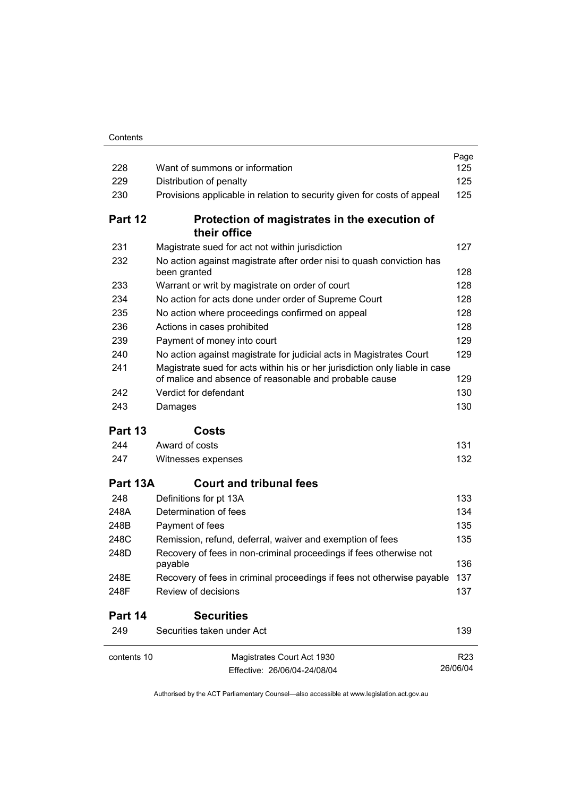| 228         | Want of summons or information                                                                                                        | Page<br>125     |
|-------------|---------------------------------------------------------------------------------------------------------------------------------------|-----------------|
| 229         | Distribution of penalty                                                                                                               | 125             |
| 230         | Provisions applicable in relation to security given for costs of appeal                                                               | 125             |
| Part 12     | Protection of magistrates in the execution of<br>their office                                                                         |                 |
| 231         | Magistrate sued for act not within jurisdiction                                                                                       | 127             |
| 232         | No action against magistrate after order nisi to quash conviction has<br>been granted                                                 | 128             |
| 233         | Warrant or writ by magistrate on order of court                                                                                       | 128             |
| 234         | No action for acts done under order of Supreme Court                                                                                  | 128             |
| 235         | No action where proceedings confirmed on appeal                                                                                       | 128             |
| 236         | Actions in cases prohibited                                                                                                           | 128             |
| 239         | Payment of money into court                                                                                                           | 129             |
| 240         | No action against magistrate for judicial acts in Magistrates Court                                                                   | 129             |
| 241         | Magistrate sued for acts within his or her jurisdiction only liable in case<br>of malice and absence of reasonable and probable cause | 129             |
| 242         | Verdict for defendant                                                                                                                 | 130             |
| 243         | Damages                                                                                                                               | 130             |
| Part 13     | Costs                                                                                                                                 |                 |
| 244         | Award of costs                                                                                                                        | 131             |
| 247         | Witnesses expenses                                                                                                                    | 132             |
| Part 13A    | <b>Court and tribunal fees</b>                                                                                                        |                 |
| 248         | Definitions for pt 13A                                                                                                                | 133             |
| 248A        | Determination of fees                                                                                                                 | 134             |
| 248B        | Payment of fees                                                                                                                       | 135             |
| 248C        | Remission, refund, deferral, waiver and exemption of fees                                                                             | 135             |
| 248D        | Recovery of fees in non-criminal proceedings if fees otherwise not<br>payable                                                         | 136             |
| 248E        | Recovery of fees in criminal proceedings if fees not otherwise payable                                                                | 137             |
| 248F        | Review of decisions                                                                                                                   | 137             |
| Part 14     | <b>Securities</b>                                                                                                                     |                 |
| 249         | Securities taken under Act                                                                                                            | 139             |
| contents 10 | Magistrates Court Act 1930                                                                                                            | R <sub>23</sub> |
|             | Effective: 26/06/04-24/08/04                                                                                                          | 26/06/04        |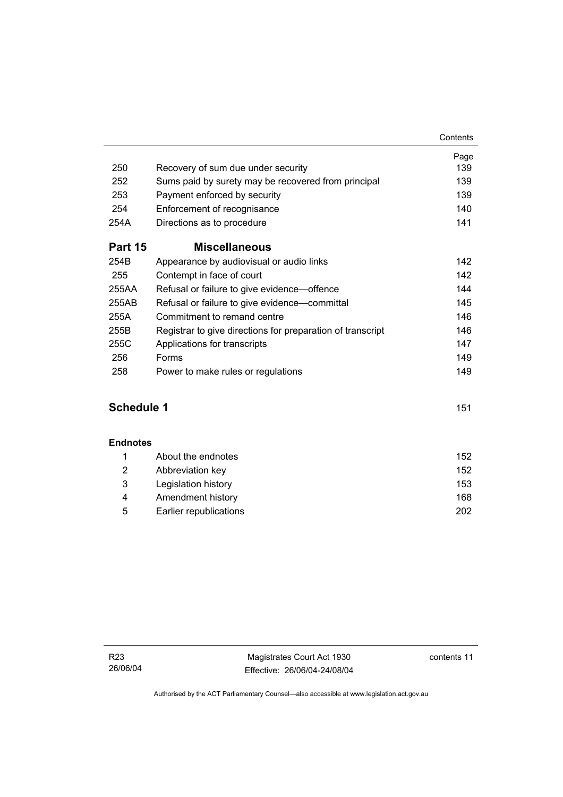|                |                                                            | Page |
|----------------|------------------------------------------------------------|------|
| 250            | Recovery of sum due under security                         | 139  |
| 252            | Sums paid by surety may be recovered from principal        | 139  |
| 253            | Payment enforced by security                               | 139  |
| 254            | Enforcement of recognisance                                | 140  |
| 254A           | Directions as to procedure                                 | 141  |
| <b>Part 15</b> | <b>Miscellaneous</b>                                       |      |
| 254B           | Appearance by audiovisual or audio links                   | 142  |
| 255            | Contempt in face of court                                  | 142  |
| 255AA          | Refusal or failure to give evidence—offence                | 144  |
| 255AB          | Refusal or failure to give evidence—committal              | 145  |
| 255A           | Commitment to remand centre                                | 146  |
| 255B           | Registrar to give directions for preparation of transcript | 146  |
| 255C           | Applications for transcripts                               | 147  |
| 256            | Forms                                                      | 149  |
| 258            | Power to make rules or regulations                         | 149  |

## **Schedule 1** 151

#### **Endnotes**

|   | About the endnotes     | 152 |
|---|------------------------|-----|
| 2 | Abbreviation key       | 152 |
| 3 | Legislation history    | 153 |
| 4 | Amendment history      | 168 |
| 5 | Earlier republications | 202 |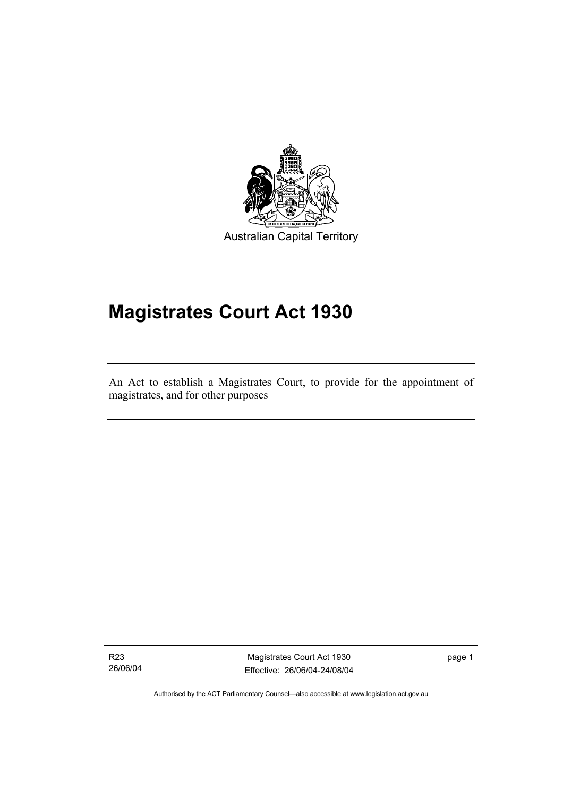

Australian Capital Territory

# **Magistrates Court Act 1930**

An Act to establish a Magistrates Court, to provide for the appointment of magistrates, and for other purposes

R23 26/06/04

I

Magistrates Court Act 1930 Effective: 26/06/04-24/08/04 page 1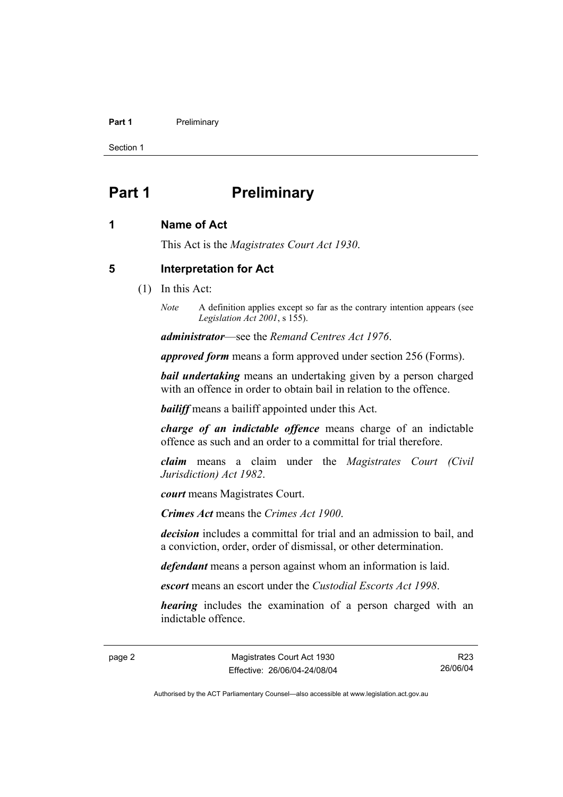#### **Part 1** Preliminary

Section 1

# **Part 1** Preliminary

#### **1 Name of Act**

This Act is the *Magistrates Court Act 1930*.

#### **5 Interpretation for Act**

- (1) In this Act:
	- *Note* A definition applies except so far as the contrary intention appears (see *Legislation Act 2001*, s 155).

*administrator*—see the *Remand Centres Act 1976*.

*approved form* means a form approved under section 256 (Forms).

*bail undertaking* means an undertaking given by a person charged with an offence in order to obtain bail in relation to the offence.

*bailiff* means a bailiff appointed under this Act.

*charge of an indictable offence* means charge of an indictable offence as such and an order to a committal for trial therefore.

*claim* means a claim under the *Magistrates Court (Civil Jurisdiction) Act 1982*.

*court* means Magistrates Court.

*Crimes Act* means the *Crimes Act 1900*.

*decision* includes a committal for trial and an admission to bail, and a conviction, order, order of dismissal, or other determination.

*defendant* means a person against whom an information is laid.

*escort* means an escort under the *Custodial Escorts Act 1998*.

*hearing* includes the examination of a person charged with an indictable offence.

page 2 Magistrates Court Act 1930 Effective: 26/06/04-24/08/04

R23 26/06/04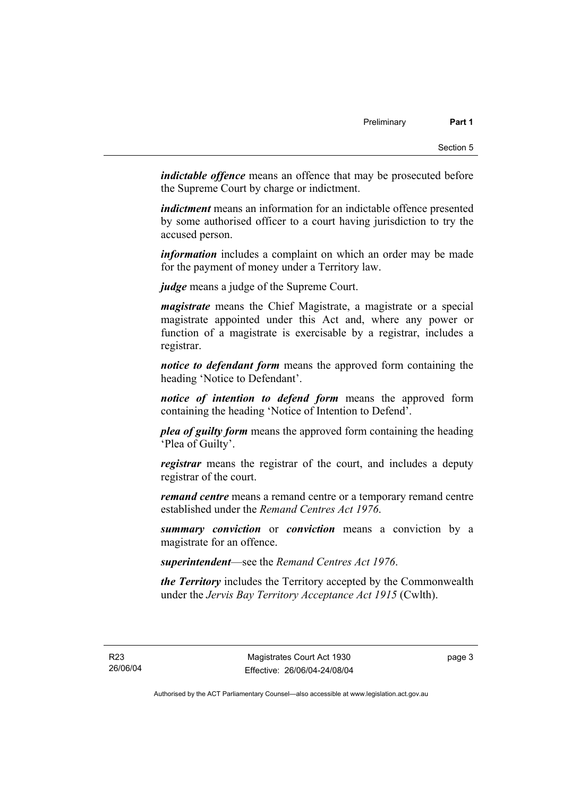*indictable offence* means an offence that may be prosecuted before the Supreme Court by charge or indictment.

*indictment* means an information for an indictable offence presented by some authorised officer to a court having jurisdiction to try the accused person.

*information* includes a complaint on which an order may be made for the payment of money under a Territory law.

*judge* means a judge of the Supreme Court.

*magistrate* means the Chief Magistrate, a magistrate or a special magistrate appointed under this Act and, where any power or function of a magistrate is exercisable by a registrar, includes a registrar.

*notice to defendant form* means the approved form containing the heading 'Notice to Defendant'.

*notice of intention to defend form* means the approved form containing the heading 'Notice of Intention to Defend'.

*plea of guilty form* means the approved form containing the heading 'Plea of Guilty'.

*registrar* means the registrar of the court, and includes a deputy registrar of the court.

*remand centre* means a remand centre or a temporary remand centre established under the *Remand Centres Act 1976*.

*summary conviction* or *conviction* means a conviction by a magistrate for an offence.

*superintendent*—see the *Remand Centres Act 1976*.

*the Territory* includes the Territory accepted by the Commonwealth under the *Jervis Bay Territory Acceptance Act 1915* (Cwlth).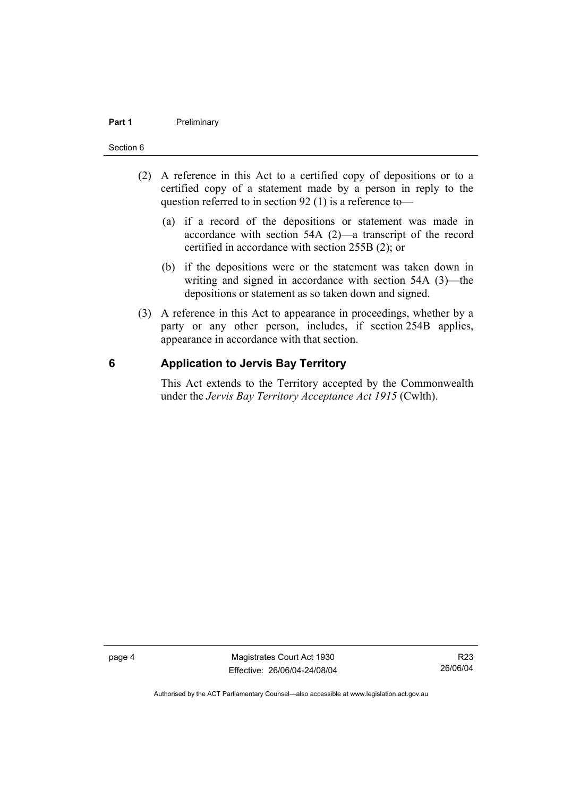#### **Part 1** Preliminary

#### Section 6

- (2) A reference in this Act to a certified copy of depositions or to a certified copy of a statement made by a person in reply to the question referred to in section 92 (1) is a reference to—
	- (a) if a record of the depositions or statement was made in accordance with section 54A (2)—a transcript of the record certified in accordance with section 255B (2); or
	- (b) if the depositions were or the statement was taken down in writing and signed in accordance with section 54A (3)—the depositions or statement as so taken down and signed.
- (3) A reference in this Act to appearance in proceedings, whether by a party or any other person, includes, if section 254B applies, appearance in accordance with that section.

#### **6 Application to Jervis Bay Territory**

This Act extends to the Territory accepted by the Commonwealth under the *Jervis Bay Territory Acceptance Act 1915* (Cwlth).

page 4 Magistrates Court Act 1930 Effective: 26/06/04-24/08/04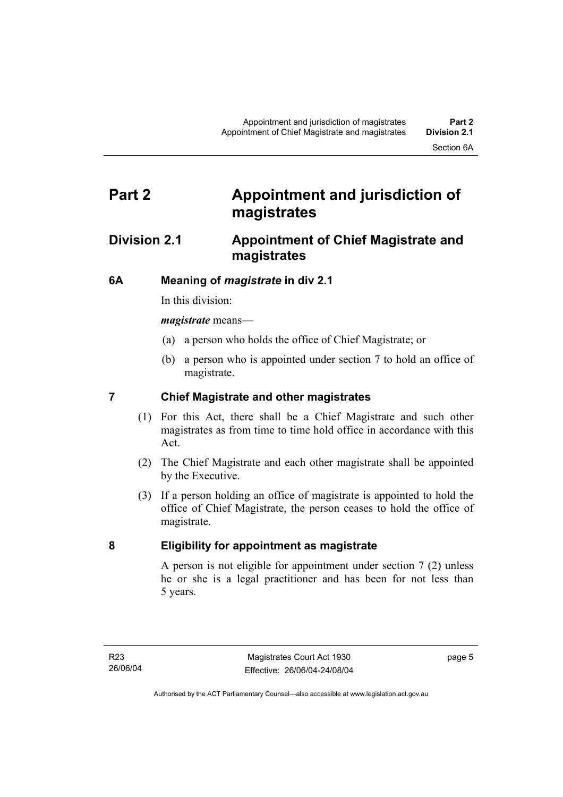# **Part 2 Appointment and jurisdiction of magistrates**

## **Division 2.1 Appointment of Chief Magistrate and magistrates**

### **6A Meaning of** *magistrate* **in div 2.1**

In this division:

*magistrate* means—

- (a) a person who holds the office of Chief Magistrate; or
- (b) a person who is appointed under section 7 to hold an office of magistrate.

### **7 Chief Magistrate and other magistrates**

- (1) For this Act, there shall be a Chief Magistrate and such other magistrates as from time to time hold office in accordance with this Act.
- (2) The Chief Magistrate and each other magistrate shall be appointed by the Executive.
- (3) If a person holding an office of magistrate is appointed to hold the office of Chief Magistrate, the person ceases to hold the office of magistrate.

#### **8 Eligibility for appointment as magistrate**

A person is not eligible for appointment under section 7 (2) unless he or she is a legal practitioner and has been for not less than 5 years.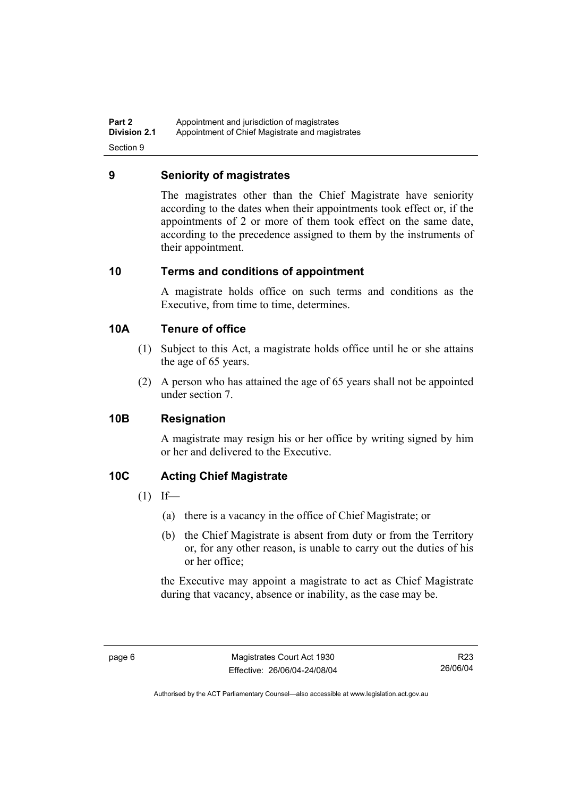**Part 2 Appointment and jurisdiction of magistrates**<br>**Division 2.1** Appointment of Chief Magistrate and magis Appointment of Chief Magistrate and magistrates Section 9

#### **9 Seniority of magistrates**

The magistrates other than the Chief Magistrate have seniority according to the dates when their appointments took effect or, if the appointments of 2 or more of them took effect on the same date, according to the precedence assigned to them by the instruments of their appointment.

#### **10 Terms and conditions of appointment**

A magistrate holds office on such terms and conditions as the Executive, from time to time, determines.

#### **10A Tenure of office**

- (1) Subject to this Act, a magistrate holds office until he or she attains the age of 65 years.
- (2) A person who has attained the age of 65 years shall not be appointed under section 7.

#### **10B Resignation**

A magistrate may resign his or her office by writing signed by him or her and delivered to the Executive.

#### **10C Acting Chief Magistrate**

- $(1)$  If—
	- (a) there is a vacancy in the office of Chief Magistrate; or
	- (b) the Chief Magistrate is absent from duty or from the Territory or, for any other reason, is unable to carry out the duties of his or her office;

the Executive may appoint a magistrate to act as Chief Magistrate during that vacancy, absence or inability, as the case may be.

R23 26/06/04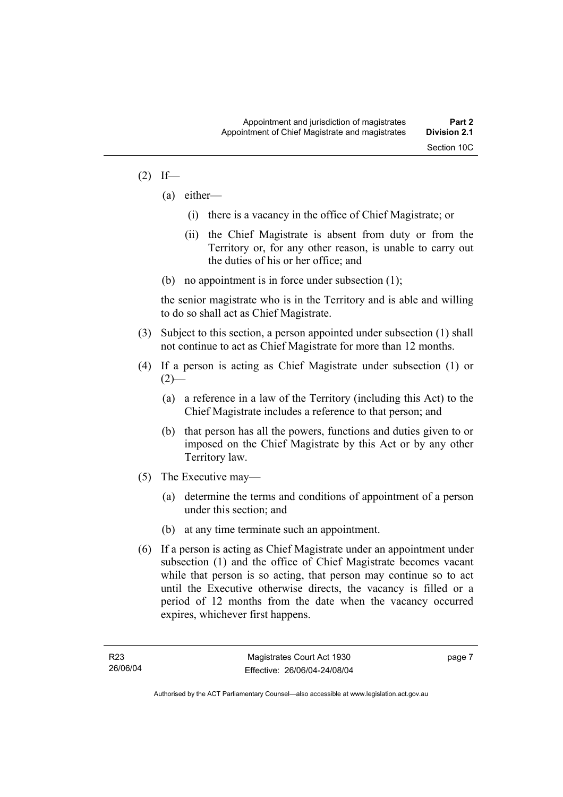#### $(2)$  If—

- (a) either—
	- (i) there is a vacancy in the office of Chief Magistrate; or
	- (ii) the Chief Magistrate is absent from duty or from the Territory or, for any other reason, is unable to carry out the duties of his or her office; and
- (b) no appointment is in force under subsection (1);

the senior magistrate who is in the Territory and is able and willing to do so shall act as Chief Magistrate.

- (3) Subject to this section, a person appointed under subsection (1) shall not continue to act as Chief Magistrate for more than 12 months.
- (4) If a person is acting as Chief Magistrate under subsection (1) or  $(2)$ —
	- (a) a reference in a law of the Territory (including this Act) to the Chief Magistrate includes a reference to that person; and
	- (b) that person has all the powers, functions and duties given to or imposed on the Chief Magistrate by this Act or by any other Territory law.
- (5) The Executive may—
	- (a) determine the terms and conditions of appointment of a person under this section; and
	- (b) at any time terminate such an appointment.
- (6) If a person is acting as Chief Magistrate under an appointment under subsection (1) and the office of Chief Magistrate becomes vacant while that person is so acting, that person may continue so to act until the Executive otherwise directs, the vacancy is filled or a period of 12 months from the date when the vacancy occurred expires, whichever first happens.

page 7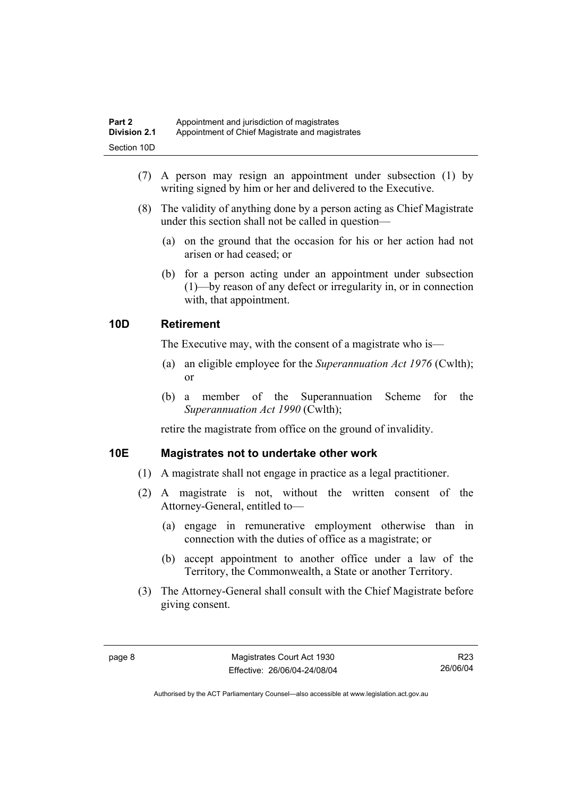| Part 2              | Appointment and jurisdiction of magistrates     |
|---------------------|-------------------------------------------------|
| <b>Division 2.1</b> | Appointment of Chief Magistrate and magistrates |
| Section 10D         |                                                 |

- (7) A person may resign an appointment under subsection (1) by writing signed by him or her and delivered to the Executive.
- (8) The validity of anything done by a person acting as Chief Magistrate under this section shall not be called in question—
	- (a) on the ground that the occasion for his or her action had not arisen or had ceased; or
	- (b) for a person acting under an appointment under subsection (1)—by reason of any defect or irregularity in, or in connection with, that appointment.

#### **10D Retirement**

The Executive may, with the consent of a magistrate who is—

- (a) an eligible employee for the *Superannuation Act 1976* (Cwlth); or
- (b) a member of the Superannuation Scheme for the *Superannuation Act 1990* (Cwlth);

retire the magistrate from office on the ground of invalidity.

#### **10E Magistrates not to undertake other work**

- (1) A magistrate shall not engage in practice as a legal practitioner.
- (2) A magistrate is not, without the written consent of the Attorney-General, entitled to—
	- (a) engage in remunerative employment otherwise than in connection with the duties of office as a magistrate; or
	- (b) accept appointment to another office under a law of the Territory, the Commonwealth, a State or another Territory.
- (3) The Attorney-General shall consult with the Chief Magistrate before giving consent.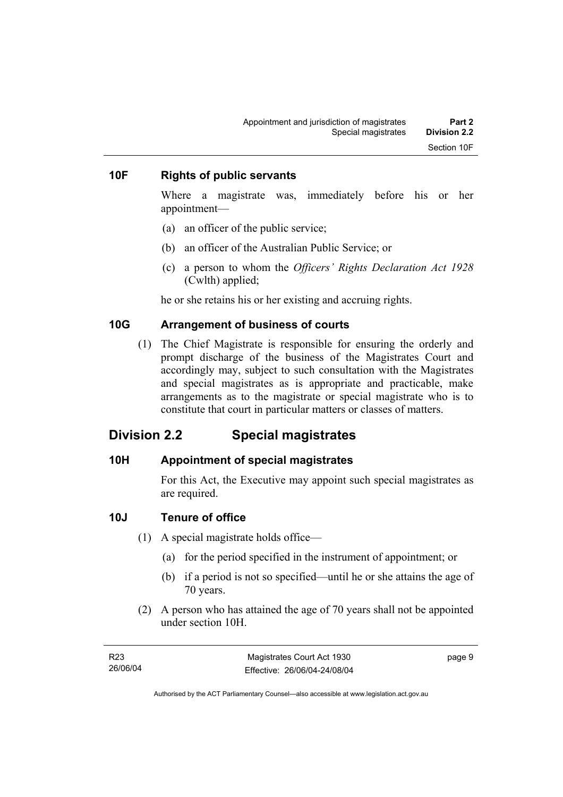#### **10F Rights of public servants**

Where a magistrate was, immediately before his or her appointment—

- (a) an officer of the public service;
- (b) an officer of the Australian Public Service; or
- (c) a person to whom the *Officers' Rights Declaration Act 1928* (Cwlth) applied;

he or she retains his or her existing and accruing rights.

#### **10G Arrangement of business of courts**

 (1) The Chief Magistrate is responsible for ensuring the orderly and prompt discharge of the business of the Magistrates Court and accordingly may, subject to such consultation with the Magistrates and special magistrates as is appropriate and practicable, make arrangements as to the magistrate or special magistrate who is to constitute that court in particular matters or classes of matters.

## **Division 2.2 Special magistrates**

#### **10H Appointment of special magistrates**

For this Act, the Executive may appoint such special magistrates as are required.

#### **10J Tenure of office**

- (1) A special magistrate holds office—
	- (a) for the period specified in the instrument of appointment; or
	- (b) if a period is not so specified—until he or she attains the age of 70 years.
- (2) A person who has attained the age of 70 years shall not be appointed under section 10H.

| R23      | Magistrates Court Act 1930   | page 9 |
|----------|------------------------------|--------|
| 26/06/04 | Effective: 26/06/04-24/08/04 |        |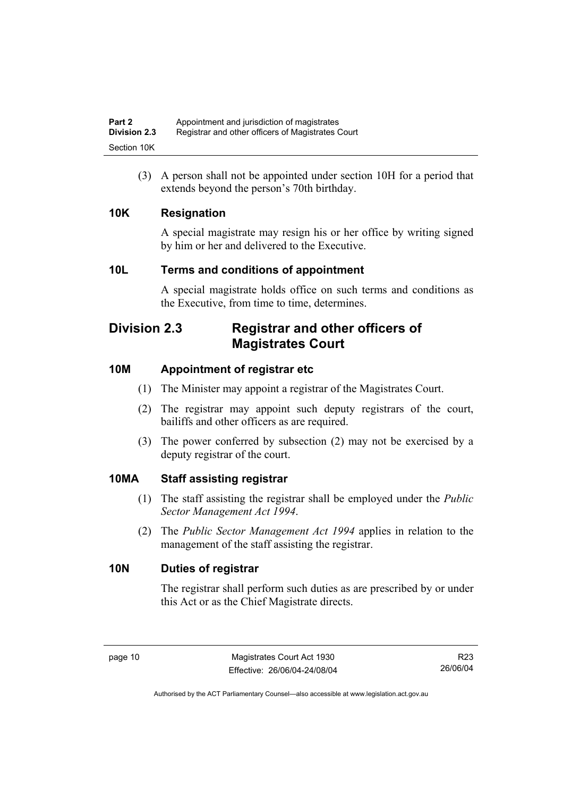(3) A person shall not be appointed under section 10H for a period that extends beyond the person's 70th birthday.

### **10K Resignation**

A special magistrate may resign his or her office by writing signed by him or her and delivered to the Executive.

### **10L Terms and conditions of appointment**

A special magistrate holds office on such terms and conditions as the Executive, from time to time, determines.

# **Division 2.3 Registrar and other officers of Magistrates Court**

## **10M Appointment of registrar etc**

- (1) The Minister may appoint a registrar of the Magistrates Court.
- (2) The registrar may appoint such deputy registrars of the court, bailiffs and other officers as are required.
- (3) The power conferred by subsection (2) may not be exercised by a deputy registrar of the court.

#### **10MA Staff assisting registrar**

- (1) The staff assisting the registrar shall be employed under the *Public Sector Management Act 1994*.
- (2) The *Public Sector Management Act 1994* applies in relation to the management of the staff assisting the registrar.

#### **10N Duties of registrar**

The registrar shall perform such duties as are prescribed by or under this Act or as the Chief Magistrate directs.

R23 26/06/04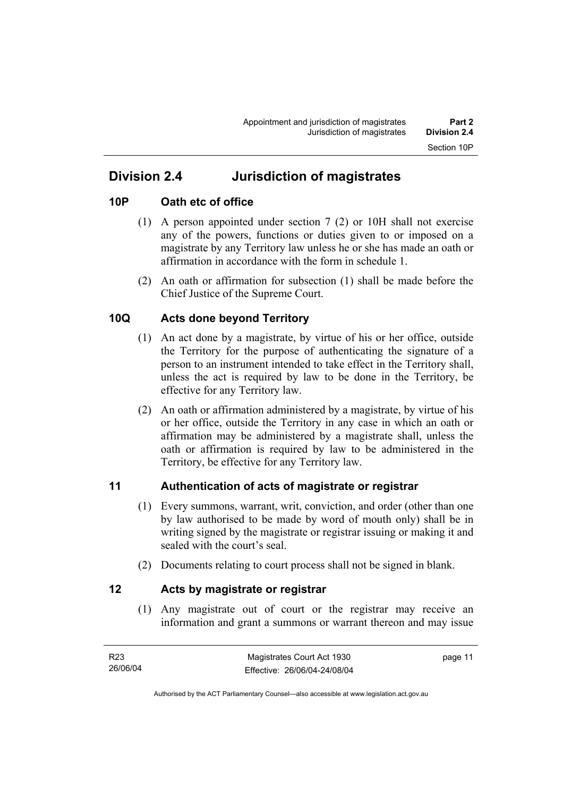# **Division 2.4 Jurisdiction of magistrates**

### **10P Oath etc of office**

- (1) A person appointed under section 7 (2) or 10H shall not exercise any of the powers, functions or duties given to or imposed on a magistrate by any Territory law unless he or she has made an oath or affirmation in accordance with the form in schedule 1.
- (2) An oath or affirmation for subsection (1) shall be made before the Chief Justice of the Supreme Court.

### **10Q Acts done beyond Territory**

- (1) An act done by a magistrate, by virtue of his or her office, outside the Territory for the purpose of authenticating the signature of a person to an instrument intended to take effect in the Territory shall, unless the act is required by law to be done in the Territory, be effective for any Territory law.
- (2) An oath or affirmation administered by a magistrate, by virtue of his or her office, outside the Territory in any case in which an oath or affirmation may be administered by a magistrate shall, unless the oath or affirmation is required by law to be administered in the Territory, be effective for any Territory law.

#### **11 Authentication of acts of magistrate or registrar**

- (1) Every summons, warrant, writ, conviction, and order (other than one by law authorised to be made by word of mouth only) shall be in writing signed by the magistrate or registrar issuing or making it and sealed with the court's seal.
- (2) Documents relating to court process shall not be signed in blank.

#### **12 Acts by magistrate or registrar**

 (1) Any magistrate out of court or the registrar may receive an information and grant a summons or warrant thereon and may issue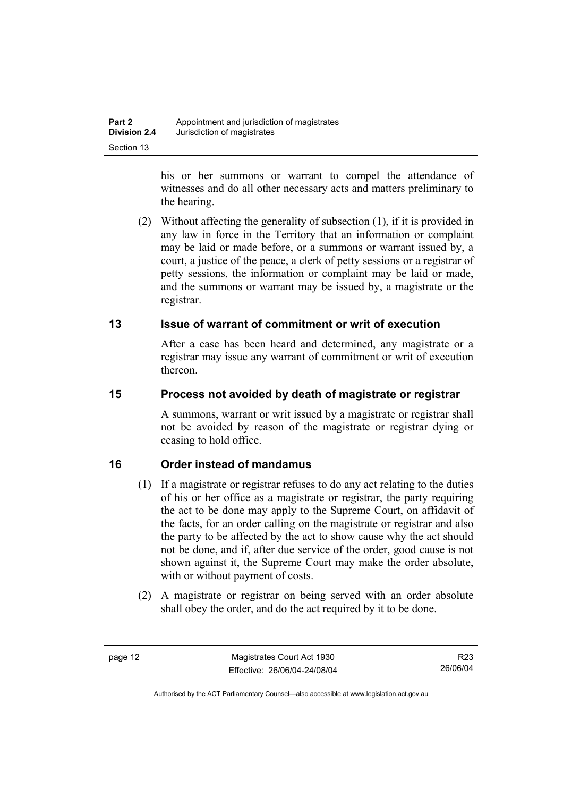his or her summons or warrant to compel the attendance of witnesses and do all other necessary acts and matters preliminary to the hearing.

 (2) Without affecting the generality of subsection (1), if it is provided in any law in force in the Territory that an information or complaint may be laid or made before, or a summons or warrant issued by, a court, a justice of the peace, a clerk of petty sessions or a registrar of petty sessions, the information or complaint may be laid or made, and the summons or warrant may be issued by, a magistrate or the registrar.

### **13 Issue of warrant of commitment or writ of execution**

After a case has been heard and determined, any magistrate or a registrar may issue any warrant of commitment or writ of execution thereon.

### **15 Process not avoided by death of magistrate or registrar**

A summons, warrant or writ issued by a magistrate or registrar shall not be avoided by reason of the magistrate or registrar dying or ceasing to hold office.

## **16 Order instead of mandamus**

- (1) If a magistrate or registrar refuses to do any act relating to the duties of his or her office as a magistrate or registrar, the party requiring the act to be done may apply to the Supreme Court, on affidavit of the facts, for an order calling on the magistrate or registrar and also the party to be affected by the act to show cause why the act should not be done, and if, after due service of the order, good cause is not shown against it, the Supreme Court may make the order absolute, with or without payment of costs.
- (2) A magistrate or registrar on being served with an order absolute shall obey the order, and do the act required by it to be done.

R23 26/06/04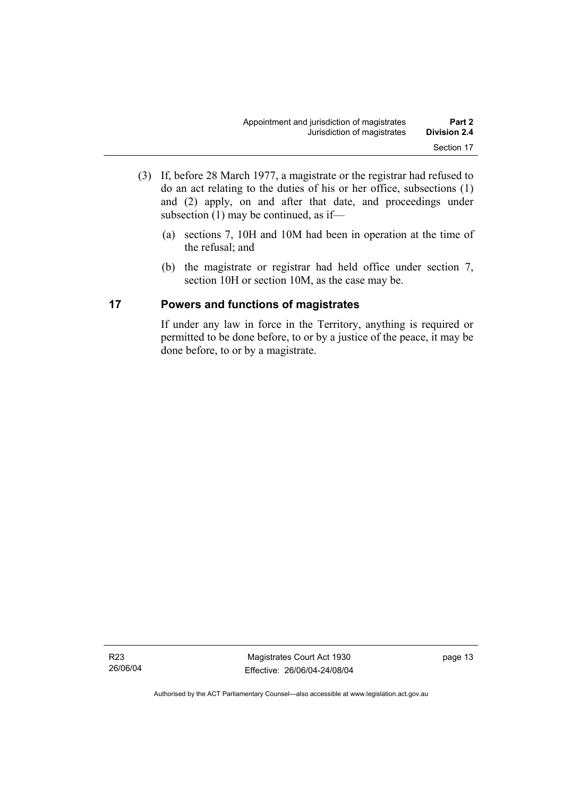- (3) If, before 28 March 1977, a magistrate or the registrar had refused to do an act relating to the duties of his or her office, subsections (1) and (2) apply, on and after that date, and proceedings under subsection (1) may be continued, as if—
	- (a) sections 7, 10H and 10M had been in operation at the time of the refusal; and
	- (b) the magistrate or registrar had held office under section 7, section 10H or section 10M, as the case may be.

#### **17 Powers and functions of magistrates**

If under any law in force in the Territory, anything is required or permitted to be done before, to or by a justice of the peace, it may be done before, to or by a magistrate.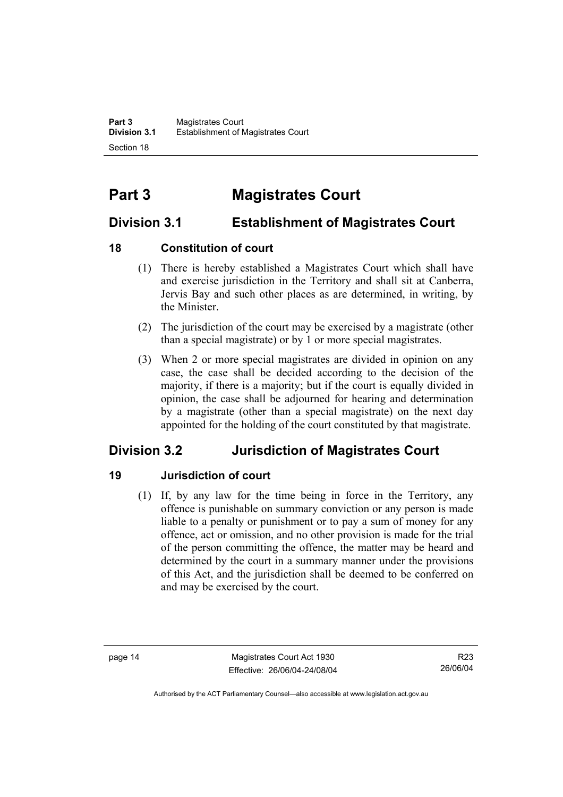# **Part 3 Magistrates Court**

# **Division 3.1 Establishment of Magistrates Court**

### **18 Constitution of court**

- (1) There is hereby established a Magistrates Court which shall have and exercise jurisdiction in the Territory and shall sit at Canberra, Jervis Bay and such other places as are determined, in writing, by the Minister.
- (2) The jurisdiction of the court may be exercised by a magistrate (other than a special magistrate) or by 1 or more special magistrates.
- (3) When 2 or more special magistrates are divided in opinion on any case, the case shall be decided according to the decision of the majority, if there is a majority; but if the court is equally divided in opinion, the case shall be adjourned for hearing and determination by a magistrate (other than a special magistrate) on the next day appointed for the holding of the court constituted by that magistrate.

# **Division 3.2 Jurisdiction of Magistrates Court**

## **19 Jurisdiction of court**

 (1) If, by any law for the time being in force in the Territory, any offence is punishable on summary conviction or any person is made liable to a penalty or punishment or to pay a sum of money for any offence, act or omission, and no other provision is made for the trial of the person committing the offence, the matter may be heard and determined by the court in a summary manner under the provisions of this Act, and the jurisdiction shall be deemed to be conferred on and may be exercised by the court.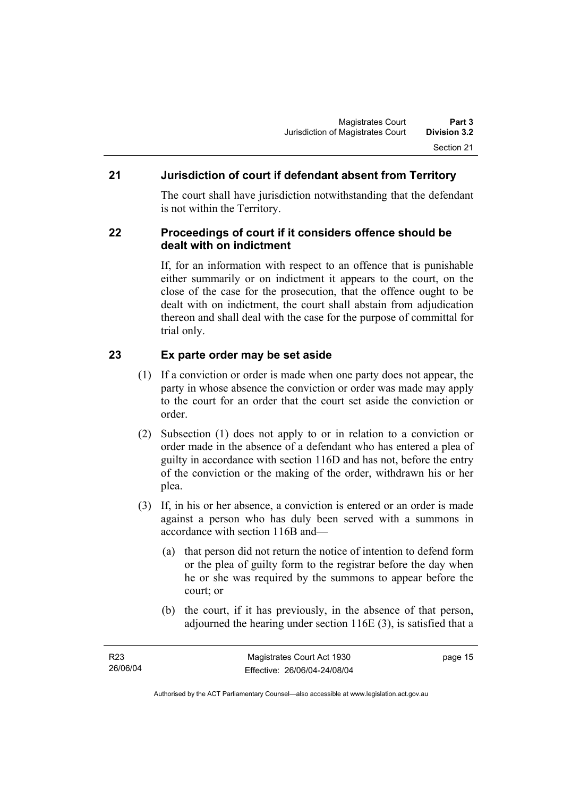### **21 Jurisdiction of court if defendant absent from Territory**

The court shall have jurisdiction notwithstanding that the defendant is not within the Territory.

#### **22 Proceedings of court if it considers offence should be dealt with on indictment**

If, for an information with respect to an offence that is punishable either summarily or on indictment it appears to the court, on the close of the case for the prosecution, that the offence ought to be dealt with on indictment, the court shall abstain from adjudication thereon and shall deal with the case for the purpose of committal for trial only.

#### **23 Ex parte order may be set aside**

- (1) If a conviction or order is made when one party does not appear, the party in whose absence the conviction or order was made may apply to the court for an order that the court set aside the conviction or order.
- (2) Subsection (1) does not apply to or in relation to a conviction or order made in the absence of a defendant who has entered a plea of guilty in accordance with section 116D and has not, before the entry of the conviction or the making of the order, withdrawn his or her plea.
- (3) If, in his or her absence, a conviction is entered or an order is made against a person who has duly been served with a summons in accordance with section 116B and—
	- (a) that person did not return the notice of intention to defend form or the plea of guilty form to the registrar before the day when he or she was required by the summons to appear before the court; or
	- (b) the court, if it has previously, in the absence of that person, adjourned the hearing under section 116E (3), is satisfied that a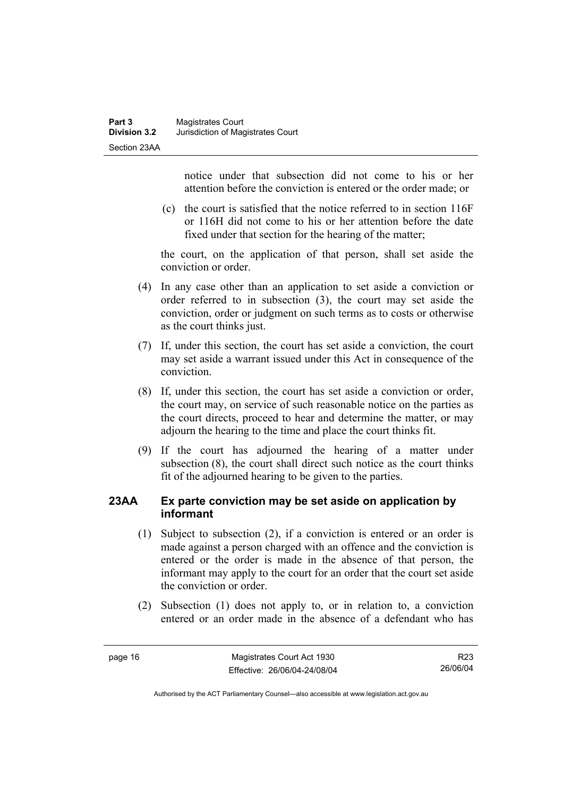notice under that subsection did not come to his or her attention before the conviction is entered or the order made; or

 (c) the court is satisfied that the notice referred to in section 116F or 116H did not come to his or her attention before the date fixed under that section for the hearing of the matter;

the court, on the application of that person, shall set aside the conviction or order.

- (4) In any case other than an application to set aside a conviction or order referred to in subsection (3), the court may set aside the conviction, order or judgment on such terms as to costs or otherwise as the court thinks just.
- (7) If, under this section, the court has set aside a conviction, the court may set aside a warrant issued under this Act in consequence of the conviction.
- (8) If, under this section, the court has set aside a conviction or order, the court may, on service of such reasonable notice on the parties as the court directs, proceed to hear and determine the matter, or may adjourn the hearing to the time and place the court thinks fit.
- (9) If the court has adjourned the hearing of a matter under subsection (8), the court shall direct such notice as the court thinks fit of the adjourned hearing to be given to the parties.

#### **23AA Ex parte conviction may be set aside on application by informant**

- (1) Subject to subsection (2), if a conviction is entered or an order is made against a person charged with an offence and the conviction is entered or the order is made in the absence of that person, the informant may apply to the court for an order that the court set aside the conviction or order.
- (2) Subsection (1) does not apply to, or in relation to, a conviction entered or an order made in the absence of a defendant who has

R23 26/06/04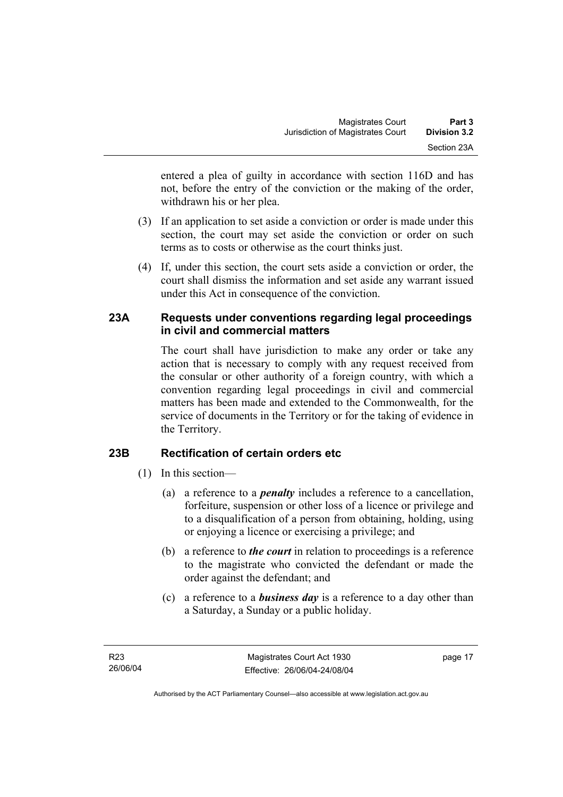entered a plea of guilty in accordance with section 116D and has not, before the entry of the conviction or the making of the order, withdrawn his or her plea.

- (3) If an application to set aside a conviction or order is made under this section, the court may set aside the conviction or order on such terms as to costs or otherwise as the court thinks just.
- (4) If, under this section, the court sets aside a conviction or order, the court shall dismiss the information and set aside any warrant issued under this Act in consequence of the conviction.

#### **23A Requests under conventions regarding legal proceedings in civil and commercial matters**

The court shall have jurisdiction to make any order or take any action that is necessary to comply with any request received from the consular or other authority of a foreign country, with which a convention regarding legal proceedings in civil and commercial matters has been made and extended to the Commonwealth, for the service of documents in the Territory or for the taking of evidence in the Territory.

## **23B Rectification of certain orders etc**

- (1) In this section—
	- (a) a reference to a *penalty* includes a reference to a cancellation, forfeiture, suspension or other loss of a licence or privilege and to a disqualification of a person from obtaining, holding, using or enjoying a licence or exercising a privilege; and
	- (b) a reference to *the court* in relation to proceedings is a reference to the magistrate who convicted the defendant or made the order against the defendant; and
	- (c) a reference to a *business day* is a reference to a day other than a Saturday, a Sunday or a public holiday.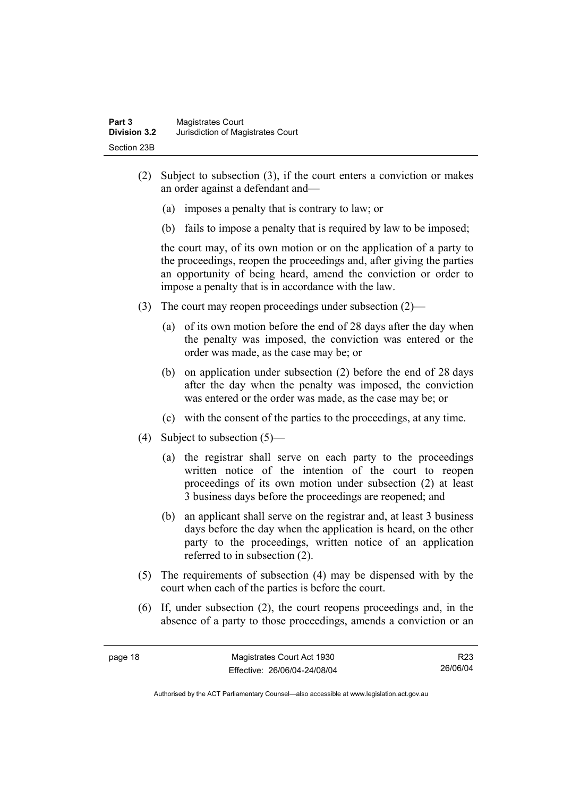- (2) Subject to subsection (3), if the court enters a conviction or makes an order against a defendant and—
	- (a) imposes a penalty that is contrary to law; or
	- (b) fails to impose a penalty that is required by law to be imposed;

the court may, of its own motion or on the application of a party to the proceedings, reopen the proceedings and, after giving the parties an opportunity of being heard, amend the conviction or order to impose a penalty that is in accordance with the law.

- (3) The court may reopen proceedings under subsection (2)—
	- (a) of its own motion before the end of 28 days after the day when the penalty was imposed, the conviction was entered or the order was made, as the case may be; or
	- (b) on application under subsection (2) before the end of 28 days after the day when the penalty was imposed, the conviction was entered or the order was made, as the case may be; or
	- (c) with the consent of the parties to the proceedings, at any time.
- (4) Subject to subsection (5)—
	- (a) the registrar shall serve on each party to the proceedings written notice of the intention of the court to reopen proceedings of its own motion under subsection (2) at least 3 business days before the proceedings are reopened; and
	- (b) an applicant shall serve on the registrar and, at least 3 business days before the day when the application is heard, on the other party to the proceedings, written notice of an application referred to in subsection (2).
- (5) The requirements of subsection (4) may be dispensed with by the court when each of the parties is before the court.
- (6) If, under subsection (2), the court reopens proceedings and, in the absence of a party to those proceedings, amends a conviction or an

R23 26/06/04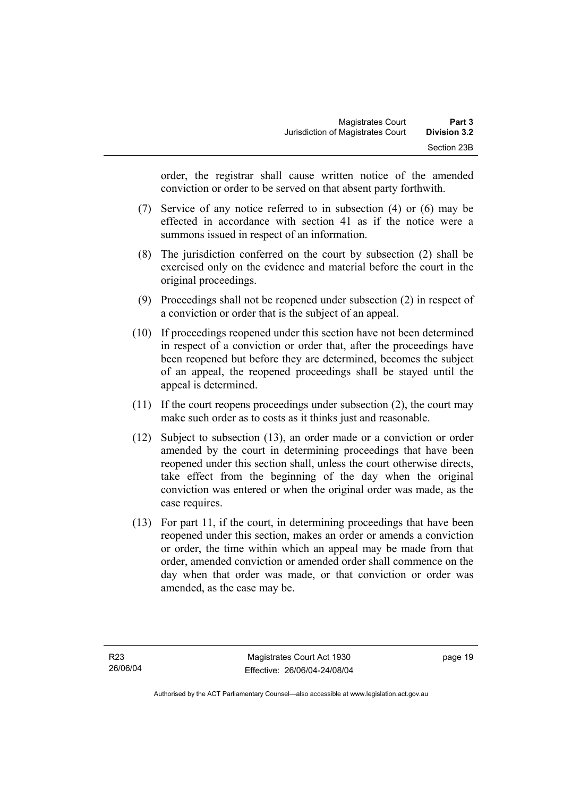order, the registrar shall cause written notice of the amended conviction or order to be served on that absent party forthwith.

- (7) Service of any notice referred to in subsection (4) or (6) may be effected in accordance with section 41 as if the notice were a summons issued in respect of an information.
- (8) The jurisdiction conferred on the court by subsection (2) shall be exercised only on the evidence and material before the court in the original proceedings.
- (9) Proceedings shall not be reopened under subsection (2) in respect of a conviction or order that is the subject of an appeal.
- (10) If proceedings reopened under this section have not been determined in respect of a conviction or order that, after the proceedings have been reopened but before they are determined, becomes the subject of an appeal, the reopened proceedings shall be stayed until the appeal is determined.
- (11) If the court reopens proceedings under subsection (2), the court may make such order as to costs as it thinks just and reasonable.
- (12) Subject to subsection (13), an order made or a conviction or order amended by the court in determining proceedings that have been reopened under this section shall, unless the court otherwise directs, take effect from the beginning of the day when the original conviction was entered or when the original order was made, as the case requires.
- (13) For part 11, if the court, in determining proceedings that have been reopened under this section, makes an order or amends a conviction or order, the time within which an appeal may be made from that order, amended conviction or amended order shall commence on the day when that order was made, or that conviction or order was amended, as the case may be.

page 19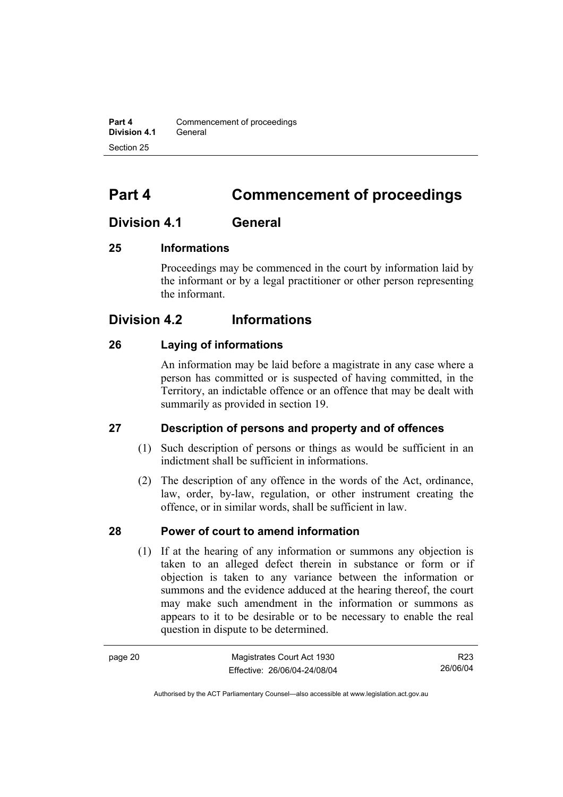**Part 4 Commencement of proceedings Division 4.1** General Section 25

# **Part 4 Commencement of proceedings**

## **Division 4.1 General**

#### **25 Informations**

Proceedings may be commenced in the court by information laid by the informant or by a legal practitioner or other person representing the informant.

## **Division 4.2 Informations**

#### **26 Laying of informations**

An information may be laid before a magistrate in any case where a person has committed or is suspected of having committed, in the Territory, an indictable offence or an offence that may be dealt with summarily as provided in section 19.

#### **27 Description of persons and property and of offences**

- (1) Such description of persons or things as would be sufficient in an indictment shall be sufficient in informations.
- (2) The description of any offence in the words of the Act, ordinance, law, order, by-law, regulation, or other instrument creating the offence, or in similar words, shall be sufficient in law.

#### **28 Power of court to amend information**

 (1) If at the hearing of any information or summons any objection is taken to an alleged defect therein in substance or form or if objection is taken to any variance between the information or summons and the evidence adduced at the hearing thereof, the court may make such amendment in the information or summons as appears to it to be desirable or to be necessary to enable the real question in dispute to be determined.

| page 20 | Magistrates Court Act 1930   | R23      |
|---------|------------------------------|----------|
|         | Effective: 26/06/04-24/08/04 | 26/06/04 |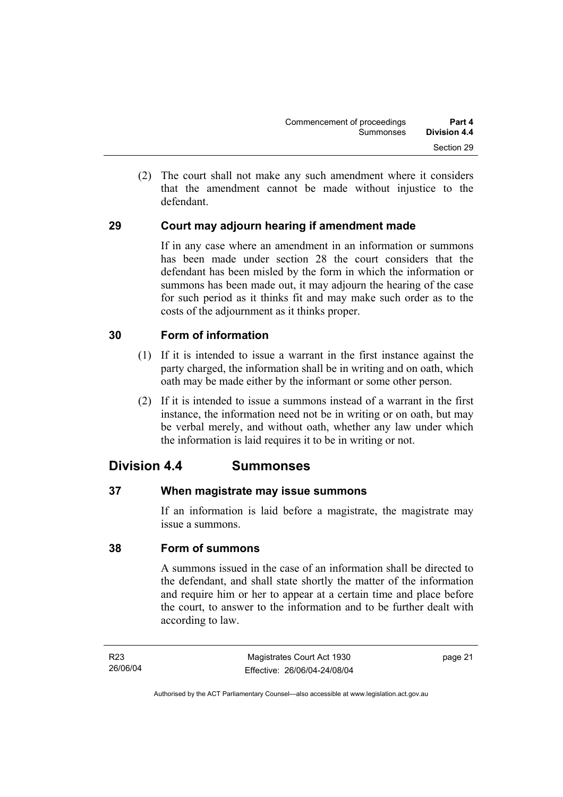(2) The court shall not make any such amendment where it considers that the amendment cannot be made without injustice to the defendant.

### **29 Court may adjourn hearing if amendment made**

If in any case where an amendment in an information or summons has been made under section 28 the court considers that the defendant has been misled by the form in which the information or summons has been made out, it may adjourn the hearing of the case for such period as it thinks fit and may make such order as to the costs of the adjournment as it thinks proper.

#### **30 Form of information**

- (1) If it is intended to issue a warrant in the first instance against the party charged, the information shall be in writing and on oath, which oath may be made either by the informant or some other person.
- (2) If it is intended to issue a summons instead of a warrant in the first instance, the information need not be in writing or on oath, but may be verbal merely, and without oath, whether any law under which the information is laid requires it to be in writing or not.

## **Division 4.4 Summonses**

#### **37 When magistrate may issue summons**

If an information is laid before a magistrate, the magistrate may issue a summons.

#### **38 Form of summons**

A summons issued in the case of an information shall be directed to the defendant, and shall state shortly the matter of the information and require him or her to appear at a certain time and place before the court, to answer to the information and to be further dealt with according to law.

page 21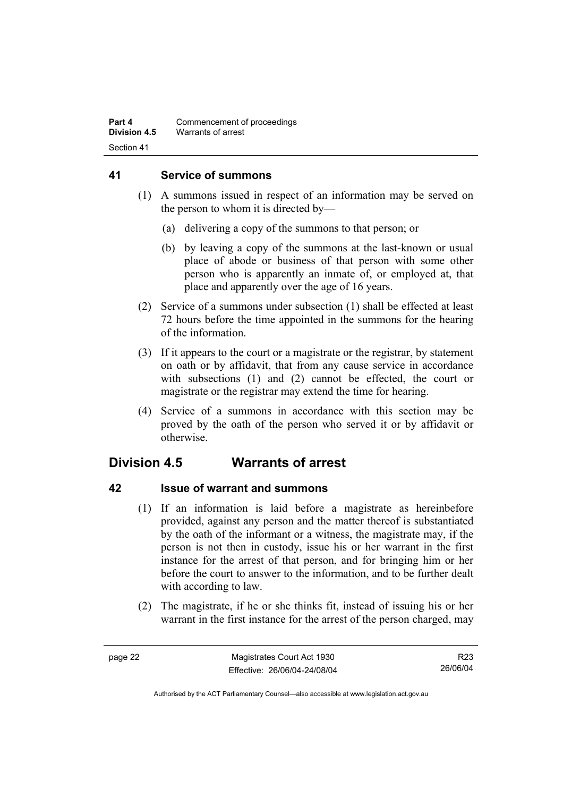#### **41 Service of summons**

- (1) A summons issued in respect of an information may be served on the person to whom it is directed by—
	- (a) delivering a copy of the summons to that person; or
	- (b) by leaving a copy of the summons at the last-known or usual place of abode or business of that person with some other person who is apparently an inmate of, or employed at, that place and apparently over the age of 16 years.
- (2) Service of a summons under subsection (1) shall be effected at least 72 hours before the time appointed in the summons for the hearing of the information.
- (3) If it appears to the court or a magistrate or the registrar, by statement on oath or by affidavit, that from any cause service in accordance with subsections (1) and (2) cannot be effected, the court or magistrate or the registrar may extend the time for hearing.
- (4) Service of a summons in accordance with this section may be proved by the oath of the person who served it or by affidavit or otherwise.

# **Division 4.5 Warrants of arrest**

## **42 Issue of warrant and summons**

- (1) If an information is laid before a magistrate as hereinbefore provided, against any person and the matter thereof is substantiated by the oath of the informant or a witness, the magistrate may, if the person is not then in custody, issue his or her warrant in the first instance for the arrest of that person, and for bringing him or her before the court to answer to the information, and to be further dealt with according to law.
- (2) The magistrate, if he or she thinks fit, instead of issuing his or her warrant in the first instance for the arrest of the person charged, may

R23 26/06/04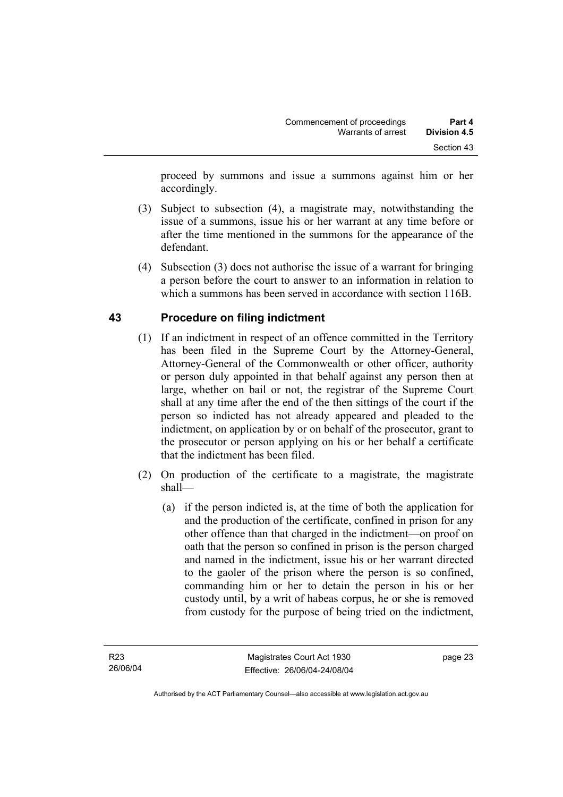proceed by summons and issue a summons against him or her accordingly.

- (3) Subject to subsection (4), a magistrate may, notwithstanding the issue of a summons, issue his or her warrant at any time before or after the time mentioned in the summons for the appearance of the defendant.
- (4) Subsection (3) does not authorise the issue of a warrant for bringing a person before the court to answer to an information in relation to which a summons has been served in accordance with section 116B.

# **43 Procedure on filing indictment**

- (1) If an indictment in respect of an offence committed in the Territory has been filed in the Supreme Court by the Attorney-General, Attorney-General of the Commonwealth or other officer, authority or person duly appointed in that behalf against any person then at large, whether on bail or not, the registrar of the Supreme Court shall at any time after the end of the then sittings of the court if the person so indicted has not already appeared and pleaded to the indictment, on application by or on behalf of the prosecutor, grant to the prosecutor or person applying on his or her behalf a certificate that the indictment has been filed.
- (2) On production of the certificate to a magistrate, the magistrate shall—
	- (a) if the person indicted is, at the time of both the application for and the production of the certificate, confined in prison for any other offence than that charged in the indictment—on proof on oath that the person so confined in prison is the person charged and named in the indictment, issue his or her warrant directed to the gaoler of the prison where the person is so confined, commanding him or her to detain the person in his or her custody until, by a writ of habeas corpus, he or she is removed from custody for the purpose of being tried on the indictment,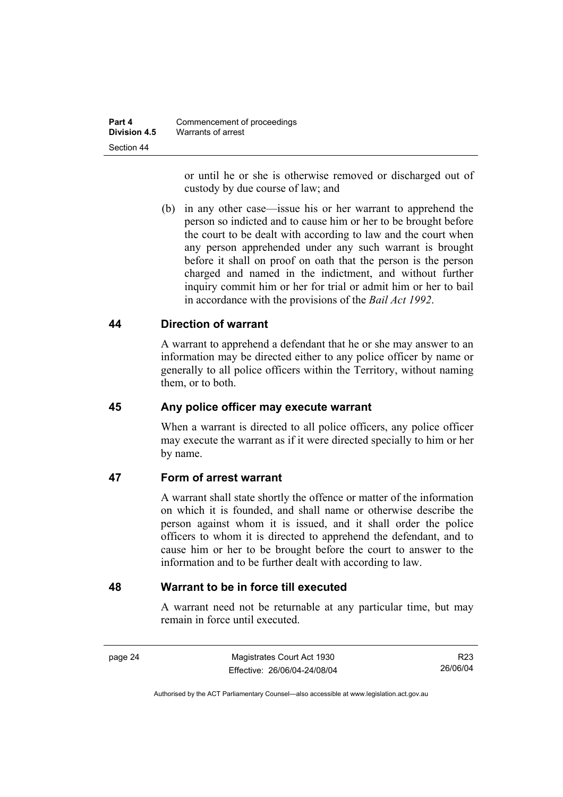or until he or she is otherwise removed or discharged out of custody by due course of law; and

 (b) in any other case—issue his or her warrant to apprehend the person so indicted and to cause him or her to be brought before the court to be dealt with according to law and the court when any person apprehended under any such warrant is brought before it shall on proof on oath that the person is the person charged and named in the indictment, and without further inquiry commit him or her for trial or admit him or her to bail in accordance with the provisions of the *Bail Act 1992*.

### **44 Direction of warrant**

A warrant to apprehend a defendant that he or she may answer to an information may be directed either to any police officer by name or generally to all police officers within the Territory, without naming them, or to both.

### **45 Any police officer may execute warrant**

When a warrant is directed to all police officers, any police officer may execute the warrant as if it were directed specially to him or her by name.

### **47 Form of arrest warrant**

A warrant shall state shortly the offence or matter of the information on which it is founded, and shall name or otherwise describe the person against whom it is issued, and it shall order the police officers to whom it is directed to apprehend the defendant, and to cause him or her to be brought before the court to answer to the information and to be further dealt with according to law.

### **48 Warrant to be in force till executed**

A warrant need not be returnable at any particular time, but may remain in force until executed.

page 24 Magistrates Court Act 1930 Effective: 26/06/04-24/08/04

R23 26/06/04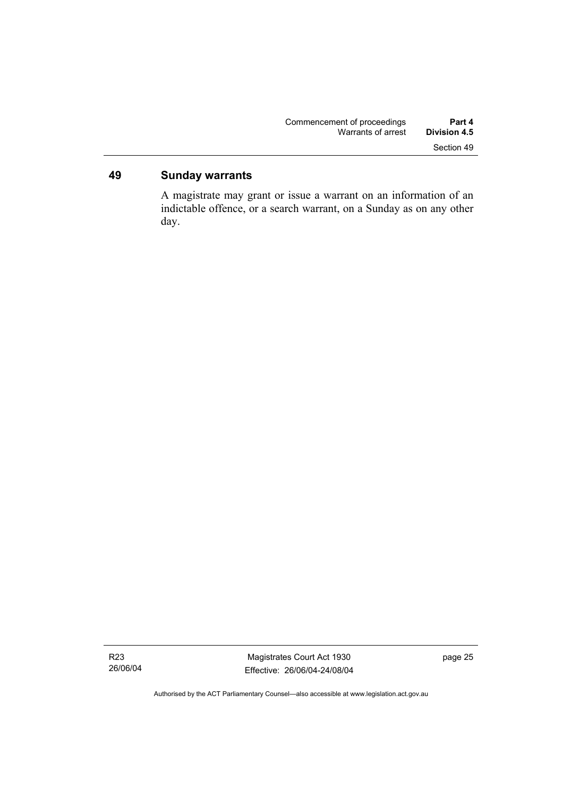# **49 Sunday warrants**

A magistrate may grant or issue a warrant on an information of an indictable offence, or a search warrant, on a Sunday as on any other day.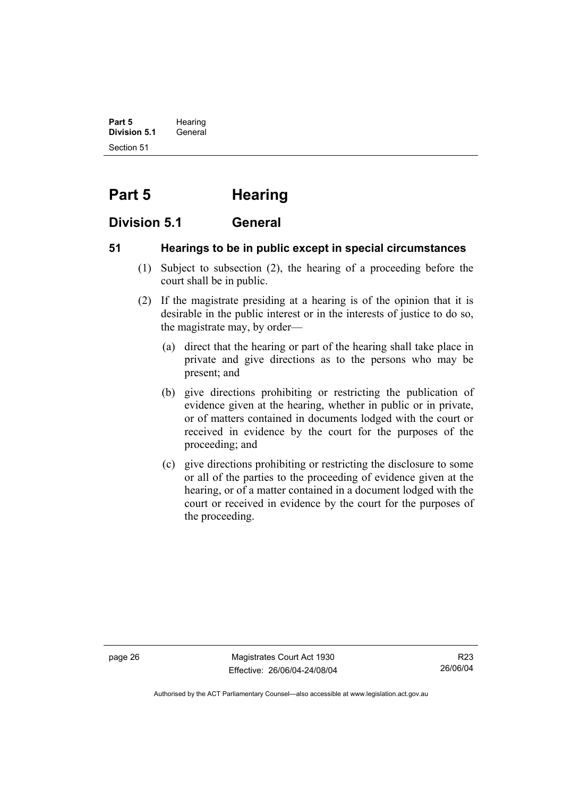**Part 5** Hearing **Division 5.1** General Section 51

# **Part 5 Hearing**

# **Division 5.1 General**

# **51 Hearings to be in public except in special circumstances**

- (1) Subject to subsection (2), the hearing of a proceeding before the court shall be in public.
- (2) If the magistrate presiding at a hearing is of the opinion that it is desirable in the public interest or in the interests of justice to do so, the magistrate may, by order—
	- (a) direct that the hearing or part of the hearing shall take place in private and give directions as to the persons who may be present; and
	- (b) give directions prohibiting or restricting the publication of evidence given at the hearing, whether in public or in private, or of matters contained in documents lodged with the court or received in evidence by the court for the purposes of the proceeding; and
	- (c) give directions prohibiting or restricting the disclosure to some or all of the parties to the proceeding of evidence given at the hearing, or of a matter contained in a document lodged with the court or received in evidence by the court for the purposes of the proceeding.

page 26 Magistrates Court Act 1930 Effective: 26/06/04-24/08/04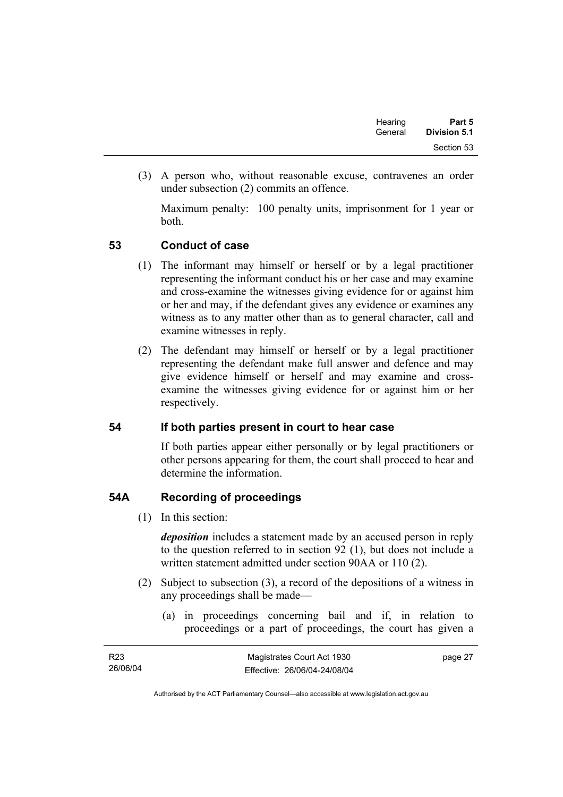| Hearing | Part 5              |
|---------|---------------------|
| General | <b>Division 5.1</b> |
|         | Section 53          |

 (3) A person who, without reasonable excuse, contravenes an order under subsection (2) commits an offence.

Maximum penalty: 100 penalty units, imprisonment for 1 year or both.

### **53 Conduct of case**

- (1) The informant may himself or herself or by a legal practitioner representing the informant conduct his or her case and may examine and cross-examine the witnesses giving evidence for or against him or her and may, if the defendant gives any evidence or examines any witness as to any matter other than as to general character, call and examine witnesses in reply.
- (2) The defendant may himself or herself or by a legal practitioner representing the defendant make full answer and defence and may give evidence himself or herself and may examine and crossexamine the witnesses giving evidence for or against him or her respectively.

### **54 If both parties present in court to hear case**

If both parties appear either personally or by legal practitioners or other persons appearing for them, the court shall proceed to hear and determine the information.

# **54A Recording of proceedings**

(1) In this section:

*deposition* includes a statement made by an accused person in reply to the question referred to in section 92 (1), but does not include a written statement admitted under section 90AA or 110 (2).

- (2) Subject to subsection (3), a record of the depositions of a witness in any proceedings shall be made—
	- (a) in proceedings concerning bail and if, in relation to proceedings or a part of proceedings, the court has given a

| R <sub>23</sub> | Magistrates Court Act 1930   | page 27 |
|-----------------|------------------------------|---------|
| 26/06/04        | Effective: 26/06/04-24/08/04 |         |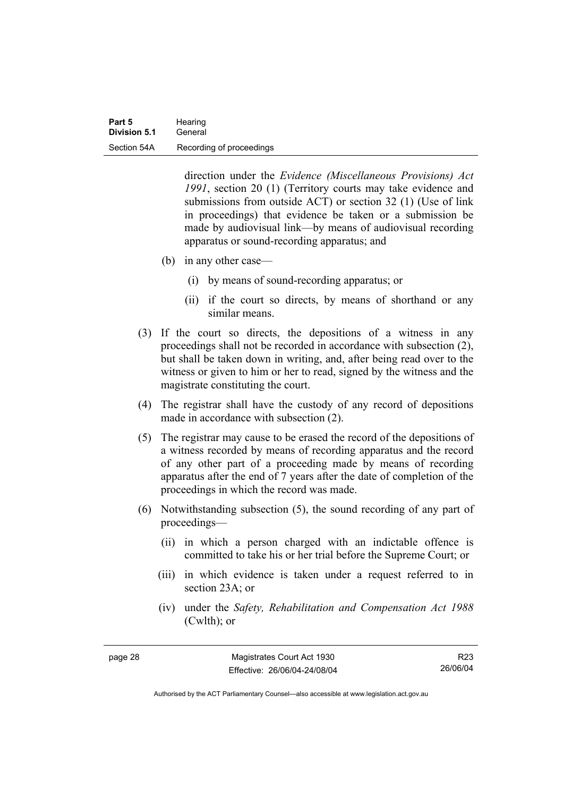direction under the *Evidence (Miscellaneous Provisions) Act 1991*, section 20 (1) (Territory courts may take evidence and submissions from outside ACT) or section 32 (1) (Use of link in proceedings) that evidence be taken or a submission be made by audiovisual link—by means of audiovisual recording apparatus or sound-recording apparatus; and

- (b) in any other case—
	- (i) by means of sound-recording apparatus; or
	- (ii) if the court so directs, by means of shorthand or any similar means.
- (3) If the court so directs, the depositions of a witness in any proceedings shall not be recorded in accordance with subsection (2), but shall be taken down in writing, and, after being read over to the witness or given to him or her to read, signed by the witness and the magistrate constituting the court.
- (4) The registrar shall have the custody of any record of depositions made in accordance with subsection (2).
- (5) The registrar may cause to be erased the record of the depositions of a witness recorded by means of recording apparatus and the record of any other part of a proceeding made by means of recording apparatus after the end of 7 years after the date of completion of the proceedings in which the record was made.
- (6) Notwithstanding subsection (5), the sound recording of any part of proceedings—
	- (ii) in which a person charged with an indictable offence is committed to take his or her trial before the Supreme Court; or
	- (iii) in which evidence is taken under a request referred to in section 23A; or
	- (iv) under the *Safety, Rehabilitation and Compensation Act 1988* (Cwlth); or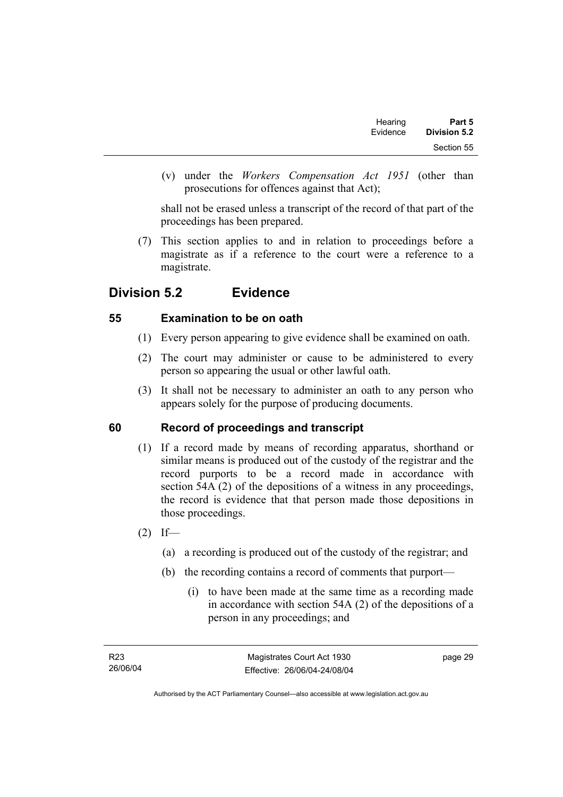| Part 5       | Hearing  |  |
|--------------|----------|--|
| Division 5.2 | Evidence |  |
| Section 55   |          |  |

 (v) under the *Workers Compensation Act 1951* (other than prosecutions for offences against that Act);

shall not be erased unless a transcript of the record of that part of the proceedings has been prepared.

 (7) This section applies to and in relation to proceedings before a magistrate as if a reference to the court were a reference to a magistrate.

# **Division 5.2 Evidence**

# **55 Examination to be on oath**

- (1) Every person appearing to give evidence shall be examined on oath.
- (2) The court may administer or cause to be administered to every person so appearing the usual or other lawful oath.
- (3) It shall not be necessary to administer an oath to any person who appears solely for the purpose of producing documents.

# **60 Record of proceedings and transcript**

- (1) If a record made by means of recording apparatus, shorthand or similar means is produced out of the custody of the registrar and the record purports to be a record made in accordance with section 54A (2) of the depositions of a witness in any proceedings, the record is evidence that that person made those depositions in those proceedings.
- $(2)$  If—
	- (a) a recording is produced out of the custody of the registrar; and
	- (b) the recording contains a record of comments that purport—
		- (i) to have been made at the same time as a recording made in accordance with section 54A (2) of the depositions of a person in any proceedings; and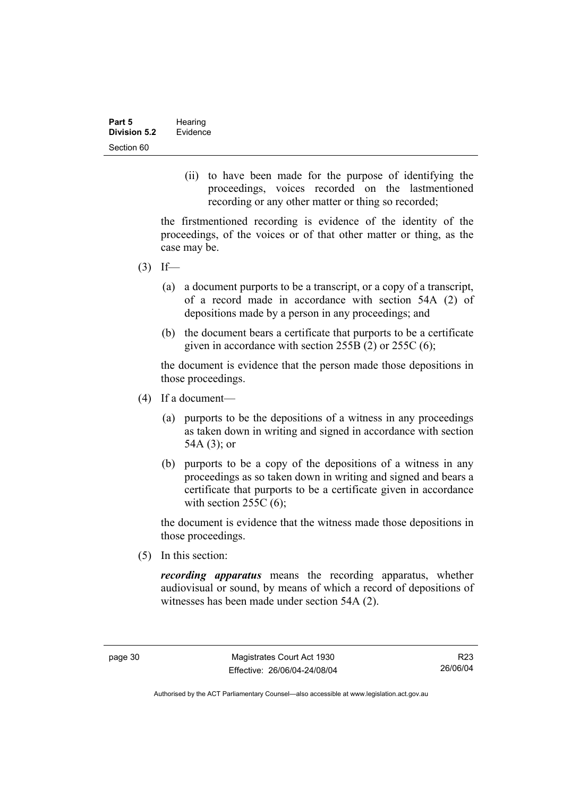(ii) to have been made for the purpose of identifying the proceedings, voices recorded on the lastmentioned recording or any other matter or thing so recorded;

the firstmentioned recording is evidence of the identity of the proceedings, of the voices or of that other matter or thing, as the case may be.

- $(3)$  If—
	- (a) a document purports to be a transcript, or a copy of a transcript, of a record made in accordance with section 54A (2) of depositions made by a person in any proceedings; and
	- (b) the document bears a certificate that purports to be a certificate given in accordance with section 255B (2) or 255C (6);

the document is evidence that the person made those depositions in those proceedings.

- (4) If a document—
	- (a) purports to be the depositions of a witness in any proceedings as taken down in writing and signed in accordance with section 54A (3); or
	- (b) purports to be a copy of the depositions of a witness in any proceedings as so taken down in writing and signed and bears a certificate that purports to be a certificate given in accordance with section  $255C(6)$ ;

the document is evidence that the witness made those depositions in those proceedings.

(5) In this section:

*recording apparatus* means the recording apparatus, whether audiovisual or sound, by means of which a record of depositions of witnesses has been made under section 54A (2).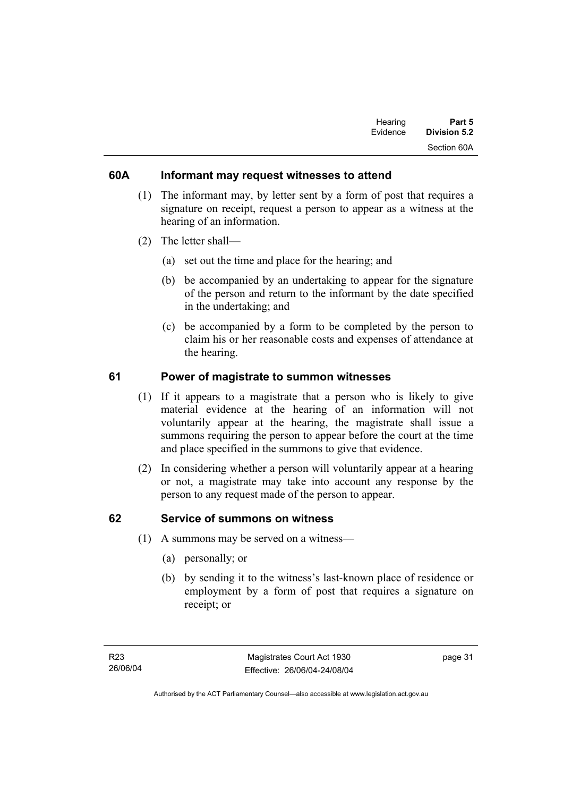| Hearing  | Part 5       |
|----------|--------------|
| Evidence | Division 5.2 |
|          | Section 60A  |

### **60A Informant may request witnesses to attend**

- (1) The informant may, by letter sent by a form of post that requires a signature on receipt, request a person to appear as a witness at the hearing of an information.
- (2) The letter shall—
	- (a) set out the time and place for the hearing; and
	- (b) be accompanied by an undertaking to appear for the signature of the person and return to the informant by the date specified in the undertaking; and
	- (c) be accompanied by a form to be completed by the person to claim his or her reasonable costs and expenses of attendance at the hearing.

### **61 Power of magistrate to summon witnesses**

- (1) If it appears to a magistrate that a person who is likely to give material evidence at the hearing of an information will not voluntarily appear at the hearing, the magistrate shall issue a summons requiring the person to appear before the court at the time and place specified in the summons to give that evidence.
- (2) In considering whether a person will voluntarily appear at a hearing or not, a magistrate may take into account any response by the person to any request made of the person to appear.

### **62 Service of summons on witness**

- (1) A summons may be served on a witness—
	- (a) personally; or
	- (b) by sending it to the witness's last-known place of residence or employment by a form of post that requires a signature on receipt; or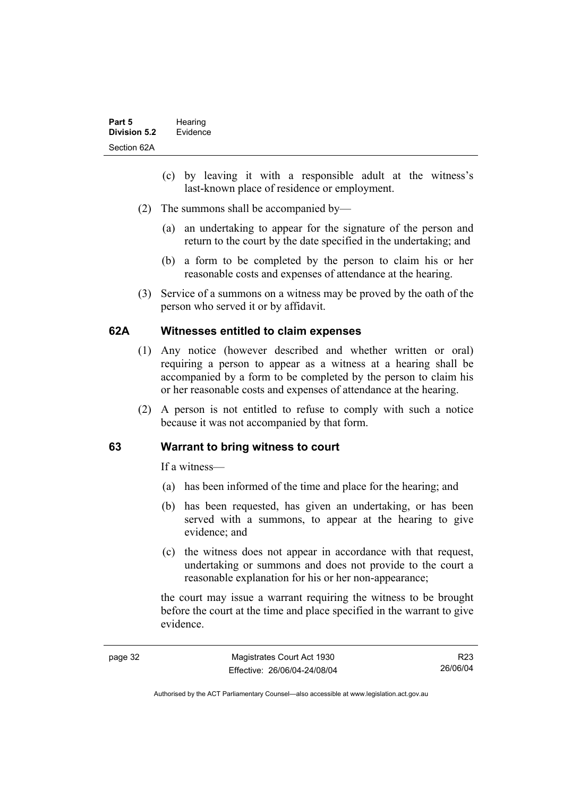- (c) by leaving it with a responsible adult at the witness's last-known place of residence or employment.
- (2) The summons shall be accompanied by—
	- (a) an undertaking to appear for the signature of the person and return to the court by the date specified in the undertaking; and
	- (b) a form to be completed by the person to claim his or her reasonable costs and expenses of attendance at the hearing.
- (3) Service of a summons on a witness may be proved by the oath of the person who served it or by affidavit.

### **62A Witnesses entitled to claim expenses**

- (1) Any notice (however described and whether written or oral) requiring a person to appear as a witness at a hearing shall be accompanied by a form to be completed by the person to claim his or her reasonable costs and expenses of attendance at the hearing.
- (2) A person is not entitled to refuse to comply with such a notice because it was not accompanied by that form.

### **63 Warrant to bring witness to court**

If a witness—

- (a) has been informed of the time and place for the hearing; and
- (b) has been requested, has given an undertaking, or has been served with a summons, to appear at the hearing to give evidence; and
- (c) the witness does not appear in accordance with that request, undertaking or summons and does not provide to the court a reasonable explanation for his or her non-appearance;

the court may issue a warrant requiring the witness to be brought before the court at the time and place specified in the warrant to give evidence.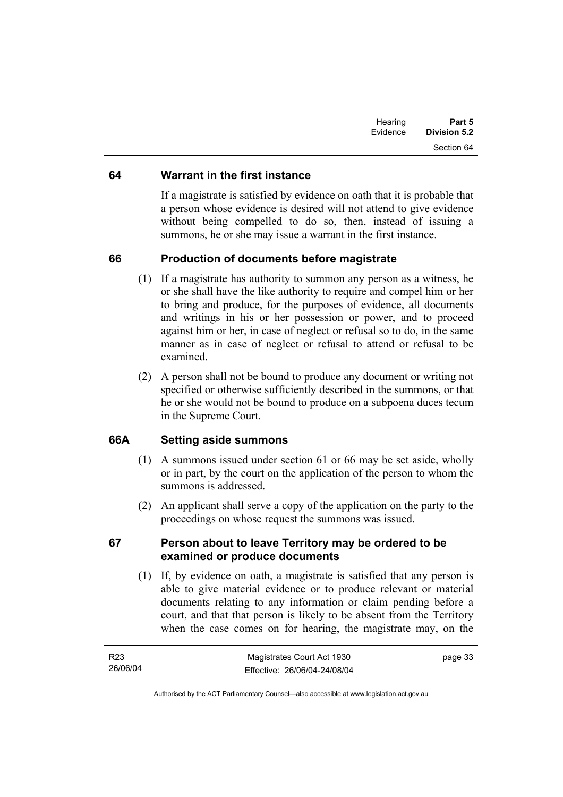| Hearing<br>Evidence | Part 5<br><b>Division 5.2</b> |
|---------------------|-------------------------------|
|                     | Section 64                    |

### **64 Warrant in the first instance**

If a magistrate is satisfied by evidence on oath that it is probable that a person whose evidence is desired will not attend to give evidence without being compelled to do so, then, instead of issuing a summons, he or she may issue a warrant in the first instance.

### **66 Production of documents before magistrate**

- (1) If a magistrate has authority to summon any person as a witness, he or she shall have the like authority to require and compel him or her to bring and produce, for the purposes of evidence, all documents and writings in his or her possession or power, and to proceed against him or her, in case of neglect or refusal so to do, in the same manner as in case of neglect or refusal to attend or refusal to be examined.
- (2) A person shall not be bound to produce any document or writing not specified or otherwise sufficiently described in the summons, or that he or she would not be bound to produce on a subpoena duces tecum in the Supreme Court.

# **66A Setting aside summons**

- (1) A summons issued under section 61 or 66 may be set aside, wholly or in part, by the court on the application of the person to whom the summons is addressed.
- (2) An applicant shall serve a copy of the application on the party to the proceedings on whose request the summons was issued.

### **67 Person about to leave Territory may be ordered to be examined or produce documents**

 (1) If, by evidence on oath, a magistrate is satisfied that any person is able to give material evidence or to produce relevant or material documents relating to any information or claim pending before a court, and that that person is likely to be absent from the Territory when the case comes on for hearing, the magistrate may, on the

| R23      | Magistrates Court Act 1930   | page 33 |
|----------|------------------------------|---------|
| 26/06/04 | Effective: 26/06/04-24/08/04 |         |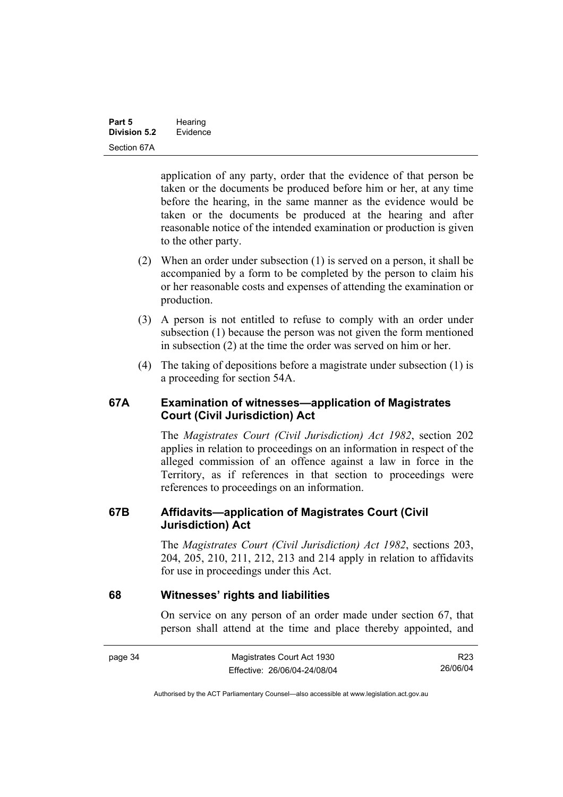application of any party, order that the evidence of that person be taken or the documents be produced before him or her, at any time before the hearing, in the same manner as the evidence would be taken or the documents be produced at the hearing and after reasonable notice of the intended examination or production is given to the other party.

- (2) When an order under subsection (1) is served on a person, it shall be accompanied by a form to be completed by the person to claim his or her reasonable costs and expenses of attending the examination or production.
- (3) A person is not entitled to refuse to comply with an order under subsection (1) because the person was not given the form mentioned in subsection (2) at the time the order was served on him or her.
- (4) The taking of depositions before a magistrate under subsection (1) is a proceeding for section 54A.

### **67A Examination of witnesses—application of Magistrates Court (Civil Jurisdiction) Act**

The *Magistrates Court (Civil Jurisdiction) Act 1982*, section 202 applies in relation to proceedings on an information in respect of the alleged commission of an offence against a law in force in the Territory, as if references in that section to proceedings were references to proceedings on an information.

### **67B Affidavits—application of Magistrates Court (Civil Jurisdiction) Act**

The *Magistrates Court (Civil Jurisdiction) Act 1982*, sections 203, 204, 205, 210, 211, 212, 213 and 214 apply in relation to affidavits for use in proceedings under this Act.

### **68 Witnesses' rights and liabilities**

On service on any person of an order made under section 67, that person shall attend at the time and place thereby appointed, and

| page 34 | Magistrates Court Act 1930   | R <sub>23</sub> |
|---------|------------------------------|-----------------|
|         | Effective: 26/06/04-24/08/04 | 26/06/04        |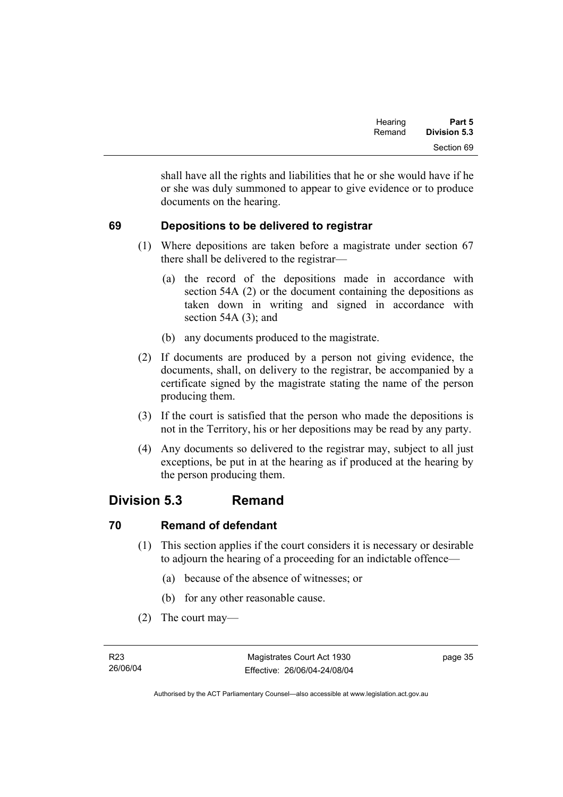| Hearing | Part 5              |
|---------|---------------------|
| Remand  | <b>Division 5.3</b> |
|         | Section 69          |

shall have all the rights and liabilities that he or she would have if he or she was duly summoned to appear to give evidence or to produce documents on the hearing.

# **69 Depositions to be delivered to registrar**

- (1) Where depositions are taken before a magistrate under section 67 there shall be delivered to the registrar—
	- (a) the record of the depositions made in accordance with section 54A (2) or the document containing the depositions as taken down in writing and signed in accordance with section 54A (3); and
	- (b) any documents produced to the magistrate.
- (2) If documents are produced by a person not giving evidence, the documents, shall, on delivery to the registrar, be accompanied by a certificate signed by the magistrate stating the name of the person producing them.
- (3) If the court is satisfied that the person who made the depositions is not in the Territory, his or her depositions may be read by any party.
- (4) Any documents so delivered to the registrar may, subject to all just exceptions, be put in at the hearing as if produced at the hearing by the person producing them.

# **Division 5.3 Remand**

# **70 Remand of defendant**

- (1) This section applies if the court considers it is necessary or desirable to adjourn the hearing of a proceeding for an indictable offence—
	- (a) because of the absence of witnesses; or
	- (b) for any other reasonable cause.
- (2) The court may—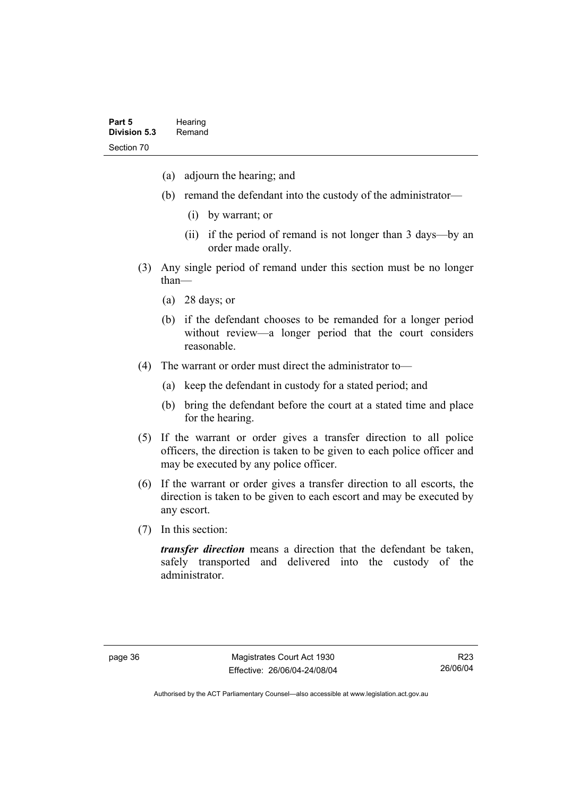- (a) adjourn the hearing; and
- (b) remand the defendant into the custody of the administrator—
	- (i) by warrant; or
	- (ii) if the period of remand is not longer than 3 days—by an order made orally.
- (3) Any single period of remand under this section must be no longer than—
	- (a) 28 days; or
	- (b) if the defendant chooses to be remanded for a longer period without review—a longer period that the court considers reasonable.
- (4) The warrant or order must direct the administrator to—
	- (a) keep the defendant in custody for a stated period; and
	- (b) bring the defendant before the court at a stated time and place for the hearing.
- (5) If the warrant or order gives a transfer direction to all police officers, the direction is taken to be given to each police officer and may be executed by any police officer.
- (6) If the warrant or order gives a transfer direction to all escorts, the direction is taken to be given to each escort and may be executed by any escort.
- (7) In this section:

*transfer direction* means a direction that the defendant be taken, safely transported and delivered into the custody of the administrator.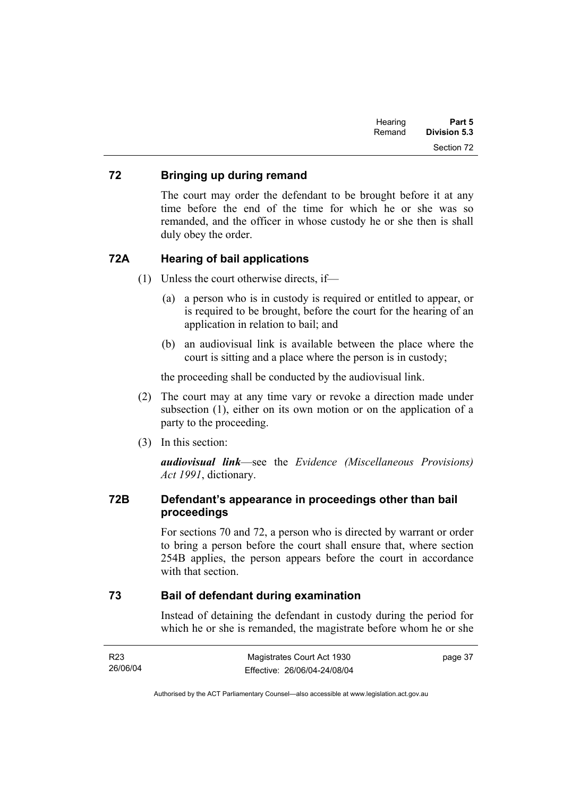| Part 5       | Hearing |
|--------------|---------|
| Division 5.3 | Remand  |
| Section 72   |         |

### **72 Bringing up during remand**

The court may order the defendant to be brought before it at any time before the end of the time for which he or she was so remanded, and the officer in whose custody he or she then is shall duly obey the order.

### **72A Hearing of bail applications**

- (1) Unless the court otherwise directs, if—
	- (a) a person who is in custody is required or entitled to appear, or is required to be brought, before the court for the hearing of an application in relation to bail; and
	- (b) an audiovisual link is available between the place where the court is sitting and a place where the person is in custody;

the proceeding shall be conducted by the audiovisual link.

- (2) The court may at any time vary or revoke a direction made under subsection (1), either on its own motion or on the application of a party to the proceeding.
- (3) In this section:

*audiovisual link*—see the *Evidence (Miscellaneous Provisions) Act 1991*, dictionary.

### **72B Defendant's appearance in proceedings other than bail proceedings**

For sections 70 and 72, a person who is directed by warrant or order to bring a person before the court shall ensure that, where section 254B applies, the person appears before the court in accordance with that section

### **73 Bail of defendant during examination**

Instead of detaining the defendant in custody during the period for which he or she is remanded, the magistrate before whom he or she

| R23      | Magistrates Court Act 1930   | page 37 |
|----------|------------------------------|---------|
| 26/06/04 | Effective: 26/06/04-24/08/04 |         |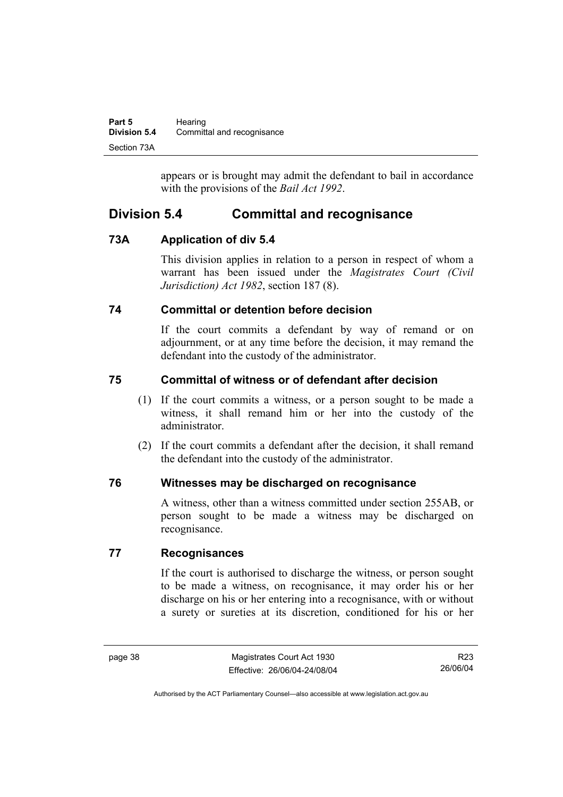| Part 5              | Hearing                    |
|---------------------|----------------------------|
| <b>Division 5.4</b> | Committal and recognisance |
| Section 73A         |                            |

appears or is brought may admit the defendant to bail in accordance with the provisions of the *Bail Act 1992*.

# **Division 5.4 Committal and recognisance**

# **73A Application of div 5.4**

This division applies in relation to a person in respect of whom a warrant has been issued under the *Magistrates Court (Civil Jurisdiction) Act 1982*, section 187 (8).

# **74 Committal or detention before decision**

If the court commits a defendant by way of remand or on adjournment, or at any time before the decision, it may remand the defendant into the custody of the administrator.

# **75 Committal of witness or of defendant after decision**

- (1) If the court commits a witness, or a person sought to be made a witness, it shall remand him or her into the custody of the administrator.
- (2) If the court commits a defendant after the decision, it shall remand the defendant into the custody of the administrator.

# **76 Witnesses may be discharged on recognisance**

A witness, other than a witness committed under section 255AB, or person sought to be made a witness may be discharged on recognisance.

# **77 Recognisances**

If the court is authorised to discharge the witness, or person sought to be made a witness, on recognisance, it may order his or her discharge on his or her entering into a recognisance, with or without a surety or sureties at its discretion, conditioned for his or her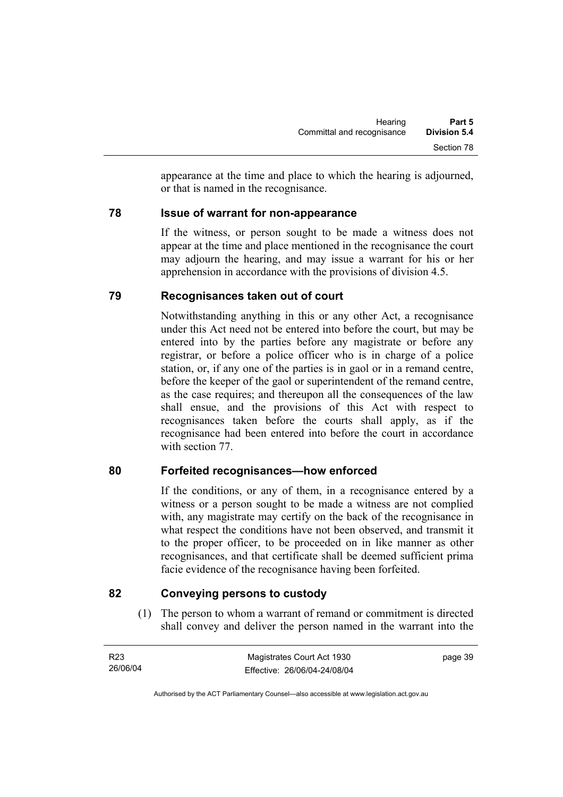appearance at the time and place to which the hearing is adjourned, or that is named in the recognisance.

### **78 Issue of warrant for non-appearance**

If the witness, or person sought to be made a witness does not appear at the time and place mentioned in the recognisance the court may adjourn the hearing, and may issue a warrant for his or her apprehension in accordance with the provisions of division 4.5.

# **79 Recognisances taken out of court**

Notwithstanding anything in this or any other Act, a recognisance under this Act need not be entered into before the court, but may be entered into by the parties before any magistrate or before any registrar, or before a police officer who is in charge of a police station, or, if any one of the parties is in gaol or in a remand centre, before the keeper of the gaol or superintendent of the remand centre, as the case requires; and thereupon all the consequences of the law shall ensue, and the provisions of this Act with respect to recognisances taken before the courts shall apply, as if the recognisance had been entered into before the court in accordance with section 77.

# **80 Forfeited recognisances—how enforced**

If the conditions, or any of them, in a recognisance entered by a witness or a person sought to be made a witness are not complied with, any magistrate may certify on the back of the recognisance in what respect the conditions have not been observed, and transmit it to the proper officer, to be proceeded on in like manner as other recognisances, and that certificate shall be deemed sufficient prima facie evidence of the recognisance having been forfeited.

# **82 Conveying persons to custody**

 (1) The person to whom a warrant of remand or commitment is directed shall convey and deliver the person named in the warrant into the

| R23      | Magistrates Court Act 1930   | page 39 |
|----------|------------------------------|---------|
| 26/06/04 | Effective: 26/06/04-24/08/04 |         |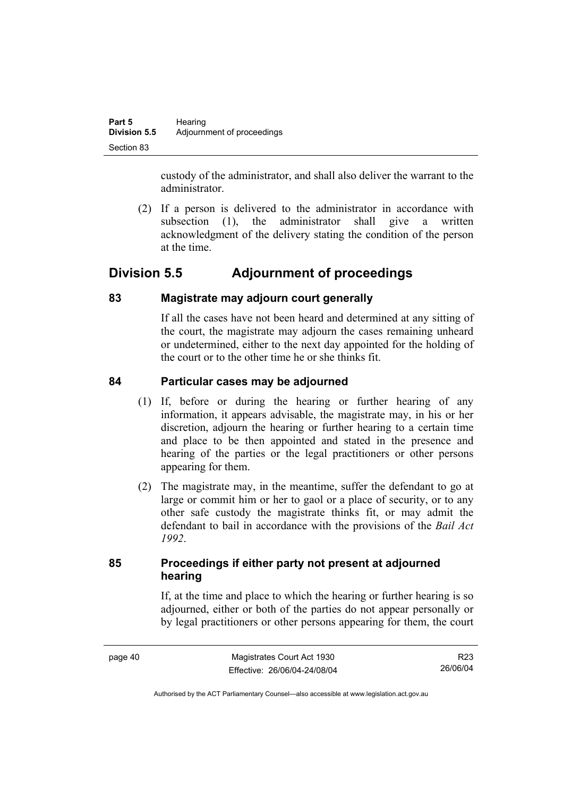custody of the administrator, and shall also deliver the warrant to the administrator.

 (2) If a person is delivered to the administrator in accordance with subsection (1), the administrator shall give a written acknowledgment of the delivery stating the condition of the person at the time.

# **Division 5.5 Adjournment of proceedings**

# **83 Magistrate may adjourn court generally**

If all the cases have not been heard and determined at any sitting of the court, the magistrate may adjourn the cases remaining unheard or undetermined, either to the next day appointed for the holding of the court or to the other time he or she thinks fit.

# **84 Particular cases may be adjourned**

- (1) If, before or during the hearing or further hearing of any information, it appears advisable, the magistrate may, in his or her discretion, adjourn the hearing or further hearing to a certain time and place to be then appointed and stated in the presence and hearing of the parties or the legal practitioners or other persons appearing for them.
- (2) The magistrate may, in the meantime, suffer the defendant to go at large or commit him or her to gaol or a place of security, or to any other safe custody the magistrate thinks fit, or may admit the defendant to bail in accordance with the provisions of the *Bail Act 1992*.

# **85 Proceedings if either party not present at adjourned hearing**

If, at the time and place to which the hearing or further hearing is so adjourned, either or both of the parties do not appear personally or by legal practitioners or other persons appearing for them, the court

R23 26/06/04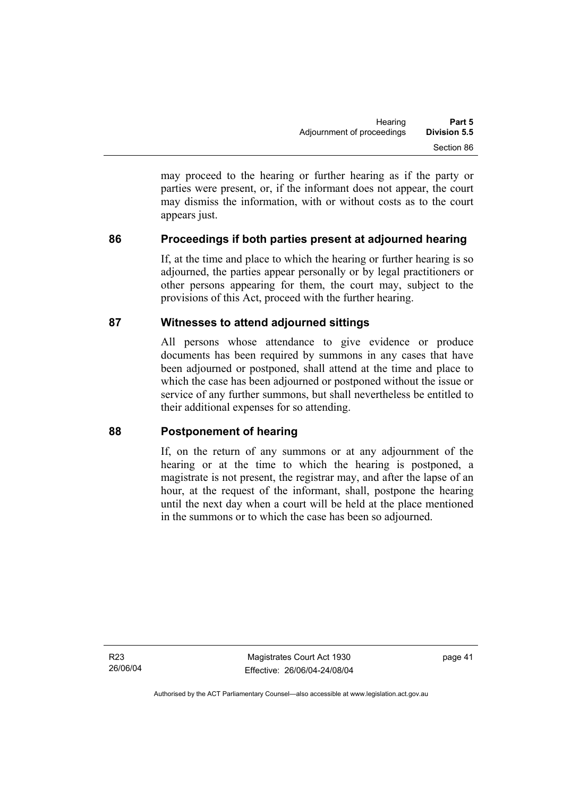may proceed to the hearing or further hearing as if the party or parties were present, or, if the informant does not appear, the court may dismiss the information, with or without costs as to the court appears just.

# **86 Proceedings if both parties present at adjourned hearing**

If, at the time and place to which the hearing or further hearing is so adjourned, the parties appear personally or by legal practitioners or other persons appearing for them, the court may, subject to the provisions of this Act, proceed with the further hearing.

### **87 Witnesses to attend adjourned sittings**

All persons whose attendance to give evidence or produce documents has been required by summons in any cases that have been adjourned or postponed, shall attend at the time and place to which the case has been adjourned or postponed without the issue or service of any further summons, but shall nevertheless be entitled to their additional expenses for so attending.

### **88 Postponement of hearing**

If, on the return of any summons or at any adjournment of the hearing or at the time to which the hearing is postponed, a magistrate is not present, the registrar may, and after the lapse of an hour, at the request of the informant, shall, postpone the hearing until the next day when a court will be held at the place mentioned in the summons or to which the case has been so adjourned.

R23 26/06/04

Magistrates Court Act 1930 Effective: 26/06/04-24/08/04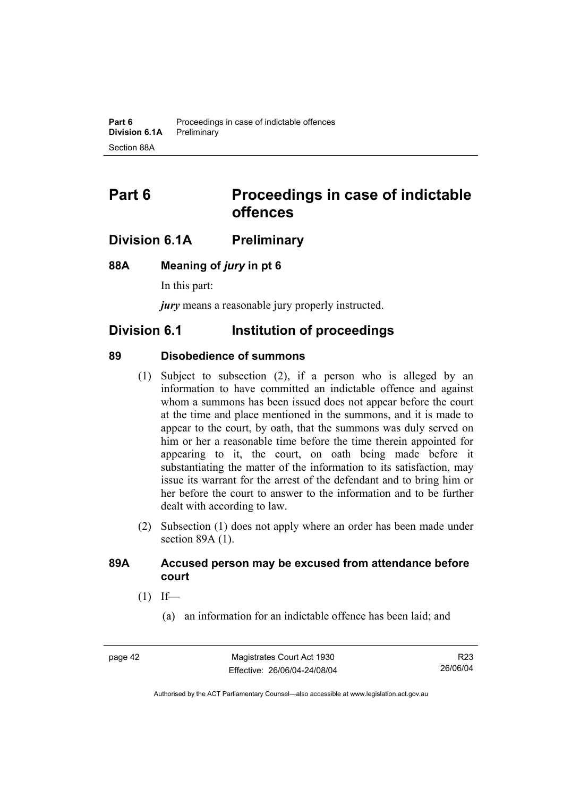# **Part 6 Proceedings in case of indictable offences**

# **Division 6.1A Preliminary**

### **88A Meaning of** *jury* **in pt 6**

In this part:

*jury* means a reasonable jury properly instructed.

# **Division 6.1 Institution of proceedings**

### **89 Disobedience of summons**

- (1) Subject to subsection (2), if a person who is alleged by an information to have committed an indictable offence and against whom a summons has been issued does not appear before the court at the time and place mentioned in the summons, and it is made to appear to the court, by oath, that the summons was duly served on him or her a reasonable time before the time therein appointed for appearing to it, the court, on oath being made before it substantiating the matter of the information to its satisfaction, may issue its warrant for the arrest of the defendant and to bring him or her before the court to answer to the information and to be further dealt with according to law.
- (2) Subsection (1) does not apply where an order has been made under section 89A (1).

### **89A Accused person may be excused from attendance before court**

- $(1)$  If—
	- (a) an information for an indictable offence has been laid; and

R23 26/06/04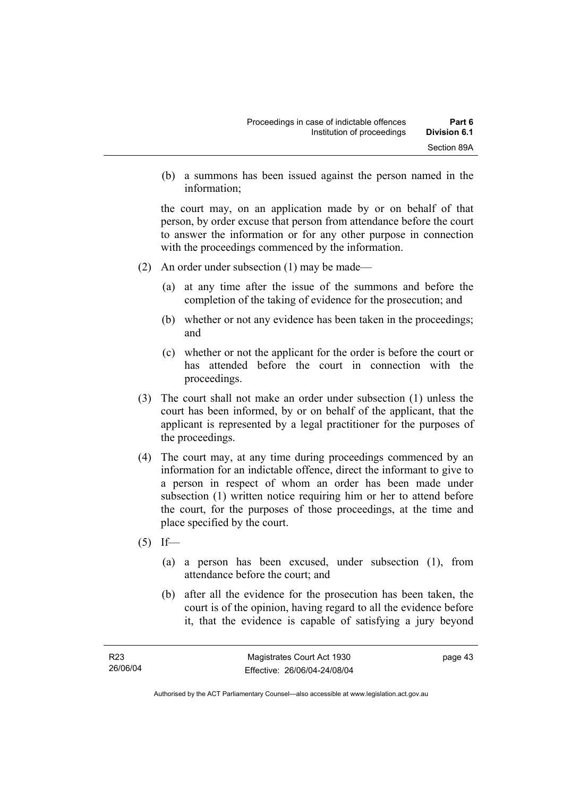(b) a summons has been issued against the person named in the information;

the court may, on an application made by or on behalf of that person, by order excuse that person from attendance before the court to answer the information or for any other purpose in connection with the proceedings commenced by the information.

- (2) An order under subsection (1) may be made—
	- (a) at any time after the issue of the summons and before the completion of the taking of evidence for the prosecution; and
	- (b) whether or not any evidence has been taken in the proceedings; and
	- (c) whether or not the applicant for the order is before the court or has attended before the court in connection with the proceedings.
- (3) The court shall not make an order under subsection (1) unless the court has been informed, by or on behalf of the applicant, that the applicant is represented by a legal practitioner for the purposes of the proceedings.
- (4) The court may, at any time during proceedings commenced by an information for an indictable offence, direct the informant to give to a person in respect of whom an order has been made under subsection (1) written notice requiring him or her to attend before the court, for the purposes of those proceedings, at the time and place specified by the court.
- $(5)$  If—
	- (a) a person has been excused, under subsection (1), from attendance before the court; and
	- (b) after all the evidence for the prosecution has been taken, the court is of the opinion, having regard to all the evidence before it, that the evidence is capable of satisfying a jury beyond

Authorised by the ACT Parliamentary Counsel—also accessible at www.legislation.act.gov.au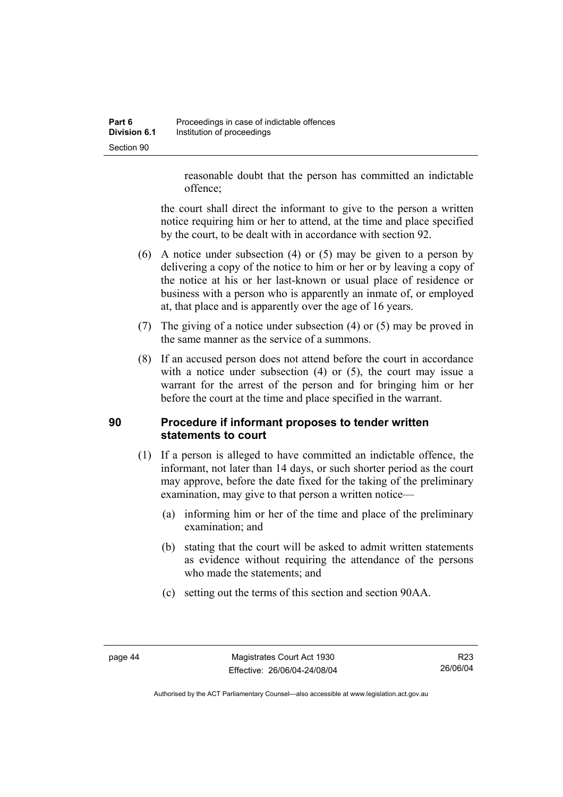reasonable doubt that the person has committed an indictable offence;

the court shall direct the informant to give to the person a written notice requiring him or her to attend, at the time and place specified by the court, to be dealt with in accordance with section 92.

- (6) A notice under subsection (4) or (5) may be given to a person by delivering a copy of the notice to him or her or by leaving a copy of the notice at his or her last-known or usual place of residence or business with a person who is apparently an inmate of, or employed at, that place and is apparently over the age of 16 years.
- (7) The giving of a notice under subsection (4) or (5) may be proved in the same manner as the service of a summons.
- (8) If an accused person does not attend before the court in accordance with a notice under subsection (4) or (5), the court may issue a warrant for the arrest of the person and for bringing him or her before the court at the time and place specified in the warrant.

# **90 Procedure if informant proposes to tender written statements to court**

- (1) If a person is alleged to have committed an indictable offence, the informant, not later than 14 days, or such shorter period as the court may approve, before the date fixed for the taking of the preliminary examination, may give to that person a written notice—
	- (a) informing him or her of the time and place of the preliminary examination; and
	- (b) stating that the court will be asked to admit written statements as evidence without requiring the attendance of the persons who made the statements; and
	- (c) setting out the terms of this section and section 90AA.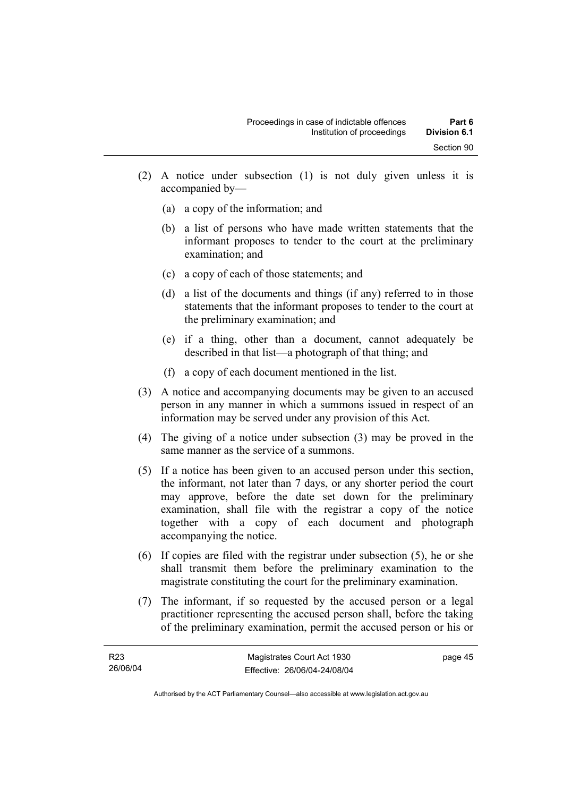- (2) A notice under subsection (1) is not duly given unless it is accompanied by—
	- (a) a copy of the information; and
	- (b) a list of persons who have made written statements that the informant proposes to tender to the court at the preliminary examination; and
	- (c) a copy of each of those statements; and
	- (d) a list of the documents and things (if any) referred to in those statements that the informant proposes to tender to the court at the preliminary examination; and
	- (e) if a thing, other than a document, cannot adequately be described in that list—a photograph of that thing; and
	- (f) a copy of each document mentioned in the list.
- (3) A notice and accompanying documents may be given to an accused person in any manner in which a summons issued in respect of an information may be served under any provision of this Act.
- (4) The giving of a notice under subsection (3) may be proved in the same manner as the service of a summons.
- (5) If a notice has been given to an accused person under this section, the informant, not later than 7 days, or any shorter period the court may approve, before the date set down for the preliminary examination, shall file with the registrar a copy of the notice together with a copy of each document and photograph accompanying the notice.
- (6) If copies are filed with the registrar under subsection (5), he or she shall transmit them before the preliminary examination to the magistrate constituting the court for the preliminary examination.
- (7) The informant, if so requested by the accused person or a legal practitioner representing the accused person shall, before the taking of the preliminary examination, permit the accused person or his or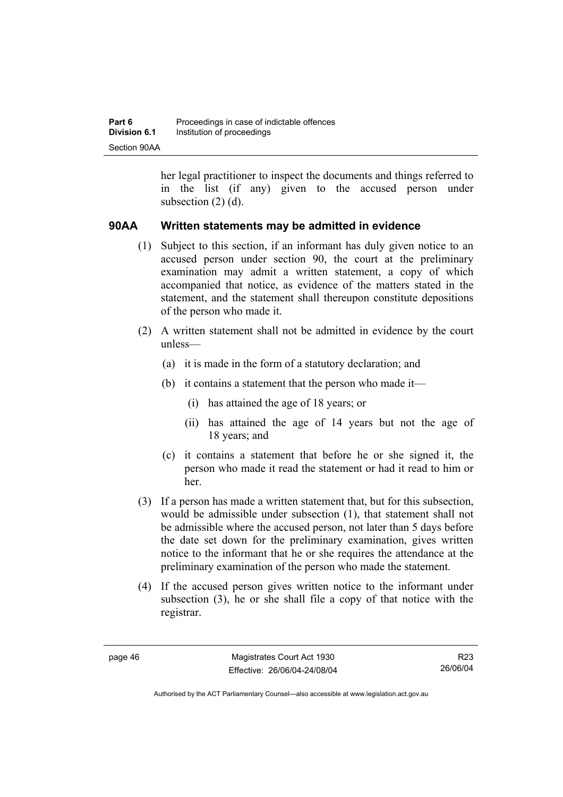her legal practitioner to inspect the documents and things referred to in the list (if any) given to the accused person under subsection (2) (d).

### **90AA Written statements may be admitted in evidence**

- (1) Subject to this section, if an informant has duly given notice to an accused person under section 90, the court at the preliminary examination may admit a written statement, a copy of which accompanied that notice, as evidence of the matters stated in the statement, and the statement shall thereupon constitute depositions of the person who made it.
- (2) A written statement shall not be admitted in evidence by the court unless—
	- (a) it is made in the form of a statutory declaration; and
	- (b) it contains a statement that the person who made it—
		- (i) has attained the age of 18 years; or
		- (ii) has attained the age of 14 years but not the age of 18 years; and
	- (c) it contains a statement that before he or she signed it, the person who made it read the statement or had it read to him or her.
- (3) If a person has made a written statement that, but for this subsection, would be admissible under subsection (1), that statement shall not be admissible where the accused person, not later than 5 days before the date set down for the preliminary examination, gives written notice to the informant that he or she requires the attendance at the preliminary examination of the person who made the statement.
- (4) If the accused person gives written notice to the informant under subsection (3), he or she shall file a copy of that notice with the registrar.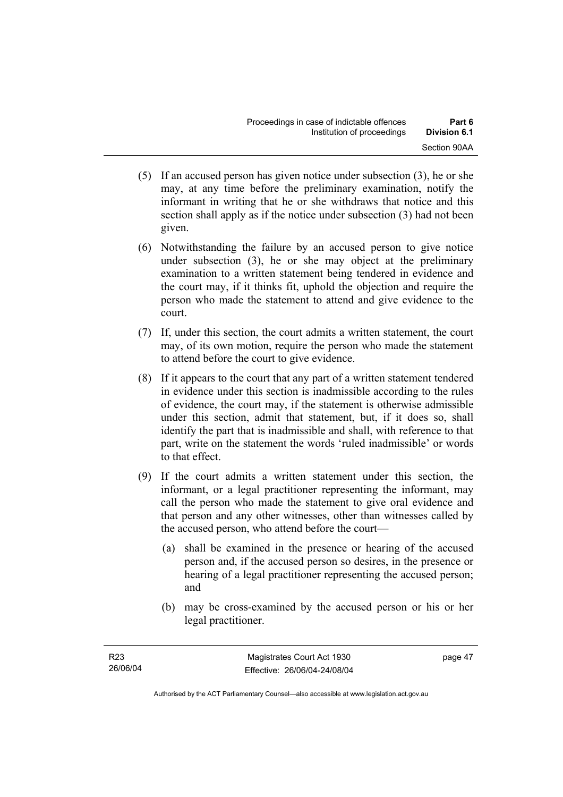- (5) If an accused person has given notice under subsection (3), he or she may, at any time before the preliminary examination, notify the informant in writing that he or she withdraws that notice and this section shall apply as if the notice under subsection (3) had not been given.
- (6) Notwithstanding the failure by an accused person to give notice under subsection (3), he or she may object at the preliminary examination to a written statement being tendered in evidence and the court may, if it thinks fit, uphold the objection and require the person who made the statement to attend and give evidence to the court.
- (7) If, under this section, the court admits a written statement, the court may, of its own motion, require the person who made the statement to attend before the court to give evidence.
- (8) If it appears to the court that any part of a written statement tendered in evidence under this section is inadmissible according to the rules of evidence, the court may, if the statement is otherwise admissible under this section, admit that statement, but, if it does so, shall identify the part that is inadmissible and shall, with reference to that part, write on the statement the words 'ruled inadmissible' or words to that effect.
- (9) If the court admits a written statement under this section, the informant, or a legal practitioner representing the informant, may call the person who made the statement to give oral evidence and that person and any other witnesses, other than witnesses called by the accused person, who attend before the court—
	- (a) shall be examined in the presence or hearing of the accused person and, if the accused person so desires, in the presence or hearing of a legal practitioner representing the accused person; and
	- (b) may be cross-examined by the accused person or his or her legal practitioner.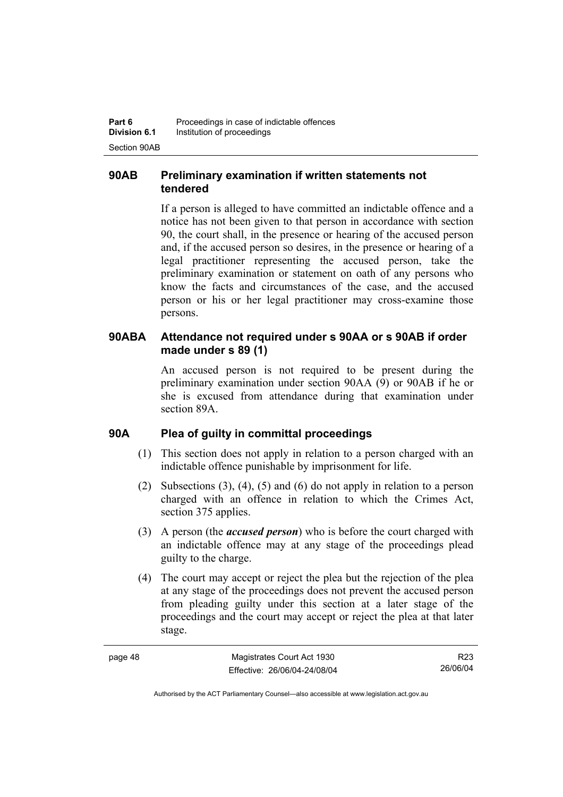# **90AB Preliminary examination if written statements not tendered**

If a person is alleged to have committed an indictable offence and a notice has not been given to that person in accordance with section 90, the court shall, in the presence or hearing of the accused person and, if the accused person so desires, in the presence or hearing of a legal practitioner representing the accused person, take the preliminary examination or statement on oath of any persons who know the facts and circumstances of the case, and the accused person or his or her legal practitioner may cross-examine those persons.

### **90ABA Attendance not required under s 90AA or s 90AB if order made under s 89 (1)**

An accused person is not required to be present during the preliminary examination under section 90AA (9) or 90AB if he or she is excused from attendance during that examination under section 89A.

### **90A Plea of guilty in committal proceedings**

- (1) This section does not apply in relation to a person charged with an indictable offence punishable by imprisonment for life.
- (2) Subsections (3), (4), (5) and (6) do not apply in relation to a person charged with an offence in relation to which the Crimes Act, section 375 applies.
- (3) A person (the *accused person*) who is before the court charged with an indictable offence may at any stage of the proceedings plead guilty to the charge.
- (4) The court may accept or reject the plea but the rejection of the plea at any stage of the proceedings does not prevent the accused person from pleading guilty under this section at a later stage of the proceedings and the court may accept or reject the plea at that later stage.

| C<br>ю<br>r<br>ı |  |
|------------------|--|
|------------------|--|

R23 26/06/04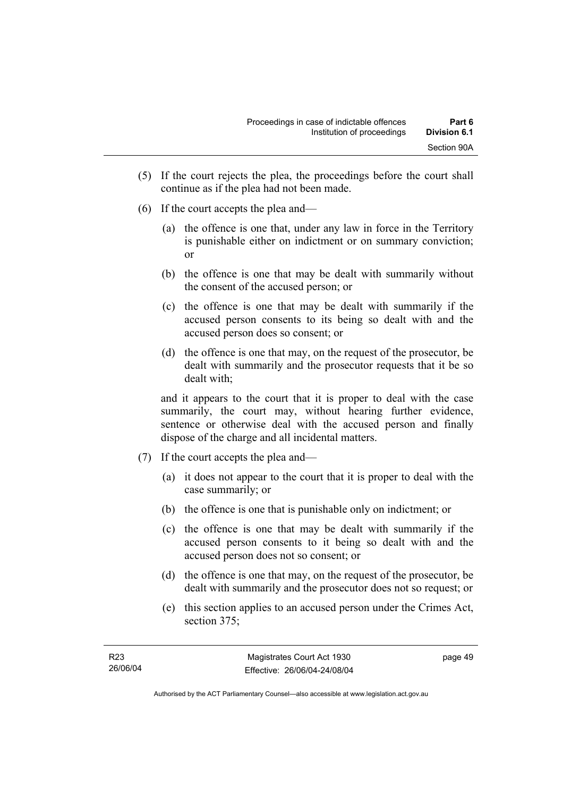- (5) If the court rejects the plea, the proceedings before the court shall continue as if the plea had not been made.
- (6) If the court accepts the plea and—
	- (a) the offence is one that, under any law in force in the Territory is punishable either on indictment or on summary conviction; or
	- (b) the offence is one that may be dealt with summarily without the consent of the accused person; or
	- (c) the offence is one that may be dealt with summarily if the accused person consents to its being so dealt with and the accused person does so consent; or
	- (d) the offence is one that may, on the request of the prosecutor, be dealt with summarily and the prosecutor requests that it be so dealt with;

and it appears to the court that it is proper to deal with the case summarily, the court may, without hearing further evidence, sentence or otherwise deal with the accused person and finally dispose of the charge and all incidental matters.

- (7) If the court accepts the plea and—
	- (a) it does not appear to the court that it is proper to deal with the case summarily; or
	- (b) the offence is one that is punishable only on indictment; or
	- (c) the offence is one that may be dealt with summarily if the accused person consents to it being so dealt with and the accused person does not so consent; or
	- (d) the offence is one that may, on the request of the prosecutor, be dealt with summarily and the prosecutor does not so request; or
	- (e) this section applies to an accused person under the Crimes Act, section 375;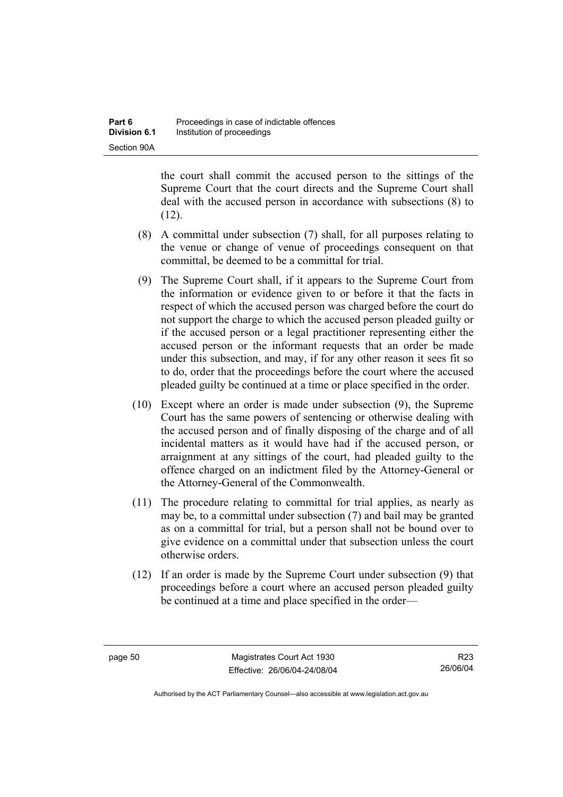the court shall commit the accused person to the sittings of the Supreme Court that the court directs and the Supreme Court shall deal with the accused person in accordance with subsections (8) to  $(12)$ .

- (8) A committal under subsection (7) shall, for all purposes relating to the venue or change of venue of proceedings consequent on that committal, be deemed to be a committal for trial.
- (9) The Supreme Court shall, if it appears to the Supreme Court from the information or evidence given to or before it that the facts in respect of which the accused person was charged before the court do not support the charge to which the accused person pleaded guilty or if the accused person or a legal practitioner representing either the accused person or the informant requests that an order be made under this subsection, and may, if for any other reason it sees fit so to do, order that the proceedings before the court where the accused pleaded guilty be continued at a time or place specified in the order.
- (10) Except where an order is made under subsection (9), the Supreme Court has the same powers of sentencing or otherwise dealing with the accused person and of finally disposing of the charge and of all incidental matters as it would have had if the accused person, or arraignment at any sittings of the court, had pleaded guilty to the offence charged on an indictment filed by the Attorney-General or the Attorney-General of the Commonwealth.
- (11) The procedure relating to committal for trial applies, as nearly as may be, to a committal under subsection (7) and bail may be granted as on a committal for trial, but a person shall not be bound over to give evidence on a committal under that subsection unless the court otherwise orders.
- (12) If an order is made by the Supreme Court under subsection (9) that proceedings before a court where an accused person pleaded guilty be continued at a time and place specified in the order—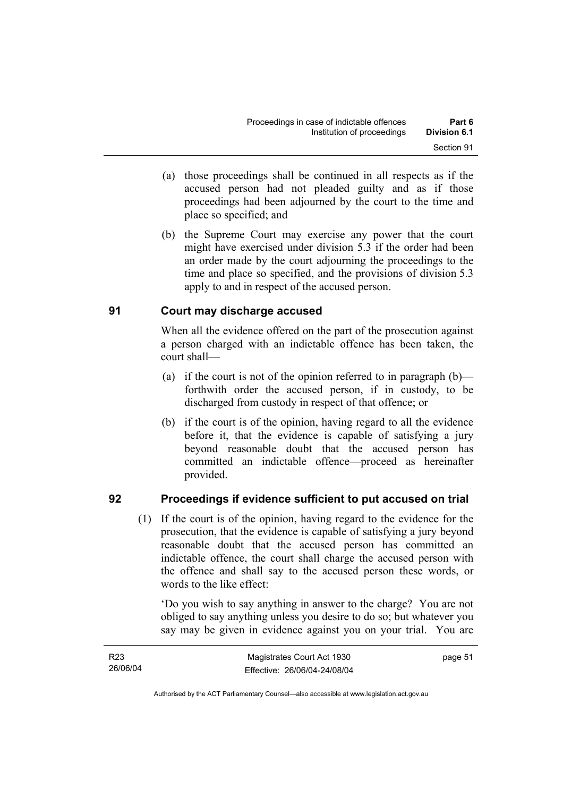- (a) those proceedings shall be continued in all respects as if the accused person had not pleaded guilty and as if those proceedings had been adjourned by the court to the time and place so specified; and
- (b) the Supreme Court may exercise any power that the court might have exercised under division 5.3 if the order had been an order made by the court adjourning the proceedings to the time and place so specified, and the provisions of division 5.3 apply to and in respect of the accused person.

# **91 Court may discharge accused**

When all the evidence offered on the part of the prosecution against a person charged with an indictable offence has been taken, the court shall—

- (a) if the court is not of the opinion referred to in paragraph  $(b)$  forthwith order the accused person, if in custody, to be discharged from custody in respect of that offence; or
- (b) if the court is of the opinion, having regard to all the evidence before it, that the evidence is capable of satisfying a jury beyond reasonable doubt that the accused person has committed an indictable offence—proceed as hereinafter provided.

# **92 Proceedings if evidence sufficient to put accused on trial**

 (1) If the court is of the opinion, having regard to the evidence for the prosecution, that the evidence is capable of satisfying a jury beyond reasonable doubt that the accused person has committed an indictable offence, the court shall charge the accused person with the offence and shall say to the accused person these words, or words to the like effect:

'Do you wish to say anything in answer to the charge? You are not obliged to say anything unless you desire to do so; but whatever you say may be given in evidence against you on your trial. You are

| R <sub>23</sub> | Magistrates Court Act 1930   | page 51 |
|-----------------|------------------------------|---------|
| 26/06/04        | Effective: 26/06/04-24/08/04 |         |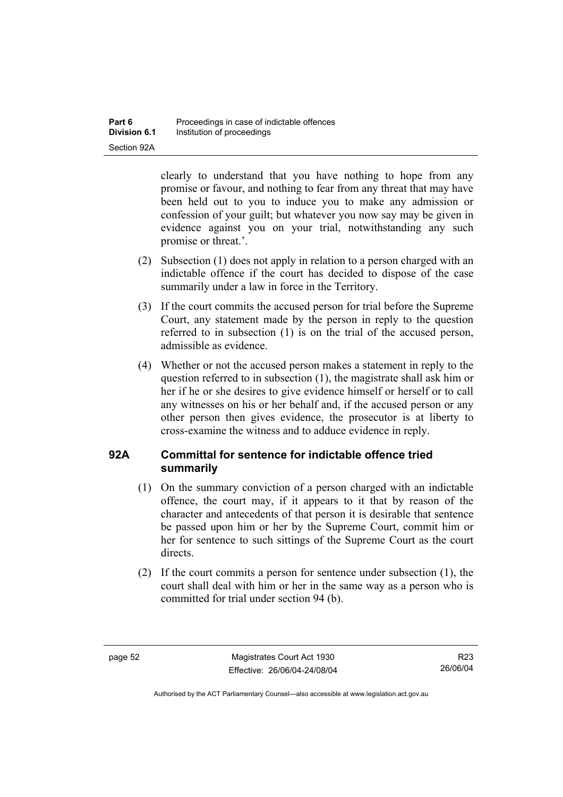clearly to understand that you have nothing to hope from any promise or favour, and nothing to fear from any threat that may have been held out to you to induce you to make any admission or confession of your guilt; but whatever you now say may be given in evidence against you on your trial, notwithstanding any such promise or threat.'.

- (2) Subsection (1) does not apply in relation to a person charged with an indictable offence if the court has decided to dispose of the case summarily under a law in force in the Territory.
- (3) If the court commits the accused person for trial before the Supreme Court, any statement made by the person in reply to the question referred to in subsection (1) is on the trial of the accused person, admissible as evidence.
- (4) Whether or not the accused person makes a statement in reply to the question referred to in subsection (1), the magistrate shall ask him or her if he or she desires to give evidence himself or herself or to call any witnesses on his or her behalf and, if the accused person or any other person then gives evidence, the prosecutor is at liberty to cross-examine the witness and to adduce evidence in reply.

# **92A Committal for sentence for indictable offence tried summarily**

- (1) On the summary conviction of a person charged with an indictable offence, the court may, if it appears to it that by reason of the character and antecedents of that person it is desirable that sentence be passed upon him or her by the Supreme Court, commit him or her for sentence to such sittings of the Supreme Court as the court directs.
- (2) If the court commits a person for sentence under subsection (1), the court shall deal with him or her in the same way as a person who is committed for trial under section 94 (b).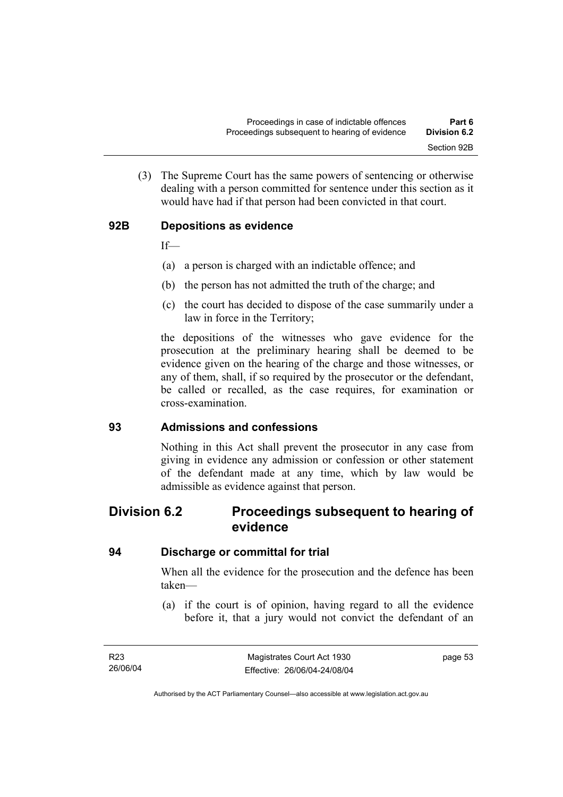(3) The Supreme Court has the same powers of sentencing or otherwise dealing with a person committed for sentence under this section as it would have had if that person had been convicted in that court.

# **92B Depositions as evidence**

If—

- (a) a person is charged with an indictable offence; and
- (b) the person has not admitted the truth of the charge; and
- (c) the court has decided to dispose of the case summarily under a law in force in the Territory;

the depositions of the witnesses who gave evidence for the prosecution at the preliminary hearing shall be deemed to be evidence given on the hearing of the charge and those witnesses, or any of them, shall, if so required by the prosecutor or the defendant, be called or recalled, as the case requires, for examination or cross-examination.

### **93 Admissions and confessions**

Nothing in this Act shall prevent the prosecutor in any case from giving in evidence any admission or confession or other statement of the defendant made at any time, which by law would be admissible as evidence against that person.

# **Division 6.2 Proceedings subsequent to hearing of evidence**

### **94 Discharge or committal for trial**

When all the evidence for the prosecution and the defence has been taken—

 (a) if the court is of opinion, having regard to all the evidence before it, that a jury would not convict the defendant of an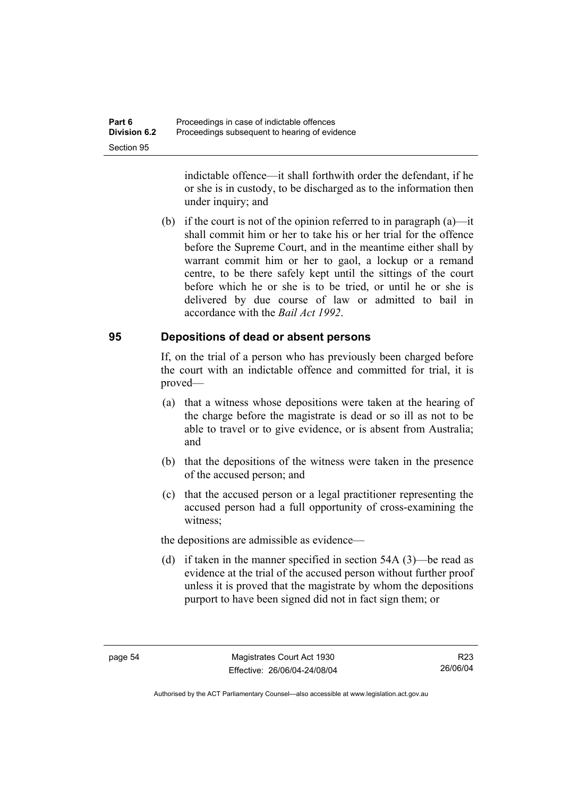indictable offence—it shall forthwith order the defendant, if he or she is in custody, to be discharged as to the information then under inquiry; and

 (b) if the court is not of the opinion referred to in paragraph (a)—it shall commit him or her to take his or her trial for the offence before the Supreme Court, and in the meantime either shall by warrant commit him or her to gaol, a lockup or a remand centre, to be there safely kept until the sittings of the court before which he or she is to be tried, or until he or she is delivered by due course of law or admitted to bail in accordance with the *Bail Act 1992*.

### **95 Depositions of dead or absent persons**

If, on the trial of a person who has previously been charged before the court with an indictable offence and committed for trial, it is proved—

- (a) that a witness whose depositions were taken at the hearing of the charge before the magistrate is dead or so ill as not to be able to travel or to give evidence, or is absent from Australia; and
- (b) that the depositions of the witness were taken in the presence of the accused person; and
- (c) that the accused person or a legal practitioner representing the accused person had a full opportunity of cross-examining the witness;

the depositions are admissible as evidence—

 (d) if taken in the manner specified in section 54A (3)—be read as evidence at the trial of the accused person without further proof unless it is proved that the magistrate by whom the depositions purport to have been signed did not in fact sign them; or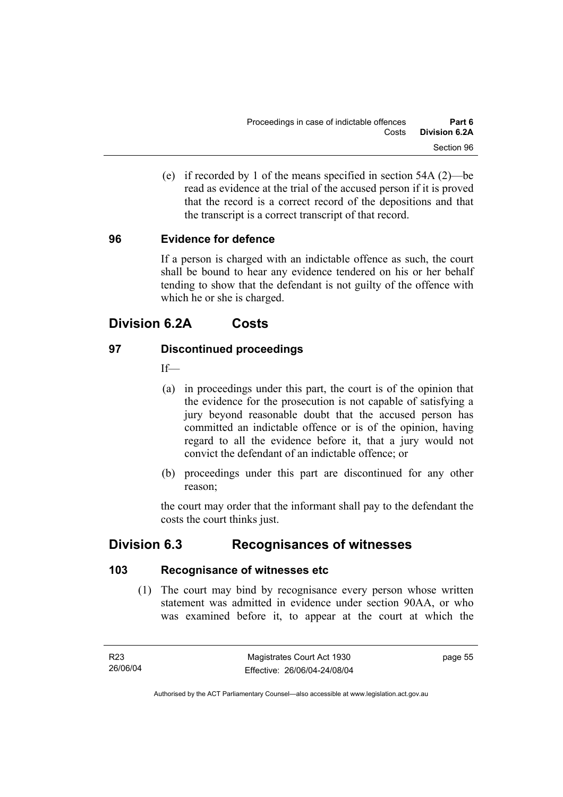(e) if recorded by 1 of the means specified in section 54A (2)—be read as evidence at the trial of the accused person if it is proved that the record is a correct record of the depositions and that the transcript is a correct transcript of that record.

# **96 Evidence for defence**

If a person is charged with an indictable offence as such, the court shall be bound to hear any evidence tendered on his or her behalf tending to show that the defendant is not guilty of the offence with which he or she is charged.

# **Division 6.2A Costs**

# **97 Discontinued proceedings**

 $If$ 

- (a) in proceedings under this part, the court is of the opinion that the evidence for the prosecution is not capable of satisfying a jury beyond reasonable doubt that the accused person has committed an indictable offence or is of the opinion, having regard to all the evidence before it, that a jury would not convict the defendant of an indictable offence; or
- (b) proceedings under this part are discontinued for any other reason;

the court may order that the informant shall pay to the defendant the costs the court thinks just.

# **Division 6.3 Recognisances of witnesses**

# **103 Recognisance of witnesses etc**

 (1) The court may bind by recognisance every person whose written statement was admitted in evidence under section 90AA, or who was examined before it, to appear at the court at which the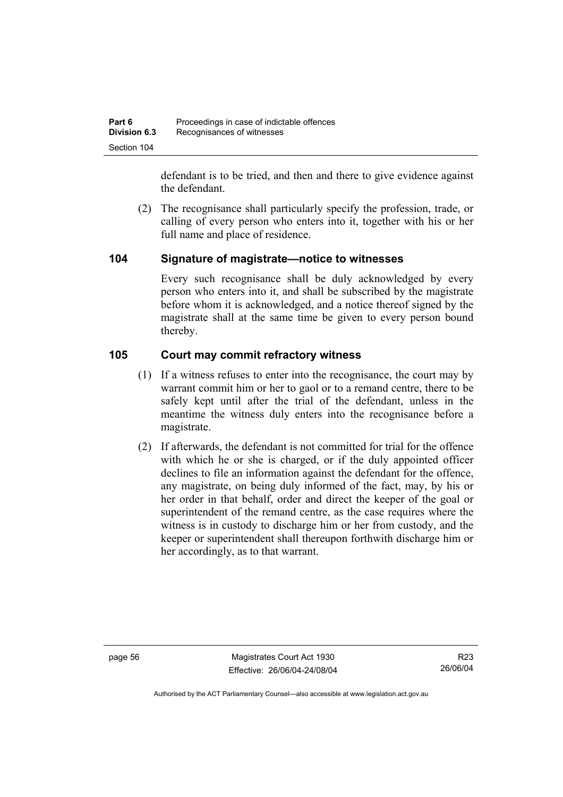defendant is to be tried, and then and there to give evidence against the defendant.

 (2) The recognisance shall particularly specify the profession, trade, or calling of every person who enters into it, together with his or her full name and place of residence.

# **104 Signature of magistrate—notice to witnesses**

Every such recognisance shall be duly acknowledged by every person who enters into it, and shall be subscribed by the magistrate before whom it is acknowledged, and a notice thereof signed by the magistrate shall at the same time be given to every person bound thereby.

# **105 Court may commit refractory witness**

- (1) If a witness refuses to enter into the recognisance, the court may by warrant commit him or her to gaol or to a remand centre, there to be safely kept until after the trial of the defendant, unless in the meantime the witness duly enters into the recognisance before a magistrate.
- (2) If afterwards, the defendant is not committed for trial for the offence with which he or she is charged, or if the duly appointed officer declines to file an information against the defendant for the offence, any magistrate, on being duly informed of the fact, may, by his or her order in that behalf, order and direct the keeper of the goal or superintendent of the remand centre, as the case requires where the witness is in custody to discharge him or her from custody, and the keeper or superintendent shall thereupon forthwith discharge him or her accordingly, as to that warrant.

page 56 Magistrates Court Act 1930 Effective: 26/06/04-24/08/04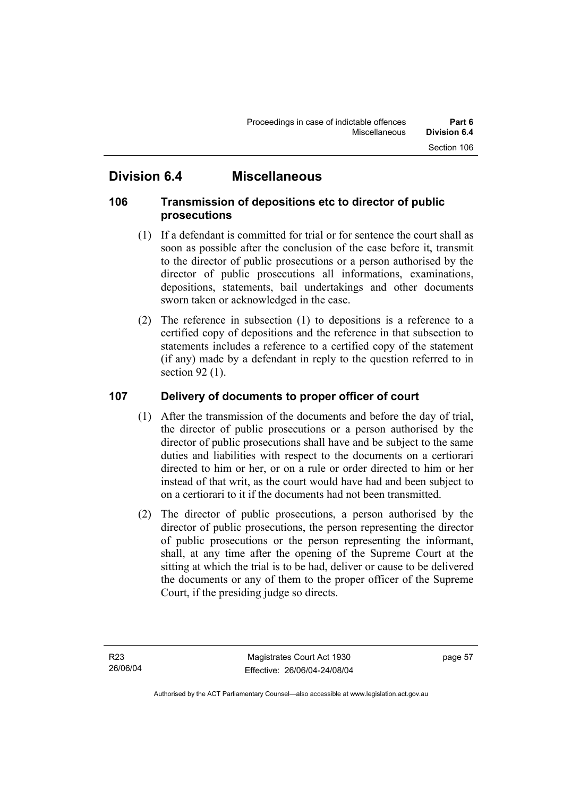# **Division 6.4 Miscellaneous**

# **106 Transmission of depositions etc to director of public prosecutions**

- (1) If a defendant is committed for trial or for sentence the court shall as soon as possible after the conclusion of the case before it, transmit to the director of public prosecutions or a person authorised by the director of public prosecutions all informations, examinations, depositions, statements, bail undertakings and other documents sworn taken or acknowledged in the case.
- (2) The reference in subsection (1) to depositions is a reference to a certified copy of depositions and the reference in that subsection to statements includes a reference to a certified copy of the statement (if any) made by a defendant in reply to the question referred to in section 92 (1).

# **107 Delivery of documents to proper officer of court**

- (1) After the transmission of the documents and before the day of trial, the director of public prosecutions or a person authorised by the director of public prosecutions shall have and be subject to the same duties and liabilities with respect to the documents on a certiorari directed to him or her, or on a rule or order directed to him or her instead of that writ, as the court would have had and been subject to on a certiorari to it if the documents had not been transmitted.
- (2) The director of public prosecutions, a person authorised by the director of public prosecutions, the person representing the director of public prosecutions or the person representing the informant, shall, at any time after the opening of the Supreme Court at the sitting at which the trial is to be had, deliver or cause to be delivered the documents or any of them to the proper officer of the Supreme Court, if the presiding judge so directs.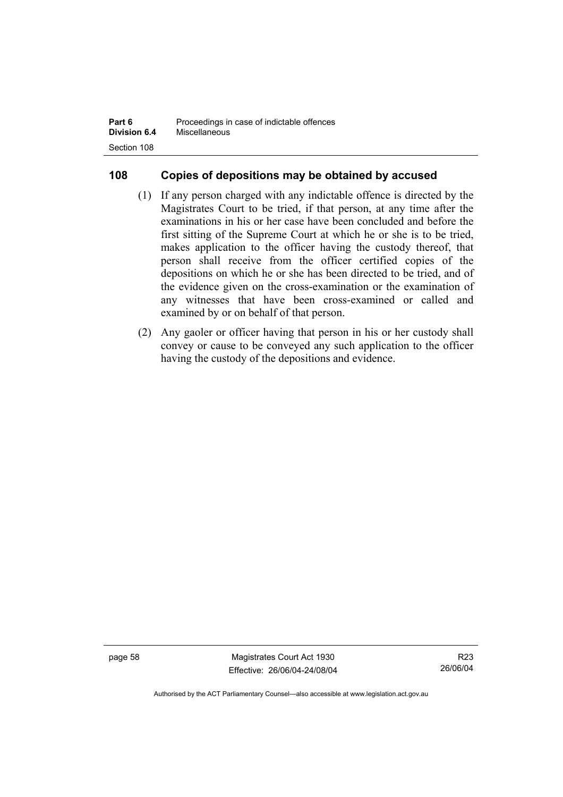| Part 6              | Proceedings in case of indictable offences |
|---------------------|--------------------------------------------|
| <b>Division 6.4</b> | Miscellaneous                              |
| Section 108         |                                            |

# **108 Copies of depositions may be obtained by accused**

- (1) If any person charged with any indictable offence is directed by the Magistrates Court to be tried, if that person, at any time after the examinations in his or her case have been concluded and before the first sitting of the Supreme Court at which he or she is to be tried, makes application to the officer having the custody thereof, that person shall receive from the officer certified copies of the depositions on which he or she has been directed to be tried, and of the evidence given on the cross-examination or the examination of any witnesses that have been cross-examined or called and examined by or on behalf of that person.
- (2) Any gaoler or officer having that person in his or her custody shall convey or cause to be conveyed any such application to the officer having the custody of the depositions and evidence.

page 58 Magistrates Court Act 1930 Effective: 26/06/04-24/08/04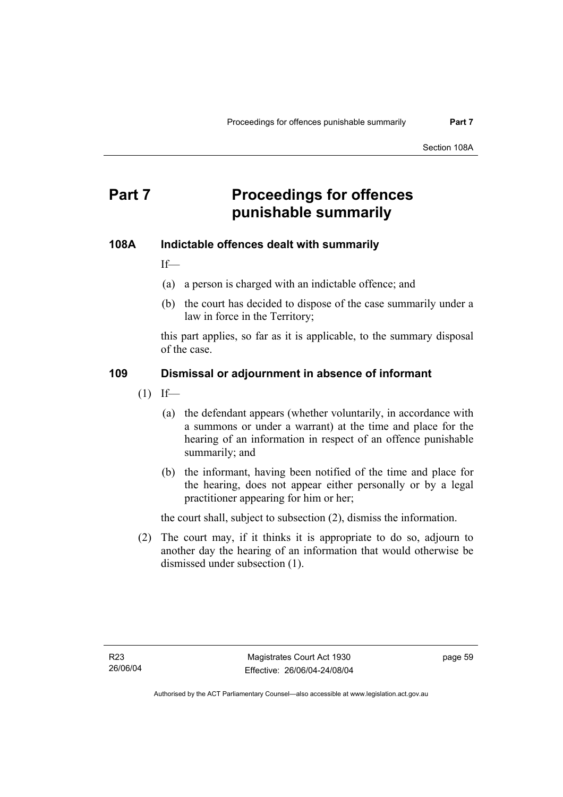# **Part 7** Proceedings for offences **punishable summarily**

## **108A Indictable offences dealt with summarily**

If—

- (a) a person is charged with an indictable offence; and
- (b) the court has decided to dispose of the case summarily under a law in force in the Territory;

this part applies, so far as it is applicable, to the summary disposal of the case.

#### **109 Dismissal or adjournment in absence of informant**

- $(1)$  If—
	- (a) the defendant appears (whether voluntarily, in accordance with a summons or under a warrant) at the time and place for the hearing of an information in respect of an offence punishable summarily; and
	- (b) the informant, having been notified of the time and place for the hearing, does not appear either personally or by a legal practitioner appearing for him or her;

the court shall, subject to subsection (2), dismiss the information.

 (2) The court may, if it thinks it is appropriate to do so, adjourn to another day the hearing of an information that would otherwise be dismissed under subsection (1).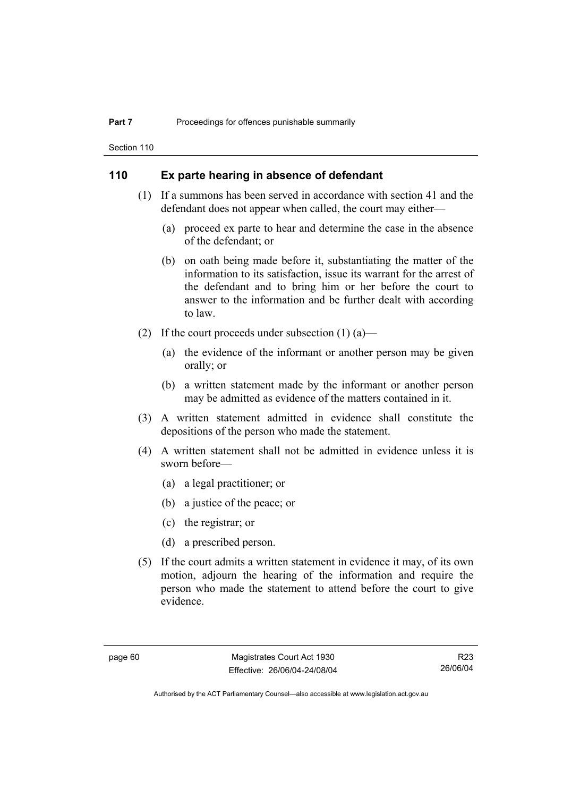Section 110

#### **110 Ex parte hearing in absence of defendant**

- (1) If a summons has been served in accordance with section 41 and the defendant does not appear when called, the court may either—
	- (a) proceed ex parte to hear and determine the case in the absence of the defendant; or
	- (b) on oath being made before it, substantiating the matter of the information to its satisfaction, issue its warrant for the arrest of the defendant and to bring him or her before the court to answer to the information and be further dealt with according to law.
- (2) If the court proceeds under subsection  $(1)$  (a)—
	- (a) the evidence of the informant or another person may be given orally; or
	- (b) a written statement made by the informant or another person may be admitted as evidence of the matters contained in it.
- (3) A written statement admitted in evidence shall constitute the depositions of the person who made the statement.
- (4) A written statement shall not be admitted in evidence unless it is sworn before—
	- (a) a legal practitioner; or
	- (b) a justice of the peace; or
	- (c) the registrar; or
	- (d) a prescribed person.
- (5) If the court admits a written statement in evidence it may, of its own motion, adjourn the hearing of the information and require the person who made the statement to attend before the court to give evidence.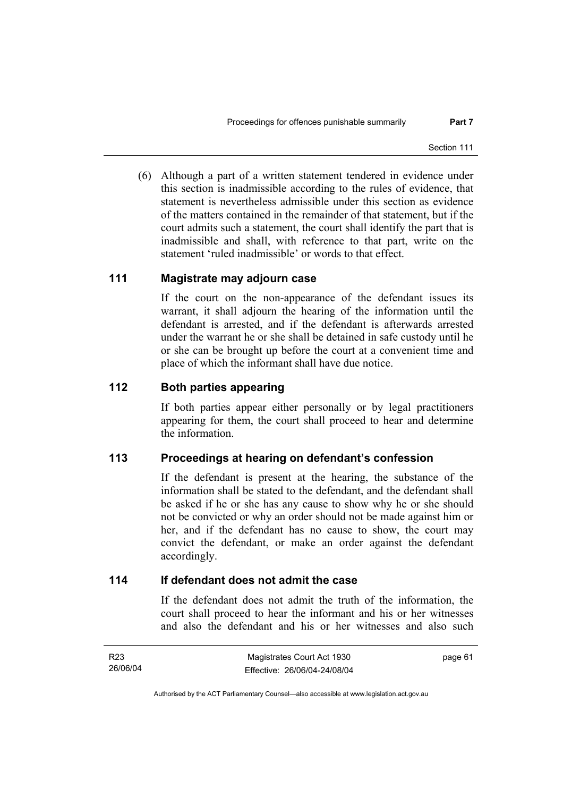(6) Although a part of a written statement tendered in evidence under this section is inadmissible according to the rules of evidence, that statement is nevertheless admissible under this section as evidence of the matters contained in the remainder of that statement, but if the court admits such a statement, the court shall identify the part that is inadmissible and shall, with reference to that part, write on the statement 'ruled inadmissible' or words to that effect.

#### **111 Magistrate may adjourn case**

If the court on the non-appearance of the defendant issues its warrant, it shall adjourn the hearing of the information until the defendant is arrested, and if the defendant is afterwards arrested under the warrant he or she shall be detained in safe custody until he or she can be brought up before the court at a convenient time and place of which the informant shall have due notice.

#### **112 Both parties appearing**

If both parties appear either personally or by legal practitioners appearing for them, the court shall proceed to hear and determine the information.

## **113 Proceedings at hearing on defendant's confession**

If the defendant is present at the hearing, the substance of the information shall be stated to the defendant, and the defendant shall be asked if he or she has any cause to show why he or she should not be convicted or why an order should not be made against him or her, and if the defendant has no cause to show, the court may convict the defendant, or make an order against the defendant accordingly.

#### **114 If defendant does not admit the case**

If the defendant does not admit the truth of the information, the court shall proceed to hear the informant and his or her witnesses and also the defendant and his or her witnesses and also such

| R <sub>23</sub> | Magistrates Court Act 1930   | page 61 |
|-----------------|------------------------------|---------|
| 26/06/04        | Effective: 26/06/04-24/08/04 |         |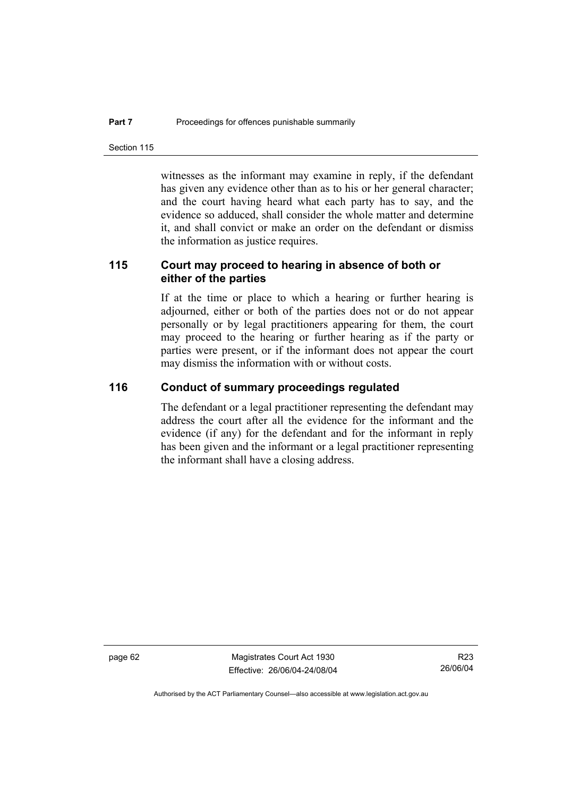Section 115

witnesses as the informant may examine in reply, if the defendant has given any evidence other than as to his or her general character; and the court having heard what each party has to say, and the evidence so adduced, shall consider the whole matter and determine it, and shall convict or make an order on the defendant or dismiss the information as justice requires.

## **115 Court may proceed to hearing in absence of both or either of the parties**

If at the time or place to which a hearing or further hearing is adjourned, either or both of the parties does not or do not appear personally or by legal practitioners appearing for them, the court may proceed to the hearing or further hearing as if the party or parties were present, or if the informant does not appear the court may dismiss the information with or without costs.

#### **116 Conduct of summary proceedings regulated**

The defendant or a legal practitioner representing the defendant may address the court after all the evidence for the informant and the evidence (if any) for the defendant and for the informant in reply has been given and the informant or a legal practitioner representing the informant shall have a closing address.

page 62 Magistrates Court Act 1930 Effective: 26/06/04-24/08/04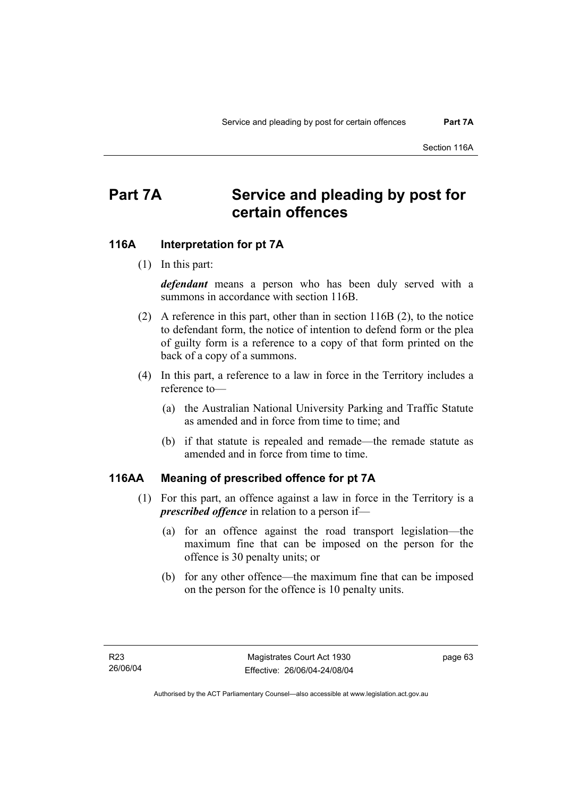# **Part 7A Service and pleading by post for certain offences**

#### **116A Interpretation for pt 7A**

(1) In this part:

*defendant* means a person who has been duly served with a summons in accordance with section 116B.

- (2) A reference in this part, other than in section 116B (2), to the notice to defendant form, the notice of intention to defend form or the plea of guilty form is a reference to a copy of that form printed on the back of a copy of a summons.
- (4) In this part, a reference to a law in force in the Territory includes a reference to—
	- (a) the Australian National University Parking and Traffic Statute as amended and in force from time to time; and
	- (b) if that statute is repealed and remade—the remade statute as amended and in force from time to time.

#### **116AA Meaning of prescribed offence for pt 7A**

- (1) For this part, an offence against a law in force in the Territory is a *prescribed offence* in relation to a person if—
	- (a) for an offence against the road transport legislation—the maximum fine that can be imposed on the person for the offence is 30 penalty units; or
	- (b) for any other offence—the maximum fine that can be imposed on the person for the offence is 10 penalty units.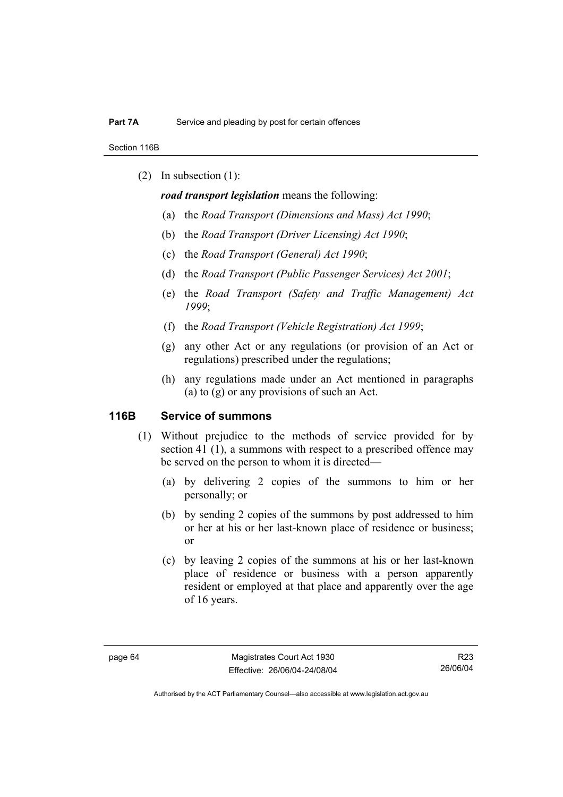Section 116B

(2) In subsection (1):

*road transport legislation* means the following:

- (a) the *Road Transport (Dimensions and Mass) Act 1990*;
- (b) the *Road Transport (Driver Licensing) Act 1990*;
- (c) the *Road Transport (General) Act 1990*;
- (d) the *Road Transport (Public Passenger Services) Act 2001*;
- (e) the *Road Transport (Safety and Traffic Management) Act 1999*;
- (f) the *Road Transport (Vehicle Registration) Act 1999*;
- (g) any other Act or any regulations (or provision of an Act or regulations) prescribed under the regulations;
- (h) any regulations made under an Act mentioned in paragraphs (a) to (g) or any provisions of such an Act.

#### **116B Service of summons**

- (1) Without prejudice to the methods of service provided for by section 41 (1), a summons with respect to a prescribed offence may be served on the person to whom it is directed—
	- (a) by delivering 2 copies of the summons to him or her personally; or
	- (b) by sending 2 copies of the summons by post addressed to him or her at his or her last-known place of residence or business; or
	- (c) by leaving 2 copies of the summons at his or her last-known place of residence or business with a person apparently resident or employed at that place and apparently over the age of 16 years.

Authorised by the ACT Parliamentary Counsel—also accessible at www.legislation.act.gov.au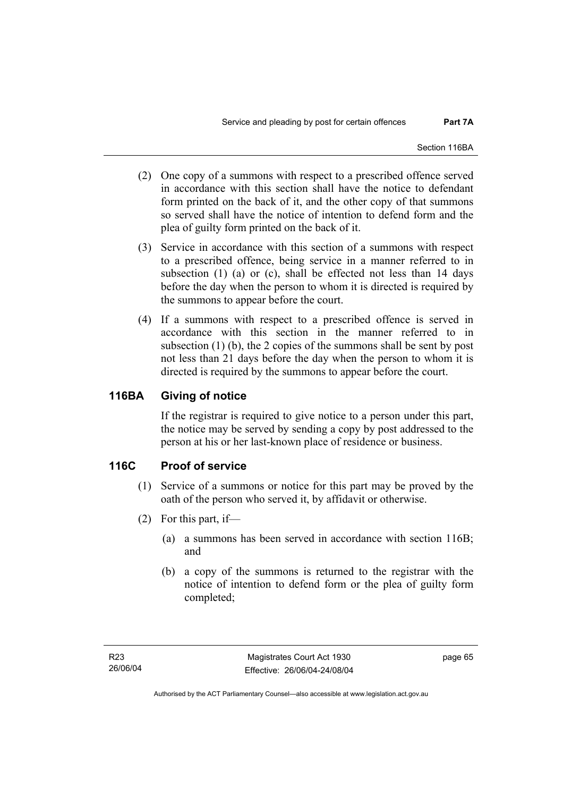- (2) One copy of a summons with respect to a prescribed offence served in accordance with this section shall have the notice to defendant form printed on the back of it, and the other copy of that summons so served shall have the notice of intention to defend form and the plea of guilty form printed on the back of it.
- (3) Service in accordance with this section of a summons with respect to a prescribed offence, being service in a manner referred to in subsection (1) (a) or (c), shall be effected not less than 14 days before the day when the person to whom it is directed is required by the summons to appear before the court.
- (4) If a summons with respect to a prescribed offence is served in accordance with this section in the manner referred to in subsection (1) (b), the 2 copies of the summons shall be sent by post not less than 21 days before the day when the person to whom it is directed is required by the summons to appear before the court.

## **116BA Giving of notice**

If the registrar is required to give notice to a person under this part, the notice may be served by sending a copy by post addressed to the person at his or her last-known place of residence or business.

## **116C Proof of service**

- (1) Service of a summons or notice for this part may be proved by the oath of the person who served it, by affidavit or otherwise.
- (2) For this part, if—
	- (a) a summons has been served in accordance with section 116B; and
	- (b) a copy of the summons is returned to the registrar with the notice of intention to defend form or the plea of guilty form completed;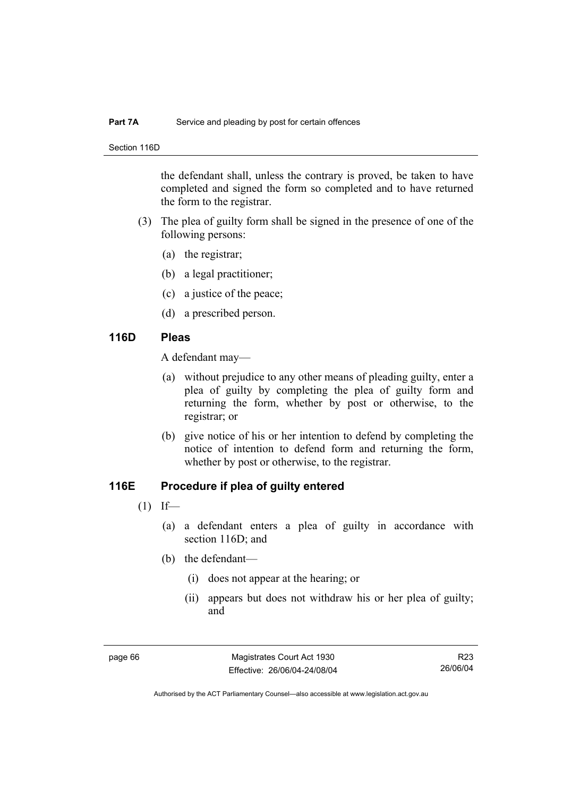#### **Part 7A** Service and pleading by post for certain offences

Section 116D

the defendant shall, unless the contrary is proved, be taken to have completed and signed the form so completed and to have returned the form to the registrar.

- (3) The plea of guilty form shall be signed in the presence of one of the following persons:
	- (a) the registrar;
	- (b) a legal practitioner;
	- (c) a justice of the peace;
	- (d) a prescribed person.

#### **116D Pleas**

A defendant may—

- (a) without prejudice to any other means of pleading guilty, enter a plea of guilty by completing the plea of guilty form and returning the form, whether by post or otherwise, to the registrar; or
- (b) give notice of his or her intention to defend by completing the notice of intention to defend form and returning the form, whether by post or otherwise, to the registrar.

## **116E Procedure if plea of guilty entered**

- $(1)$  If—
	- (a) a defendant enters a plea of guilty in accordance with section 116D; and
	- (b) the defendant—
		- (i) does not appear at the hearing; or
		- (ii) appears but does not withdraw his or her plea of guilty; and

page 66 Magistrates Court Act 1930 Effective: 26/06/04-24/08/04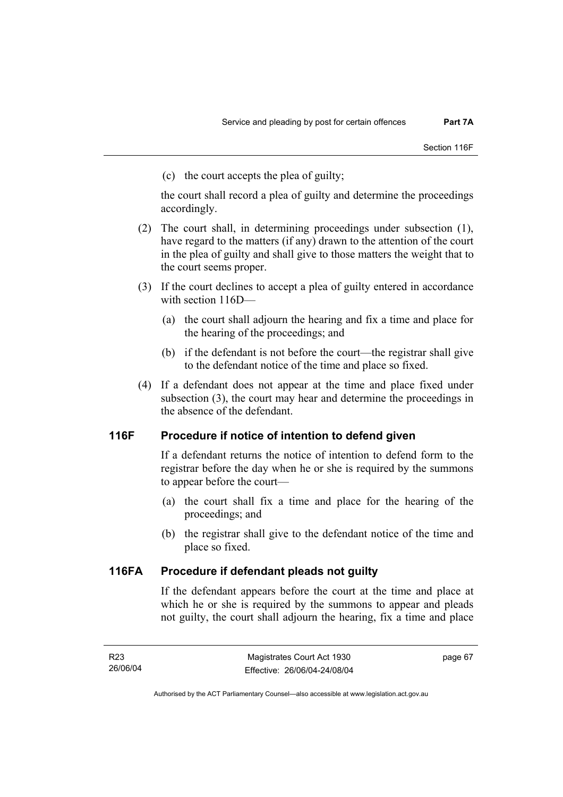(c) the court accepts the plea of guilty;

the court shall record a plea of guilty and determine the proceedings accordingly.

- (2) The court shall, in determining proceedings under subsection (1), have regard to the matters (if any) drawn to the attention of the court in the plea of guilty and shall give to those matters the weight that to the court seems proper.
- (3) If the court declines to accept a plea of guilty entered in accordance with section 116D—
	- (a) the court shall adjourn the hearing and fix a time and place for the hearing of the proceedings; and
	- (b) if the defendant is not before the court—the registrar shall give to the defendant notice of the time and place so fixed.
- (4) If a defendant does not appear at the time and place fixed under subsection (3), the court may hear and determine the proceedings in the absence of the defendant.

## **116F Procedure if notice of intention to defend given**

If a defendant returns the notice of intention to defend form to the registrar before the day when he or she is required by the summons to appear before the court—

- (a) the court shall fix a time and place for the hearing of the proceedings; and
- (b) the registrar shall give to the defendant notice of the time and place so fixed.

## **116FA Procedure if defendant pleads not guilty**

If the defendant appears before the court at the time and place at which he or she is required by the summons to appear and pleads not guilty, the court shall adjourn the hearing, fix a time and place

page 67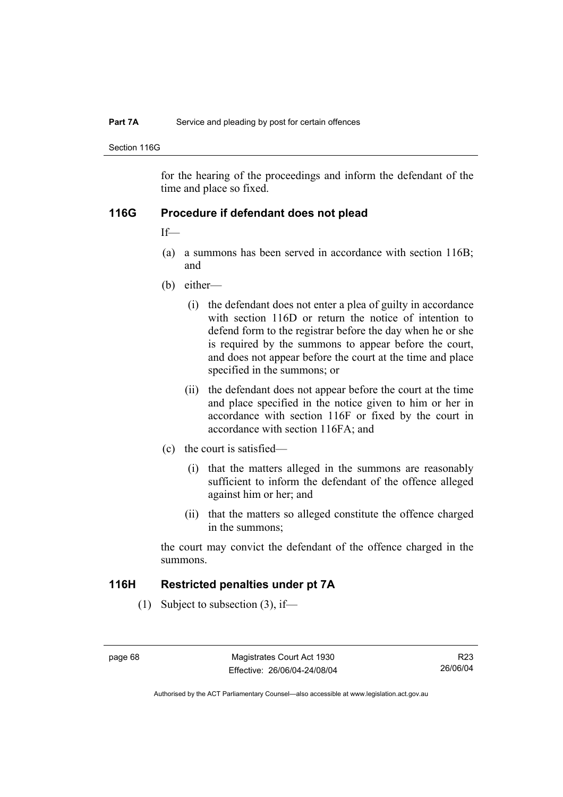#### **Part 7A** Service and pleading by post for certain offences

Section 116G

for the hearing of the proceedings and inform the defendant of the time and place so fixed.

#### **116G Procedure if defendant does not plead**

If—

- (a) a summons has been served in accordance with section 116B; and
- (b) either—
	- (i) the defendant does not enter a plea of guilty in accordance with section 116D or return the notice of intention to defend form to the registrar before the day when he or she is required by the summons to appear before the court, and does not appear before the court at the time and place specified in the summons; or
	- (ii) the defendant does not appear before the court at the time and place specified in the notice given to him or her in accordance with section 116F or fixed by the court in accordance with section 116FA; and
- (c) the court is satisfied—
	- (i) that the matters alleged in the summons are reasonably sufficient to inform the defendant of the offence alleged against him or her; and
	- (ii) that the matters so alleged constitute the offence charged in the summons;

the court may convict the defendant of the offence charged in the summons.

#### **116H Restricted penalties under pt 7A**

(1) Subject to subsection (3), if—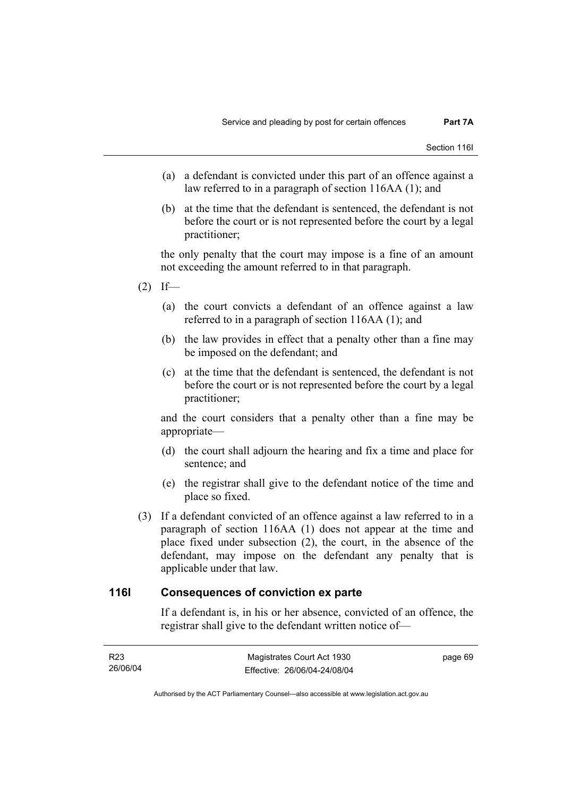- (a) a defendant is convicted under this part of an offence against a law referred to in a paragraph of section 116AA (1); and
- (b) at the time that the defendant is sentenced, the defendant is not before the court or is not represented before the court by a legal practitioner;

the only penalty that the court may impose is a fine of an amount not exceeding the amount referred to in that paragraph.

- $(2)$  If—
	- (a) the court convicts a defendant of an offence against a law referred to in a paragraph of section 116AA (1); and
	- (b) the law provides in effect that a penalty other than a fine may be imposed on the defendant; and
	- (c) at the time that the defendant is sentenced, the defendant is not before the court or is not represented before the court by a legal practitioner;

and the court considers that a penalty other than a fine may be appropriate—

- (d) the court shall adjourn the hearing and fix a time and place for sentence; and
- (e) the registrar shall give to the defendant notice of the time and place so fixed.
- (3) If a defendant convicted of an offence against a law referred to in a paragraph of section 116AA (1) does not appear at the time and place fixed under subsection (2), the court, in the absence of the defendant, may impose on the defendant any penalty that is applicable under that law.

#### **116I Consequences of conviction ex parte**

If a defendant is, in his or her absence, convicted of an offence, the registrar shall give to the defendant written notice of—

| R23      | Magistrates Court Act 1930   | page 69 |
|----------|------------------------------|---------|
| 26/06/04 | Effective: 26/06/04-24/08/04 |         |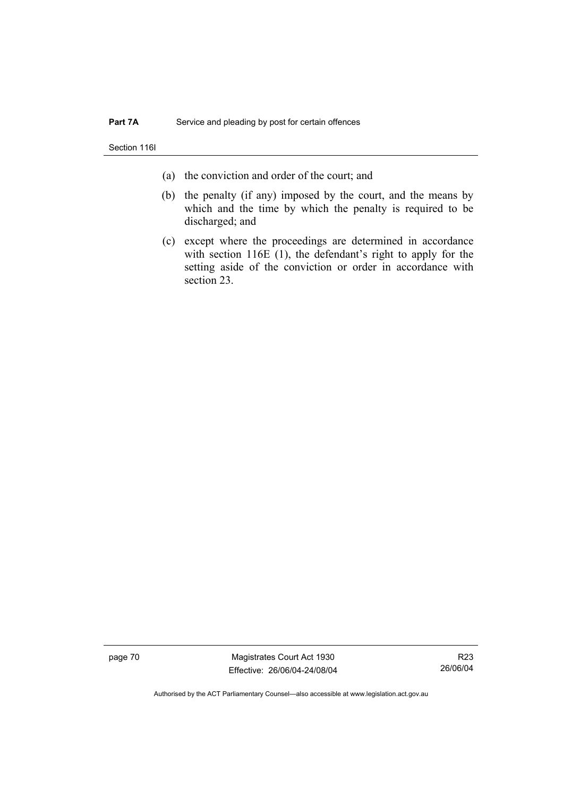Section 116I

- (a) the conviction and order of the court; and
- (b) the penalty (if any) imposed by the court, and the means by which and the time by which the penalty is required to be discharged; and
- (c) except where the proceedings are determined in accordance with section 116E (1), the defendant's right to apply for the setting aside of the conviction or order in accordance with section 23.

page 70 Magistrates Court Act 1930 Effective: 26/06/04-24/08/04

R23 26/06/04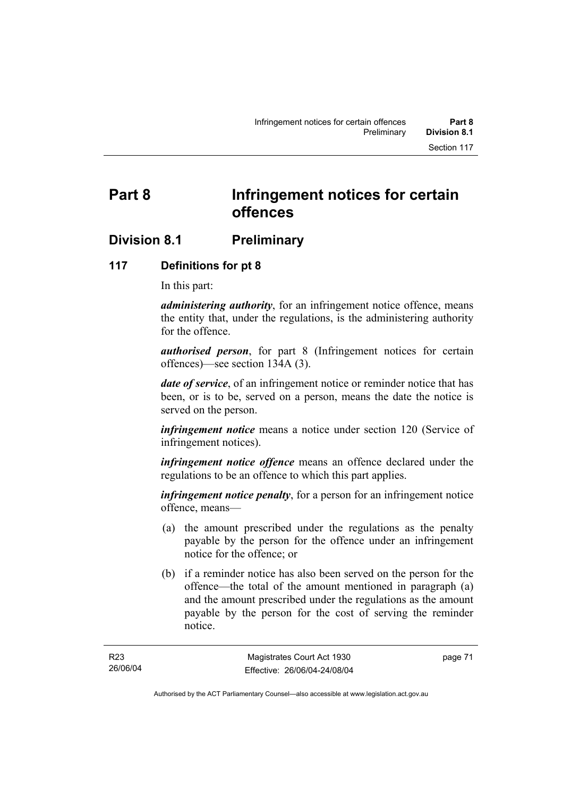## **Division 8.1 Preliminary**

#### **117 Definitions for pt 8**

In this part:

*administering authority*, for an infringement notice offence, means the entity that, under the regulations, is the administering authority for the offence.

*authorised person*, for part 8 (Infringement notices for certain offences)—see section 134A (3).

*date of service*, of an infringement notice or reminder notice that has been, or is to be, served on a person, means the date the notice is served on the person.

*infringement notice* means a notice under section 120 (Service of infringement notices).

*infringement notice offence* means an offence declared under the regulations to be an offence to which this part applies.

*infringement notice penalty*, for a person for an infringement notice offence, means—

- (a) the amount prescribed under the regulations as the penalty payable by the person for the offence under an infringement notice for the offence; or
- (b) if a reminder notice has also been served on the person for the offence—the total of the amount mentioned in paragraph (a) and the amount prescribed under the regulations as the amount payable by the person for the cost of serving the reminder notice.

page 71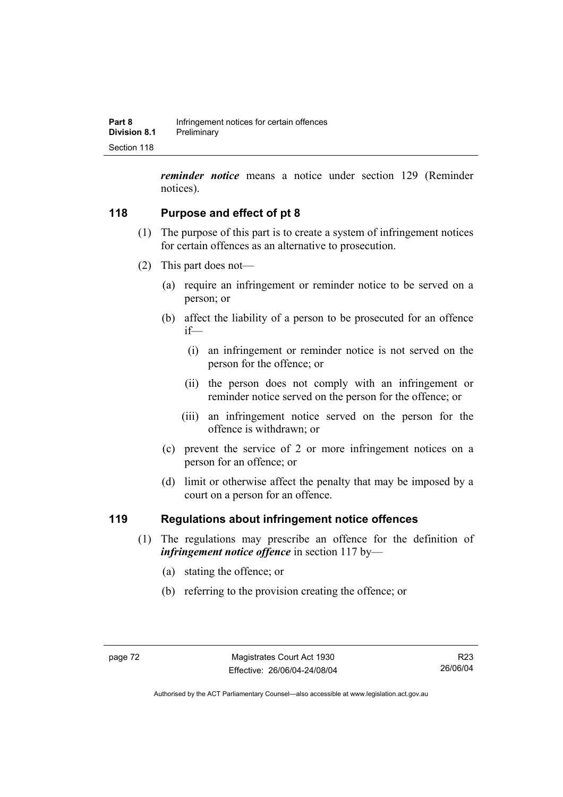*reminder notice* means a notice under section 129 (Reminder notices).

## **118 Purpose and effect of pt 8**

- (1) The purpose of this part is to create a system of infringement notices for certain offences as an alternative to prosecution.
- (2) This part does not—
	- (a) require an infringement or reminder notice to be served on a person; or
	- (b) affect the liability of a person to be prosecuted for an offence if—
		- (i) an infringement or reminder notice is not served on the person for the offence; or
		- (ii) the person does not comply with an infringement or reminder notice served on the person for the offence; or
		- (iii) an infringement notice served on the person for the offence is withdrawn; or
	- (c) prevent the service of 2 or more infringement notices on a person for an offence; or
	- (d) limit or otherwise affect the penalty that may be imposed by a court on a person for an offence.

## **119 Regulations about infringement notice offences**

- (1) The regulations may prescribe an offence for the definition of *infringement notice offence* in section 117 by—
	- (a) stating the offence; or
	- (b) referring to the provision creating the offence; or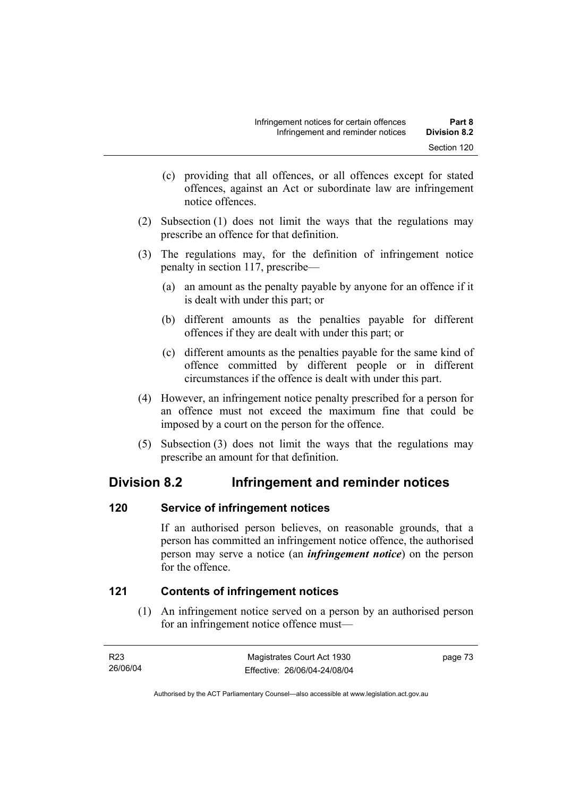- (c) providing that all offences, or all offences except for stated offences, against an Act or subordinate law are infringement notice offences.
- (2) Subsection (1) does not limit the ways that the regulations may prescribe an offence for that definition.
- (3) The regulations may, for the definition of infringement notice penalty in section 117, prescribe—
	- (a) an amount as the penalty payable by anyone for an offence if it is dealt with under this part; or
	- (b) different amounts as the penalties payable for different offences if they are dealt with under this part; or
	- (c) different amounts as the penalties payable for the same kind of offence committed by different people or in different circumstances if the offence is dealt with under this part.
- (4) However, an infringement notice penalty prescribed for a person for an offence must not exceed the maximum fine that could be imposed by a court on the person for the offence.
- (5) Subsection (3) does not limit the ways that the regulations may prescribe an amount for that definition.

## **Division 8.2 Infringement and reminder notices**

## **120 Service of infringement notices**

If an authorised person believes, on reasonable grounds, that a person has committed an infringement notice offence, the authorised person may serve a notice (an *infringement notice*) on the person for the offence.

## **121 Contents of infringement notices**

 (1) An infringement notice served on a person by an authorised person for an infringement notice offence must—

| R23      | Magistrates Court Act 1930   | page 73 |
|----------|------------------------------|---------|
| 26/06/04 | Effective: 26/06/04-24/08/04 |         |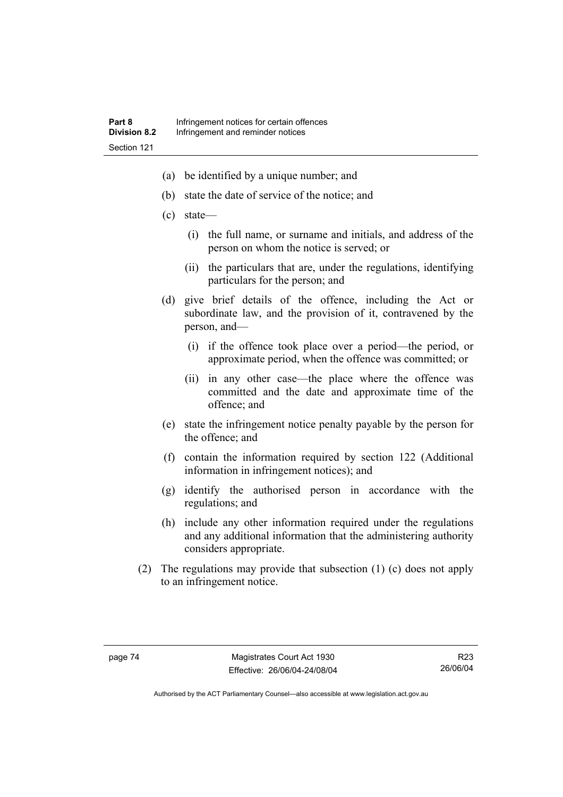- (a) be identified by a unique number; and
- (b) state the date of service of the notice; and
- (c) state—
	- (i) the full name, or surname and initials, and address of the person on whom the notice is served; or
	- (ii) the particulars that are, under the regulations, identifying particulars for the person; and
- (d) give brief details of the offence, including the Act or subordinate law, and the provision of it, contravened by the person, and—
	- (i) if the offence took place over a period—the period, or approximate period, when the offence was committed; or
	- (ii) in any other case—the place where the offence was committed and the date and approximate time of the offence; and
- (e) state the infringement notice penalty payable by the person for the offence; and
- (f) contain the information required by section 122 (Additional information in infringement notices); and
- (g) identify the authorised person in accordance with the regulations; and
- (h) include any other information required under the regulations and any additional information that the administering authority considers appropriate.
- (2) The regulations may provide that subsection (1) (c) does not apply to an infringement notice.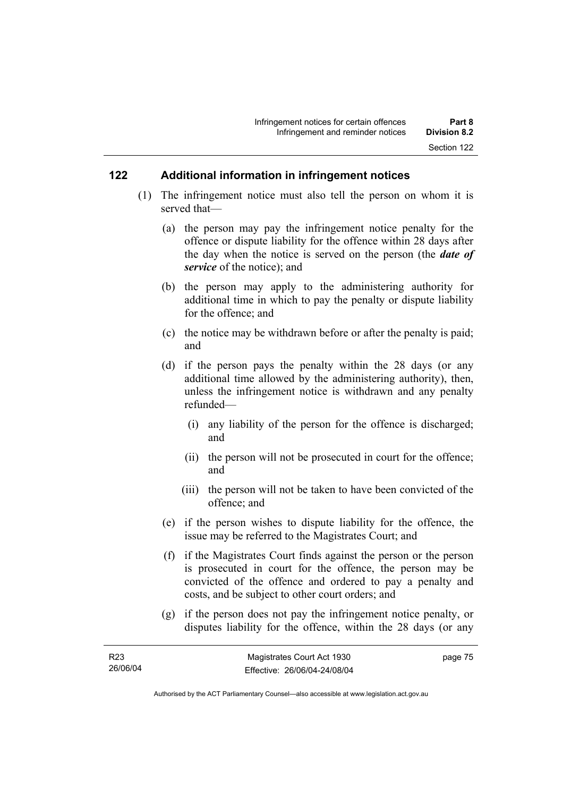#### **122 Additional information in infringement notices**

- (1) The infringement notice must also tell the person on whom it is served that—
	- (a) the person may pay the infringement notice penalty for the offence or dispute liability for the offence within 28 days after the day when the notice is served on the person (the *date of service* of the notice); and
	- (b) the person may apply to the administering authority for additional time in which to pay the penalty or dispute liability for the offence; and
	- (c) the notice may be withdrawn before or after the penalty is paid; and
	- (d) if the person pays the penalty within the 28 days (or any additional time allowed by the administering authority), then, unless the infringement notice is withdrawn and any penalty refunded—
		- (i) any liability of the person for the offence is discharged; and
		- (ii) the person will not be prosecuted in court for the offence; and
		- (iii) the person will not be taken to have been convicted of the offence; and
	- (e) if the person wishes to dispute liability for the offence, the issue may be referred to the Magistrates Court; and
	- (f) if the Magistrates Court finds against the person or the person is prosecuted in court for the offence, the person may be convicted of the offence and ordered to pay a penalty and costs, and be subject to other court orders; and
	- (g) if the person does not pay the infringement notice penalty, or disputes liability for the offence, within the 28 days (or any

page 75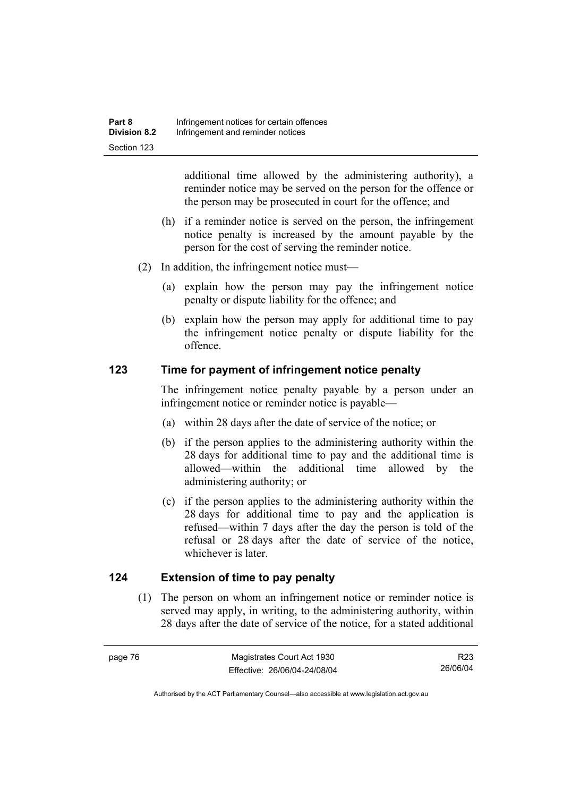additional time allowed by the administering authority), a reminder notice may be served on the person for the offence or the person may be prosecuted in court for the offence; and

- (h) if a reminder notice is served on the person, the infringement notice penalty is increased by the amount payable by the person for the cost of serving the reminder notice.
- (2) In addition, the infringement notice must—
	- (a) explain how the person may pay the infringement notice penalty or dispute liability for the offence; and
	- (b) explain how the person may apply for additional time to pay the infringement notice penalty or dispute liability for the offence.

#### **123 Time for payment of infringement notice penalty**

The infringement notice penalty payable by a person under an infringement notice or reminder notice is payable—

- (a) within 28 days after the date of service of the notice; or
- (b) if the person applies to the administering authority within the 28 days for additional time to pay and the additional time is allowed—within the additional time allowed by the administering authority; or
- (c) if the person applies to the administering authority within the 28 days for additional time to pay and the application is refused—within 7 days after the day the person is told of the refusal or 28 days after the date of service of the notice, whichever is later.

#### **124 Extension of time to pay penalty**

 (1) The person on whom an infringement notice or reminder notice is served may apply, in writing, to the administering authority, within 28 days after the date of service of the notice, for a stated additional

R23 26/06/04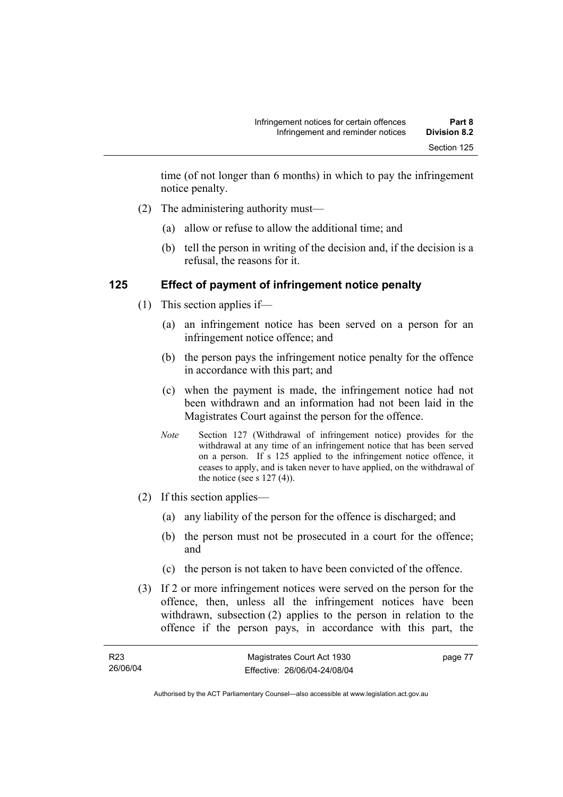time (of not longer than 6 months) in which to pay the infringement notice penalty.

- (2) The administering authority must—
	- (a) allow or refuse to allow the additional time; and
	- (b) tell the person in writing of the decision and, if the decision is a refusal, the reasons for it.

#### **125 Effect of payment of infringement notice penalty**

- (1) This section applies if—
	- (a) an infringement notice has been served on a person for an infringement notice offence; and
	- (b) the person pays the infringement notice penalty for the offence in accordance with this part; and
	- (c) when the payment is made, the infringement notice had not been withdrawn and an information had not been laid in the Magistrates Court against the person for the offence.
	- *Note* Section 127 (Withdrawal of infringement notice) provides for the withdrawal at any time of an infringement notice that has been served on a person. If s 125 applied to the infringement notice offence, it ceases to apply, and is taken never to have applied, on the withdrawal of the notice (see s  $127(4)$ ).
- (2) If this section applies—
	- (a) any liability of the person for the offence is discharged; and
	- (b) the person must not be prosecuted in a court for the offence; and
	- (c) the person is not taken to have been convicted of the offence.
- (3) If 2 or more infringement notices were served on the person for the offence, then, unless all the infringement notices have been withdrawn, subsection (2) applies to the person in relation to the offence if the person pays, in accordance with this part, the

| R <sub>23</sub> | Magistrates Court Act 1930   | page 77 |
|-----------------|------------------------------|---------|
| 26/06/04        | Effective: 26/06/04-24/08/04 |         |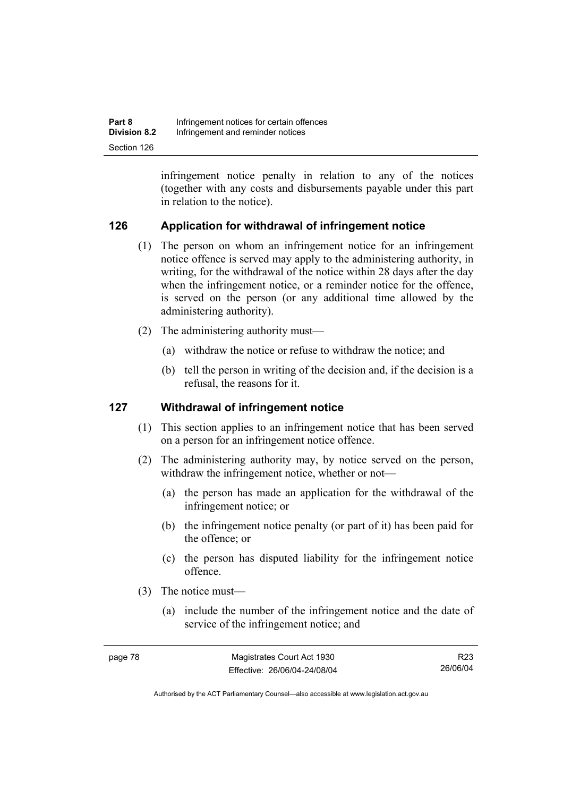| Part 8              | Infringement notices for certain offences |
|---------------------|-------------------------------------------|
| <b>Division 8.2</b> | Infringement and reminder notices         |
| Section 126         |                                           |

infringement notice penalty in relation to any of the notices (together with any costs and disbursements payable under this part in relation to the notice).

## **126 Application for withdrawal of infringement notice**

- (1) The person on whom an infringement notice for an infringement notice offence is served may apply to the administering authority, in writing, for the withdrawal of the notice within 28 days after the day when the infringement notice, or a reminder notice for the offence, is served on the person (or any additional time allowed by the administering authority).
- (2) The administering authority must—
	- (a) withdraw the notice or refuse to withdraw the notice; and
	- (b) tell the person in writing of the decision and, if the decision is a refusal, the reasons for it.

#### **127 Withdrawal of infringement notice**

- (1) This section applies to an infringement notice that has been served on a person for an infringement notice offence.
- (2) The administering authority may, by notice served on the person, withdraw the infringement notice, whether or not—
	- (a) the person has made an application for the withdrawal of the infringement notice; or
	- (b) the infringement notice penalty (or part of it) has been paid for the offence; or
	- (c) the person has disputed liability for the infringement notice offence.
- (3) The notice must—
	- (a) include the number of the infringement notice and the date of service of the infringement notice; and

Authorised by the ACT Parliamentary Counsel—also accessible at www.legislation.act.gov.au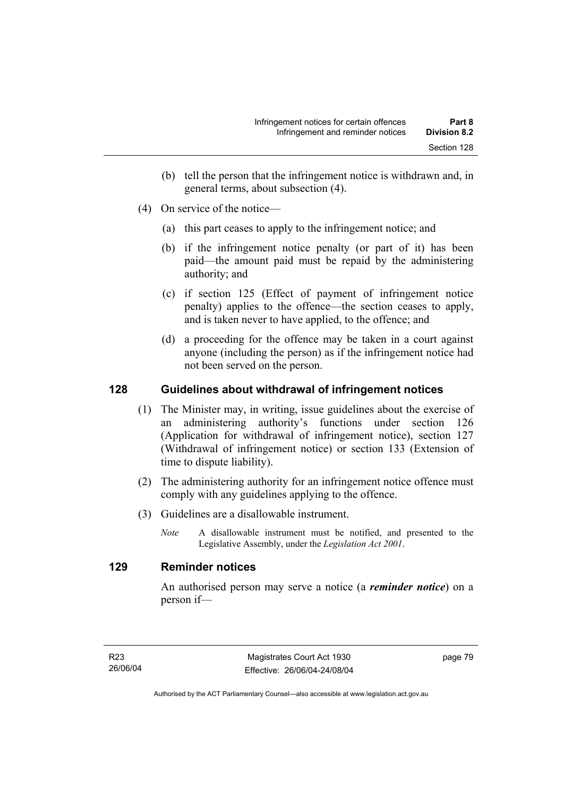- (b) tell the person that the infringement notice is withdrawn and, in general terms, about subsection (4).
- (4) On service of the notice—
	- (a) this part ceases to apply to the infringement notice; and
	- (b) if the infringement notice penalty (or part of it) has been paid—the amount paid must be repaid by the administering authority; and
	- (c) if section 125 (Effect of payment of infringement notice penalty) applies to the offence—the section ceases to apply, and is taken never to have applied, to the offence; and
	- (d) a proceeding for the offence may be taken in a court against anyone (including the person) as if the infringement notice had not been served on the person.

## **128 Guidelines about withdrawal of infringement notices**

- (1) The Minister may, in writing, issue guidelines about the exercise of an administering authority's functions under section 126 (Application for withdrawal of infringement notice), section 127 (Withdrawal of infringement notice) or section 133 (Extension of time to dispute liability).
- (2) The administering authority for an infringement notice offence must comply with any guidelines applying to the offence.
- (3) Guidelines are a disallowable instrument.
	- *Note* A disallowable instrument must be notified, and presented to the Legislative Assembly, under the *Legislation Act 2001*.

#### **129 Reminder notices**

An authorised person may serve a notice (a *reminder notice*) on a person if—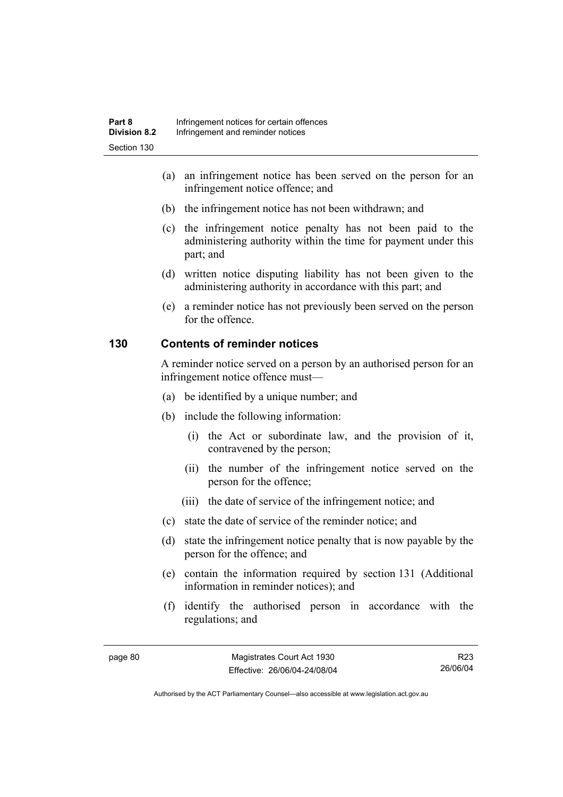- (a) an infringement notice has been served on the person for an infringement notice offence; and
- (b) the infringement notice has not been withdrawn; and
- (c) the infringement notice penalty has not been paid to the administering authority within the time for payment under this part; and
- (d) written notice disputing liability has not been given to the administering authority in accordance with this part; and
- (e) a reminder notice has not previously been served on the person for the offence.

#### **130 Contents of reminder notices**

A reminder notice served on a person by an authorised person for an infringement notice offence must—

- (a) be identified by a unique number; and
- (b) include the following information:
	- (i) the Act or subordinate law, and the provision of it, contravened by the person;
	- (ii) the number of the infringement notice served on the person for the offence;
	- (iii) the date of service of the infringement notice; and
- (c) state the date of service of the reminder notice; and
- (d) state the infringement notice penalty that is now payable by the person for the offence; and
- (e) contain the information required by section 131 (Additional information in reminder notices); and
- (f) identify the authorised person in accordance with the regulations; and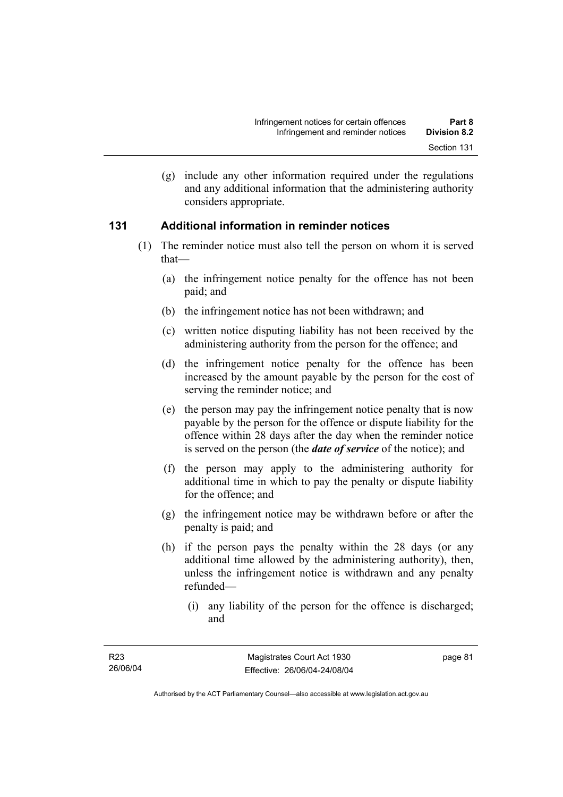(g) include any other information required under the regulations and any additional information that the administering authority considers appropriate.

#### **131 Additional information in reminder notices**

- (1) The reminder notice must also tell the person on whom it is served that—
	- (a) the infringement notice penalty for the offence has not been paid; and
	- (b) the infringement notice has not been withdrawn; and
	- (c) written notice disputing liability has not been received by the administering authority from the person for the offence; and
	- (d) the infringement notice penalty for the offence has been increased by the amount payable by the person for the cost of serving the reminder notice; and
	- (e) the person may pay the infringement notice penalty that is now payable by the person for the offence or dispute liability for the offence within 28 days after the day when the reminder notice is served on the person (the *date of service* of the notice); and
	- (f) the person may apply to the administering authority for additional time in which to pay the penalty or dispute liability for the offence; and
	- (g) the infringement notice may be withdrawn before or after the penalty is paid; and
	- (h) if the person pays the penalty within the 28 days (or any additional time allowed by the administering authority), then, unless the infringement notice is withdrawn and any penalty refunded—
		- (i) any liability of the person for the offence is discharged; and

page 81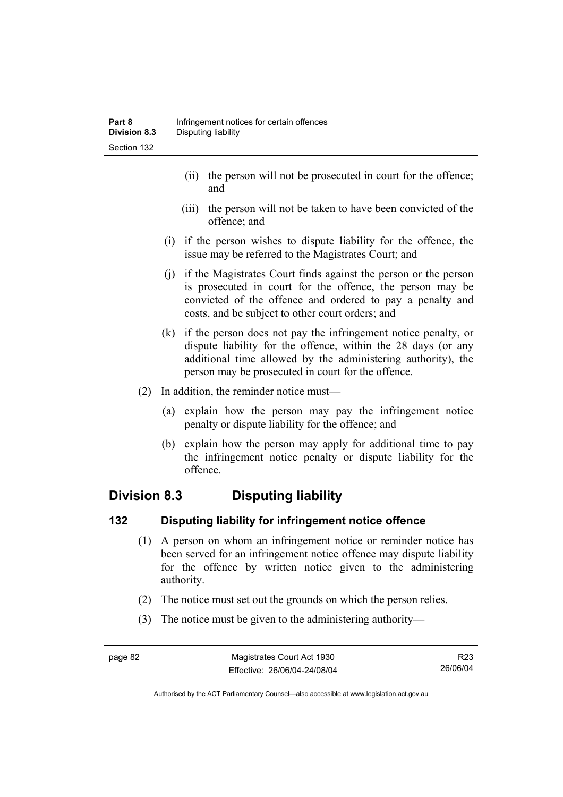- (ii) the person will not be prosecuted in court for the offence; and
- (iii) the person will not be taken to have been convicted of the offence; and
- (i) if the person wishes to dispute liability for the offence, the issue may be referred to the Magistrates Court; and
- (j) if the Magistrates Court finds against the person or the person is prosecuted in court for the offence, the person may be convicted of the offence and ordered to pay a penalty and costs, and be subject to other court orders; and
- (k) if the person does not pay the infringement notice penalty, or dispute liability for the offence, within the 28 days (or any additional time allowed by the administering authority), the person may be prosecuted in court for the offence.
- (2) In addition, the reminder notice must—
	- (a) explain how the person may pay the infringement notice penalty or dispute liability for the offence; and
	- (b) explain how the person may apply for additional time to pay the infringement notice penalty or dispute liability for the offence.

## **Division 8.3 Disputing liability**

## **132 Disputing liability for infringement notice offence**

- (1) A person on whom an infringement notice or reminder notice has been served for an infringement notice offence may dispute liability for the offence by written notice given to the administering authority.
- (2) The notice must set out the grounds on which the person relies.
- (3) The notice must be given to the administering authority—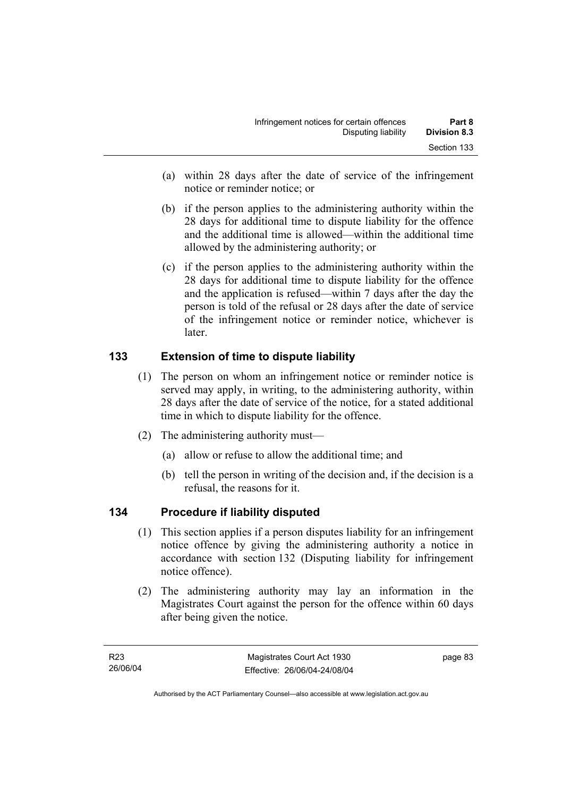- (a) within 28 days after the date of service of the infringement notice or reminder notice; or
- (b) if the person applies to the administering authority within the 28 days for additional time to dispute liability for the offence and the additional time is allowed—within the additional time allowed by the administering authority; or
- (c) if the person applies to the administering authority within the 28 days for additional time to dispute liability for the offence and the application is refused—within 7 days after the day the person is told of the refusal or 28 days after the date of service of the infringement notice or reminder notice, whichever is later.

## **133 Extension of time to dispute liability**

- (1) The person on whom an infringement notice or reminder notice is served may apply, in writing, to the administering authority, within 28 days after the date of service of the notice, for a stated additional time in which to dispute liability for the offence.
- (2) The administering authority must—
	- (a) allow or refuse to allow the additional time; and
	- (b) tell the person in writing of the decision and, if the decision is a refusal, the reasons for it.

## **134 Procedure if liability disputed**

- (1) This section applies if a person disputes liability for an infringement notice offence by giving the administering authority a notice in accordance with section 132 (Disputing liability for infringement notice offence).
- (2) The administering authority may lay an information in the Magistrates Court against the person for the offence within 60 days after being given the notice.

page 83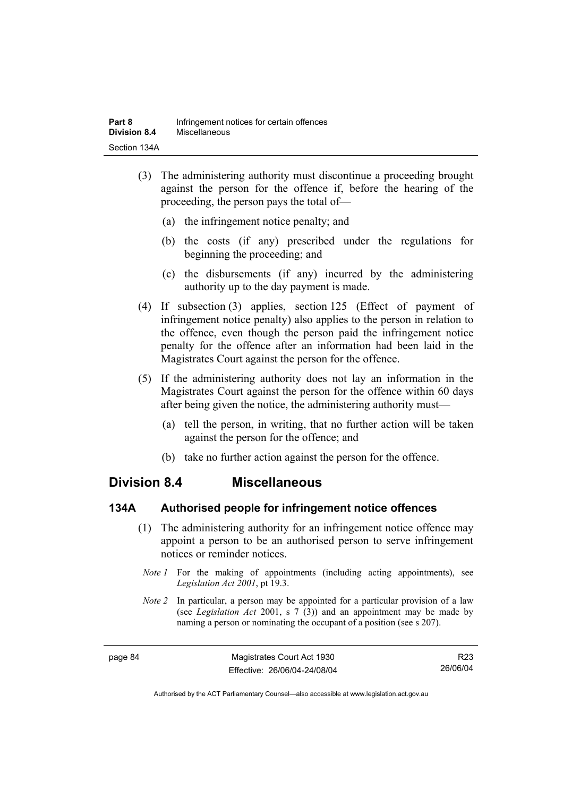- (3) The administering authority must discontinue a proceeding brought against the person for the offence if, before the hearing of the proceeding, the person pays the total of—
	- (a) the infringement notice penalty; and
	- (b) the costs (if any) prescribed under the regulations for beginning the proceeding; and
	- (c) the disbursements (if any) incurred by the administering authority up to the day payment is made.
- (4) If subsection (3) applies, section 125 (Effect of payment of infringement notice penalty) also applies to the person in relation to the offence, even though the person paid the infringement notice penalty for the offence after an information had been laid in the Magistrates Court against the person for the offence.
- (5) If the administering authority does not lay an information in the Magistrates Court against the person for the offence within 60 days after being given the notice, the administering authority must—
	- (a) tell the person, in writing, that no further action will be taken against the person for the offence; and
	- (b) take no further action against the person for the offence.

## **Division 8.4 Miscellaneous**

#### **134A Authorised people for infringement notice offences**

- (1) The administering authority for an infringement notice offence may appoint a person to be an authorised person to serve infringement notices or reminder notices.
	- *Note 1* For the making of appointments (including acting appointments), see *Legislation Act 2001*, pt 19.3.
- *Note 2* In particular, a person may be appointed for a particular provision of a law (see *Legislation Act* 2001, s 7 (3)) and an appointment may be made by naming a person or nominating the occupant of a position (see s 207).

Authorised by the ACT Parliamentary Counsel—also accessible at www.legislation.act.gov.au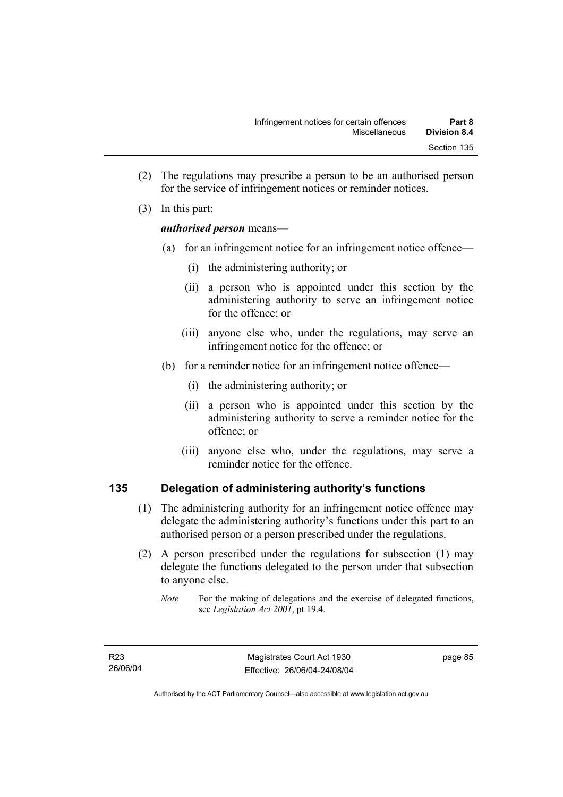- (2) The regulations may prescribe a person to be an authorised person for the service of infringement notices or reminder notices.
- (3) In this part:

#### *authorised person* means—

- (a) for an infringement notice for an infringement notice offence—
	- (i) the administering authority; or
	- (ii) a person who is appointed under this section by the administering authority to serve an infringement notice for the offence; or
	- (iii) anyone else who, under the regulations, may serve an infringement notice for the offence; or
- (b) for a reminder notice for an infringement notice offence—
	- (i) the administering authority; or
	- (ii) a person who is appointed under this section by the administering authority to serve a reminder notice for the offence; or
	- (iii) anyone else who, under the regulations, may serve a reminder notice for the offence.

## **135 Delegation of administering authority's functions**

- (1) The administering authority for an infringement notice offence may delegate the administering authority's functions under this part to an authorised person or a person prescribed under the regulations.
- (2) A person prescribed under the regulations for subsection (1) may delegate the functions delegated to the person under that subsection to anyone else.
	- *Note* For the making of delegations and the exercise of delegated functions, see *Legislation Act 2001*, pt 19.4.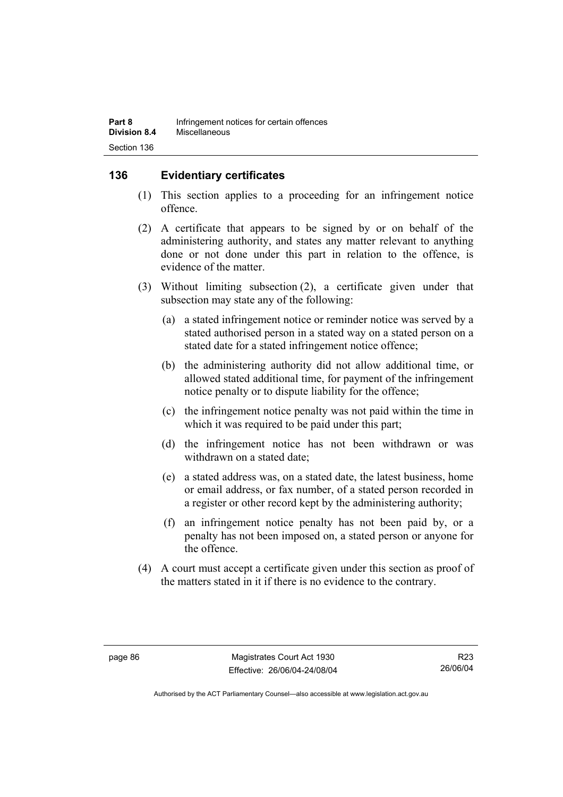## **136 Evidentiary certificates**

- (1) This section applies to a proceeding for an infringement notice offence.
- (2) A certificate that appears to be signed by or on behalf of the administering authority, and states any matter relevant to anything done or not done under this part in relation to the offence, is evidence of the matter.
- (3) Without limiting subsection (2), a certificate given under that subsection may state any of the following:
	- (a) a stated infringement notice or reminder notice was served by a stated authorised person in a stated way on a stated person on a stated date for a stated infringement notice offence;
	- (b) the administering authority did not allow additional time, or allowed stated additional time, for payment of the infringement notice penalty or to dispute liability for the offence;
	- (c) the infringement notice penalty was not paid within the time in which it was required to be paid under this part;
	- (d) the infringement notice has not been withdrawn or was withdrawn on a stated date;
	- (e) a stated address was, on a stated date, the latest business, home or email address, or fax number, of a stated person recorded in a register or other record kept by the administering authority;
	- (f) an infringement notice penalty has not been paid by, or a penalty has not been imposed on, a stated person or anyone for the offence.
- (4) A court must accept a certificate given under this section as proof of the matters stated in it if there is no evidence to the contrary.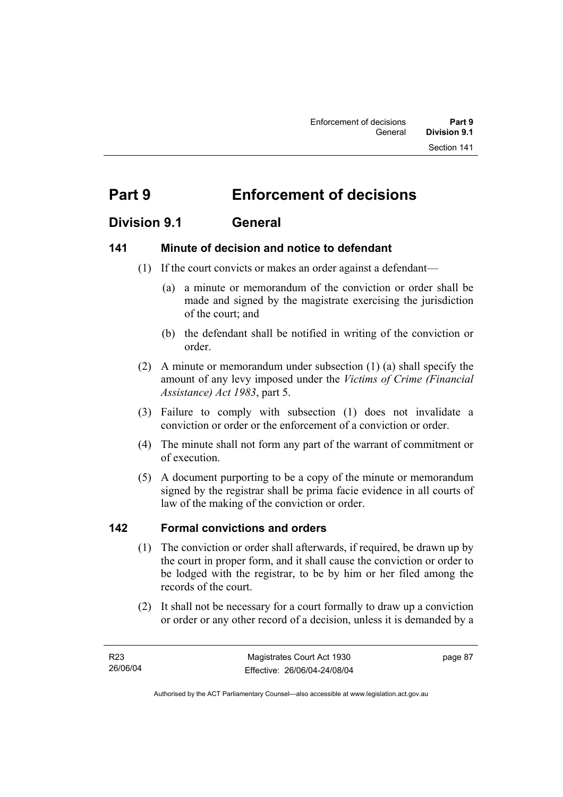# **Part 9 Enforcement of decisions**

## **Division 9.1 General**

## **141 Minute of decision and notice to defendant**

- (1) If the court convicts or makes an order against a defendant—
	- (a) a minute or memorandum of the conviction or order shall be made and signed by the magistrate exercising the jurisdiction of the court; and
	- (b) the defendant shall be notified in writing of the conviction or order.
- (2) A minute or memorandum under subsection (1) (a) shall specify the amount of any levy imposed under the *Victims of Crime (Financial Assistance) Act 1983*, part 5.
- (3) Failure to comply with subsection (1) does not invalidate a conviction or order or the enforcement of a conviction or order.
- (4) The minute shall not form any part of the warrant of commitment or of execution.
- (5) A document purporting to be a copy of the minute or memorandum signed by the registrar shall be prima facie evidence in all courts of law of the making of the conviction or order.

## **142 Formal convictions and orders**

- (1) The conviction or order shall afterwards, if required, be drawn up by the court in proper form, and it shall cause the conviction or order to be lodged with the registrar, to be by him or her filed among the records of the court.
- (2) It shall not be necessary for a court formally to draw up a conviction or order or any other record of a decision, unless it is demanded by a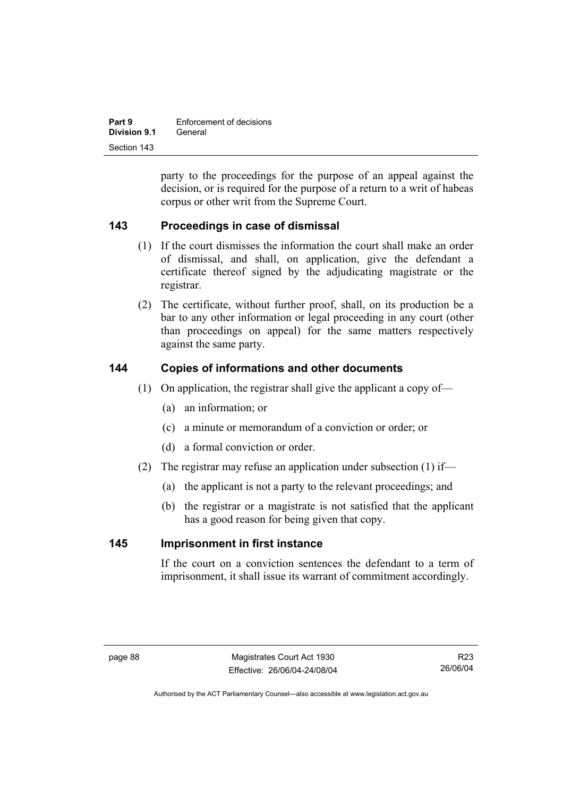| Part 9       | Enforcement of decisions |
|--------------|--------------------------|
| Division 9.1 | General                  |
| Section 143  |                          |

party to the proceedings for the purpose of an appeal against the decision, or is required for the purpose of a return to a writ of habeas corpus or other writ from the Supreme Court.

## **143 Proceedings in case of dismissal**

- (1) If the court dismisses the information the court shall make an order of dismissal, and shall, on application, give the defendant a certificate thereof signed by the adjudicating magistrate or the registrar.
- (2) The certificate, without further proof, shall, on its production be a bar to any other information or legal proceeding in any court (other than proceedings on appeal) for the same matters respectively against the same party.

#### **144 Copies of informations and other documents**

- (1) On application, the registrar shall give the applicant a copy of—
	- (a) an information; or
	- (c) a minute or memorandum of a conviction or order; or
	- (d) a formal conviction or order.
- (2) The registrar may refuse an application under subsection (1) if—
	- (a) the applicant is not a party to the relevant proceedings; and
	- (b) the registrar or a magistrate is not satisfied that the applicant has a good reason for being given that copy.

#### **145 Imprisonment in first instance**

If the court on a conviction sentences the defendant to a term of imprisonment, it shall issue its warrant of commitment accordingly.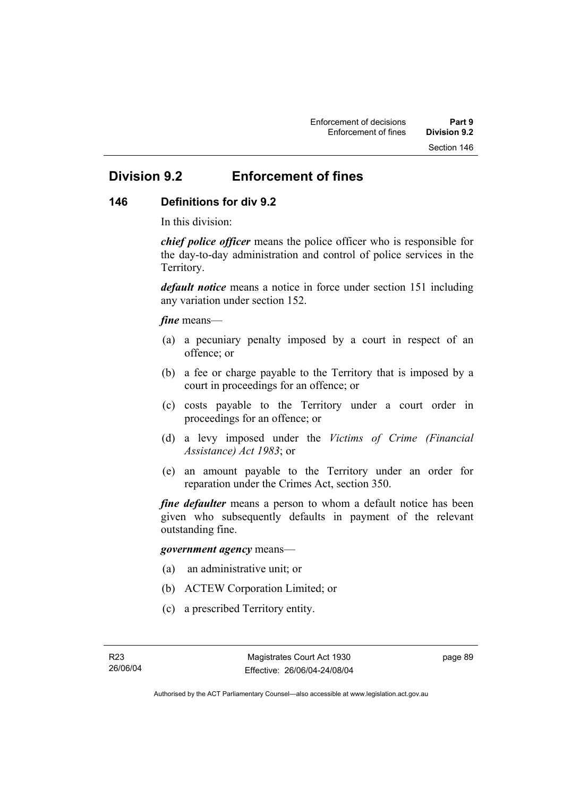# **Division 9.2 Enforcement of fines**

## **146 Definitions for div 9.2**

In this division:

*chief police officer* means the police officer who is responsible for the day-to-day administration and control of police services in the Territory.

*default notice* means a notice in force under section 151 including any variation under section 152.

#### *fine* means—

- (a) a pecuniary penalty imposed by a court in respect of an offence; or
- (b) a fee or charge payable to the Territory that is imposed by a court in proceedings for an offence; or
- (c) costs payable to the Territory under a court order in proceedings for an offence; or
- (d) a levy imposed under the *Victims of Crime (Financial Assistance) Act 1983*; or
- (e) an amount payable to the Territory under an order for reparation under the Crimes Act, section 350.

*fine defaulter* means a person to whom a default notice has been given who subsequently defaults in payment of the relevant outstanding fine.

#### *government agency* means—

- (a) an administrative unit; or
- (b) ACTEW Corporation Limited; or
- (c) a prescribed Territory entity.

page 89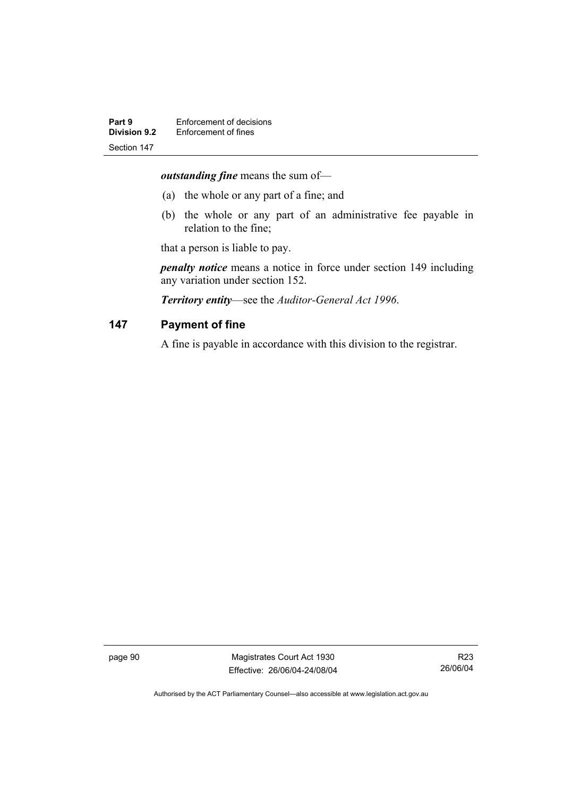*outstanding fine* means the sum of—

- (a) the whole or any part of a fine; and
- (b) the whole or any part of an administrative fee payable in relation to the fine;

that a person is liable to pay.

*penalty notice* means a notice in force under section 149 including any variation under section 152.

*Territory entity*—see the *Auditor-General Act 1996*.

#### **147 Payment of fine**

A fine is payable in accordance with this division to the registrar.

page 90 Magistrates Court Act 1930 Effective: 26/06/04-24/08/04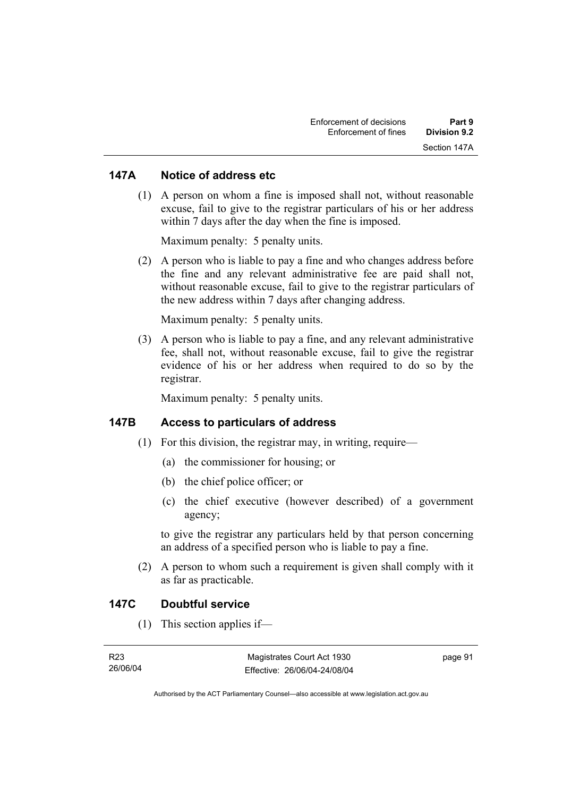#### **147A Notice of address etc**

 (1) A person on whom a fine is imposed shall not, without reasonable excuse, fail to give to the registrar particulars of his or her address within 7 days after the day when the fine is imposed.

Maximum penalty: 5 penalty units.

 (2) A person who is liable to pay a fine and who changes address before the fine and any relevant administrative fee are paid shall not, without reasonable excuse, fail to give to the registrar particulars of the new address within 7 days after changing address.

Maximum penalty: 5 penalty units.

 (3) A person who is liable to pay a fine, and any relevant administrative fee, shall not, without reasonable excuse, fail to give the registrar evidence of his or her address when required to do so by the registrar.

Maximum penalty: 5 penalty units.

#### **147B Access to particulars of address**

- $(1)$  For this division, the registrar may, in writing, require—
	- (a) the commissioner for housing; or
	- (b) the chief police officer; or
	- (c) the chief executive (however described) of a government agency;

to give the registrar any particulars held by that person concerning an address of a specified person who is liable to pay a fine.

 (2) A person to whom such a requirement is given shall comply with it as far as practicable.

#### **147C Doubtful service**

(1) This section applies if—

| R23      | Magistrates Court Act 1930   | page 91 |
|----------|------------------------------|---------|
| 26/06/04 | Effective: 26/06/04-24/08/04 |         |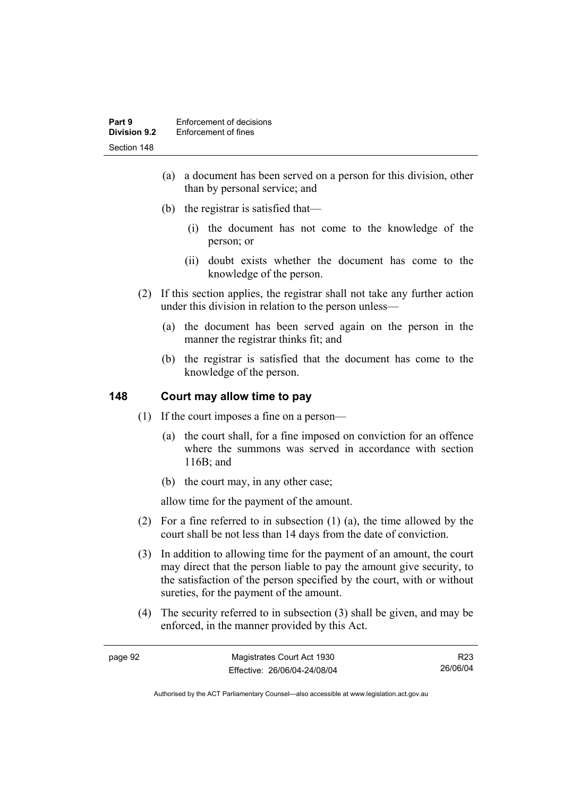- (a) a document has been served on a person for this division, other than by personal service; and
- (b) the registrar is satisfied that—
	- (i) the document has not come to the knowledge of the person; or
	- (ii) doubt exists whether the document has come to the knowledge of the person.
- (2) If this section applies, the registrar shall not take any further action under this division in relation to the person unless—
	- (a) the document has been served again on the person in the manner the registrar thinks fit; and
	- (b) the registrar is satisfied that the document has come to the knowledge of the person.

## **148 Court may allow time to pay**

- (1) If the court imposes a fine on a person—
	- (a) the court shall, for a fine imposed on conviction for an offence where the summons was served in accordance with section 116B; and
	- (b) the court may, in any other case;

allow time for the payment of the amount.

- (2) For a fine referred to in subsection (1) (a), the time allowed by the court shall be not less than 14 days from the date of conviction.
- (3) In addition to allowing time for the payment of an amount, the court may direct that the person liable to pay the amount give security, to the satisfaction of the person specified by the court, with or without sureties, for the payment of the amount.
- (4) The security referred to in subsection (3) shall be given, and may be enforced, in the manner provided by this Act.

R23 26/06/04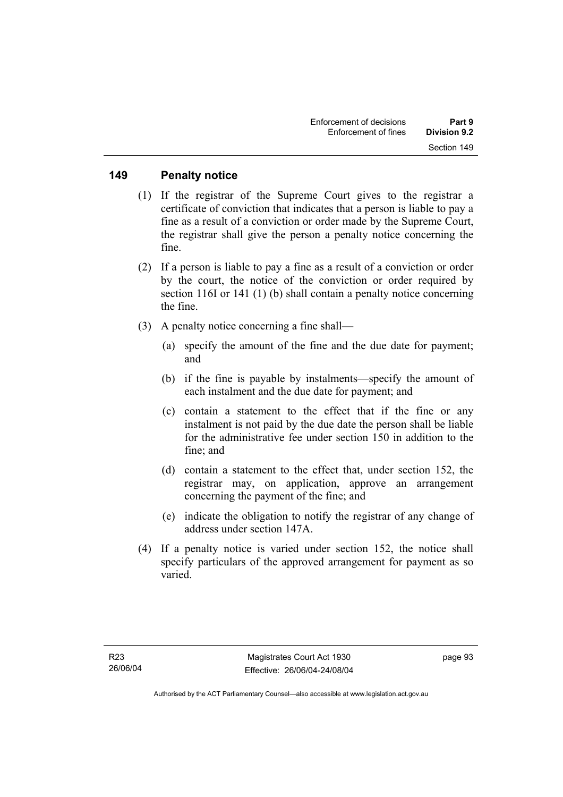#### **149 Penalty notice**

- (1) If the registrar of the Supreme Court gives to the registrar a certificate of conviction that indicates that a person is liable to pay a fine as a result of a conviction or order made by the Supreme Court, the registrar shall give the person a penalty notice concerning the fine.
- (2) If a person is liable to pay a fine as a result of a conviction or order by the court, the notice of the conviction or order required by section 116I or 141 (1) (b) shall contain a penalty notice concerning the fine.
- (3) A penalty notice concerning a fine shall—
	- (a) specify the amount of the fine and the due date for payment; and
	- (b) if the fine is payable by instalments—specify the amount of each instalment and the due date for payment; and
	- (c) contain a statement to the effect that if the fine or any instalment is not paid by the due date the person shall be liable for the administrative fee under section 150 in addition to the fine; and
	- (d) contain a statement to the effect that, under section 152, the registrar may, on application, approve an arrangement concerning the payment of the fine; and
	- (e) indicate the obligation to notify the registrar of any change of address under section 147A.
- (4) If a penalty notice is varied under section 152, the notice shall specify particulars of the approved arrangement for payment as so varied.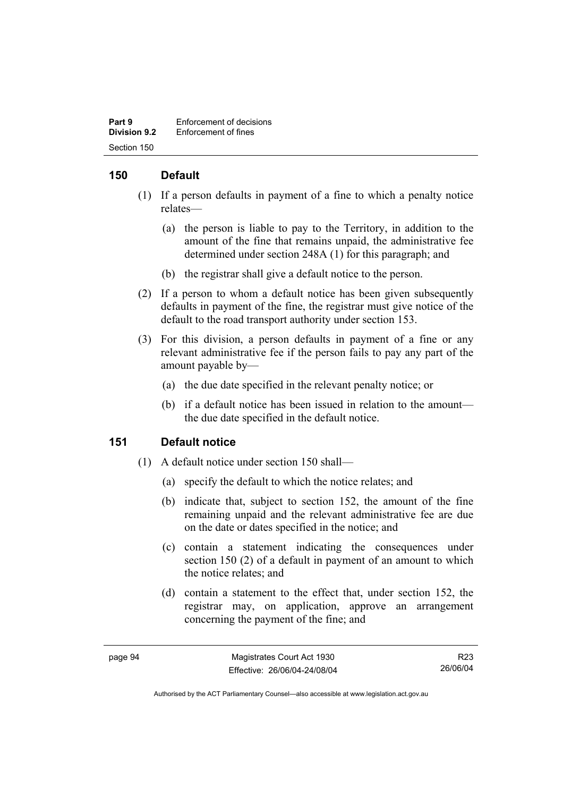| Part 9              | Enforcement of decisions |
|---------------------|--------------------------|
| <b>Division 9.2</b> | Enforcement of fines     |
| Section 150         |                          |

## **150 Default**

- (1) If a person defaults in payment of a fine to which a penalty notice relates—
	- (a) the person is liable to pay to the Territory, in addition to the amount of the fine that remains unpaid, the administrative fee determined under section 248A (1) for this paragraph; and
	- (b) the registrar shall give a default notice to the person.
- (2) If a person to whom a default notice has been given subsequently defaults in payment of the fine, the registrar must give notice of the default to the road transport authority under section 153.
- (3) For this division, a person defaults in payment of a fine or any relevant administrative fee if the person fails to pay any part of the amount payable by—
	- (a) the due date specified in the relevant penalty notice; or
	- (b) if a default notice has been issued in relation to the amount the due date specified in the default notice.

#### **151 Default notice**

- (1) A default notice under section 150 shall—
	- (a) specify the default to which the notice relates; and
	- (b) indicate that, subject to section 152, the amount of the fine remaining unpaid and the relevant administrative fee are due on the date or dates specified in the notice; and
	- (c) contain a statement indicating the consequences under section 150 (2) of a default in payment of an amount to which the notice relates; and
	- (d) contain a statement to the effect that, under section 152, the registrar may, on application, approve an arrangement concerning the payment of the fine; and

R23 26/06/04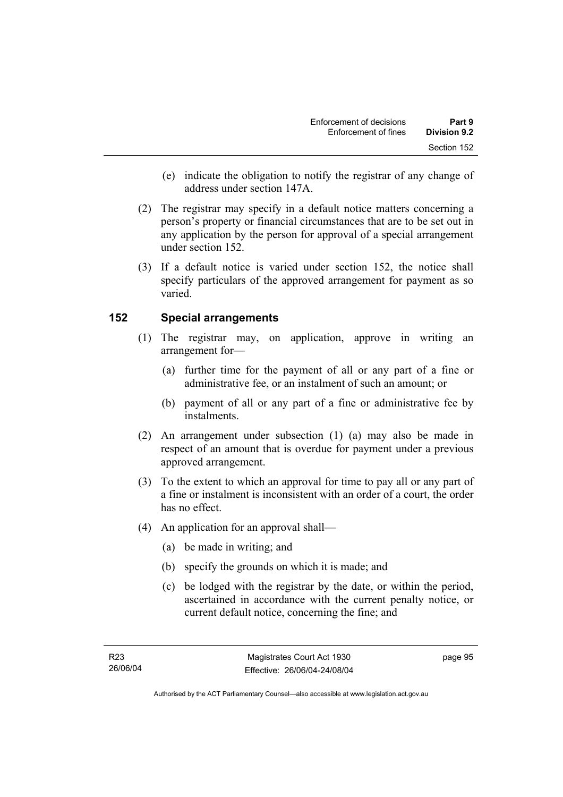- (e) indicate the obligation to notify the registrar of any change of address under section 147A.
- (2) The registrar may specify in a default notice matters concerning a person's property or financial circumstances that are to be set out in any application by the person for approval of a special arrangement under section 152.
- (3) If a default notice is varied under section 152, the notice shall specify particulars of the approved arrangement for payment as so varied.

# **152 Special arrangements**

- (1) The registrar may, on application, approve in writing an arrangement for—
	- (a) further time for the payment of all or any part of a fine or administrative fee, or an instalment of such an amount; or
	- (b) payment of all or any part of a fine or administrative fee by instalments.
- (2) An arrangement under subsection (1) (a) may also be made in respect of an amount that is overdue for payment under a previous approved arrangement.
- (3) To the extent to which an approval for time to pay all or any part of a fine or instalment is inconsistent with an order of a court, the order has no effect.
- (4) An application for an approval shall—
	- (a) be made in writing; and
	- (b) specify the grounds on which it is made; and
	- (c) be lodged with the registrar by the date, or within the period, ascertained in accordance with the current penalty notice, or current default notice, concerning the fine; and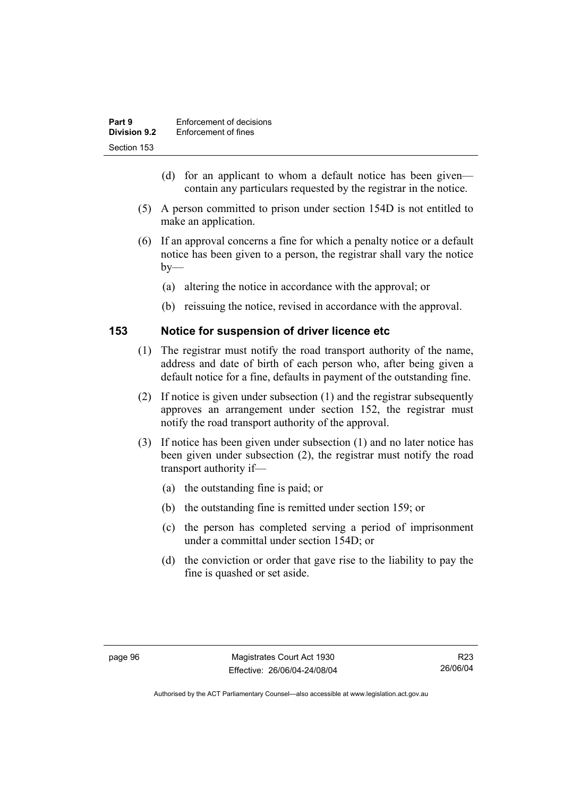| Part 9              | Enforcement of decisions |
|---------------------|--------------------------|
| <b>Division 9.2</b> | Enforcement of fines     |
| Section 153         |                          |

- (d) for an applicant to whom a default notice has been given contain any particulars requested by the registrar in the notice.
- (5) A person committed to prison under section 154D is not entitled to make an application.
- (6) If an approval concerns a fine for which a penalty notice or a default notice has been given to a person, the registrar shall vary the notice  $by-$ 
	- (a) altering the notice in accordance with the approval; or
	- (b) reissuing the notice, revised in accordance with the approval.

#### **153 Notice for suspension of driver licence etc**

- (1) The registrar must notify the road transport authority of the name, address and date of birth of each person who, after being given a default notice for a fine, defaults in payment of the outstanding fine.
- (2) If notice is given under subsection (1) and the registrar subsequently approves an arrangement under section 152, the registrar must notify the road transport authority of the approval.
- (3) If notice has been given under subsection (1) and no later notice has been given under subsection (2), the registrar must notify the road transport authority if—
	- (a) the outstanding fine is paid; or
	- (b) the outstanding fine is remitted under section 159; or
	- (c) the person has completed serving a period of imprisonment under a committal under section 154D; or
	- (d) the conviction or order that gave rise to the liability to pay the fine is quashed or set aside.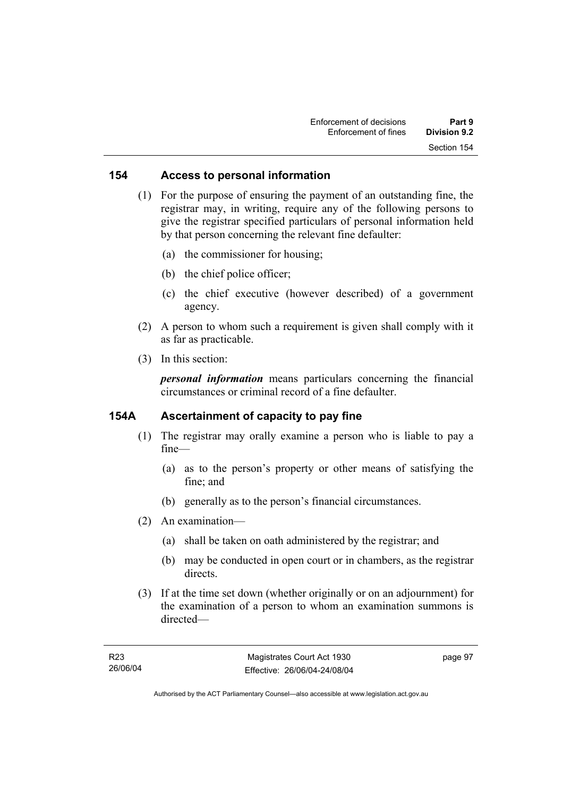#### **154 Access to personal information**

 (1) For the purpose of ensuring the payment of an outstanding fine, the registrar may, in writing, require any of the following persons to give the registrar specified particulars of personal information held by that person concerning the relevant fine defaulter:

- (a) the commissioner for housing;
- (b) the chief police officer;
- (c) the chief executive (however described) of a government agency.
- (2) A person to whom such a requirement is given shall comply with it as far as practicable.
- (3) In this section:

*personal information* means particulars concerning the financial circumstances or criminal record of a fine defaulter.

#### **154A Ascertainment of capacity to pay fine**

- (1) The registrar may orally examine a person who is liable to pay a fine—
	- (a) as to the person's property or other means of satisfying the fine; and
	- (b) generally as to the person's financial circumstances.
- (2) An examination—
	- (a) shall be taken on oath administered by the registrar; and
	- (b) may be conducted in open court or in chambers, as the registrar directs.
- (3) If at the time set down (whether originally or on an adjournment) for the examination of a person to whom an examination summons is directed—

page 97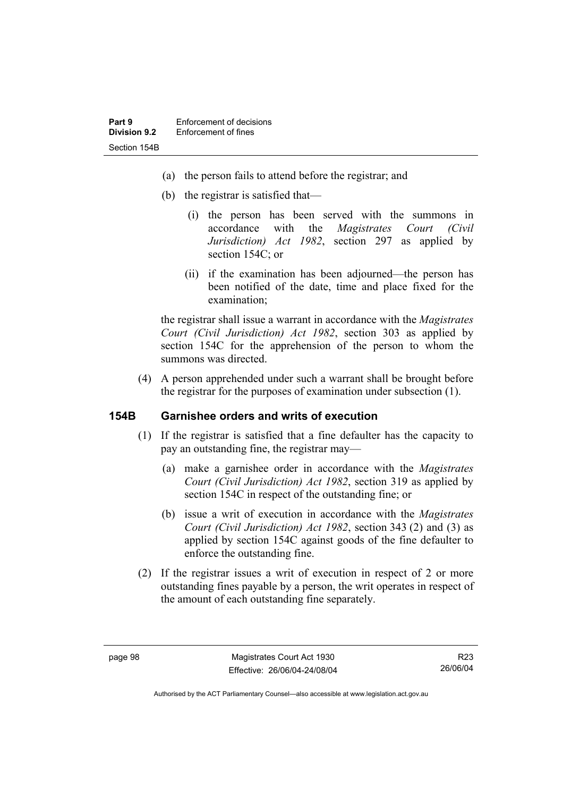- (a) the person fails to attend before the registrar; and
- (b) the registrar is satisfied that—
	- (i) the person has been served with the summons in accordance with the *Magistrates Court (Civil Jurisdiction) Act 1982*, section 297 as applied by section 154C; or
	- (ii) if the examination has been adjourned—the person has been notified of the date, time and place fixed for the examination;

the registrar shall issue a warrant in accordance with the *Magistrates Court (Civil Jurisdiction) Act 1982*, section 303 as applied by section 154C for the apprehension of the person to whom the summons was directed.

 (4) A person apprehended under such a warrant shall be brought before the registrar for the purposes of examination under subsection (1).

#### **154B Garnishee orders and writs of execution**

- (1) If the registrar is satisfied that a fine defaulter has the capacity to pay an outstanding fine, the registrar may—
	- (a) make a garnishee order in accordance with the *Magistrates Court (Civil Jurisdiction) Act 1982*, section 319 as applied by section 154C in respect of the outstanding fine; or
	- (b) issue a writ of execution in accordance with the *Magistrates Court (Civil Jurisdiction) Act 1982*, section 343 (2) and (3) as applied by section 154C against goods of the fine defaulter to enforce the outstanding fine.
- (2) If the registrar issues a writ of execution in respect of 2 or more outstanding fines payable by a person, the writ operates in respect of the amount of each outstanding fine separately.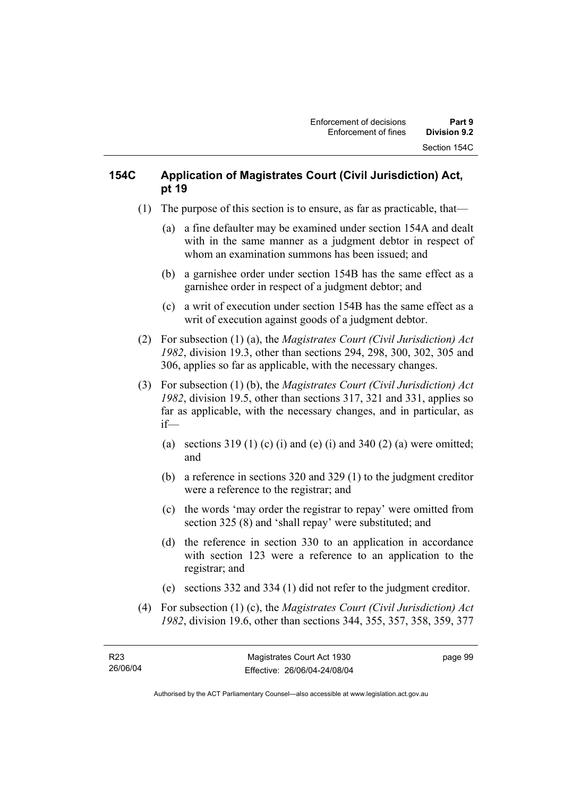# **154C Application of Magistrates Court (Civil Jurisdiction) Act, pt 19**

- (1) The purpose of this section is to ensure, as far as practicable, that—
	- (a) a fine defaulter may be examined under section 154A and dealt with in the same manner as a judgment debtor in respect of whom an examination summons has been issued; and
	- (b) a garnishee order under section 154B has the same effect as a garnishee order in respect of a judgment debtor; and
	- (c) a writ of execution under section 154B has the same effect as a writ of execution against goods of a judgment debtor.
- (2) For subsection (1) (a), the *Magistrates Court (Civil Jurisdiction) Act 1982*, division 19.3, other than sections 294, 298, 300, 302, 305 and 306, applies so far as applicable, with the necessary changes.
- (3) For subsection (1) (b), the *Magistrates Court (Civil Jurisdiction) Act 1982*, division 19.5, other than sections 317, 321 and 331, applies so far as applicable, with the necessary changes, and in particular, as if—
	- (a) sections  $319(1)$  (c) (i) and (e) (i) and  $340(2)$  (a) were omitted; and
	- (b) a reference in sections 320 and 329 (1) to the judgment creditor were a reference to the registrar; and
	- (c) the words 'may order the registrar to repay' were omitted from section 325 (8) and 'shall repay' were substituted; and
	- (d) the reference in section 330 to an application in accordance with section 123 were a reference to an application to the registrar; and
	- (e) sections 332 and 334 (1) did not refer to the judgment creditor.
- (4) For subsection (1) (c), the *Magistrates Court (Civil Jurisdiction) Act 1982*, division 19.6, other than sections 344, 355, 357, 358, 359, 377

page 99

Authorised by the ACT Parliamentary Counsel—also accessible at www.legislation.act.gov.au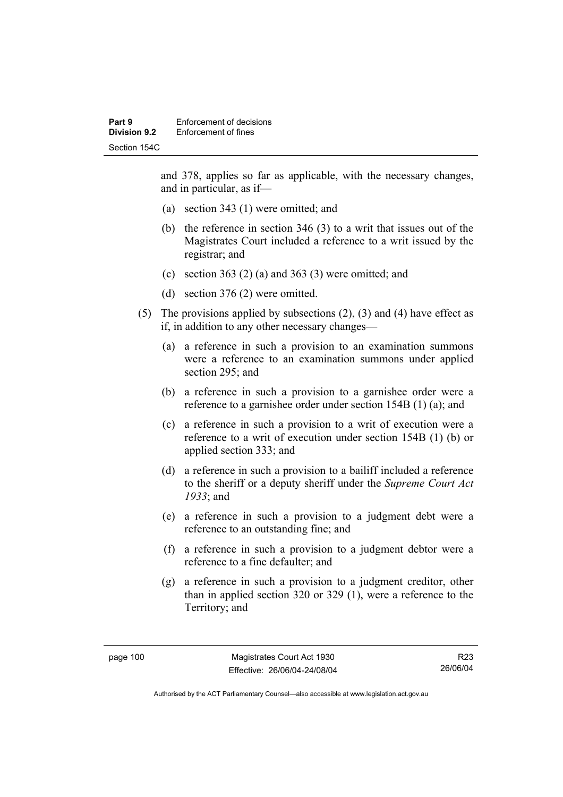and 378, applies so far as applicable, with the necessary changes, and in particular, as if—

- (a) section 343 (1) were omitted; and
- (b) the reference in section 346 (3) to a writ that issues out of the Magistrates Court included a reference to a writ issued by the registrar; and
- (c) section 363 (2) (a) and 363 (3) were omitted; and
- (d) section 376 (2) were omitted.
- (5) The provisions applied by subsections (2), (3) and (4) have effect as if, in addition to any other necessary changes—
	- (a) a reference in such a provision to an examination summons were a reference to an examination summons under applied section 295; and
	- (b) a reference in such a provision to a garnishee order were a reference to a garnishee order under section 154B (1) (a); and
	- (c) a reference in such a provision to a writ of execution were a reference to a writ of execution under section 154B (1) (b) or applied section 333; and
	- (d) a reference in such a provision to a bailiff included a reference to the sheriff or a deputy sheriff under the *Supreme Court Act 1933*; and
	- (e) a reference in such a provision to a judgment debt were a reference to an outstanding fine; and
	- (f) a reference in such a provision to a judgment debtor were a reference to a fine defaulter; and
	- (g) a reference in such a provision to a judgment creditor, other than in applied section 320 or 329 (1), were a reference to the Territory; and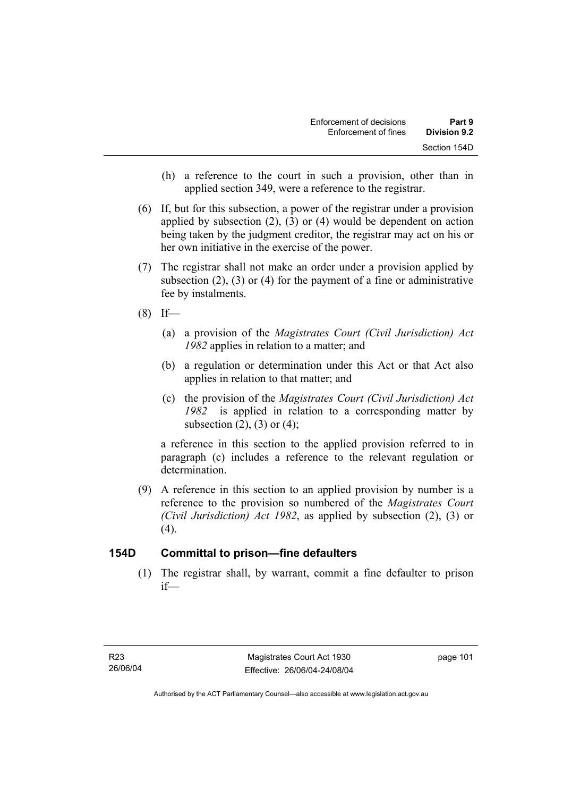- (h) a reference to the court in such a provision, other than in applied section 349, were a reference to the registrar.
- (6) If, but for this subsection, a power of the registrar under a provision applied by subsection (2), (3) or (4) would be dependent on action being taken by the judgment creditor, the registrar may act on his or her own initiative in the exercise of the power.
- (7) The registrar shall not make an order under a provision applied by subsection (2), (3) or (4) for the payment of a fine or administrative fee by instalments.
- $(8)$  If—
	- (a) a provision of the *Magistrates Court (Civil Jurisdiction) Act 1982* applies in relation to a matter; and
	- (b) a regulation or determination under this Act or that Act also applies in relation to that matter; and
	- (c) the provision of the *Magistrates Court (Civil Jurisdiction) Act 1982* is applied in relation to a corresponding matter by subsection  $(2)$ ,  $(3)$  or  $(4)$ ;

a reference in this section to the applied provision referred to in paragraph (c) includes a reference to the relevant regulation or determination.

 (9) A reference in this section to an applied provision by number is a reference to the provision so numbered of the *Magistrates Court (Civil Jurisdiction) Act 1982*, as applied by subsection (2), (3) or  $(4)$ .

# **154D Committal to prison—fine defaulters**

 (1) The registrar shall, by warrant, commit a fine defaulter to prison if—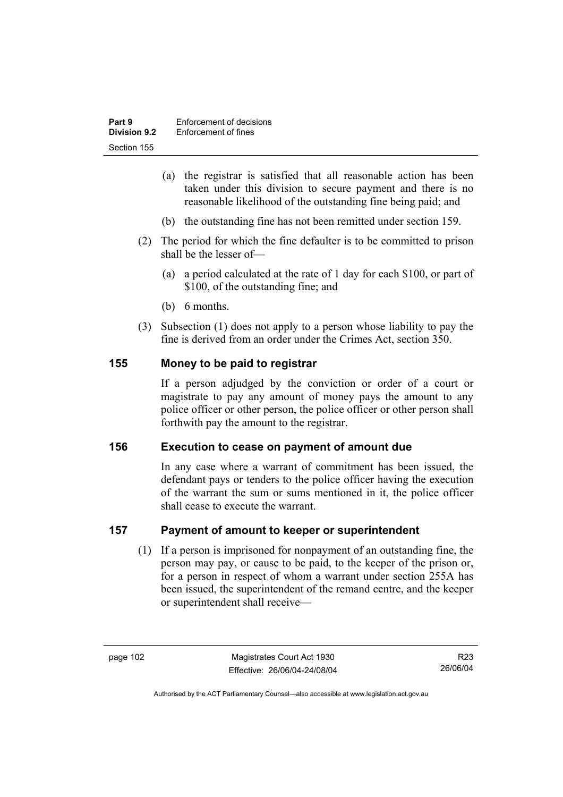| Part 9              | Enforcement of decisions |
|---------------------|--------------------------|
| <b>Division 9.2</b> | Enforcement of fines     |
| Section 155         |                          |

- (a) the registrar is satisfied that all reasonable action has been taken under this division to secure payment and there is no reasonable likelihood of the outstanding fine being paid; and
- (b) the outstanding fine has not been remitted under section 159.
- (2) The period for which the fine defaulter is to be committed to prison shall be the lesser of—
	- (a) a period calculated at the rate of 1 day for each \$100, or part of \$100, of the outstanding fine; and
	- (b) 6 months.
- (3) Subsection (1) does not apply to a person whose liability to pay the fine is derived from an order under the Crimes Act, section 350.

#### **155 Money to be paid to registrar**

If a person adjudged by the conviction or order of a court or magistrate to pay any amount of money pays the amount to any police officer or other person, the police officer or other person shall forthwith pay the amount to the registrar.

#### **156 Execution to cease on payment of amount due**

In any case where a warrant of commitment has been issued, the defendant pays or tenders to the police officer having the execution of the warrant the sum or sums mentioned in it, the police officer shall cease to execute the warrant.

#### **157 Payment of amount to keeper or superintendent**

 (1) If a person is imprisoned for nonpayment of an outstanding fine, the person may pay, or cause to be paid, to the keeper of the prison or, for a person in respect of whom a warrant under section 255A has been issued, the superintendent of the remand centre, and the keeper or superintendent shall receive—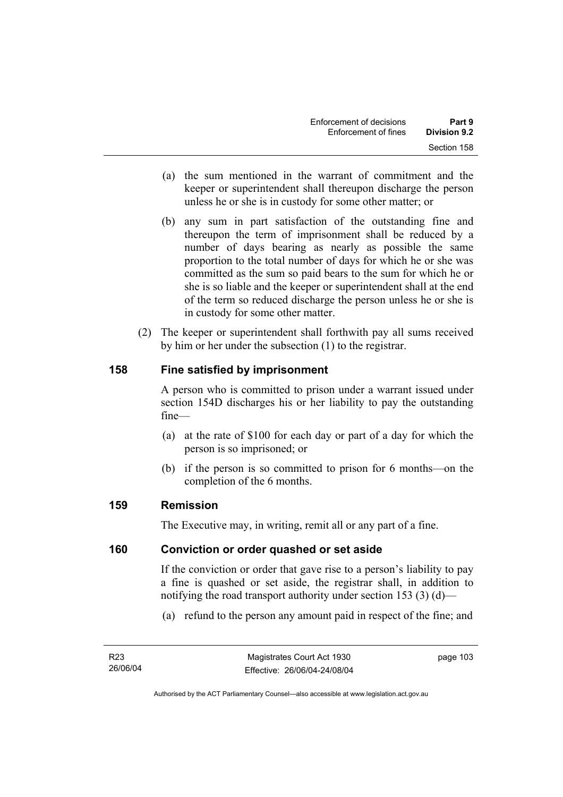- (a) the sum mentioned in the warrant of commitment and the keeper or superintendent shall thereupon discharge the person unless he or she is in custody for some other matter; or
- (b) any sum in part satisfaction of the outstanding fine and thereupon the term of imprisonment shall be reduced by a number of days bearing as nearly as possible the same proportion to the total number of days for which he or she was committed as the sum so paid bears to the sum for which he or she is so liable and the keeper or superintendent shall at the end of the term so reduced discharge the person unless he or she is in custody for some other matter.
- (2) The keeper or superintendent shall forthwith pay all sums received by him or her under the subsection (1) to the registrar.

# **158 Fine satisfied by imprisonment**

A person who is committed to prison under a warrant issued under section 154D discharges his or her liability to pay the outstanding fine—

- (a) at the rate of \$100 for each day or part of a day for which the person is so imprisoned; or
- (b) if the person is so committed to prison for 6 months—on the completion of the 6 months.

# **159 Remission**

The Executive may, in writing, remit all or any part of a fine.

#### **160 Conviction or order quashed or set aside**

If the conviction or order that gave rise to a person's liability to pay a fine is quashed or set aside, the registrar shall, in addition to notifying the road transport authority under section 153 (3) (d)—

(a) refund to the person any amount paid in respect of the fine; and

page 103

Authorised by the ACT Parliamentary Counsel—also accessible at www.legislation.act.gov.au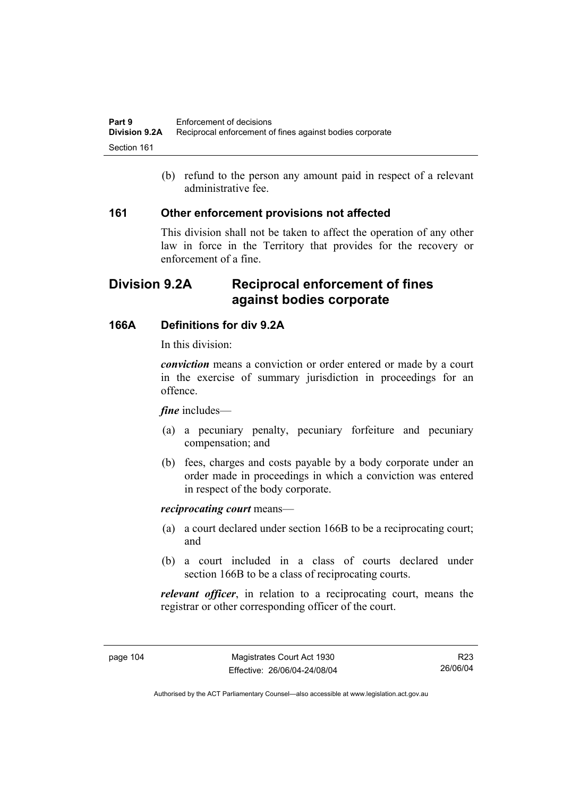(b) refund to the person any amount paid in respect of a relevant administrative fee.

#### **161 Other enforcement provisions not affected**

This division shall not be taken to affect the operation of any other law in force in the Territory that provides for the recovery or enforcement of a fine.

# **Division 9.2A Reciprocal enforcement of fines against bodies corporate**

# **166A Definitions for div 9.2A**

In this division:

*conviction* means a conviction or order entered or made by a court in the exercise of summary jurisdiction in proceedings for an offence.

#### *fine* includes—

- (a) a pecuniary penalty, pecuniary forfeiture and pecuniary compensation; and
- (b) fees, charges and costs payable by a body corporate under an order made in proceedings in which a conviction was entered in respect of the body corporate.

#### *reciprocating court* means—

- (a) a court declared under section 166B to be a reciprocating court; and
- (b) a court included in a class of courts declared under section 166B to be a class of reciprocating courts.

*relevant officer*, in relation to a reciprocating court, means the registrar or other corresponding officer of the court.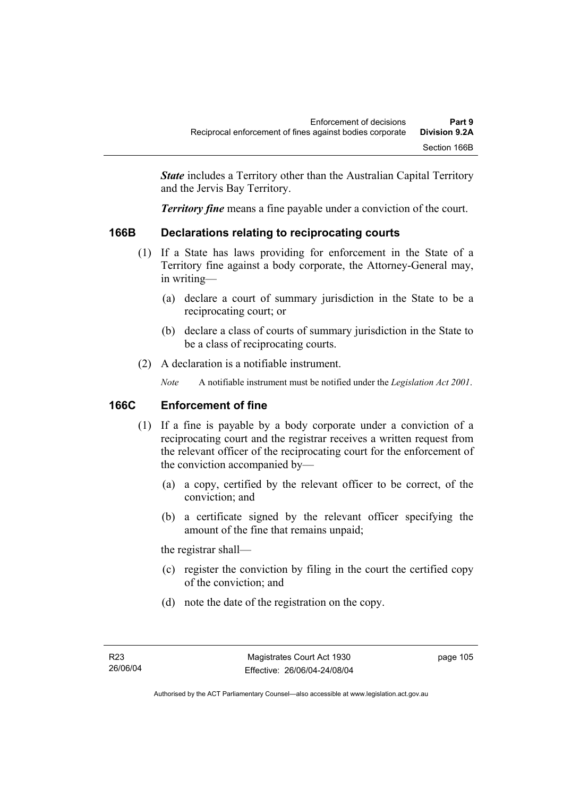*State* includes a Territory other than the Australian Capital Territory and the Jervis Bay Territory.

*Territory fine* means a fine payable under a conviction of the court.

# **166B Declarations relating to reciprocating courts**

- (1) If a State has laws providing for enforcement in the State of a Territory fine against a body corporate, the Attorney-General may, in writing—
	- (a) declare a court of summary jurisdiction in the State to be a reciprocating court; or
	- (b) declare a class of courts of summary jurisdiction in the State to be a class of reciprocating courts.
- (2) A declaration is a notifiable instrument.

*Note* A notifiable instrument must be notified under the *Legislation Act 2001*.

# **166C Enforcement of fine**

- (1) If a fine is payable by a body corporate under a conviction of a reciprocating court and the registrar receives a written request from the relevant officer of the reciprocating court for the enforcement of the conviction accompanied by—
	- (a) a copy, certified by the relevant officer to be correct, of the conviction; and
	- (b) a certificate signed by the relevant officer specifying the amount of the fine that remains unpaid;

the registrar shall—

- (c) register the conviction by filing in the court the certified copy of the conviction; and
- (d) note the date of the registration on the copy.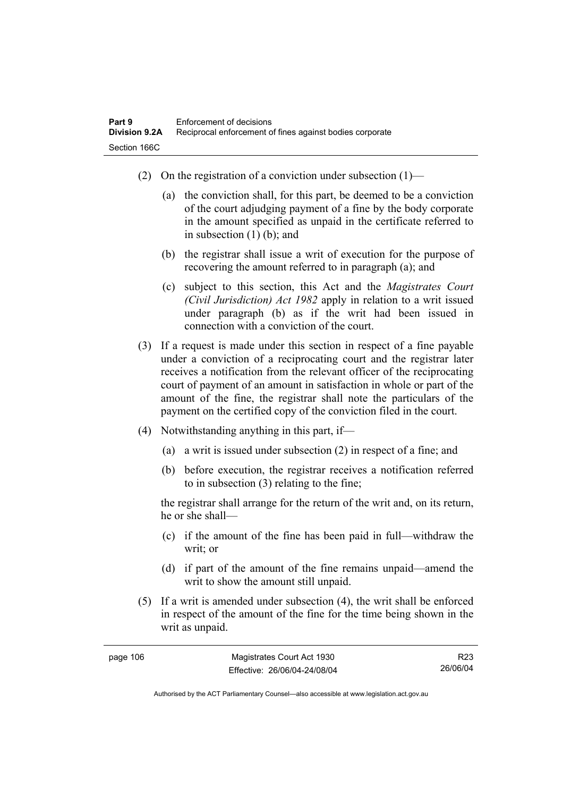- (2) On the registration of a conviction under subsection  $(1)$ 
	- (a) the conviction shall, for this part, be deemed to be a conviction of the court adjudging payment of a fine by the body corporate in the amount specified as unpaid in the certificate referred to in subsection (1) (b); and
	- (b) the registrar shall issue a writ of execution for the purpose of recovering the amount referred to in paragraph (a); and
	- (c) subject to this section, this Act and the *Magistrates Court (Civil Jurisdiction) Act 1982* apply in relation to a writ issued under paragraph (b) as if the writ had been issued in connection with a conviction of the court.
- (3) If a request is made under this section in respect of a fine payable under a conviction of a reciprocating court and the registrar later receives a notification from the relevant officer of the reciprocating court of payment of an amount in satisfaction in whole or part of the amount of the fine, the registrar shall note the particulars of the payment on the certified copy of the conviction filed in the court.
- (4) Notwithstanding anything in this part, if—
	- (a) a writ is issued under subsection (2) in respect of a fine; and
	- (b) before execution, the registrar receives a notification referred to in subsection (3) relating to the fine;

the registrar shall arrange for the return of the writ and, on its return, he or she shall—

- (c) if the amount of the fine has been paid in full—withdraw the writ; or
- (d) if part of the amount of the fine remains unpaid—amend the writ to show the amount still unpaid.
- (5) If a writ is amended under subsection (4), the writ shall be enforced in respect of the amount of the fine for the time being shown in the writ as unpaid.

| page 106 | Magistrates Court Act 1930   | R23      |
|----------|------------------------------|----------|
|          | Effective: 26/06/04-24/08/04 | 26/06/04 |

Authorised by the ACT Parliamentary Counsel—also accessible at www.legislation.act.gov.au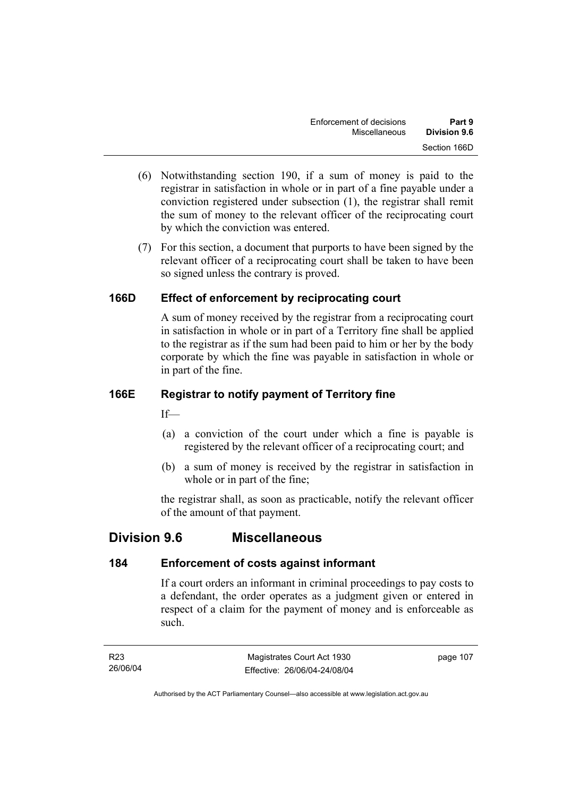- (6) Notwithstanding section 190, if a sum of money is paid to the registrar in satisfaction in whole or in part of a fine payable under a conviction registered under subsection (1), the registrar shall remit the sum of money to the relevant officer of the reciprocating court by which the conviction was entered.
- (7) For this section, a document that purports to have been signed by the relevant officer of a reciprocating court shall be taken to have been so signed unless the contrary is proved.

# **166D Effect of enforcement by reciprocating court**

A sum of money received by the registrar from a reciprocating court in satisfaction in whole or in part of a Territory fine shall be applied to the registrar as if the sum had been paid to him or her by the body corporate by which the fine was payable in satisfaction in whole or in part of the fine.

# **166E Registrar to notify payment of Territory fine**

 $If$ —

- (a) a conviction of the court under which a fine is payable is registered by the relevant officer of a reciprocating court; and
- (b) a sum of money is received by the registrar in satisfaction in whole or in part of the fine;

the registrar shall, as soon as practicable, notify the relevant officer of the amount of that payment.

# **Division 9.6 Miscellaneous**

# **184 Enforcement of costs against informant**

If a court orders an informant in criminal proceedings to pay costs to a defendant, the order operates as a judgment given or entered in respect of a claim for the payment of money and is enforceable as such.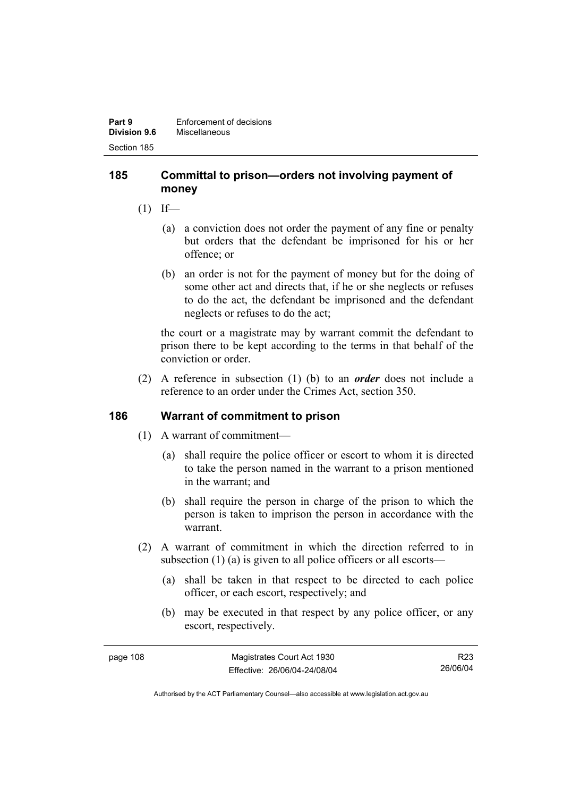#### **185 Committal to prison—orders not involving payment of money**

- $(1)$  If—
	- (a) a conviction does not order the payment of any fine or penalty but orders that the defendant be imprisoned for his or her offence; or
	- (b) an order is not for the payment of money but for the doing of some other act and directs that, if he or she neglects or refuses to do the act, the defendant be imprisoned and the defendant neglects or refuses to do the act;

the court or a magistrate may by warrant commit the defendant to prison there to be kept according to the terms in that behalf of the conviction or order.

 (2) A reference in subsection (1) (b) to an *order* does not include a reference to an order under the Crimes Act, section 350.

# **186 Warrant of commitment to prison**

- (1) A warrant of commitment—
	- (a) shall require the police officer or escort to whom it is directed to take the person named in the warrant to a prison mentioned in the warrant; and
	- (b) shall require the person in charge of the prison to which the person is taken to imprison the person in accordance with the warrant.
- (2) A warrant of commitment in which the direction referred to in subsection (1) (a) is given to all police officers or all escorts—
	- (a) shall be taken in that respect to be directed to each police officer, or each escort, respectively; and
	- (b) may be executed in that respect by any police officer, or any escort, respectively.

| page 108 | Magistrates Court Act 1930   | R23      |
|----------|------------------------------|----------|
|          | Effective: 26/06/04-24/08/04 | 26/06/04 |

Authorised by the ACT Parliamentary Counsel—also accessible at www.legislation.act.gov.au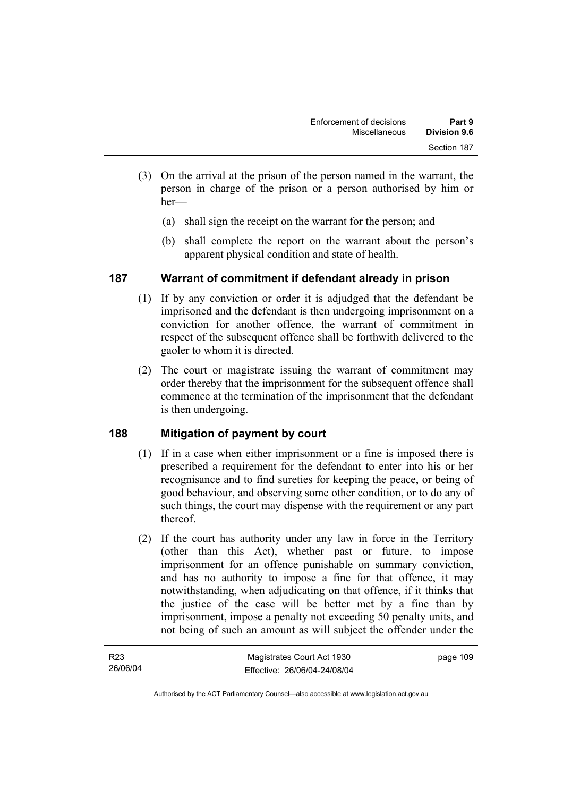- (3) On the arrival at the prison of the person named in the warrant, the person in charge of the prison or a person authorised by him or her—
	- (a) shall sign the receipt on the warrant for the person; and
	- (b) shall complete the report on the warrant about the person's apparent physical condition and state of health.

# **187 Warrant of commitment if defendant already in prison**

- (1) If by any conviction or order it is adjudged that the defendant be imprisoned and the defendant is then undergoing imprisonment on a conviction for another offence, the warrant of commitment in respect of the subsequent offence shall be forthwith delivered to the gaoler to whom it is directed.
- (2) The court or magistrate issuing the warrant of commitment may order thereby that the imprisonment for the subsequent offence shall commence at the termination of the imprisonment that the defendant is then undergoing.

# **188 Mitigation of payment by court**

- (1) If in a case when either imprisonment or a fine is imposed there is prescribed a requirement for the defendant to enter into his or her recognisance and to find sureties for keeping the peace, or being of good behaviour, and observing some other condition, or to do any of such things, the court may dispense with the requirement or any part thereof.
- (2) If the court has authority under any law in force in the Territory (other than this Act), whether past or future, to impose imprisonment for an offence punishable on summary conviction, and has no authority to impose a fine for that offence, it may notwithstanding, when adjudicating on that offence, if it thinks that the justice of the case will be better met by a fine than by imprisonment, impose a penalty not exceeding 50 penalty units, and not being of such an amount as will subject the offender under the

| R <sub>23</sub> | Magistrates Court Act 1930   | page 109 |
|-----------------|------------------------------|----------|
| 26/06/04        | Effective: 26/06/04-24/08/04 |          |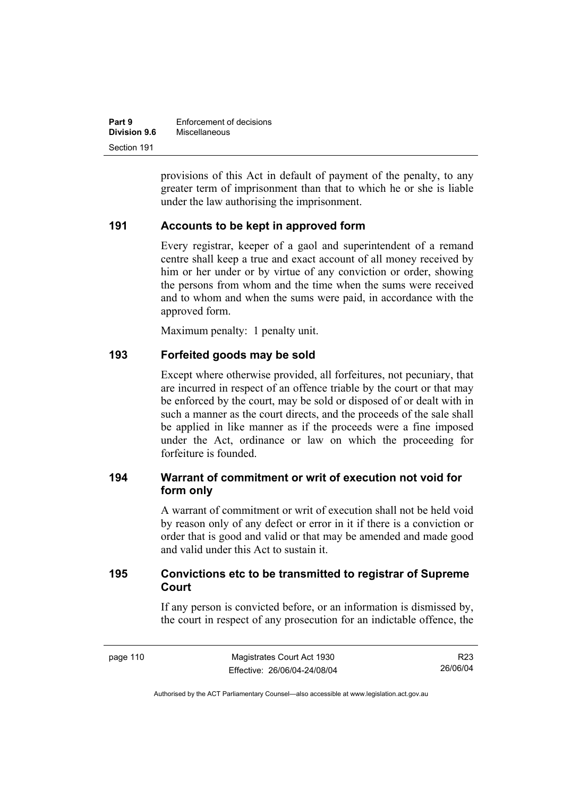| Part 9              | Enforcement of decisions |
|---------------------|--------------------------|
| <b>Division 9.6</b> | Miscellaneous            |
| Section 191         |                          |

provisions of this Act in default of payment of the penalty, to any greater term of imprisonment than that to which he or she is liable under the law authorising the imprisonment.

#### **191 Accounts to be kept in approved form**

Every registrar, keeper of a gaol and superintendent of a remand centre shall keep a true and exact account of all money received by him or her under or by virtue of any conviction or order, showing the persons from whom and the time when the sums were received and to whom and when the sums were paid, in accordance with the approved form.

Maximum penalty: 1 penalty unit.

#### **193 Forfeited goods may be sold**

Except where otherwise provided, all forfeitures, not pecuniary, that are incurred in respect of an offence triable by the court or that may be enforced by the court, may be sold or disposed of or dealt with in such a manner as the court directs, and the proceeds of the sale shall be applied in like manner as if the proceeds were a fine imposed under the Act, ordinance or law on which the proceeding for forfeiture is founded.

# **194 Warrant of commitment or writ of execution not void for form only**

A warrant of commitment or writ of execution shall not be held void by reason only of any defect or error in it if there is a conviction or order that is good and valid or that may be amended and made good and valid under this Act to sustain it.

# **195 Convictions etc to be transmitted to registrar of Supreme Court**

If any person is convicted before, or an information is dismissed by, the court in respect of any prosecution for an indictable offence, the

R23 26/06/04

Authorised by the ACT Parliamentary Counsel—also accessible at www.legislation.act.gov.au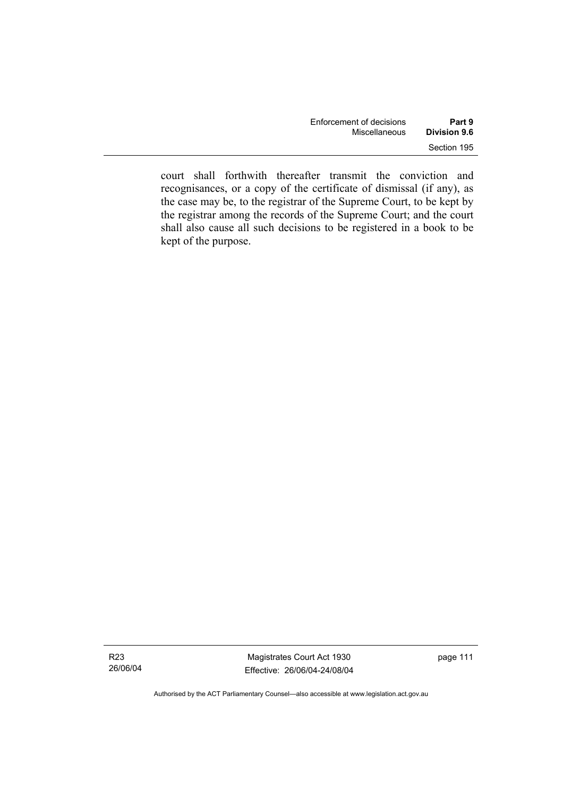| Enforcement of decisions | Part 9       |
|--------------------------|--------------|
| Miscellaneous            | Division 9.6 |
|                          | Section 195  |

court shall forthwith thereafter transmit the conviction and recognisances, or a copy of the certificate of dismissal (if any), as the case may be, to the registrar of the Supreme Court, to be kept by the registrar among the records of the Supreme Court; and the court shall also cause all such decisions to be registered in a book to be kept of the purpose.

Authorised by the ACT Parliamentary Counsel—also accessible at www.legislation.act.gov.au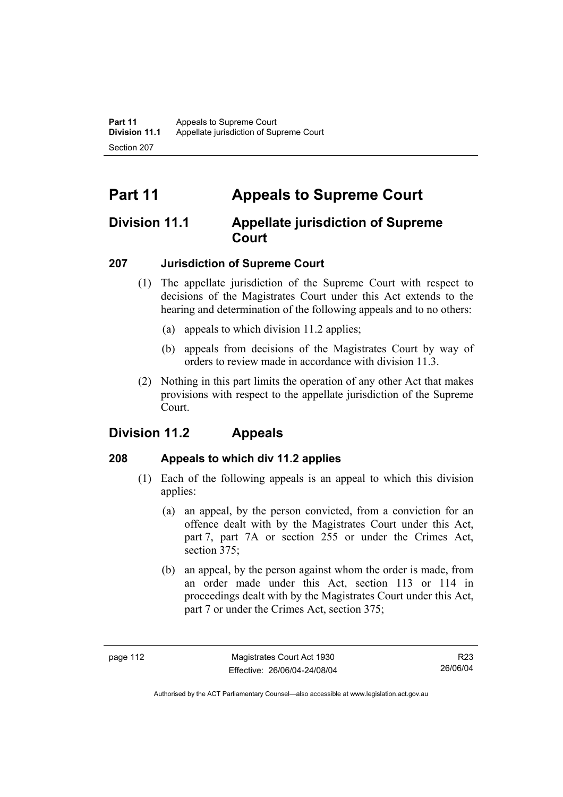# **Part 11 Appeals to Supreme Court**

# **Division 11.1 Appellate jurisdiction of Supreme Court**

# **207 Jurisdiction of Supreme Court**

- (1) The appellate jurisdiction of the Supreme Court with respect to decisions of the Magistrates Court under this Act extends to the hearing and determination of the following appeals and to no others:
	- (a) appeals to which division 11.2 applies;
	- (b) appeals from decisions of the Magistrates Court by way of orders to review made in accordance with division 11.3.
- (2) Nothing in this part limits the operation of any other Act that makes provisions with respect to the appellate jurisdiction of the Supreme Court.

# **Division 11.2 Appeals**

# **208 Appeals to which div 11.2 applies**

- (1) Each of the following appeals is an appeal to which this division applies:
	- (a) an appeal, by the person convicted, from a conviction for an offence dealt with by the Magistrates Court under this Act, part 7, part 7A or section 255 or under the Crimes Act, section 375:
	- (b) an appeal, by the person against whom the order is made, from an order made under this Act, section 113 or 114 in proceedings dealt with by the Magistrates Court under this Act, part 7 or under the Crimes Act, section 375;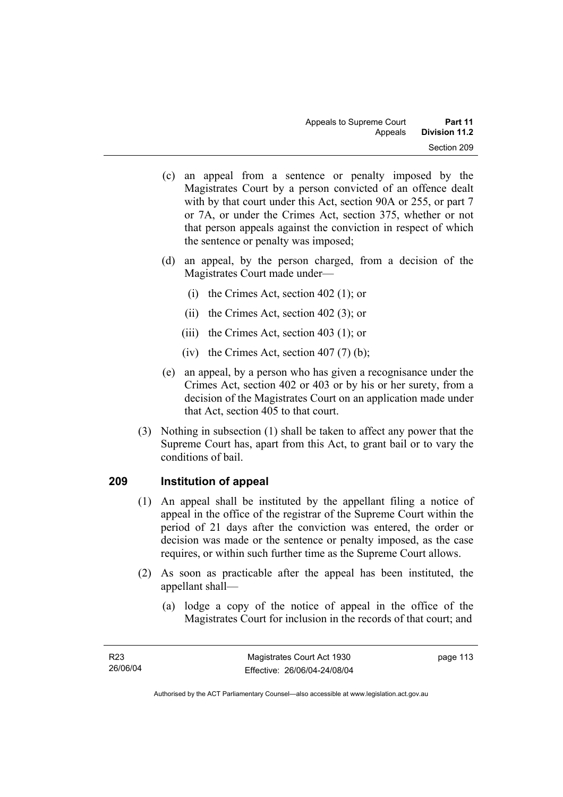- (c) an appeal from a sentence or penalty imposed by the Magistrates Court by a person convicted of an offence dealt with by that court under this Act, section 90A or 255, or part 7 or 7A, or under the Crimes Act, section 375, whether or not that person appeals against the conviction in respect of which the sentence or penalty was imposed;
- (d) an appeal, by the person charged, from a decision of the Magistrates Court made under—
	- (i) the Crimes Act, section 402 (1); or
	- (ii) the Crimes Act, section 402 (3); or
	- (iii) the Crimes Act, section 403 (1); or
	- (iv) the Crimes Act, section  $407(7)$  (b);
- (e) an appeal, by a person who has given a recognisance under the Crimes Act, section 402 or 403 or by his or her surety, from a decision of the Magistrates Court on an application made under that Act, section 405 to that court.
- (3) Nothing in subsection (1) shall be taken to affect any power that the Supreme Court has, apart from this Act, to grant bail or to vary the conditions of bail.

# **209 Institution of appeal**

- (1) An appeal shall be instituted by the appellant filing a notice of appeal in the office of the registrar of the Supreme Court within the period of 21 days after the conviction was entered, the order or decision was made or the sentence or penalty imposed, as the case requires, or within such further time as the Supreme Court allows.
- (2) As soon as practicable after the appeal has been instituted, the appellant shall—
	- (a) lodge a copy of the notice of appeal in the office of the Magistrates Court for inclusion in the records of that court; and

page 113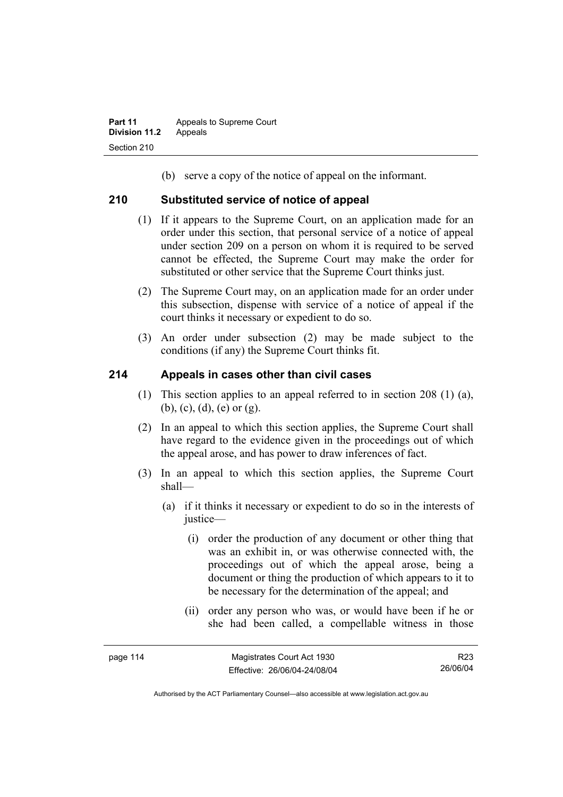(b) serve a copy of the notice of appeal on the informant.

#### **210 Substituted service of notice of appeal**

- (1) If it appears to the Supreme Court, on an application made for an order under this section, that personal service of a notice of appeal under section 209 on a person on whom it is required to be served cannot be effected, the Supreme Court may make the order for substituted or other service that the Supreme Court thinks just.
- (2) The Supreme Court may, on an application made for an order under this subsection, dispense with service of a notice of appeal if the court thinks it necessary or expedient to do so.
- (3) An order under subsection (2) may be made subject to the conditions (if any) the Supreme Court thinks fit.

#### **214 Appeals in cases other than civil cases**

- (1) This section applies to an appeal referred to in section 208 (1) (a), (b), (c), (d), (e) or (g).
- (2) In an appeal to which this section applies, the Supreme Court shall have regard to the evidence given in the proceedings out of which the appeal arose, and has power to draw inferences of fact.
- (3) In an appeal to which this section applies, the Supreme Court shall—
	- (a) if it thinks it necessary or expedient to do so in the interests of justice—
		- (i) order the production of any document or other thing that was an exhibit in, or was otherwise connected with, the proceedings out of which the appeal arose, being a document or thing the production of which appears to it to be necessary for the determination of the appeal; and
		- (ii) order any person who was, or would have been if he or she had been called, a compellable witness in those

R23 26/06/04

Authorised by the ACT Parliamentary Counsel—also accessible at www.legislation.act.gov.au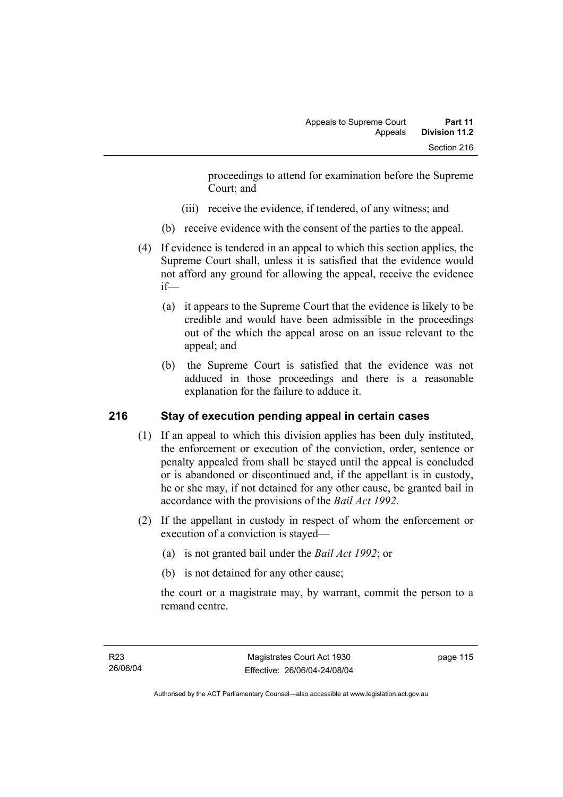proceedings to attend for examination before the Supreme Court; and

- (iii) receive the evidence, if tendered, of any witness; and
- (b) receive evidence with the consent of the parties to the appeal.
- (4) If evidence is tendered in an appeal to which this section applies, the Supreme Court shall, unless it is satisfied that the evidence would not afford any ground for allowing the appeal, receive the evidence if—
	- (a) it appears to the Supreme Court that the evidence is likely to be credible and would have been admissible in the proceedings out of the which the appeal arose on an issue relevant to the appeal; and
	- (b) the Supreme Court is satisfied that the evidence was not adduced in those proceedings and there is a reasonable explanation for the failure to adduce it.

# **216 Stay of execution pending appeal in certain cases**

- (1) If an appeal to which this division applies has been duly instituted, the enforcement or execution of the conviction, order, sentence or penalty appealed from shall be stayed until the appeal is concluded or is abandoned or discontinued and, if the appellant is in custody, he or she may, if not detained for any other cause, be granted bail in accordance with the provisions of the *Bail Act 1992*.
- (2) If the appellant in custody in respect of whom the enforcement or execution of a conviction is stayed—
	- (a) is not granted bail under the *Bail Act 1992*; or
	- (b) is not detained for any other cause;

the court or a magistrate may, by warrant, commit the person to a remand centre.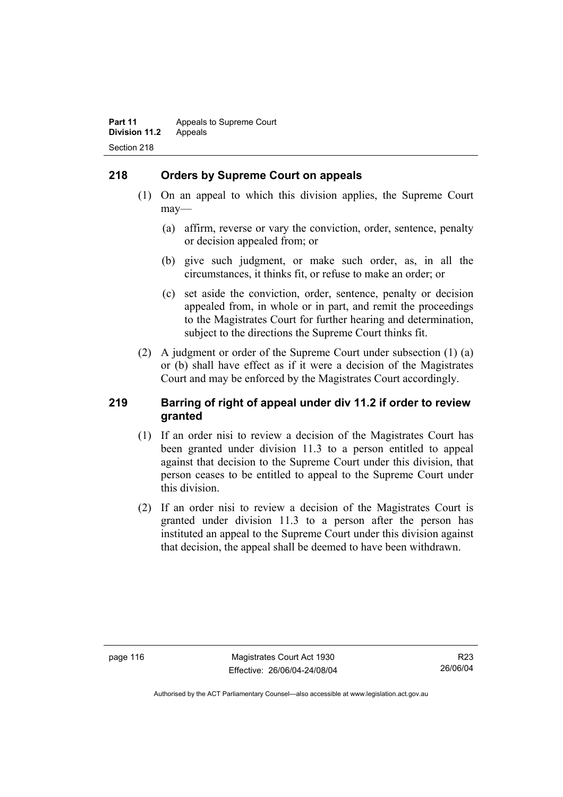# **218 Orders by Supreme Court on appeals**

- (1) On an appeal to which this division applies, the Supreme Court may—
	- (a) affirm, reverse or vary the conviction, order, sentence, penalty or decision appealed from; or
	- (b) give such judgment, or make such order, as, in all the circumstances, it thinks fit, or refuse to make an order; or
	- (c) set aside the conviction, order, sentence, penalty or decision appealed from, in whole or in part, and remit the proceedings to the Magistrates Court for further hearing and determination, subject to the directions the Supreme Court thinks fit.
- (2) A judgment or order of the Supreme Court under subsection (1) (a) or (b) shall have effect as if it were a decision of the Magistrates Court and may be enforced by the Magistrates Court accordingly.

#### **219 Barring of right of appeal under div 11.2 if order to review granted**

- (1) If an order nisi to review a decision of the Magistrates Court has been granted under division 11.3 to a person entitled to appeal against that decision to the Supreme Court under this division, that person ceases to be entitled to appeal to the Supreme Court under this division.
- (2) If an order nisi to review a decision of the Magistrates Court is granted under division 11.3 to a person after the person has instituted an appeal to the Supreme Court under this division against that decision, the appeal shall be deemed to have been withdrawn.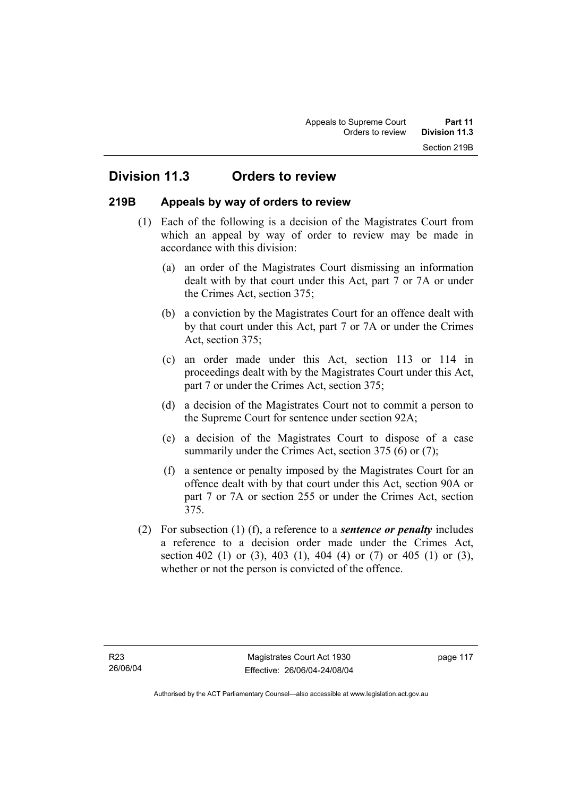# **Division 11.3 Orders to review**

#### **219B Appeals by way of orders to review**

- (1) Each of the following is a decision of the Magistrates Court from which an appeal by way of order to review may be made in accordance with this division:
	- (a) an order of the Magistrates Court dismissing an information dealt with by that court under this Act, part 7 or 7A or under the Crimes Act, section 375;
	- (b) a conviction by the Magistrates Court for an offence dealt with by that court under this Act, part 7 or 7A or under the Crimes Act, section 375;
	- (c) an order made under this Act, section 113 or 114 in proceedings dealt with by the Magistrates Court under this Act, part 7 or under the Crimes Act, section 375;
	- (d) a decision of the Magistrates Court not to commit a person to the Supreme Court for sentence under section 92A;
	- (e) a decision of the Magistrates Court to dispose of a case summarily under the Crimes Act, section 375 (6) or (7);
	- (f) a sentence or penalty imposed by the Magistrates Court for an offence dealt with by that court under this Act, section 90A or part 7 or 7A or section 255 or under the Crimes Act, section 375.
- (2) For subsection (1) (f), a reference to a *sentence or penalty* includes a reference to a decision order made under the Crimes Act, section 402 (1) or (3), 403 (1), 404 (4) or (7) or 405 (1) or (3), whether or not the person is convicted of the offence.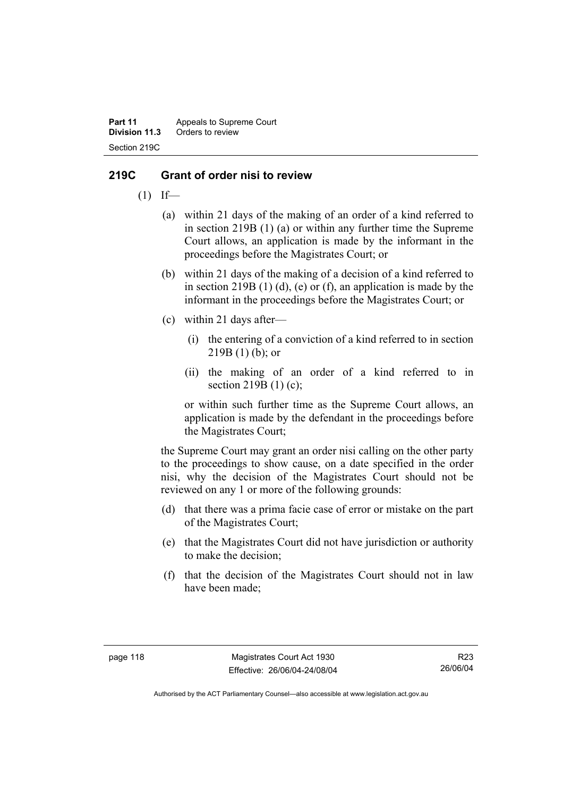**Part 11** Appeals to Supreme Court<br>**Division 11.3** Orders to review **Division 11.3** Orders to review Section 219C

#### **219C Grant of order nisi to review**

- $(1)$  If—
	- (a) within 21 days of the making of an order of a kind referred to in section 219B (1) (a) or within any further time the Supreme Court allows, an application is made by the informant in the proceedings before the Magistrates Court; or
	- (b) within 21 days of the making of a decision of a kind referred to in section 219B  $(1)$   $(d)$ ,  $(e)$  or  $(f)$ , an application is made by the informant in the proceedings before the Magistrates Court; or
	- (c) within 21 days after—
		- (i) the entering of a conviction of a kind referred to in section  $219B(1)$  (b); or
		- (ii) the making of an order of a kind referred to in section 219B (1) (c);

or within such further time as the Supreme Court allows, an application is made by the defendant in the proceedings before the Magistrates Court;

the Supreme Court may grant an order nisi calling on the other party to the proceedings to show cause, on a date specified in the order nisi, why the decision of the Magistrates Court should not be reviewed on any 1 or more of the following grounds:

- (d) that there was a prima facie case of error or mistake on the part of the Magistrates Court;
- (e) that the Magistrates Court did not have jurisdiction or authority to make the decision;
- (f) that the decision of the Magistrates Court should not in law have been made;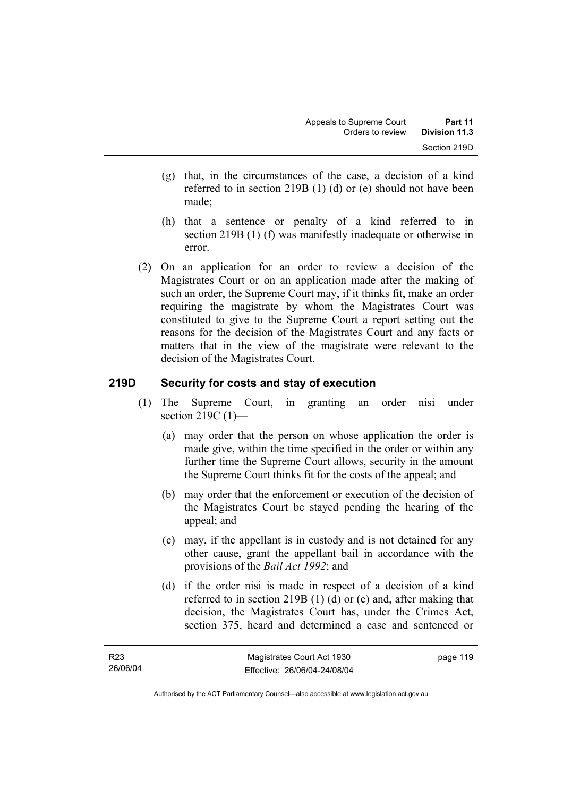- (g) that, in the circumstances of the case, a decision of a kind referred to in section 219B (1) (d) or (e) should not have been made;
- (h) that a sentence or penalty of a kind referred to in section 219B (1) (f) was manifestly inadequate or otherwise in error.
- (2) On an application for an order to review a decision of the Magistrates Court or on an application made after the making of such an order, the Supreme Court may, if it thinks fit, make an order requiring the magistrate by whom the Magistrates Court was constituted to give to the Supreme Court a report setting out the reasons for the decision of the Magistrates Court and any facts or matters that in the view of the magistrate were relevant to the decision of the Magistrates Court.

#### **219D Security for costs and stay of execution**

- (1) The Supreme Court, in granting an order nisi under section 219C (1)-
	- (a) may order that the person on whose application the order is made give, within the time specified in the order or within any further time the Supreme Court allows, security in the amount the Supreme Court thinks fit for the costs of the appeal; and
	- (b) may order that the enforcement or execution of the decision of the Magistrates Court be stayed pending the hearing of the appeal; and
	- (c) may, if the appellant is in custody and is not detained for any other cause, grant the appellant bail in accordance with the provisions of the *Bail Act 1992*; and
	- (d) if the order nisi is made in respect of a decision of a kind referred to in section 219B (1) (d) or (e) and, after making that decision, the Magistrates Court has, under the Crimes Act, section 375, heard and determined a case and sentenced or

page 119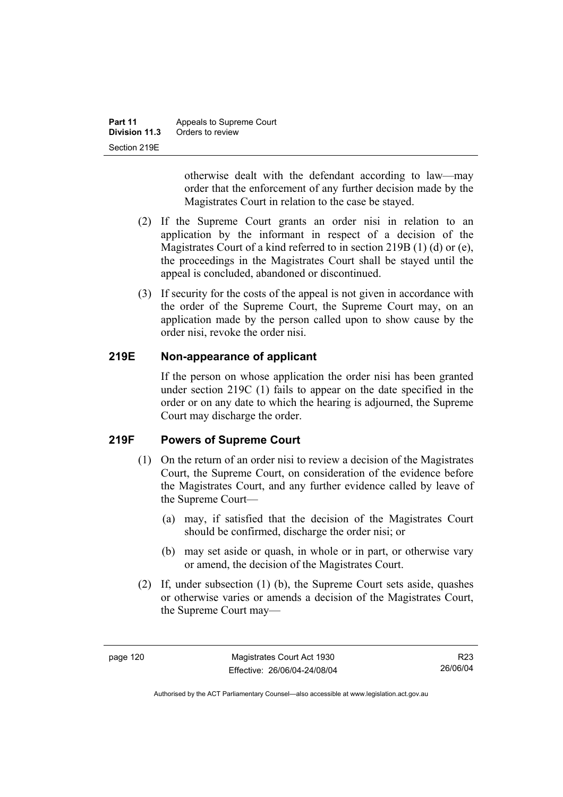| Part 11       | Appeals to Supreme Court |
|---------------|--------------------------|
| Division 11.3 | Orders to review         |
| Section 219E  |                          |

otherwise dealt with the defendant according to law—may order that the enforcement of any further decision made by the Magistrates Court in relation to the case be stayed.

- (2) If the Supreme Court grants an order nisi in relation to an application by the informant in respect of a decision of the Magistrates Court of a kind referred to in section 219B (1) (d) or (e), the proceedings in the Magistrates Court shall be stayed until the appeal is concluded, abandoned or discontinued.
- (3) If security for the costs of the appeal is not given in accordance with the order of the Supreme Court, the Supreme Court may, on an application made by the person called upon to show cause by the order nisi, revoke the order nisi.

# **219E Non-appearance of applicant**

If the person on whose application the order nisi has been granted under section 219C (1) fails to appear on the date specified in the order or on any date to which the hearing is adjourned, the Supreme Court may discharge the order.

# **219F Powers of Supreme Court**

- (1) On the return of an order nisi to review a decision of the Magistrates Court, the Supreme Court, on consideration of the evidence before the Magistrates Court, and any further evidence called by leave of the Supreme Court—
	- (a) may, if satisfied that the decision of the Magistrates Court should be confirmed, discharge the order nisi; or
	- (b) may set aside or quash, in whole or in part, or otherwise vary or amend, the decision of the Magistrates Court.
- (2) If, under subsection (1) (b), the Supreme Court sets aside, quashes or otherwise varies or amends a decision of the Magistrates Court, the Supreme Court may—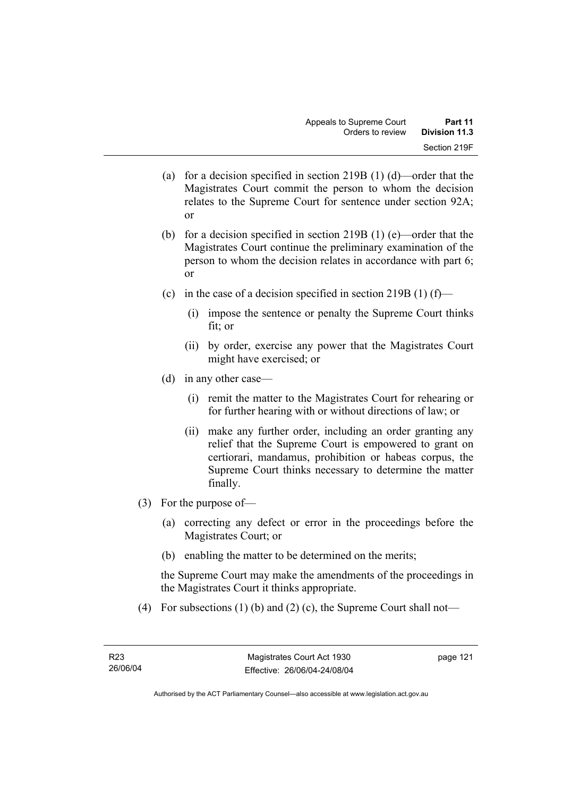- (a) for a decision specified in section 219B (1) (d)—order that the Magistrates Court commit the person to whom the decision relates to the Supreme Court for sentence under section 92A; or
- (b) for a decision specified in section 219B (1) (e)—order that the Magistrates Court continue the preliminary examination of the person to whom the decision relates in accordance with part 6; or
- (c) in the case of a decision specified in section 219B (1) (f)—
	- (i) impose the sentence or penalty the Supreme Court thinks fit; or
	- (ii) by order, exercise any power that the Magistrates Court might have exercised; or
- (d) in any other case—
	- (i) remit the matter to the Magistrates Court for rehearing or for further hearing with or without directions of law; or
	- (ii) make any further order, including an order granting any relief that the Supreme Court is empowered to grant on certiorari, mandamus, prohibition or habeas corpus, the Supreme Court thinks necessary to determine the matter finally.
- (3) For the purpose of—
	- (a) correcting any defect or error in the proceedings before the Magistrates Court; or
	- (b) enabling the matter to be determined on the merits;

the Supreme Court may make the amendments of the proceedings in the Magistrates Court it thinks appropriate.

(4) For subsections (1) (b) and (2) (c), the Supreme Court shall not—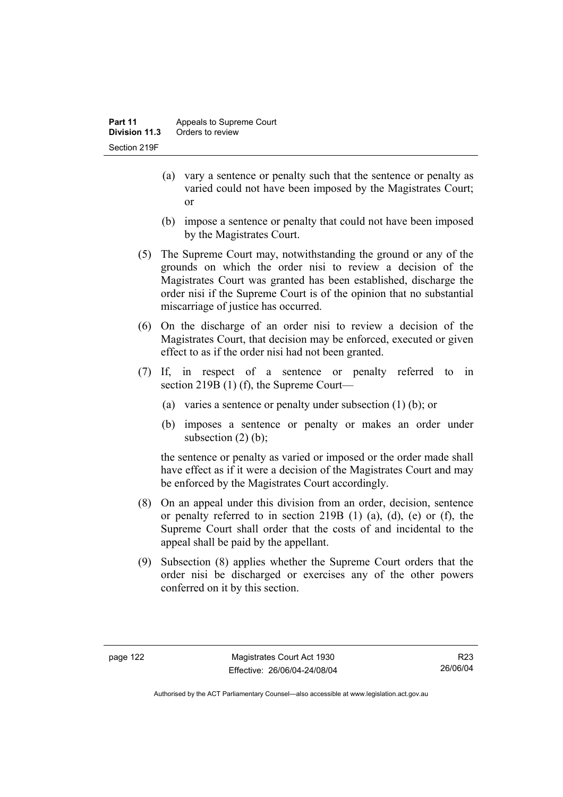- (a) vary a sentence or penalty such that the sentence or penalty as varied could not have been imposed by the Magistrates Court; or
- (b) impose a sentence or penalty that could not have been imposed by the Magistrates Court.
- (5) The Supreme Court may, notwithstanding the ground or any of the grounds on which the order nisi to review a decision of the Magistrates Court was granted has been established, discharge the order nisi if the Supreme Court is of the opinion that no substantial miscarriage of justice has occurred.
- (6) On the discharge of an order nisi to review a decision of the Magistrates Court, that decision may be enforced, executed or given effect to as if the order nisi had not been granted.
- (7) If, in respect of a sentence or penalty referred to in section 219B (1) (f), the Supreme Court—
	- (a) varies a sentence or penalty under subsection (1) (b); or
	- (b) imposes a sentence or penalty or makes an order under subsection  $(2)$  (b);

the sentence or penalty as varied or imposed or the order made shall have effect as if it were a decision of the Magistrates Court and may be enforced by the Magistrates Court accordingly.

- (8) On an appeal under this division from an order, decision, sentence or penalty referred to in section 219B  $(1)$   $(a)$ ,  $(d)$ ,  $(e)$  or  $(f)$ , the Supreme Court shall order that the costs of and incidental to the appeal shall be paid by the appellant.
- (9) Subsection (8) applies whether the Supreme Court orders that the order nisi be discharged or exercises any of the other powers conferred on it by this section.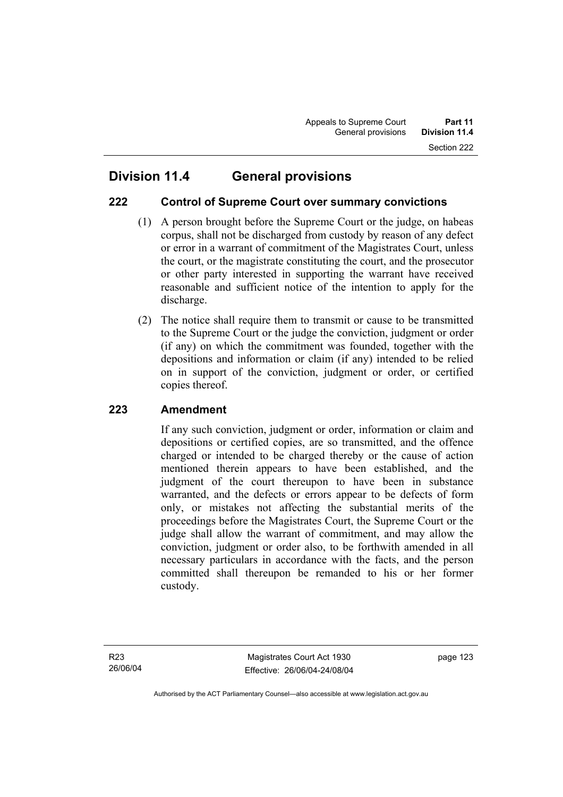# **222 Control of Supreme Court over summary convictions**

- (1) A person brought before the Supreme Court or the judge, on habeas corpus, shall not be discharged from custody by reason of any defect or error in a warrant of commitment of the Magistrates Court, unless the court, or the magistrate constituting the court, and the prosecutor or other party interested in supporting the warrant have received reasonable and sufficient notice of the intention to apply for the discharge.
- (2) The notice shall require them to transmit or cause to be transmitted to the Supreme Court or the judge the conviction, judgment or order (if any) on which the commitment was founded, together with the depositions and information or claim (if any) intended to be relied on in support of the conviction, judgment or order, or certified copies thereof.

# **223 Amendment**

If any such conviction, judgment or order, information or claim and depositions or certified copies, are so transmitted, and the offence charged or intended to be charged thereby or the cause of action mentioned therein appears to have been established, and the judgment of the court thereupon to have been in substance warranted, and the defects or errors appear to be defects of form only, or mistakes not affecting the substantial merits of the proceedings before the Magistrates Court, the Supreme Court or the judge shall allow the warrant of commitment, and may allow the conviction, judgment or order also, to be forthwith amended in all necessary particulars in accordance with the facts, and the person committed shall thereupon be remanded to his or her former custody.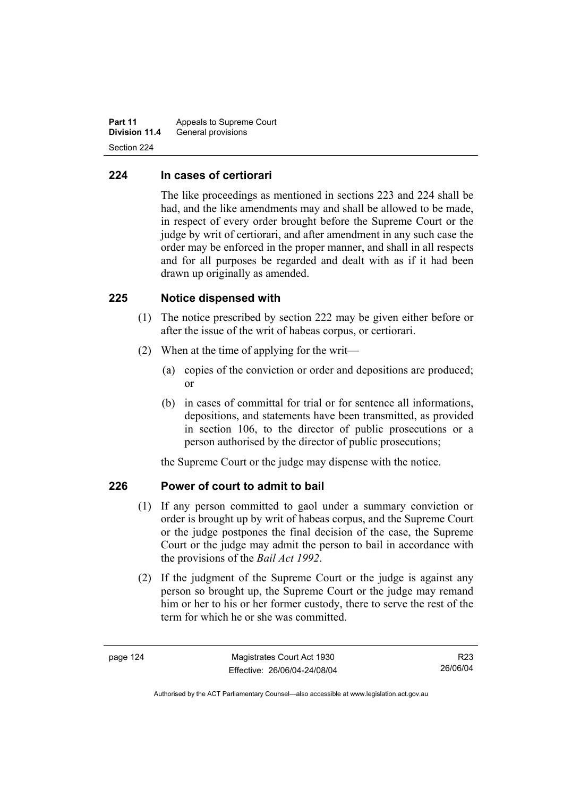**Part 11** Appeals to Supreme Court **Division 11.4** General provisions Section 224

#### **224 In cases of certiorari**

The like proceedings as mentioned in sections 223 and 224 shall be had, and the like amendments may and shall be allowed to be made, in respect of every order brought before the Supreme Court or the judge by writ of certiorari, and after amendment in any such case the order may be enforced in the proper manner, and shall in all respects and for all purposes be regarded and dealt with as if it had been drawn up originally as amended.

#### **225 Notice dispensed with**

- (1) The notice prescribed by section 222 may be given either before or after the issue of the writ of habeas corpus, or certiorari.
- (2) When at the time of applying for the writ—
	- (a) copies of the conviction or order and depositions are produced; or
	- (b) in cases of committal for trial or for sentence all informations, depositions, and statements have been transmitted, as provided in section 106, to the director of public prosecutions or a person authorised by the director of public prosecutions;

the Supreme Court or the judge may dispense with the notice.

# **226 Power of court to admit to bail**

- (1) If any person committed to gaol under a summary conviction or order is brought up by writ of habeas corpus, and the Supreme Court or the judge postpones the final decision of the case, the Supreme Court or the judge may admit the person to bail in accordance with the provisions of the *Bail Act 1992*.
- (2) If the judgment of the Supreme Court or the judge is against any person so brought up, the Supreme Court or the judge may remand him or her to his or her former custody, there to serve the rest of the term for which he or she was committed.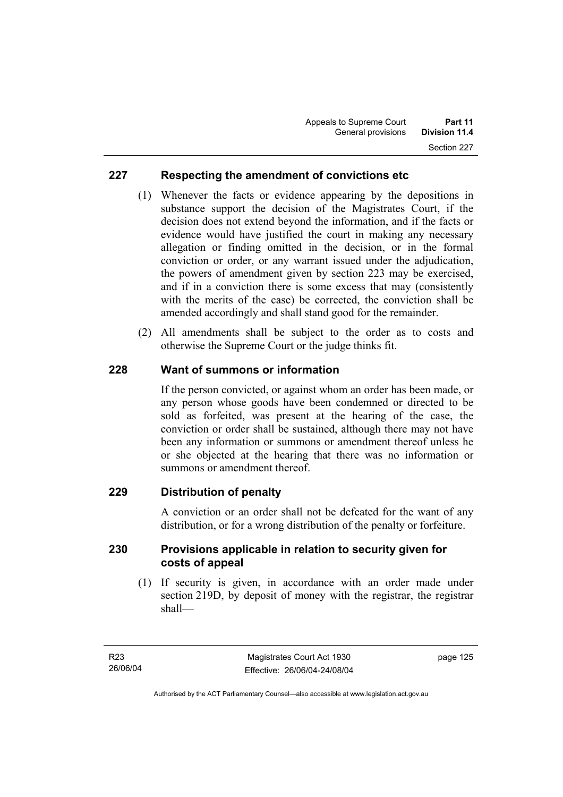# **227 Respecting the amendment of convictions etc**

- (1) Whenever the facts or evidence appearing by the depositions in substance support the decision of the Magistrates Court, if the decision does not extend beyond the information, and if the facts or evidence would have justified the court in making any necessary allegation or finding omitted in the decision, or in the formal conviction or order, or any warrant issued under the adjudication, the powers of amendment given by section 223 may be exercised, and if in a conviction there is some excess that may (consistently with the merits of the case) be corrected, the conviction shall be amended accordingly and shall stand good for the remainder.
- (2) All amendments shall be subject to the order as to costs and otherwise the Supreme Court or the judge thinks fit.

# **228 Want of summons or information**

If the person convicted, or against whom an order has been made, or any person whose goods have been condemned or directed to be sold as forfeited, was present at the hearing of the case, the conviction or order shall be sustained, although there may not have been any information or summons or amendment thereof unless he or she objected at the hearing that there was no information or summons or amendment thereof.

# **229 Distribution of penalty**

A conviction or an order shall not be defeated for the want of any distribution, or for a wrong distribution of the penalty or forfeiture.

#### **230 Provisions applicable in relation to security given for costs of appeal**

 (1) If security is given, in accordance with an order made under section 219D, by deposit of money with the registrar, the registrar shall—

page 125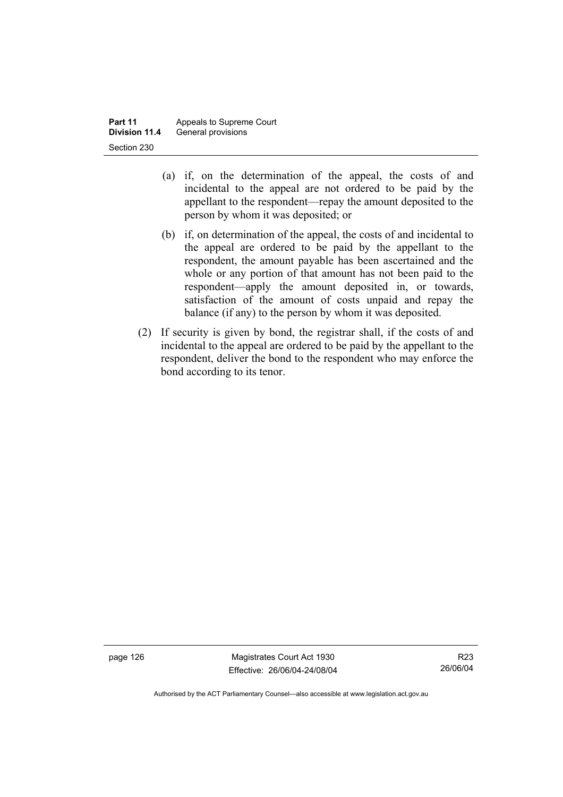- (a) if, on the determination of the appeal, the costs of and incidental to the appeal are not ordered to be paid by the appellant to the respondent—repay the amount deposited to the person by whom it was deposited; or
- (b) if, on determination of the appeal, the costs of and incidental to the appeal are ordered to be paid by the appellant to the respondent, the amount payable has been ascertained and the whole or any portion of that amount has not been paid to the respondent—apply the amount deposited in, or towards, satisfaction of the amount of costs unpaid and repay the balance (if any) to the person by whom it was deposited.
- (2) If security is given by bond, the registrar shall, if the costs of and incidental to the appeal are ordered to be paid by the appellant to the respondent, deliver the bond to the respondent who may enforce the bond according to its tenor.

page 126 Magistrates Court Act 1930 Effective: 26/06/04-24/08/04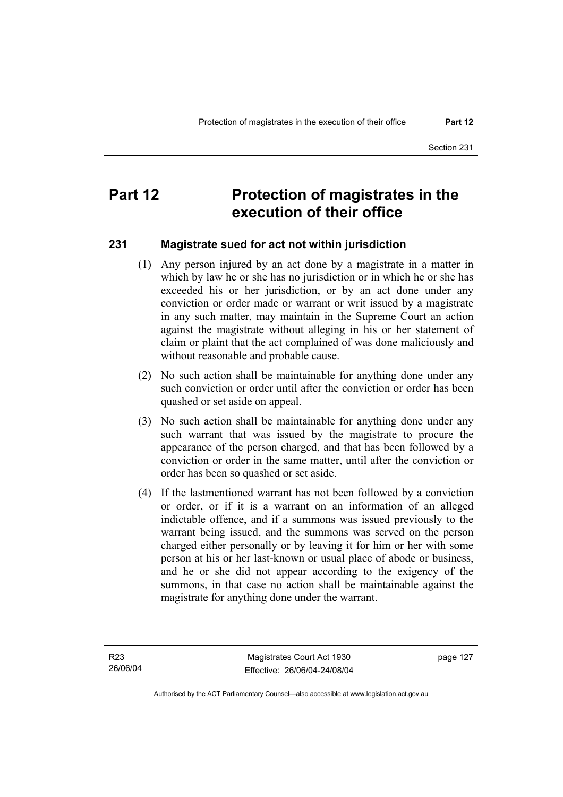# **Part 12** Protection of magistrates in the **execution of their office**

#### **231 Magistrate sued for act not within jurisdiction**

- (1) Any person injured by an act done by a magistrate in a matter in which by law he or she has no jurisdiction or in which he or she has exceeded his or her jurisdiction, or by an act done under any conviction or order made or warrant or writ issued by a magistrate in any such matter, may maintain in the Supreme Court an action against the magistrate without alleging in his or her statement of claim or plaint that the act complained of was done maliciously and without reasonable and probable cause.
- (2) No such action shall be maintainable for anything done under any such conviction or order until after the conviction or order has been quashed or set aside on appeal.
- (3) No such action shall be maintainable for anything done under any such warrant that was issued by the magistrate to procure the appearance of the person charged, and that has been followed by a conviction or order in the same matter, until after the conviction or order has been so quashed or set aside.
- (4) If the lastmentioned warrant has not been followed by a conviction or order, or if it is a warrant on an information of an alleged indictable offence, and if a summons was issued previously to the warrant being issued, and the summons was served on the person charged either personally or by leaving it for him or her with some person at his or her last-known or usual place of abode or business, and he or she did not appear according to the exigency of the summons, in that case no action shall be maintainable against the magistrate for anything done under the warrant.

page 127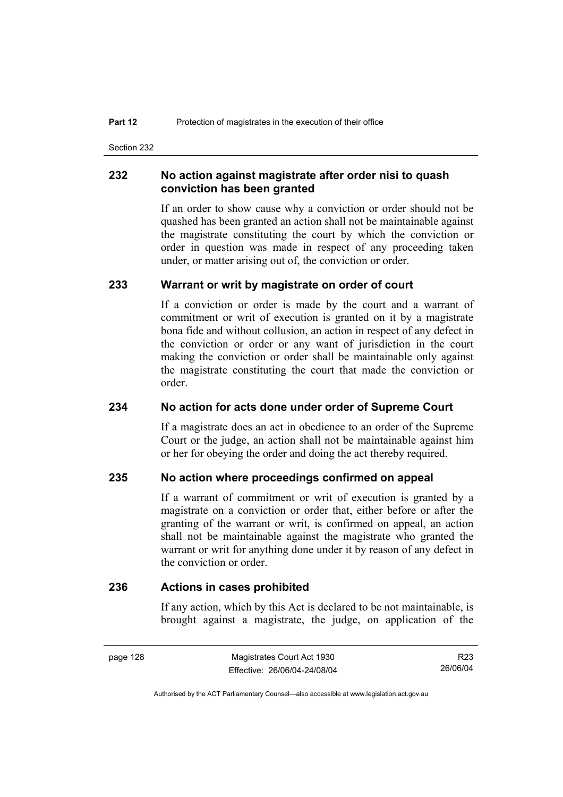Section 232

#### **232 No action against magistrate after order nisi to quash conviction has been granted**

If an order to show cause why a conviction or order should not be quashed has been granted an action shall not be maintainable against the magistrate constituting the court by which the conviction or order in question was made in respect of any proceeding taken under, or matter arising out of, the conviction or order.

#### **233 Warrant or writ by magistrate on order of court**

If a conviction or order is made by the court and a warrant of commitment or writ of execution is granted on it by a magistrate bona fide and without collusion, an action in respect of any defect in the conviction or order or any want of jurisdiction in the court making the conviction or order shall be maintainable only against the magistrate constituting the court that made the conviction or order.

#### **234 No action for acts done under order of Supreme Court**

If a magistrate does an act in obedience to an order of the Supreme Court or the judge, an action shall not be maintainable against him or her for obeying the order and doing the act thereby required.

#### **235 No action where proceedings confirmed on appeal**

If a warrant of commitment or writ of execution is granted by a magistrate on a conviction or order that, either before or after the granting of the warrant or writ, is confirmed on appeal, an action shall not be maintainable against the magistrate who granted the warrant or writ for anything done under it by reason of any defect in the conviction or order.

#### **236 Actions in cases prohibited**

If any action, which by this Act is declared to be not maintainable, is brought against a magistrate, the judge, on application of the

R23 26/06/04

Authorised by the ACT Parliamentary Counsel—also accessible at www.legislation.act.gov.au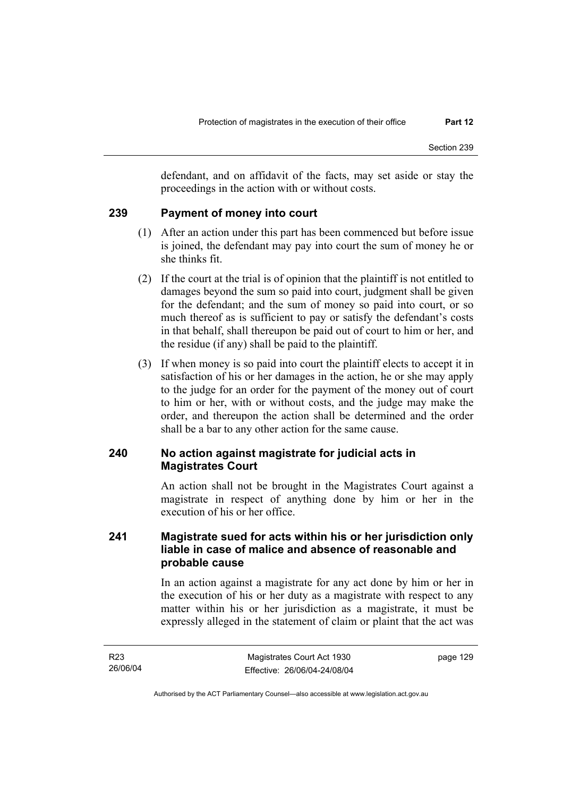defendant, and on affidavit of the facts, may set aside or stay the proceedings in the action with or without costs.

# **239 Payment of money into court**

- (1) After an action under this part has been commenced but before issue is joined, the defendant may pay into court the sum of money he or she thinks fit.
- (2) If the court at the trial is of opinion that the plaintiff is not entitled to damages beyond the sum so paid into court, judgment shall be given for the defendant; and the sum of money so paid into court, or so much thereof as is sufficient to pay or satisfy the defendant's costs in that behalf, shall thereupon be paid out of court to him or her, and the residue (if any) shall be paid to the plaintiff.
- (3) If when money is so paid into court the plaintiff elects to accept it in satisfaction of his or her damages in the action, he or she may apply to the judge for an order for the payment of the money out of court to him or her, with or without costs, and the judge may make the order, and thereupon the action shall be determined and the order shall be a bar to any other action for the same cause.

# **240 No action against magistrate for judicial acts in Magistrates Court**

An action shall not be brought in the Magistrates Court against a magistrate in respect of anything done by him or her in the execution of his or her office.

# **241 Magistrate sued for acts within his or her jurisdiction only liable in case of malice and absence of reasonable and probable cause**

In an action against a magistrate for any act done by him or her in the execution of his or her duty as a magistrate with respect to any matter within his or her jurisdiction as a magistrate, it must be expressly alleged in the statement of claim or plaint that the act was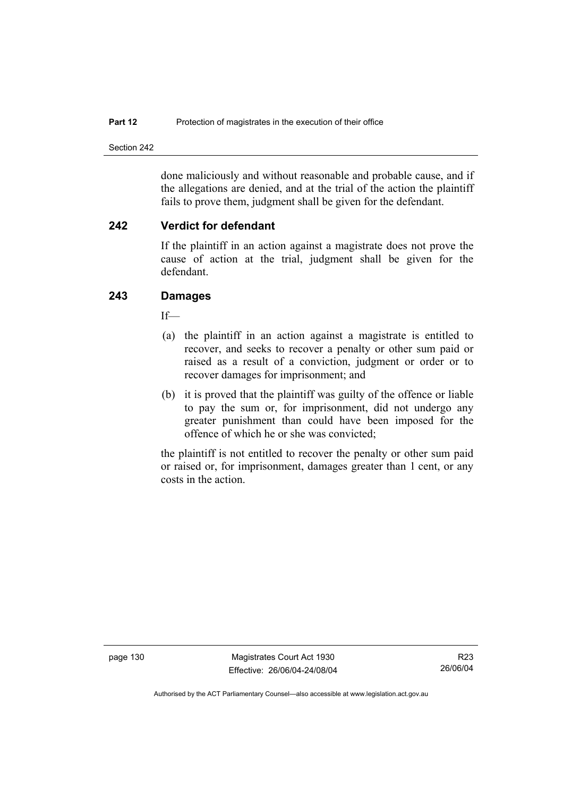Section 242

done maliciously and without reasonable and probable cause, and if the allegations are denied, and at the trial of the action the plaintiff fails to prove them, judgment shall be given for the defendant.

#### **242 Verdict for defendant**

If the plaintiff in an action against a magistrate does not prove the cause of action at the trial, judgment shall be given for the defendant.

# **243 Damages**

If—

- (a) the plaintiff in an action against a magistrate is entitled to recover, and seeks to recover a penalty or other sum paid or raised as a result of a conviction, judgment or order or to recover damages for imprisonment; and
- (b) it is proved that the plaintiff was guilty of the offence or liable to pay the sum or, for imprisonment, did not undergo any greater punishment than could have been imposed for the offence of which he or she was convicted;

the plaintiff is not entitled to recover the penalty or other sum paid or raised or, for imprisonment, damages greater than 1 cent, or any costs in the action.

page 130 Magistrates Court Act 1930 Effective: 26/06/04-24/08/04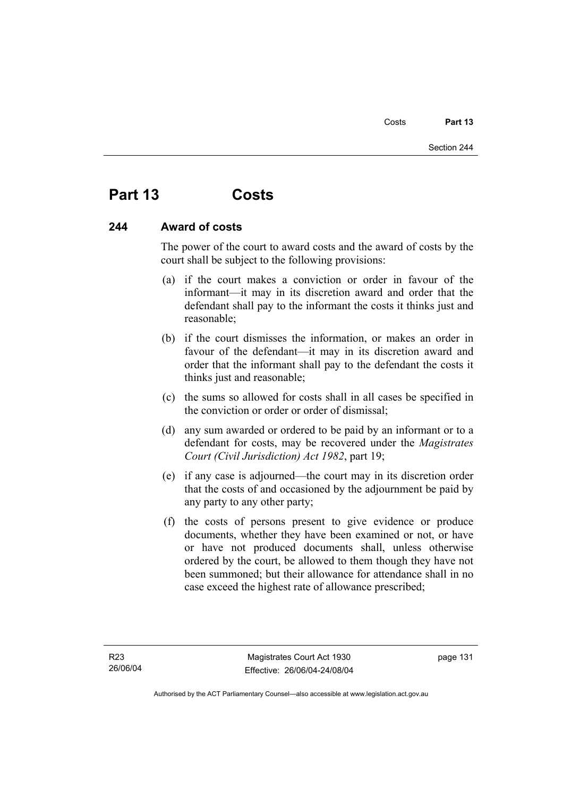# **Part 13 Costs**

# **244 Award of costs**

The power of the court to award costs and the award of costs by the court shall be subject to the following provisions:

- (a) if the court makes a conviction or order in favour of the informant—it may in its discretion award and order that the defendant shall pay to the informant the costs it thinks just and reasonable;
- (b) if the court dismisses the information, or makes an order in favour of the defendant—it may in its discretion award and order that the informant shall pay to the defendant the costs it thinks just and reasonable;
- (c) the sums so allowed for costs shall in all cases be specified in the conviction or order or order of dismissal;
- (d) any sum awarded or ordered to be paid by an informant or to a defendant for costs, may be recovered under the *Magistrates Court (Civil Jurisdiction) Act 1982*, part 19;
- (e) if any case is adjourned—the court may in its discretion order that the costs of and occasioned by the adjournment be paid by any party to any other party;
- (f) the costs of persons present to give evidence or produce documents, whether they have been examined or not, or have or have not produced documents shall, unless otherwise ordered by the court, be allowed to them though they have not been summoned; but their allowance for attendance shall in no case exceed the highest rate of allowance prescribed;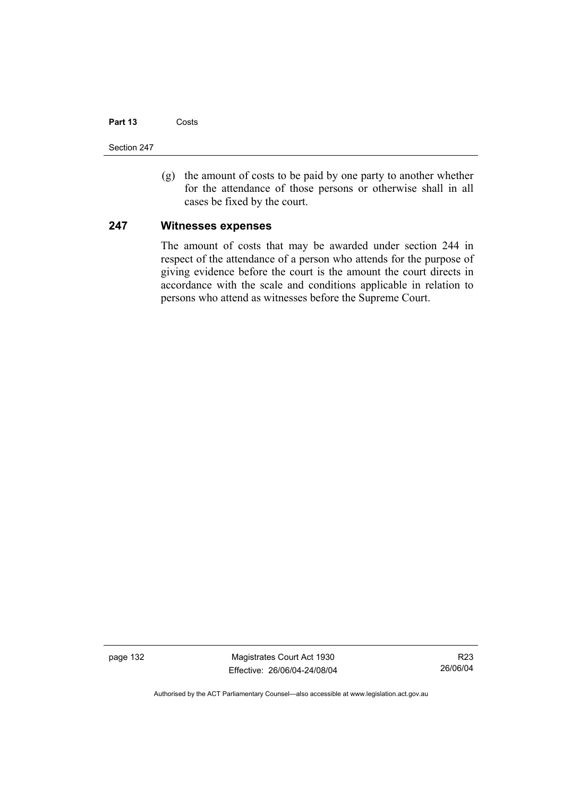## **Part 13** Costs

Section 247

 (g) the amount of costs to be paid by one party to another whether for the attendance of those persons or otherwise shall in all cases be fixed by the court.

## **247 Witnesses expenses**

The amount of costs that may be awarded under section 244 in respect of the attendance of a person who attends for the purpose of giving evidence before the court is the amount the court directs in accordance with the scale and conditions applicable in relation to persons who attend as witnesses before the Supreme Court.

page 132 Magistrates Court Act 1930 Effective: 26/06/04-24/08/04

R23 26/06/04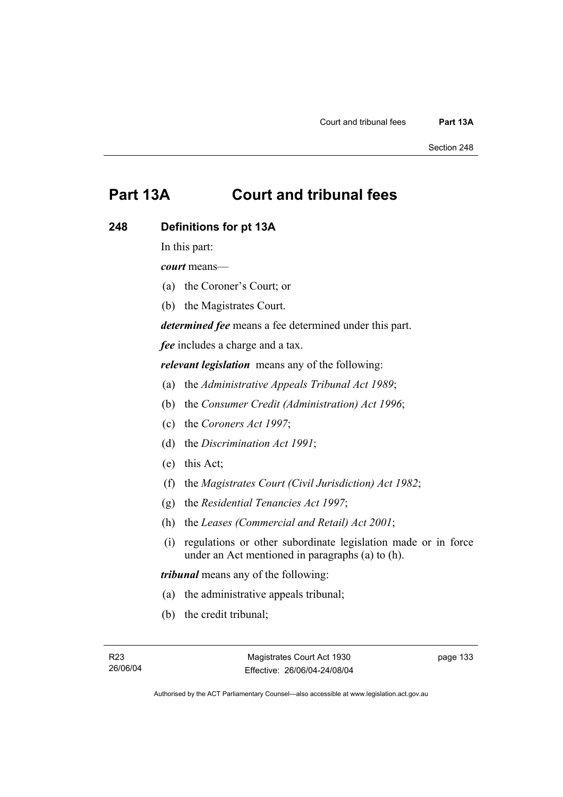# **Part 13A Court and tribunal fees**

# **248 Definitions for pt 13A**

In this part:

*court* means—

- (a) the Coroner's Court; or
- (b) the Magistrates Court.

*determined fee* means a fee determined under this part.

*fee* includes a charge and a tax.

*relevant legislation* means any of the following:

- (a) the *Administrative Appeals Tribunal Act 1989*;
- (b) the *Consumer Credit (Administration) Act 1996*;
- (c) the *Coroners Act 1997*;
- (d) the *Discrimination Act 1991*;
- (e) this Act;
- (f) the *Magistrates Court (Civil Jurisdiction) Act 1982*;
- (g) the *Residential Tenancies Act 1997*;
- (h) the *Leases (Commercial and Retail) Act 2001*;
- (i) regulations or other subordinate legislation made or in force under an Act mentioned in paragraphs (a) to (h).

*tribunal* means any of the following:

- (a) the administrative appeals tribunal;
- (b) the credit tribunal;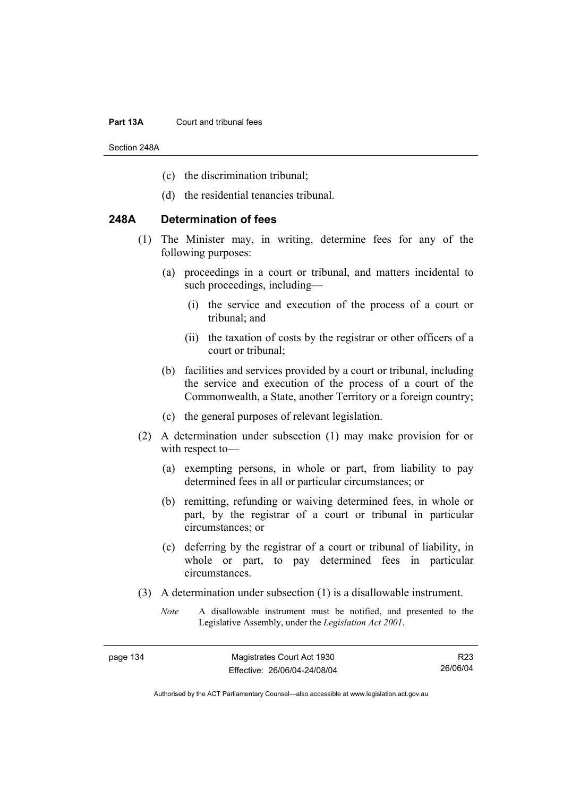#### **Part 13A** Court and tribunal fees

Section 248A

- (c) the discrimination tribunal;
- (d) the residential tenancies tribunal.

# **248A Determination of fees**

- (1) The Minister may, in writing, determine fees for any of the following purposes:
	- (a) proceedings in a court or tribunal, and matters incidental to such proceedings, including—
		- (i) the service and execution of the process of a court or tribunal; and
		- (ii) the taxation of costs by the registrar or other officers of a court or tribunal;
	- (b) facilities and services provided by a court or tribunal, including the service and execution of the process of a court of the Commonwealth, a State, another Territory or a foreign country;
	- (c) the general purposes of relevant legislation.
- (2) A determination under subsection (1) may make provision for or with respect to—
	- (a) exempting persons, in whole or part, from liability to pay determined fees in all or particular circumstances; or
	- (b) remitting, refunding or waiving determined fees, in whole or part, by the registrar of a court or tribunal in particular circumstances; or
	- (c) deferring by the registrar of a court or tribunal of liability, in whole or part, to pay determined fees in particular circumstances.
- (3) A determination under subsection (1) is a disallowable instrument.
	- *Note* A disallowable instrument must be notified, and presented to the Legislative Assembly, under the *Legislation Act 2001*.

R23 26/06/04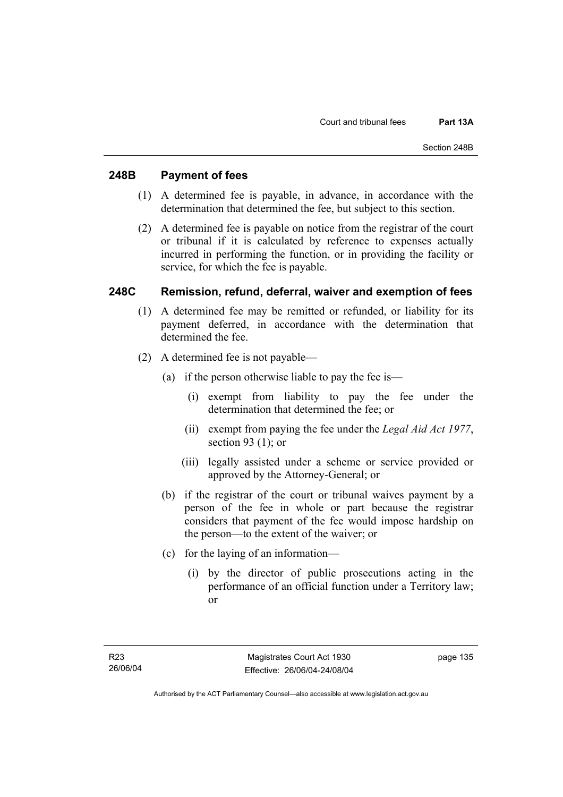# **248B Payment of fees**

- (1) A determined fee is payable, in advance, in accordance with the determination that determined the fee, but subject to this section.
- (2) A determined fee is payable on notice from the registrar of the court or tribunal if it is calculated by reference to expenses actually incurred in performing the function, or in providing the facility or service, for which the fee is payable.

# **248C Remission, refund, deferral, waiver and exemption of fees**

- (1) A determined fee may be remitted or refunded, or liability for its payment deferred, in accordance with the determination that determined the fee.
- (2) A determined fee is not payable—
	- (a) if the person otherwise liable to pay the fee is—
		- (i) exempt from liability to pay the fee under the determination that determined the fee; or
		- (ii) exempt from paying the fee under the *Legal Aid Act 1977*, section 93 (1); or
		- (iii) legally assisted under a scheme or service provided or approved by the Attorney-General; or
	- (b) if the registrar of the court or tribunal waives payment by a person of the fee in whole or part because the registrar considers that payment of the fee would impose hardship on the person—to the extent of the waiver; or
	- (c) for the laying of an information—
		- (i) by the director of public prosecutions acting in the performance of an official function under a Territory law; or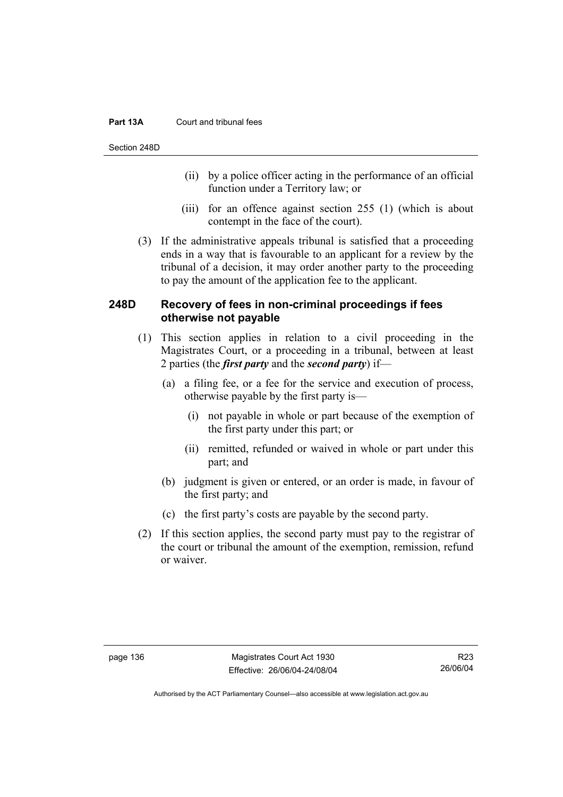## **Part 13A** Court and tribunal fees

Section 248D

- (ii) by a police officer acting in the performance of an official function under a Territory law; or
- (iii) for an offence against section 255 (1) (which is about contempt in the face of the court).
- (3) If the administrative appeals tribunal is satisfied that a proceeding ends in a way that is favourable to an applicant for a review by the tribunal of a decision, it may order another party to the proceeding to pay the amount of the application fee to the applicant.

# **248D Recovery of fees in non-criminal proceedings if fees otherwise not payable**

- (1) This section applies in relation to a civil proceeding in the Magistrates Court, or a proceeding in a tribunal, between at least 2 parties (the *first party* and the *second party*) if—
	- (a) a filing fee, or a fee for the service and execution of process, otherwise payable by the first party is—
		- (i) not payable in whole or part because of the exemption of the first party under this part; or
		- (ii) remitted, refunded or waived in whole or part under this part; and
	- (b) judgment is given or entered, or an order is made, in favour of the first party; and
	- (c) the first party's costs are payable by the second party.
- (2) If this section applies, the second party must pay to the registrar of the court or tribunal the amount of the exemption, remission, refund or waiver.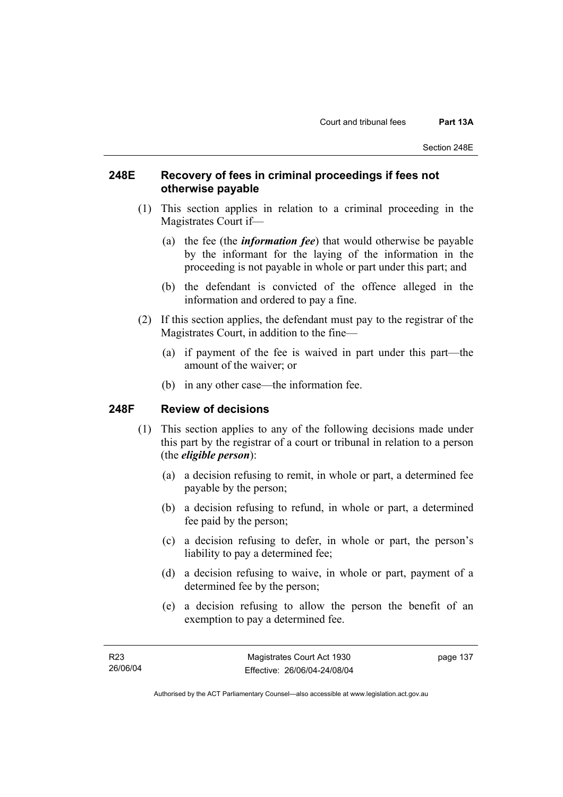# **248E Recovery of fees in criminal proceedings if fees not otherwise payable**

- (1) This section applies in relation to a criminal proceeding in the Magistrates Court if—
	- (a) the fee (the *information fee*) that would otherwise be payable by the informant for the laying of the information in the proceeding is not payable in whole or part under this part; and
	- (b) the defendant is convicted of the offence alleged in the information and ordered to pay a fine.
- (2) If this section applies, the defendant must pay to the registrar of the Magistrates Court, in addition to the fine—
	- (a) if payment of the fee is waived in part under this part—the amount of the waiver; or
	- (b) in any other case—the information fee.

# **248F Review of decisions**

- (1) This section applies to any of the following decisions made under this part by the registrar of a court or tribunal in relation to a person (the *eligible person*):
	- (a) a decision refusing to remit, in whole or part, a determined fee payable by the person;
	- (b) a decision refusing to refund, in whole or part, a determined fee paid by the person;
	- (c) a decision refusing to defer, in whole or part, the person's liability to pay a determined fee;
	- (d) a decision refusing to waive, in whole or part, payment of a determined fee by the person;
	- (e) a decision refusing to allow the person the benefit of an exemption to pay a determined fee.

Authorised by the ACT Parliamentary Counsel—also accessible at www.legislation.act.gov.au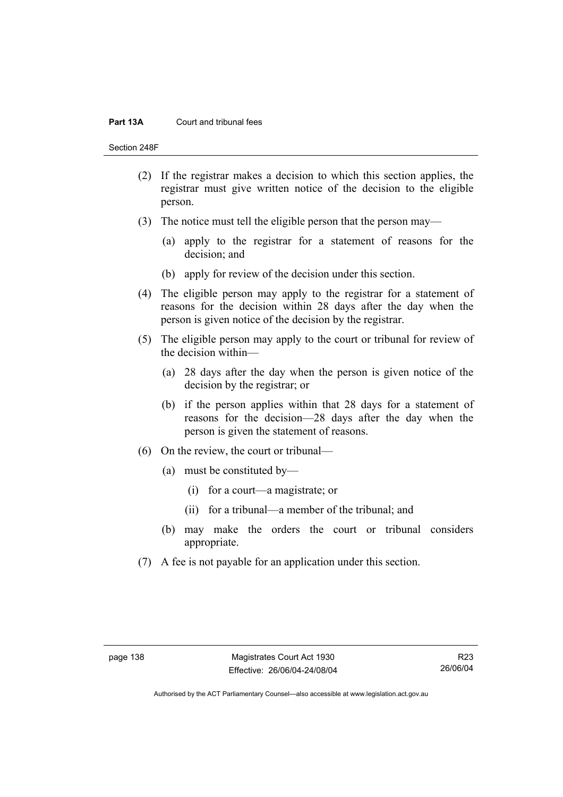#### **Part 13A** Court and tribunal fees

Section 248F

- (2) If the registrar makes a decision to which this section applies, the registrar must give written notice of the decision to the eligible person.
- (3) The notice must tell the eligible person that the person may—
	- (a) apply to the registrar for a statement of reasons for the decision; and
	- (b) apply for review of the decision under this section.
- (4) The eligible person may apply to the registrar for a statement of reasons for the decision within 28 days after the day when the person is given notice of the decision by the registrar.
- (5) The eligible person may apply to the court or tribunal for review of the decision within—
	- (a) 28 days after the day when the person is given notice of the decision by the registrar; or
	- (b) if the person applies within that 28 days for a statement of reasons for the decision—28 days after the day when the person is given the statement of reasons.
- (6) On the review, the court or tribunal—
	- (a) must be constituted by—
		- (i) for a court—a magistrate; or
		- (ii) for a tribunal—a member of the tribunal; and
	- (b) may make the orders the court or tribunal considers appropriate.
- (7) A fee is not payable for an application under this section.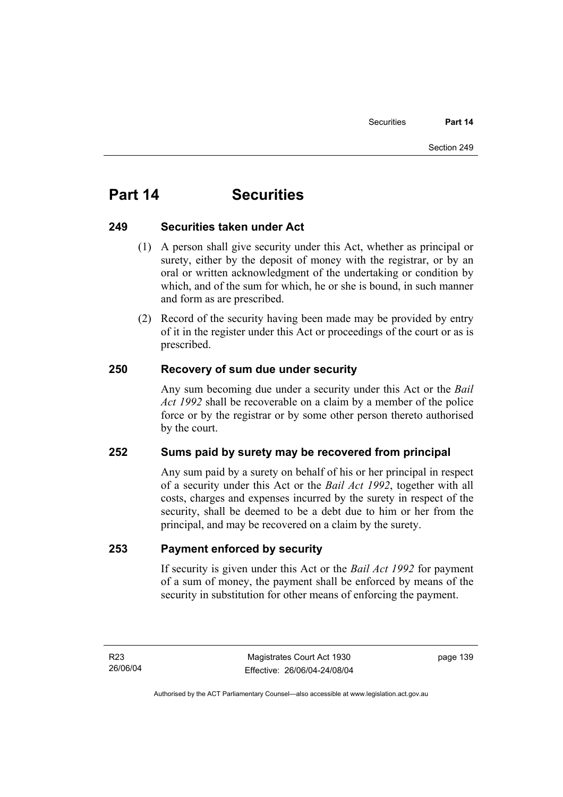# **Part 14 Securities**

# **249 Securities taken under Act**

- (1) A person shall give security under this Act, whether as principal or surety, either by the deposit of money with the registrar, or by an oral or written acknowledgment of the undertaking or condition by which, and of the sum for which, he or she is bound, in such manner and form as are prescribed.
- (2) Record of the security having been made may be provided by entry of it in the register under this Act or proceedings of the court or as is prescribed.

# **250 Recovery of sum due under security**

Any sum becoming due under a security under this Act or the *Bail Act 1992* shall be recoverable on a claim by a member of the police force or by the registrar or by some other person thereto authorised by the court.

# **252 Sums paid by surety may be recovered from principal**

Any sum paid by a surety on behalf of his or her principal in respect of a security under this Act or the *Bail Act 1992*, together with all costs, charges and expenses incurred by the surety in respect of the security, shall be deemed to be a debt due to him or her from the principal, and may be recovered on a claim by the surety.

# **253 Payment enforced by security**

If security is given under this Act or the *Bail Act 1992* for payment of a sum of money, the payment shall be enforced by means of the security in substitution for other means of enforcing the payment.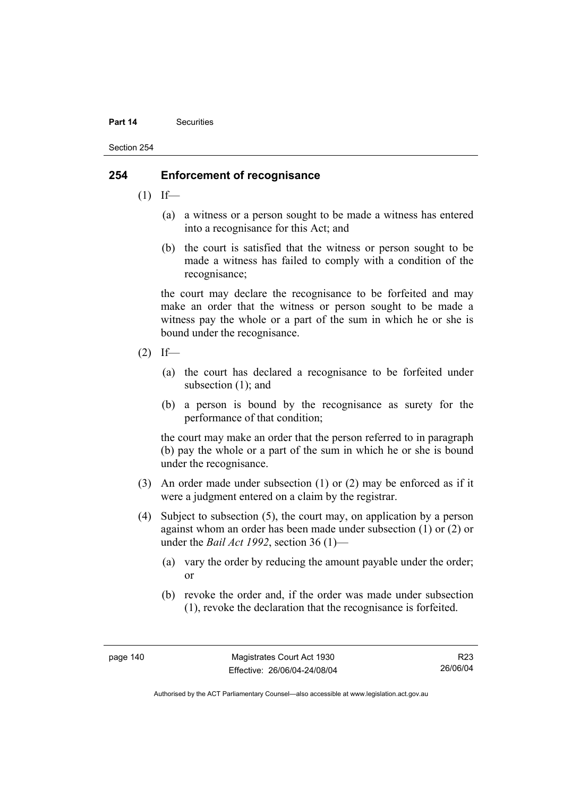#### **Part 14** Securities

Section 254

# **254 Enforcement of recognisance**

- $(1)$  If—
	- (a) a witness or a person sought to be made a witness has entered into a recognisance for this Act; and
	- (b) the court is satisfied that the witness or person sought to be made a witness has failed to comply with a condition of the recognisance;

the court may declare the recognisance to be forfeited and may make an order that the witness or person sought to be made a witness pay the whole or a part of the sum in which he or she is bound under the recognisance.

- $(2)$  If—
	- (a) the court has declared a recognisance to be forfeited under subsection (1); and
	- (b) a person is bound by the recognisance as surety for the performance of that condition;

the court may make an order that the person referred to in paragraph (b) pay the whole or a part of the sum in which he or she is bound under the recognisance.

- (3) An order made under subsection (1) or (2) may be enforced as if it were a judgment entered on a claim by the registrar.
- (4) Subject to subsection (5), the court may, on application by a person against whom an order has been made under subsection (1) or (2) or under the *Bail Act 1992*, section 36 (1)—
	- (a) vary the order by reducing the amount payable under the order; or
	- (b) revoke the order and, if the order was made under subsection (1), revoke the declaration that the recognisance is forfeited.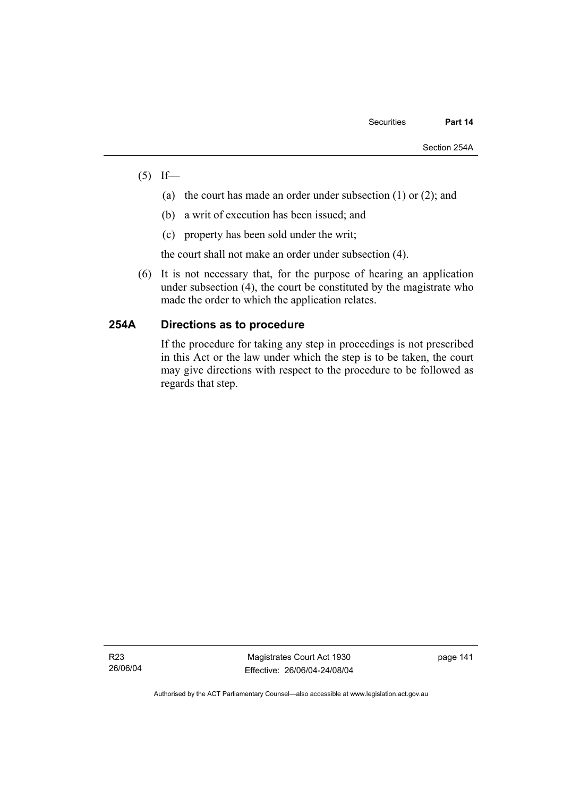- $(5)$  If—
	- (a) the court has made an order under subsection (1) or (2); and
	- (b) a writ of execution has been issued; and
	- (c) property has been sold under the writ;

the court shall not make an order under subsection (4).

 (6) It is not necessary that, for the purpose of hearing an application under subsection (4), the court be constituted by the magistrate who made the order to which the application relates.

# **254A Directions as to procedure**

If the procedure for taking any step in proceedings is not prescribed in this Act or the law under which the step is to be taken, the court may give directions with respect to the procedure to be followed as regards that step.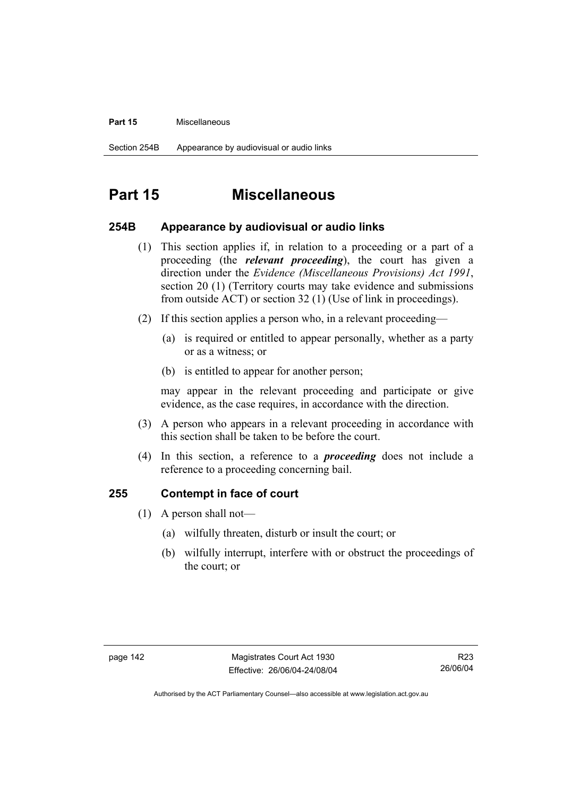#### **Part 15** Miscellaneous

# **Part 15 Miscellaneous**

## **254B Appearance by audiovisual or audio links**

- (1) This section applies if, in relation to a proceeding or a part of a proceeding (the *relevant proceeding*), the court has given a direction under the *Evidence (Miscellaneous Provisions) Act 1991*, section 20 (1) (Territory courts may take evidence and submissions from outside ACT) or section 32 (1) (Use of link in proceedings).
- (2) If this section applies a person who, in a relevant proceeding—
	- (a) is required or entitled to appear personally, whether as a party or as a witness; or
	- (b) is entitled to appear for another person;

may appear in the relevant proceeding and participate or give evidence, as the case requires, in accordance with the direction.

- (3) A person who appears in a relevant proceeding in accordance with this section shall be taken to be before the court.
- (4) In this section, a reference to a *proceeding* does not include a reference to a proceeding concerning bail.

## **255 Contempt in face of court**

- (1) A person shall not—
	- (a) wilfully threaten, disturb or insult the court; or
	- (b) wilfully interrupt, interfere with or obstruct the proceedings of the court; or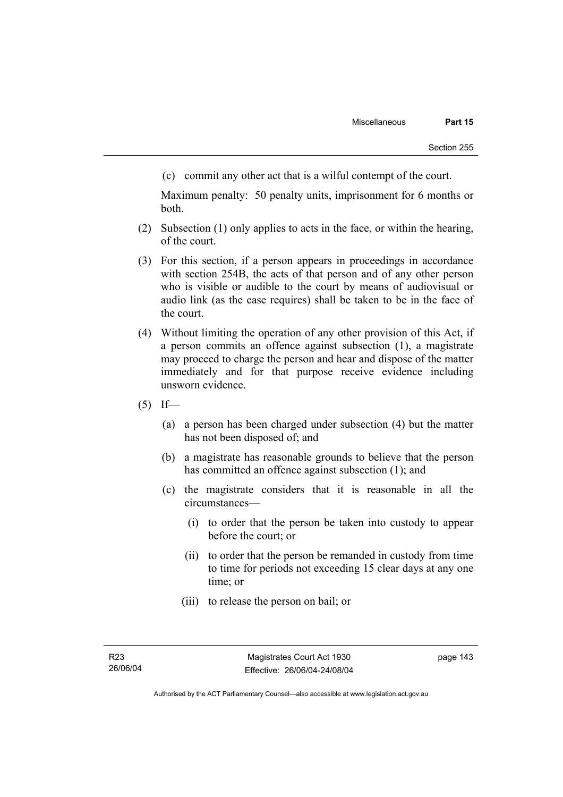(c) commit any other act that is a wilful contempt of the court.

Maximum penalty: 50 penalty units, imprisonment for 6 months or both.

- (2) Subsection (1) only applies to acts in the face, or within the hearing, of the court.
- (3) For this section, if a person appears in proceedings in accordance with section 254B, the acts of that person and of any other person who is visible or audible to the court by means of audiovisual or audio link (as the case requires) shall be taken to be in the face of the court.
- (4) Without limiting the operation of any other provision of this Act, if a person commits an offence against subsection (1), a magistrate may proceed to charge the person and hear and dispose of the matter immediately and for that purpose receive evidence including unsworn evidence.
- $(5)$  If—
	- (a) a person has been charged under subsection (4) but the matter has not been disposed of; and
	- (b) a magistrate has reasonable grounds to believe that the person has committed an offence against subsection (1); and
	- (c) the magistrate considers that it is reasonable in all the circumstances—
		- (i) to order that the person be taken into custody to appear before the court; or
		- (ii) to order that the person be remanded in custody from time to time for periods not exceeding 15 clear days at any one time; or
		- (iii) to release the person on bail; or

Authorised by the ACT Parliamentary Counsel—also accessible at www.legislation.act.gov.au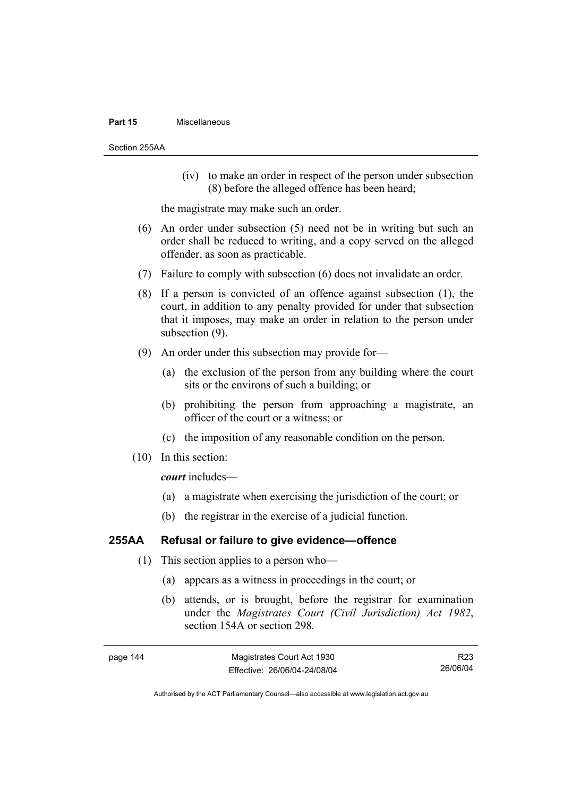#### **Part 15** Miscellaneous

Section 255AA

 (iv) to make an order in respect of the person under subsection (8) before the alleged offence has been heard;

the magistrate may make such an order.

- (6) An order under subsection (5) need not be in writing but such an order shall be reduced to writing, and a copy served on the alleged offender, as soon as practicable.
- (7) Failure to comply with subsection (6) does not invalidate an order.
- (8) If a person is convicted of an offence against subsection (1), the court, in addition to any penalty provided for under that subsection that it imposes, may make an order in relation to the person under subsection (9).
- (9) An order under this subsection may provide for—
	- (a) the exclusion of the person from any building where the court sits or the environs of such a building; or
	- (b) prohibiting the person from approaching a magistrate, an officer of the court or a witness; or
	- (c) the imposition of any reasonable condition on the person.
- (10) In this section:

*court* includes—

- (a) a magistrate when exercising the jurisdiction of the court; or
- (b) the registrar in the exercise of a judicial function.

# **255AA Refusal or failure to give evidence—offence**

- (1) This section applies to a person who—
	- (a) appears as a witness in proceedings in the court; or
	- (b) attends, or is brought, before the registrar for examination under the *Magistrates Court (Civil Jurisdiction) Act 1982*, section 154A or section 298*.*

R23 26/06/04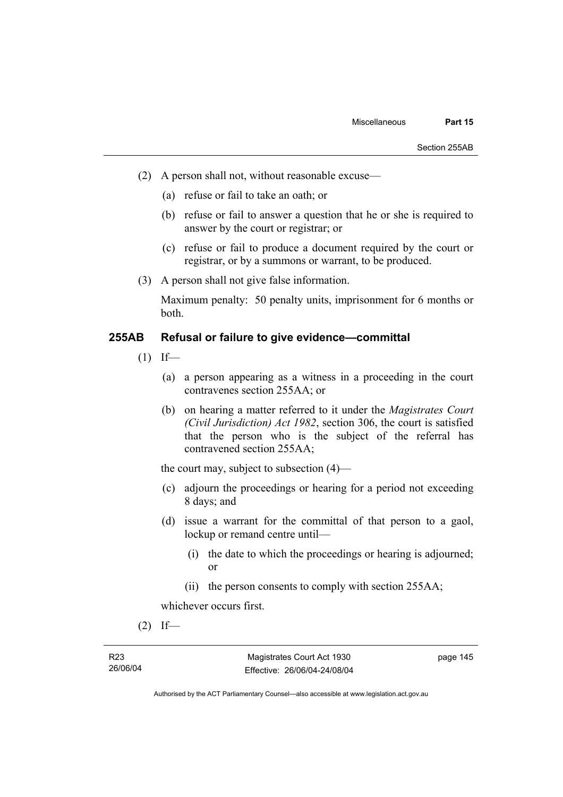- (2) A person shall not, without reasonable excuse—
	- (a) refuse or fail to take an oath; or
	- (b) refuse or fail to answer a question that he or she is required to answer by the court or registrar; or
	- (c) refuse or fail to produce a document required by the court or registrar, or by a summons or warrant, to be produced.
- (3) A person shall not give false information.

Maximum penalty: 50 penalty units, imprisonment for 6 months or both.

# **255AB Refusal or failure to give evidence—committal**

- $(1)$  If—
	- (a) a person appearing as a witness in a proceeding in the court contravenes section 255AA; or
	- (b) on hearing a matter referred to it under the *Magistrates Court (Civil Jurisdiction) Act 1982*, section 306, the court is satisfied that the person who is the subject of the referral has contravened section 255AA;

the court may, subject to subsection (4)—

- (c) adjourn the proceedings or hearing for a period not exceeding 8 days; and
- (d) issue a warrant for the committal of that person to a gaol, lockup or remand centre until—
	- (i) the date to which the proceedings or hearing is adjourned; or
	- (ii) the person consents to comply with section 255AA;

whichever occurs first.

 $(2)$  If—

Authorised by the ACT Parliamentary Counsel—also accessible at www.legislation.act.gov.au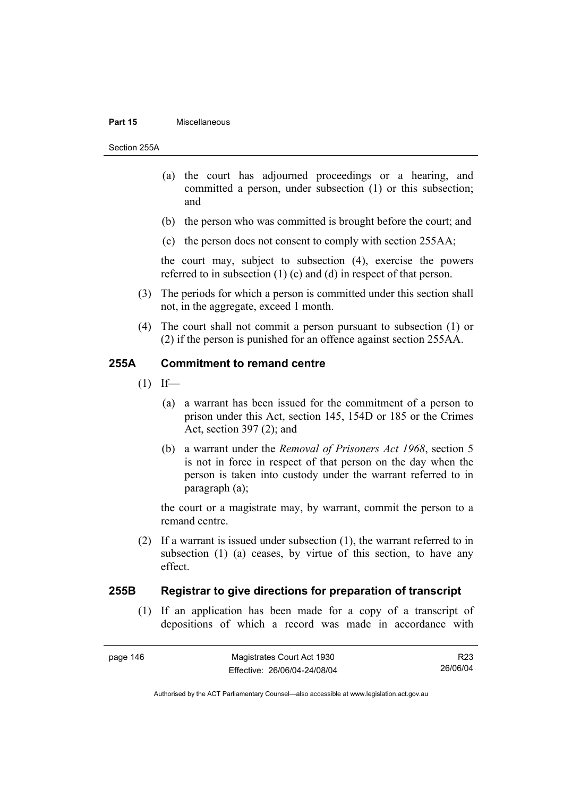#### **Part 15** Miscellaneous

Section 255A

- (a) the court has adjourned proceedings or a hearing, and committed a person, under subsection (1) or this subsection; and
- (b) the person who was committed is brought before the court; and
- (c) the person does not consent to comply with section 255AA;

the court may, subject to subsection (4), exercise the powers referred to in subsection (1) (c) and (d) in respect of that person.

- (3) The periods for which a person is committed under this section shall not, in the aggregate, exceed 1 month.
- (4) The court shall not commit a person pursuant to subsection (1) or (2) if the person is punished for an offence against section 255AA.

## **255A Commitment to remand centre**

- $(1)$  If—
	- (a) a warrant has been issued for the commitment of a person to prison under this Act, section 145, 154D or 185 or the Crimes Act, section 397 (2); and
	- (b) a warrant under the *Removal of Prisoners Act 1968*, section 5 is not in force in respect of that person on the day when the person is taken into custody under the warrant referred to in paragraph (a);

the court or a magistrate may, by warrant, commit the person to a remand centre.

 (2) If a warrant is issued under subsection (1), the warrant referred to in subsection (1) (a) ceases, by virtue of this section, to have any effect.

## **255B Registrar to give directions for preparation of transcript**

 (1) If an application has been made for a copy of a transcript of depositions of which a record was made in accordance with

R23 26/06/04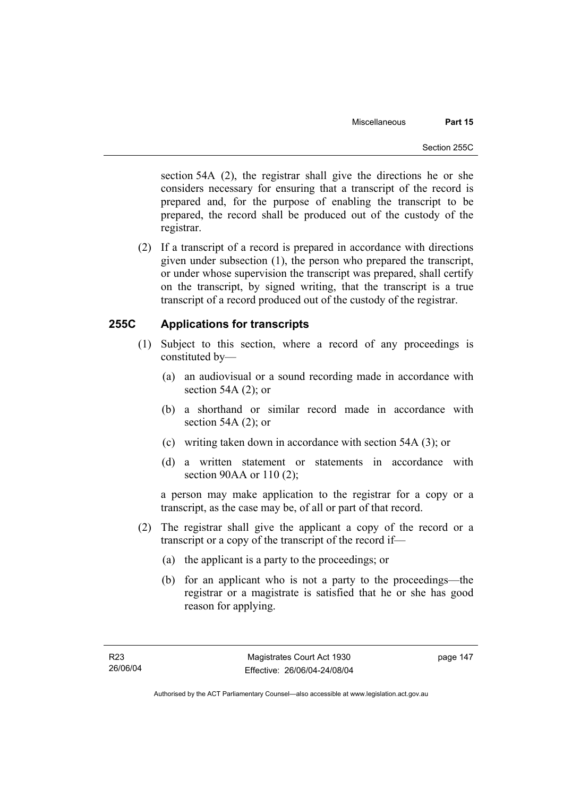section 54A (2), the registrar shall give the directions he or she considers necessary for ensuring that a transcript of the record is prepared and, for the purpose of enabling the transcript to be prepared, the record shall be produced out of the custody of the registrar.

 (2) If a transcript of a record is prepared in accordance with directions given under subsection (1), the person who prepared the transcript, or under whose supervision the transcript was prepared, shall certify on the transcript, by signed writing, that the transcript is a true transcript of a record produced out of the custody of the registrar.

# **255C Applications for transcripts**

- (1) Subject to this section, where a record of any proceedings is constituted by—
	- (a) an audiovisual or a sound recording made in accordance with section 54A (2); or
	- (b) a shorthand or similar record made in accordance with section 54A (2); or
	- (c) writing taken down in accordance with section 54A (3); or
	- (d) a written statement or statements in accordance with section 90AA or 110 (2);

a person may make application to the registrar for a copy or a transcript, as the case may be, of all or part of that record.

- (2) The registrar shall give the applicant a copy of the record or a transcript or a copy of the transcript of the record if—
	- (a) the applicant is a party to the proceedings; or
	- (b) for an applicant who is not a party to the proceedings—the registrar or a magistrate is satisfied that he or she has good reason for applying.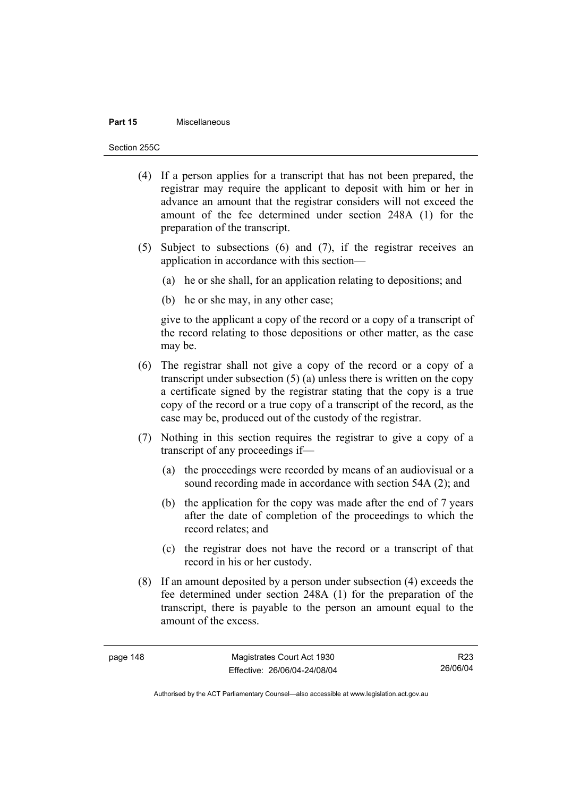#### **Part 15** Miscellaneous

Section 255C

- (4) If a person applies for a transcript that has not been prepared, the registrar may require the applicant to deposit with him or her in advance an amount that the registrar considers will not exceed the amount of the fee determined under section 248A (1) for the preparation of the transcript.
- (5) Subject to subsections (6) and (7), if the registrar receives an application in accordance with this section—
	- (a) he or she shall, for an application relating to depositions; and
	- (b) he or she may, in any other case;

give to the applicant a copy of the record or a copy of a transcript of the record relating to those depositions or other matter, as the case may be.

- (6) The registrar shall not give a copy of the record or a copy of a transcript under subsection (5) (a) unless there is written on the copy a certificate signed by the registrar stating that the copy is a true copy of the record or a true copy of a transcript of the record, as the case may be, produced out of the custody of the registrar.
- (7) Nothing in this section requires the registrar to give a copy of a transcript of any proceedings if—
	- (a) the proceedings were recorded by means of an audiovisual or a sound recording made in accordance with section 54A (2); and
	- (b) the application for the copy was made after the end of 7 years after the date of completion of the proceedings to which the record relates; and
	- (c) the registrar does not have the record or a transcript of that record in his or her custody.
- (8) If an amount deposited by a person under subsection (4) exceeds the fee determined under section 248A (1) for the preparation of the transcript, there is payable to the person an amount equal to the amount of the excess.

R23 26/06/04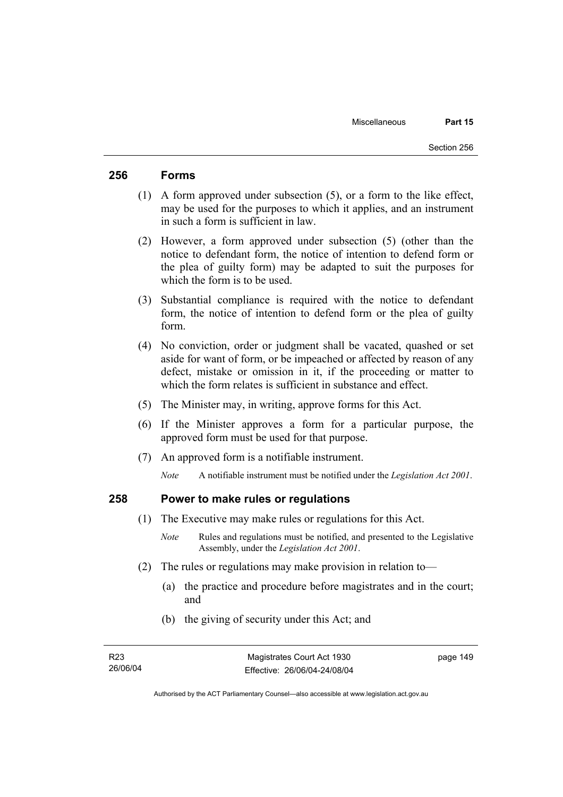# **256 Forms**

- (1) A form approved under subsection (5), or a form to the like effect, may be used for the purposes to which it applies, and an instrument in such a form is sufficient in law.
- (2) However, a form approved under subsection (5) (other than the notice to defendant form, the notice of intention to defend form or the plea of guilty form) may be adapted to suit the purposes for which the form is to be used.
- (3) Substantial compliance is required with the notice to defendant form, the notice of intention to defend form or the plea of guilty form.
- (4) No conviction, order or judgment shall be vacated, quashed or set aside for want of form, or be impeached or affected by reason of any defect, mistake or omission in it, if the proceeding or matter to which the form relates is sufficient in substance and effect.
- (5) The Minister may, in writing, approve forms for this Act.
- (6) If the Minister approves a form for a particular purpose, the approved form must be used for that purpose.
- (7) An approved form is a notifiable instrument.

*Note* A notifiable instrument must be notified under the *Legislation Act 2001*.

## **258 Power to make rules or regulations**

- (1) The Executive may make rules or regulations for this Act.
	- *Note* Rules and regulations must be notified, and presented to the Legislative Assembly, under the *Legislation Act 2001*.
- (2) The rules or regulations may make provision in relation to—
	- (a) the practice and procedure before magistrates and in the court; and
	- (b) the giving of security under this Act; and

Authorised by the ACT Parliamentary Counsel—also accessible at www.legislation.act.gov.au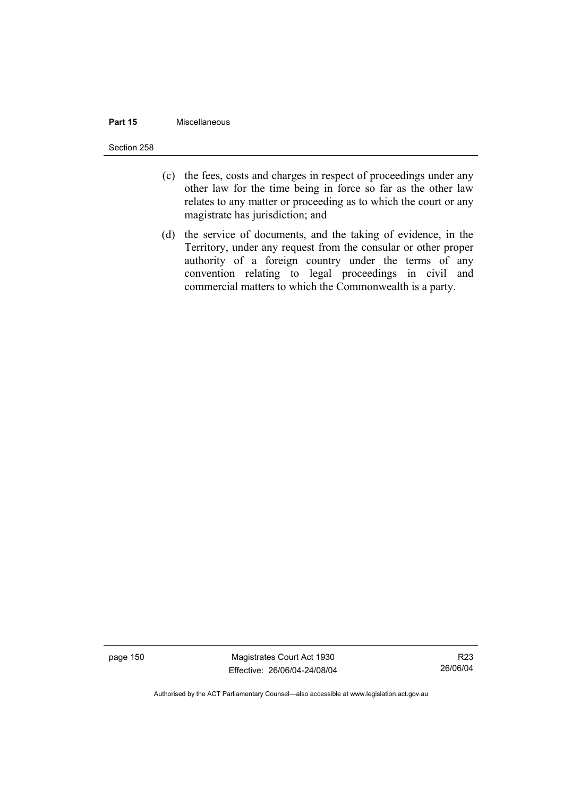#### **Part 15** Miscellaneous

Section 258

- (c) the fees, costs and charges in respect of proceedings under any other law for the time being in force so far as the other law relates to any matter or proceeding as to which the court or any magistrate has jurisdiction; and
- (d) the service of documents, and the taking of evidence, in the Territory, under any request from the consular or other proper authority of a foreign country under the terms of any convention relating to legal proceedings in civil and commercial matters to which the Commonwealth is a party.

page 150 Magistrates Court Act 1930 Effective: 26/06/04-24/08/04

R23 26/06/04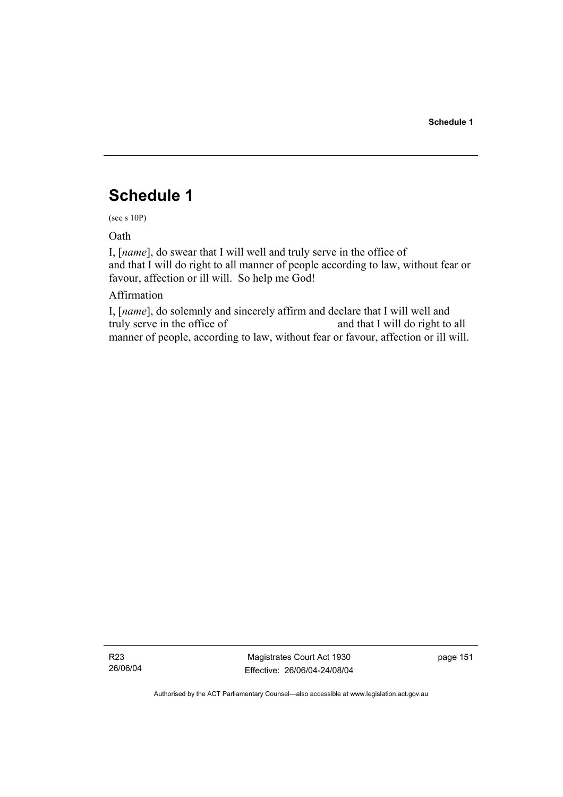# **Schedule 1**

(see s 10P)

Oath

I, [*name*], do swear that I will well and truly serve in the office of and that I will do right to all manner of people according to law, without fear or favour, affection or ill will. So help me God!

# Affirmation

I, [*name*], do solemnly and sincerely affirm and declare that I will well and truly serve in the office of and that I will do right to all manner of people, according to law, without fear or favour, affection or ill will.

R23 26/06/04

Magistrates Court Act 1930 Effective: 26/06/04-24/08/04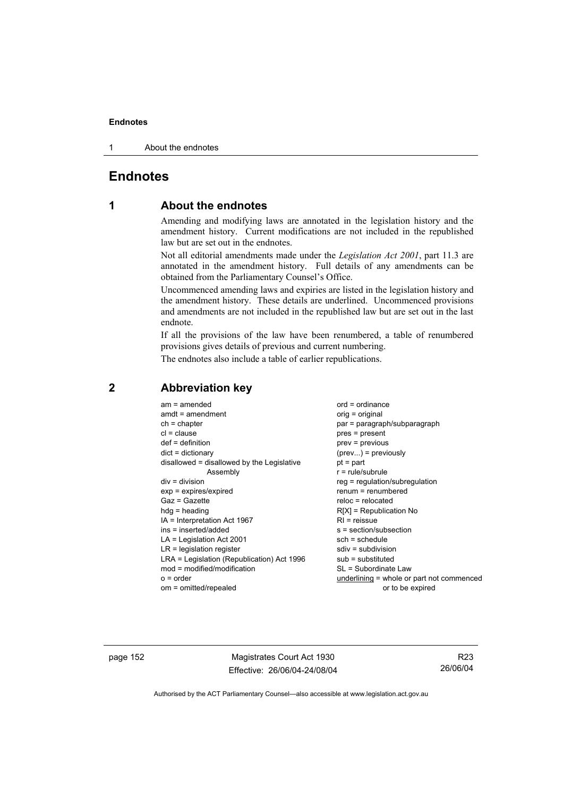1 About the endnotes

# **Endnotes**

# **1 About the endnotes**

Amending and modifying laws are annotated in the legislation history and the amendment history. Current modifications are not included in the republished law but are set out in the endnotes.

Not all editorial amendments made under the *Legislation Act 2001*, part 11.3 are annotated in the amendment history. Full details of any amendments can be obtained from the Parliamentary Counsel's Office.

Uncommenced amending laws and expiries are listed in the legislation history and the amendment history. These details are underlined. Uncommenced provisions and amendments are not included in the republished law but are set out in the last endnote.

If all the provisions of the law have been renumbered, a table of renumbered provisions gives details of previous and current numbering.

The endnotes also include a table of earlier republications.

# **2 Abbreviation key**

page 152 Magistrates Court Act 1930 Effective: 26/06/04-24/08/04

R23 26/06/04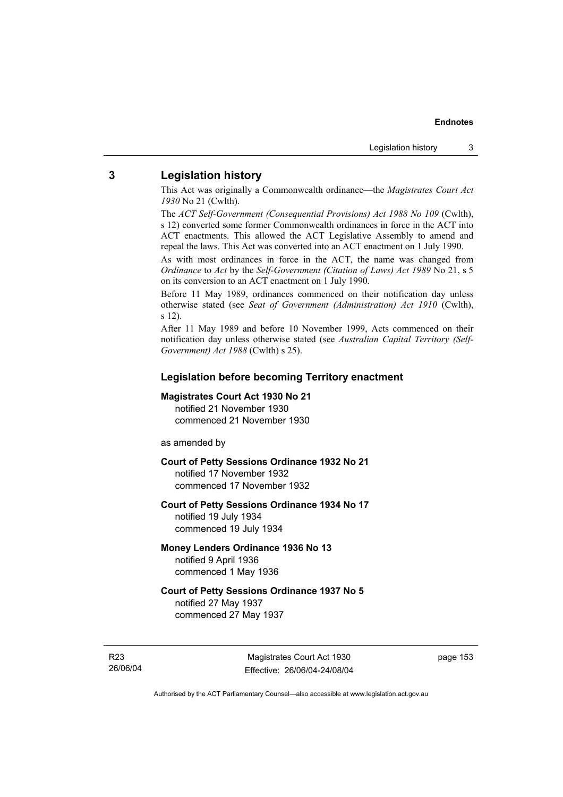## **3 Legislation history**

This Act was originally a Commonwealth ordinance—the *Magistrates Court Act 1930* No 21 (Cwlth).

The *ACT Self-Government (Consequential Provisions) Act 1988 No 109* (Cwlth), s 12) converted some former Commonwealth ordinances in force in the ACT into ACT enactments. This allowed the ACT Legislative Assembly to amend and repeal the laws. This Act was converted into an ACT enactment on 1 July 1990.

As with most ordinances in force in the ACT, the name was changed from *Ordinance* to *Act* by the *Self-Government (Citation of Laws) Act 1989* No 21, s 5 on its conversion to an ACT enactment on 1 July 1990.

Before 11 May 1989, ordinances commenced on their notification day unless otherwise stated (see *Seat of Government (Administration) Act 1910* (Cwlth), s 12).

After 11 May 1989 and before 10 November 1999, Acts commenced on their notification day unless otherwise stated (see *Australian Capital Territory (Self-Government) Act 1988* (Cwlth) s 25).

#### **Legislation before becoming Territory enactment**

#### **Magistrates Court Act 1930 No 21**

notified 21 November 1930 commenced 21 November 1930

as amended by

## **Court of Petty Sessions Ordinance 1932 No 21**

notified 17 November 1932 commenced 17 November 1932

#### **Court of Petty Sessions Ordinance 1934 No 17**

notified 19 July 1934 commenced 19 July 1934

## **Money Lenders Ordinance 1936 No 13**  notified 9 April 1936 commenced 1 May 1936

## **Court of Petty Sessions Ordinance 1937 No 5**  notified 27 May 1937 commenced 27 May 1937

R23 26/06/04

Magistrates Court Act 1930 Effective: 26/06/04-24/08/04 page 153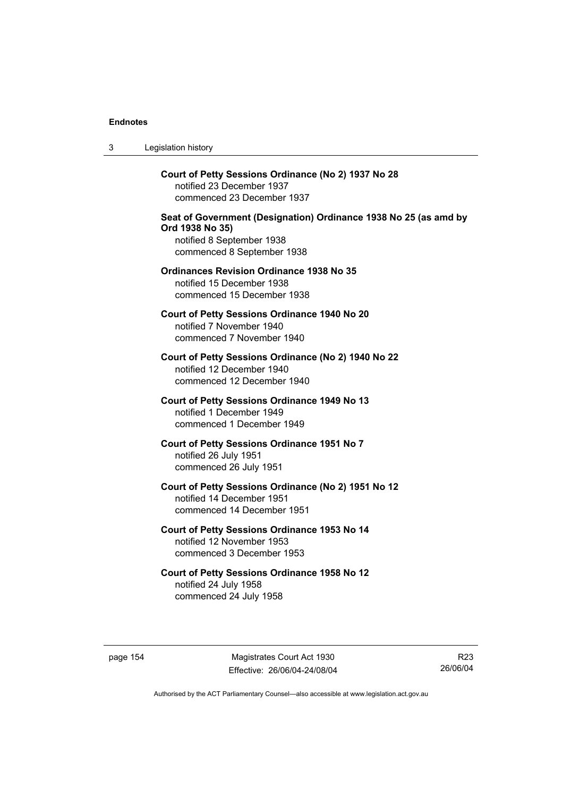3 Legislation history

**Court of Petty Sessions Ordinance (No 2) 1937 No 28**  notified 23 December 1937 commenced 23 December 1937 **Seat of Government (Designation) Ordinance 1938 No 25 (as amd by Ord 1938 No 35)**  notified 8 September 1938 commenced 8 September 1938 **Ordinances Revision Ordinance 1938 No 35**  notified 15 December 1938

commenced 15 December 1938 **Court of Petty Sessions Ordinance 1940 No 20** 

notified 7 November 1940 commenced 7 November 1940

**Court of Petty Sessions Ordinance (No 2) 1940 No 22**  notified 12 December 1940 commenced 12 December 1940

**Court of Petty Sessions Ordinance 1949 No 13**  notified 1 December 1949 commenced 1 December 1949

**Court of Petty Sessions Ordinance 1951 No 7**  notified 26 July 1951 commenced 26 July 1951

**Court of Petty Sessions Ordinance (No 2) 1951 No 12**  notified 14 December 1951 commenced 14 December 1951

**Court of Petty Sessions Ordinance 1953 No 14**  notified 12 November 1953 commenced 3 December 1953

**Court of Petty Sessions Ordinance 1958 No 12**  notified 24 July 1958 commenced 24 July 1958

page 154 Magistrates Court Act 1930 Effective: 26/06/04-24/08/04

R23 26/06/04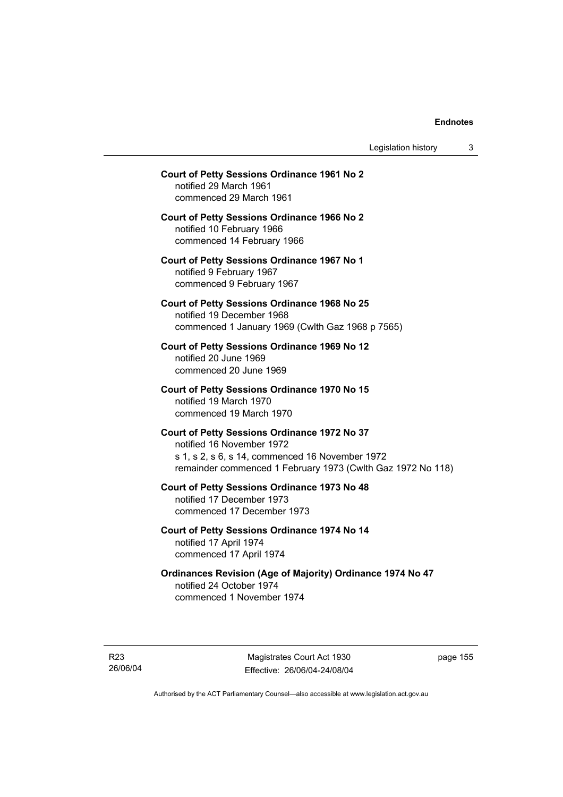Legislation history 3

# **Court of Petty Sessions Ordinance 1961 No 2**  notified 29 March 1961 commenced 29 March 1961 **Court of Petty Sessions Ordinance 1966 No 2**  notified 10 February 1966 commenced 14 February 1966 **Court of Petty Sessions Ordinance 1967 No 1**  notified 9 February 1967 commenced 9 February 1967 **Court of Petty Sessions Ordinance 1968 No 25**  notified 19 December 1968 commenced 1 January 1969 (Cwlth Gaz 1968 p 7565) **Court of Petty Sessions Ordinance 1969 No 12**  notified 20 June 1969 commenced 20 June 1969 **Court of Petty Sessions Ordinance 1970 No 15**  notified 19 March 1970 commenced 19 March 1970 **Court of Petty Sessions Ordinance 1972 No 37**  notified 16 November 1972 s 1, s 2, s 6, s 14, commenced 16 November 1972 remainder commenced 1 February 1973 (Cwlth Gaz 1972 No 118) **Court of Petty Sessions Ordinance 1973 No 48**  notified 17 December 1973 commenced 17 December 1973

**Court of Petty Sessions Ordinance 1974 No 14**  notified 17 April 1974 commenced 17 April 1974

**Ordinances Revision (Age of Majority) Ordinance 1974 No 47**  notified 24 October 1974 commenced 1 November 1974

R23 26/06/04

Magistrates Court Act 1930 Effective: 26/06/04-24/08/04 page 155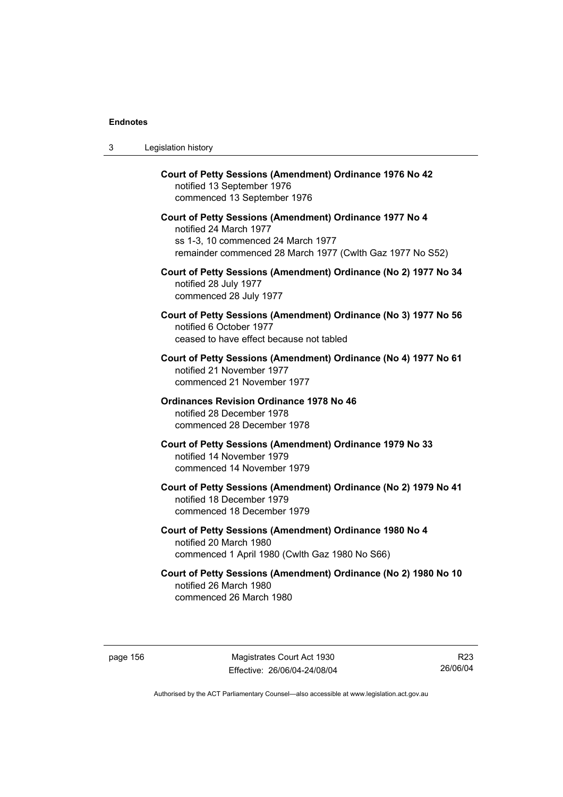| 3 | Legislation history                                                                                                                                                                  |
|---|--------------------------------------------------------------------------------------------------------------------------------------------------------------------------------------|
|   | Court of Petty Sessions (Amendment) Ordinance 1976 No 42<br>notified 13 September 1976<br>commenced 13 September 1976                                                                |
|   | Court of Petty Sessions (Amendment) Ordinance 1977 No 4<br>notified 24 March 1977<br>ss 1-3, 10 commenced 24 March 1977<br>remainder commenced 28 March 1977 (Cwlth Gaz 1977 No S52) |
|   | Court of Petty Sessions (Amendment) Ordinance (No 2) 1977 No 34<br>notified 28 July 1977<br>commenced 28 July 1977                                                                   |
|   | Court of Petty Sessions (Amendment) Ordinance (No 3) 1977 No 56<br>notified 6 October 1977<br>ceased to have effect because not tabled                                               |
|   | Court of Petty Sessions (Amendment) Ordinance (No 4) 1977 No 61<br>notified 21 November 1977<br>commenced 21 November 1977                                                           |
|   | <b>Ordinances Revision Ordinance 1978 No 46</b><br>notified 28 December 1978<br>commenced 28 December 1978                                                                           |
|   | Court of Petty Sessions (Amendment) Ordinance 1979 No 33<br>notified 14 November 1979<br>commenced 14 November 1979                                                                  |
|   | Court of Petty Sessions (Amendment) Ordinance (No 2) 1979 No 41<br>notified 18 December 1979<br>commenced 18 December 1979                                                           |
|   | Court of Petty Sessions (Amendment) Ordinance 1980 No 4<br>notified 20 March 1980<br>commenced 1 April 1980 (Cwlth Gaz 1980 No S66)                                                  |
|   | Court of Petty Sessions (Amendment) Ordinance (No 2) 1980 No 10<br>notified 26 March 1980<br>commenced 26 March 1980                                                                 |

R23 26/06/04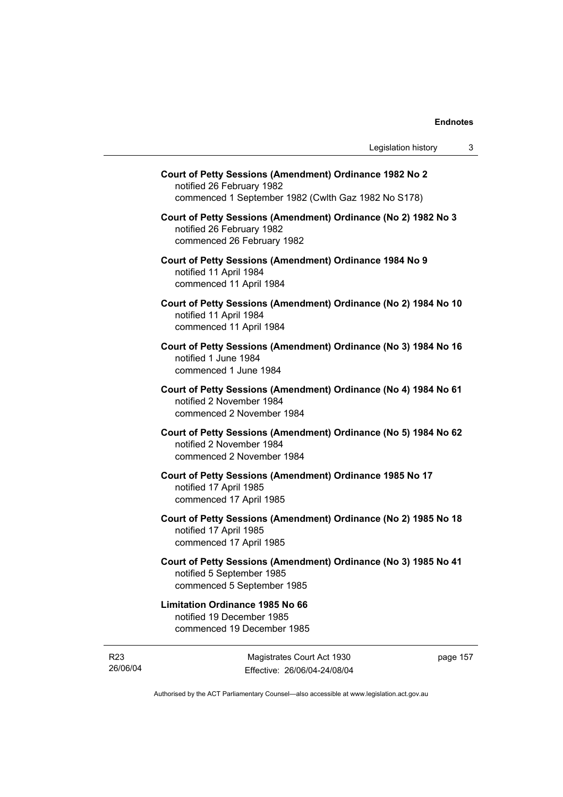| Court of Petty Sessions (Amendment) Ordinance 1982 No 2<br>notified 26 February 1982<br>commenced 1 September 1982 (Cwlth Gaz 1982 No S178) |  |
|---------------------------------------------------------------------------------------------------------------------------------------------|--|
| Court of Petty Sessions (Amendment) Ordinance (No 2) 1982 No 3<br>notified 26 February 1982<br>commenced 26 February 1982                   |  |
| Court of Petty Sessions (Amendment) Ordinance 1984 No 9<br>notified 11 April 1984<br>commenced 11 April 1984                                |  |
| Court of Petty Sessions (Amendment) Ordinance (No 2) 1984 No 10<br>notified 11 April 1984<br>commenced 11 April 1984                        |  |
| Court of Petty Sessions (Amendment) Ordinance (No 3) 1984 No 16<br>notified 1 June 1984<br>commenced 1 June 1984                            |  |
| Court of Petty Sessions (Amendment) Ordinance (No 4) 1984 No 61<br>notified 2 November 1984<br>commenced 2 November 1984                    |  |
| Court of Petty Sessions (Amendment) Ordinance (No 5) 1984 No 62<br>notified 2 November 1984<br>commenced 2 November 1984                    |  |
| Court of Petty Sessions (Amendment) Ordinance 1985 No 17<br>notified 17 April 1985<br>commenced 17 April 1985                               |  |
| Court of Petty Sessions (Amendment) Ordinance (No 2) 1985 No 18<br>notified 17 April 1985<br>commenced 17 April 1985                        |  |
| Court of Petty Sessions (Amendment) Ordinance (No 3) 1985 No 41<br>notified 5 September 1985<br>commenced 5 September 1985                  |  |
| <b>Limitation Ordinance 1985 No 66</b><br>notified 19 December 1985<br>commenced 19 December 1985                                           |  |
|                                                                                                                                             |  |

R23 26/06/04

Magistrates Court Act 1930 Effective: 26/06/04-24/08/04 page 157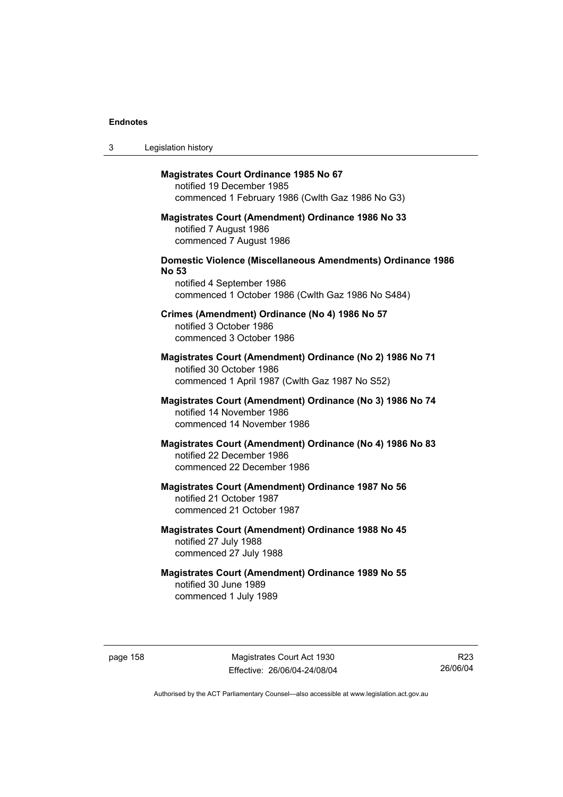| 3 | Legislation history                                                                                                                                                  |
|---|----------------------------------------------------------------------------------------------------------------------------------------------------------------------|
|   | <b>Magistrates Court Ordinance 1985 No 67</b><br>notified 19 December 1985<br>commenced 1 February 1986 (Cwlth Gaz 1986 No G3)                                       |
|   | <b>Magistrates Court (Amendment) Ordinance 1986 No 33</b><br>notified 7 August 1986<br>commenced 7 August 1986                                                       |
|   | <b>Domestic Violence (Miscellaneous Amendments) Ordinance 1986</b><br><b>No 53</b><br>notified 4 September 1986<br>commenced 1 October 1986 (Cwlth Gaz 1986 No S484) |
|   | Crimes (Amendment) Ordinance (No 4) 1986 No 57<br>notified 3 October 1986<br>commenced 3 October 1986                                                                |
|   | Magistrates Court (Amendment) Ordinance (No 2) 1986 No 71<br>notified 30 October 1986<br>commenced 1 April 1987 (Cwlth Gaz 1987 No S52)                              |
|   | Magistrates Court (Amendment) Ordinance (No 3) 1986 No 74<br>notified 14 November 1986<br>commenced 14 November 1986                                                 |
|   | Magistrates Court (Amendment) Ordinance (No 4) 1986 No 83<br>notified 22 December 1986<br>commenced 22 December 1986                                                 |
|   | Magistrates Court (Amendment) Ordinance 1987 No 56<br>notified 21 October 1987<br>commenced 21 October 1987                                                          |
|   | Magistrates Court (Amendment) Ordinance 1988 No 45<br>notified 27 July 1988<br>commenced 27 July 1988                                                                |
|   | <b>Magistrates Court (Amendment) Ordinance 1989 No 55</b><br>notified 30 June 1989<br>commenced 1 July 1989                                                          |

page 158 Magistrates Court Act 1930 Effective: 26/06/04-24/08/04

R23 26/06/04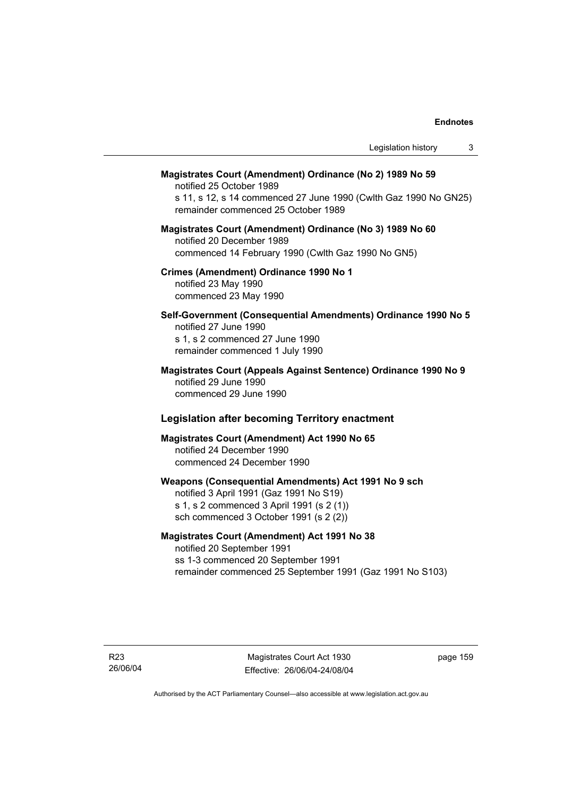| Legislation history<br>3                                                                                                                                                                         |
|--------------------------------------------------------------------------------------------------------------------------------------------------------------------------------------------------|
| Magistrates Court (Amendment) Ordinance (No 2) 1989 No 59<br>notified 25 October 1989<br>s 11, s 12, s 14 commenced 27 June 1990 (Cwlth Gaz 1990 No GN25)<br>remainder commenced 25 October 1989 |
| Magistrates Court (Amendment) Ordinance (No 3) 1989 No 60<br>notified 20 December 1989<br>commenced 14 February 1990 (Cwlth Gaz 1990 No GN5)                                                     |
| Crimes (Amendment) Ordinance 1990 No 1<br>notified 23 May 1990<br>commenced 23 May 1990                                                                                                          |
| Self-Government (Consequential Amendments) Ordinance 1990 No 5<br>notified 27 June 1990<br>s 1, s 2 commenced 27 June 1990<br>remainder commenced 1 July 1990                                    |
| Magistrates Court (Appeals Against Sentence) Ordinance 1990 No 9<br>notified 29 June 1990<br>commenced 29 June 1990                                                                              |
| <b>Legislation after becoming Territory enactment</b>                                                                                                                                            |
| Magistrates Court (Amendment) Act 1990 No 65<br>notified 24 December 1990<br>commenced 24 December 1990                                                                                          |
| Weapons (Consequential Amendments) Act 1991 No 9 sch<br>notified 3 April 1991 (Gaz 1991 No S19)<br>s 1, s 2 commenced 3 April 1991 (s 2 (1))<br>sch commenced 3 October 1991 (s 2 (2))           |
|                                                                                                                                                                                                  |

# **Magistrates Court (Amendment) Act 1991 No 38**

notified 20 September 1991 ss 1-3 commenced 20 September 1991 remainder commenced 25 September 1991 (Gaz 1991 No S103)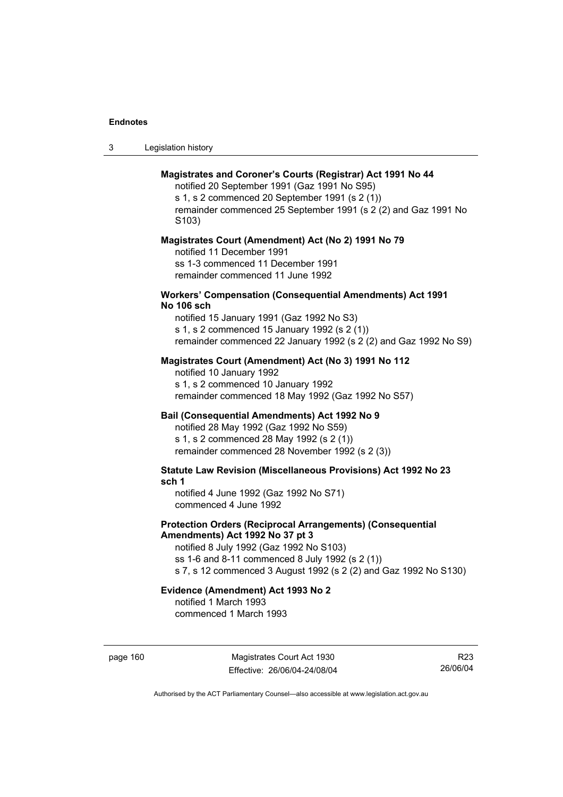| -3 | Legislation history |  |
|----|---------------------|--|
|----|---------------------|--|

## **Magistrates and Coroner's Courts (Registrar) Act 1991 No 44**

notified 20 September 1991 (Gaz 1991 No S95) s 1, s 2 commenced 20 September 1991 (s 2 (1)) remainder commenced 25 September 1991 (s 2 (2) and Gaz 1991 No S103)

#### **Magistrates Court (Amendment) Act (No 2) 1991 No 79**

notified 11 December 1991 ss 1-3 commenced 11 December 1991 remainder commenced 11 June 1992

#### **Workers' Compensation (Consequential Amendments) Act 1991 No 106 sch**

notified 15 January 1991 (Gaz 1992 No S3) s 1, s 2 commenced 15 January 1992 (s 2 (1)) remainder commenced 22 January 1992 (s 2 (2) and Gaz 1992 No S9)

## **Magistrates Court (Amendment) Act (No 3) 1991 No 112**

notified 10 January 1992 s 1, s 2 commenced 10 January 1992 remainder commenced 18 May 1992 (Gaz 1992 No S57)

## **Bail (Consequential Amendments) Act 1992 No 9**

notified 28 May 1992 (Gaz 1992 No S59) s 1, s 2 commenced 28 May 1992 (s 2 (1)) remainder commenced 28 November 1992 (s 2 (3))

**Statute Law Revision (Miscellaneous Provisions) Act 1992 No 23 sch 1** 

notified 4 June 1992 (Gaz 1992 No S71) commenced 4 June 1992

## **Protection Orders (Reciprocal Arrangements) (Consequential Amendments) Act 1992 No 37 pt 3**

notified 8 July 1992 (Gaz 1992 No S103) ss 1-6 and 8-11 commenced 8 July 1992 (s 2 (1)) s 7, s 12 commenced 3 August 1992 (s 2 (2) and Gaz 1992 No S130)

# **Evidence (Amendment) Act 1993 No 2**

notified 1 March 1993 commenced 1 March 1993

page 160 Magistrates Court Act 1930 Effective: 26/06/04-24/08/04

R23 26/06/04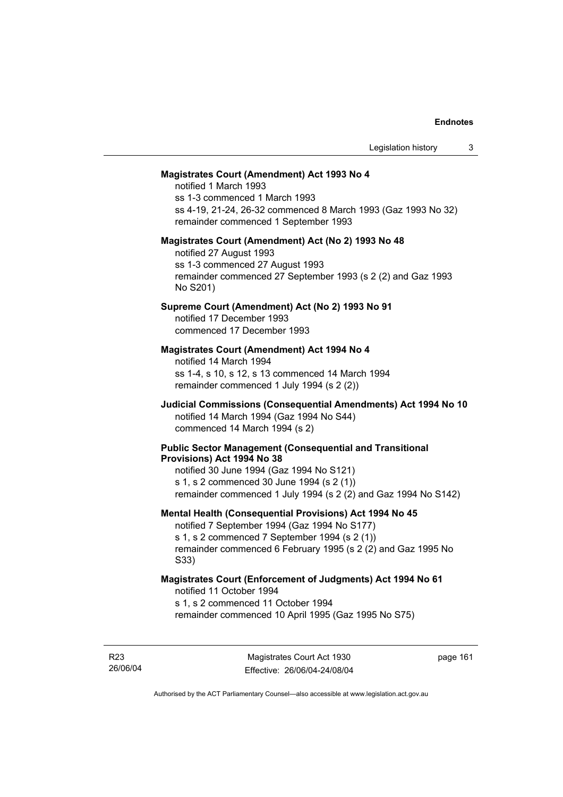#### **Magistrates Court (Amendment) Act 1993 No 4**

notified 1 March 1993 ss 1-3 commenced 1 March 1993 ss 4-19, 21-24, 26-32 commenced 8 March 1993 (Gaz 1993 No 32) remainder commenced 1 September 1993

#### **Magistrates Court (Amendment) Act (No 2) 1993 No 48**

notified 27 August 1993 ss 1-3 commenced 27 August 1993 remainder commenced 27 September 1993 (s 2 (2) and Gaz 1993 No S201)

## **Supreme Court (Amendment) Act (No 2) 1993 No 91**

notified 17 December 1993 commenced 17 December 1993

## **Magistrates Court (Amendment) Act 1994 No 4**

notified 14 March 1994 ss 1-4, s 10, s 12, s 13 commenced 14 March 1994 remainder commenced 1 July 1994 (s 2 (2))

## **Judicial Commissions (Consequential Amendments) Act 1994 No 10**  notified 14 March 1994 (Gaz 1994 No S44) commenced 14 March 1994 (s 2)

#### **Public Sector Management (Consequential and Transitional Provisions) Act 1994 No 38**

notified 30 June 1994 (Gaz 1994 No S121) s 1, s 2 commenced 30 June 1994 (s 2 (1)) remainder commenced 1 July 1994 (s 2 (2) and Gaz 1994 No S142)

#### **Mental Health (Consequential Provisions) Act 1994 No 45**

notified 7 September 1994 (Gaz 1994 No S177) s 1, s 2 commenced 7 September 1994 (s 2 (1)) remainder commenced 6 February 1995 (s 2 (2) and Gaz 1995 No S33)

#### **Magistrates Court (Enforcement of Judgments) Act 1994 No 61**  notified 11 October 1994

s 1, s 2 commenced 11 October 1994

remainder commenced 10 April 1995 (Gaz 1995 No S75)

R23 26/06/04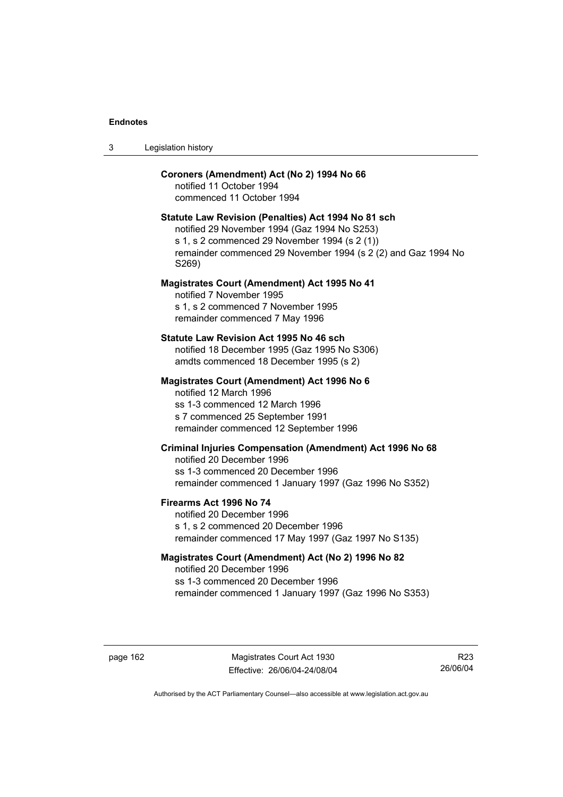| Legislation history<br>-3 |  |
|---------------------------|--|
|---------------------------|--|

## **Coroners (Amendment) Act (No 2) 1994 No 66**

notified 11 October 1994 commenced 11 October 1994

#### **Statute Law Revision (Penalties) Act 1994 No 81 sch**

notified 29 November 1994 (Gaz 1994 No S253) s 1, s 2 commenced 29 November 1994 (s 2 (1)) remainder commenced 29 November 1994 (s 2 (2) and Gaz 1994 No S269)

#### **Magistrates Court (Amendment) Act 1995 No 41**

notified 7 November 1995 s 1, s 2 commenced 7 November 1995 remainder commenced 7 May 1996

#### **Statute Law Revision Act 1995 No 46 sch**

notified 18 December 1995 (Gaz 1995 No S306) amdts commenced 18 December 1995 (s 2)

#### **Magistrates Court (Amendment) Act 1996 No 6**

notified 12 March 1996 ss 1-3 commenced 12 March 1996 s 7 commenced 25 September 1991 remainder commenced 12 September 1996

## **Criminal Injuries Compensation (Amendment) Act 1996 No 68**

notified 20 December 1996 ss 1-3 commenced 20 December 1996 remainder commenced 1 January 1997 (Gaz 1996 No S352)

#### **Firearms Act 1996 No 74**

notified 20 December 1996 s 1, s 2 commenced 20 December 1996 remainder commenced 17 May 1997 (Gaz 1997 No S135)

## **Magistrates Court (Amendment) Act (No 2) 1996 No 82**

notified 20 December 1996 ss 1-3 commenced 20 December 1996 remainder commenced 1 January 1997 (Gaz 1996 No S353)

page 162 Magistrates Court Act 1930 Effective: 26/06/04-24/08/04

R23 26/06/04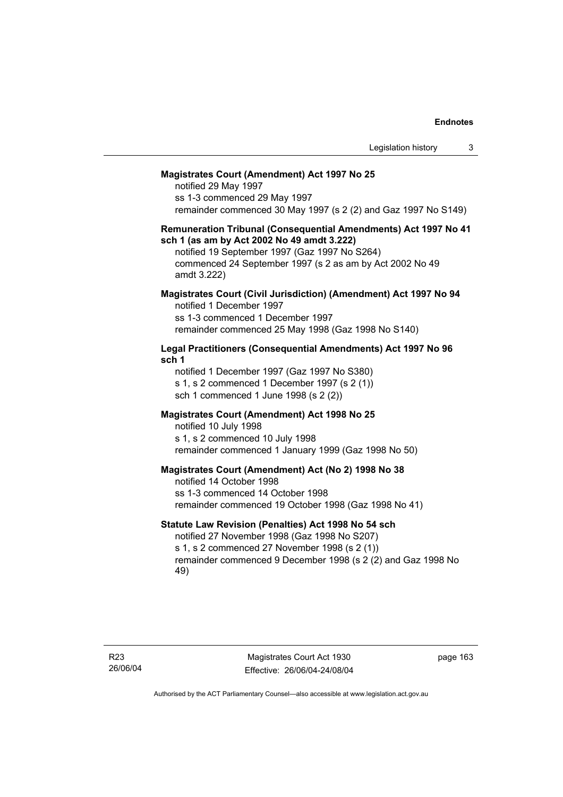#### **Magistrates Court (Amendment) Act 1997 No 25**

notified 29 May 1997 ss 1-3 commenced 29 May 1997 remainder commenced 30 May 1997 (s 2 (2) and Gaz 1997 No S149)

#### **Remuneration Tribunal (Consequential Amendments) Act 1997 No 41 sch 1 (as am by Act 2002 No 49 amdt 3.222)**

notified 19 September 1997 (Gaz 1997 No S264) commenced 24 September 1997 (s 2 as am by Act 2002 No 49 amdt 3.222)

#### **Magistrates Court (Civil Jurisdiction) (Amendment) Act 1997 No 94**  notified 1 December 1997

ss 1-3 commenced 1 December 1997 remainder commenced 25 May 1998 (Gaz 1998 No S140)

## **Legal Practitioners (Consequential Amendments) Act 1997 No 96 sch 1**

notified 1 December 1997 (Gaz 1997 No S380) s 1, s 2 commenced 1 December 1997 (s 2 (1)) sch 1 commenced 1 June 1998 (s 2 (2))

## **Magistrates Court (Amendment) Act 1998 No 25**

notified 10 July 1998 s 1, s 2 commenced 10 July 1998 remainder commenced 1 January 1999 (Gaz 1998 No 50)

#### **Magistrates Court (Amendment) Act (No 2) 1998 No 38**

notified 14 October 1998 ss 1-3 commenced 14 October 1998 remainder commenced 19 October 1998 (Gaz 1998 No 41)

## **Statute Law Revision (Penalties) Act 1998 No 54 sch**

notified 27 November 1998 (Gaz 1998 No S207) s 1, s 2 commenced 27 November 1998 (s 2 (1)) remainder commenced 9 December 1998 (s 2 (2) and Gaz 1998 No 49)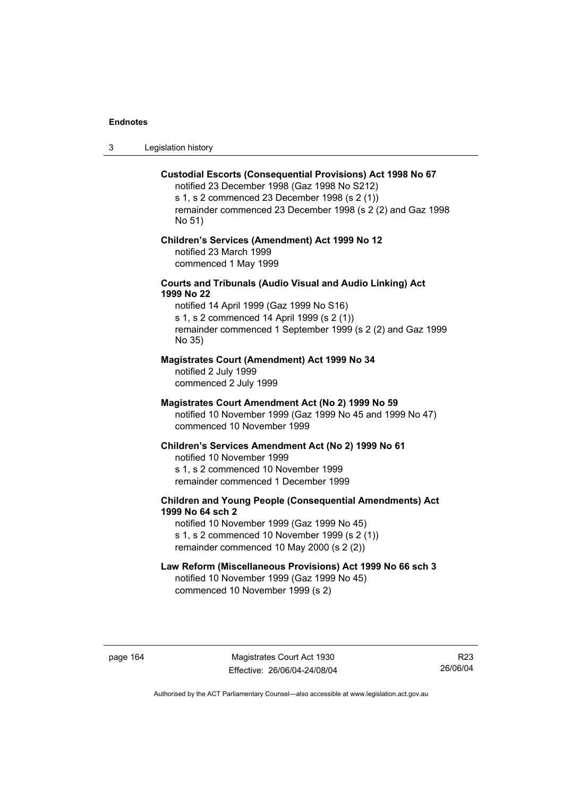3 Legislation history

#### **Custodial Escorts (Consequential Provisions) Act 1998 No 67**

notified 23 December 1998 (Gaz 1998 No S212) s 1, s 2 commenced 23 December 1998 (s 2 (1)) remainder commenced 23 December 1998 (s 2 (2) and Gaz 1998 No 51)

## **Children's Services (Amendment) Act 1999 No 12**  notified 23 March 1999 commenced 1 May 1999

## **Courts and Tribunals (Audio Visual and Audio Linking) Act 1999 No 22**

notified 14 April 1999 (Gaz 1999 No S16) s 1, s 2 commenced 14 April 1999 (s 2 (1)) remainder commenced 1 September 1999 (s 2 (2) and Gaz 1999 No 35)

## **Magistrates Court (Amendment) Act 1999 No 34**

notified 2 July 1999 commenced 2 July 1999

#### **Magistrates Court Amendment Act (No 2) 1999 No 59**

notified 10 November 1999 (Gaz 1999 No 45 and 1999 No 47) commenced 10 November 1999

#### **Children's Services Amendment Act (No 2) 1999 No 61**

notified 10 November 1999 s 1, s 2 commenced 10 November 1999 remainder commenced 1 December 1999

## **Children and Young People (Consequential Amendments) Act 1999 No 64 sch 2**

notified 10 November 1999 (Gaz 1999 No 45) s 1, s 2 commenced 10 November 1999 (s 2 (1)) remainder commenced 10 May 2000 (s 2 (2))

## **Law Reform (Miscellaneous Provisions) Act 1999 No 66 sch 3**

notified 10 November 1999 (Gaz 1999 No 45) commenced 10 November 1999 (s 2)

page 164 Magistrates Court Act 1930 Effective: 26/06/04-24/08/04

R23 26/06/04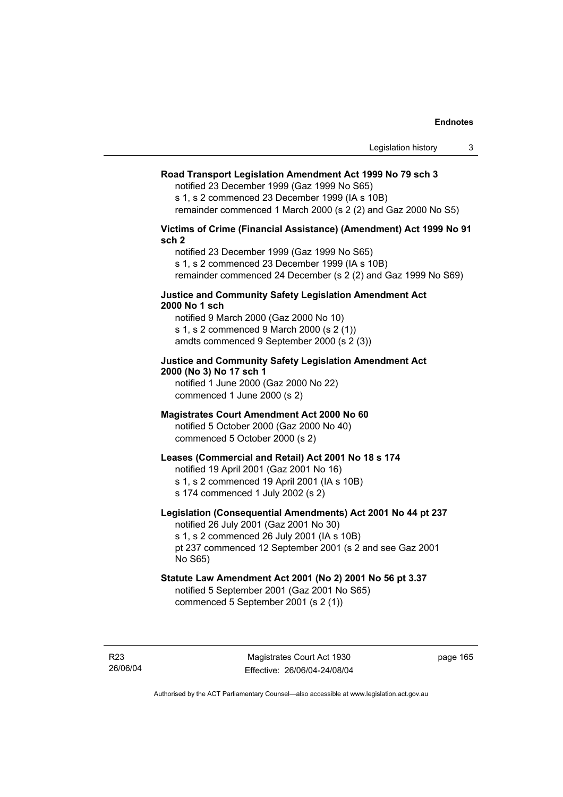## **Road Transport Legislation Amendment Act 1999 No 79 sch 3**

notified 23 December 1999 (Gaz 1999 No S65)

s 1, s 2 commenced 23 December 1999 (IA s 10B)

remainder commenced 1 March 2000 (s 2 (2) and Gaz 2000 No S5)

#### **Victims of Crime (Financial Assistance) (Amendment) Act 1999 No 91 sch 2**

notified 23 December 1999 (Gaz 1999 No S65) s 1, s 2 commenced 23 December 1999 (IA s 10B) remainder commenced 24 December (s 2 (2) and Gaz 1999 No S69)

#### **Justice and Community Safety Legislation Amendment Act 2000 No 1 sch**

notified 9 March 2000 (Gaz 2000 No 10) s 1, s 2 commenced 9 March 2000 (s 2 (1)) amdts commenced 9 September 2000 (s 2 (3))

## **Justice and Community Safety Legislation Amendment Act 2000 (No 3) No 17 sch 1**

notified 1 June 2000 (Gaz 2000 No 22) commenced 1 June 2000 (s 2)

## **Magistrates Court Amendment Act 2000 No 60**

notified 5 October 2000 (Gaz 2000 No 40) commenced 5 October 2000 (s 2)

## **Leases (Commercial and Retail) Act 2001 No 18 s 174**

notified 19 April 2001 (Gaz 2001 No 16)

s 1, s 2 commenced 19 April 2001 (IA s 10B)

s 174 commenced 1 July 2002 (s 2)

## **Legislation (Consequential Amendments) Act 2001 No 44 pt 237**

notified 26 July 2001 (Gaz 2001 No 30) s 1, s 2 commenced 26 July 2001 (IA s 10B)

pt 237 commenced 12 September 2001 (s 2 and see Gaz 2001 No S65)

# **Statute Law Amendment Act 2001 (No 2) 2001 No 56 pt 3.37**

notified 5 September 2001 (Gaz 2001 No S65) commenced 5 September 2001 (s 2 (1))

R23 26/06/04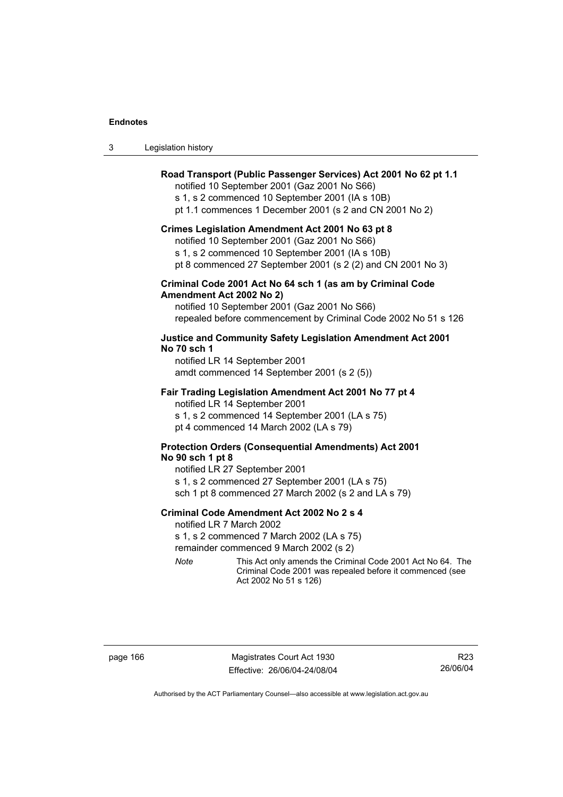| Legislation history |  |  | 3 |
|---------------------|--|--|---|
|---------------------|--|--|---|

## **Road Transport (Public Passenger Services) Act 2001 No 62 pt 1.1**

notified 10 September 2001 (Gaz 2001 No S66)

s 1, s 2 commenced 10 September 2001 (IA s 10B)

pt 1.1 commences 1 December 2001 (s 2 and CN 2001 No 2)

#### **Crimes Legislation Amendment Act 2001 No 63 pt 8**

notified 10 September 2001 (Gaz 2001 No S66)

s 1, s 2 commenced 10 September 2001 (IA s 10B)

pt 8 commenced 27 September 2001 (s 2 (2) and CN 2001 No 3)

## **Criminal Code 2001 Act No 64 sch 1 (as am by Criminal Code Amendment Act 2002 No 2)**

notified 10 September 2001 (Gaz 2001 No S66) repealed before commencement by Criminal Code 2002 No 51 s 126

## **Justice and Community Safety Legislation Amendment Act 2001 No 70 sch 1**

notified LR 14 September 2001 amdt commenced 14 September 2001 (s 2 (5))

#### **Fair Trading Legislation Amendment Act 2001 No 77 pt 4**

notified LR 14 September 2001 s 1, s 2 commenced 14 September 2001 (LA s 75) pt 4 commenced 14 March 2002 (LA s 79)

## **Protection Orders (Consequential Amendments) Act 2001 No 90 sch 1 pt 8**

notified LR 27 September 2001 s 1, s 2 commenced 27 September 2001 (LA s 75) sch 1 pt 8 commenced 27 March 2002 (s 2 and LA s 79)

#### **Criminal Code Amendment Act 2002 No 2 s 4**

notified LR 7 March 2002

s 1, s 2 commenced 7 March 2002 (LA s 75)

remainder commenced 9 March 2002 (s 2)

*Note* This Act only amends the Criminal Code 2001 Act No 64. The Criminal Code 2001 was repealed before it commenced (see Act 2002 No 51 s 126)

page 166 Magistrates Court Act 1930 Effective: 26/06/04-24/08/04

R23 26/06/04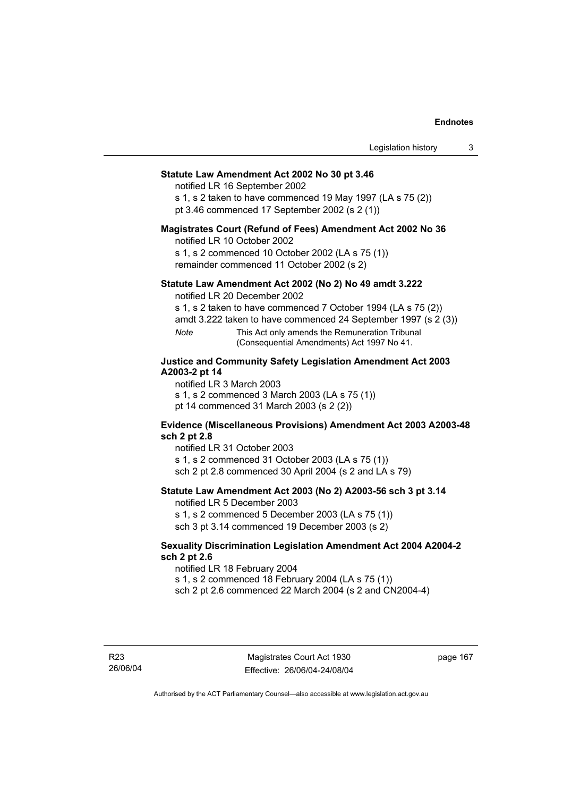# **Statute Law Amendment Act 2002 No 30 pt 3.46**

notified LR 16 September 2002

s 1, s 2 taken to have commenced 19 May 1997 (LA s 75 (2)) pt 3.46 commenced 17 September 2002 (s 2 (1))

#### **Magistrates Court (Refund of Fees) Amendment Act 2002 No 36**

notified LR 10 October 2002

s 1, s 2 commenced 10 October 2002 (LA s 75 (1)) remainder commenced 11 October 2002 (s 2)

## **Statute Law Amendment Act 2002 (No 2) No 49 amdt 3.222**

notified LR 20 December 2002

s 1, s 2 taken to have commenced 7 October 1994 (LA s 75 (2))

amdt 3.222 taken to have commenced 24 September 1997 (s 2 (3))

*Note* This Act only amends the Remuneration Tribunal (Consequential Amendments) Act 1997 No 41.

# **Justice and Community Safety Legislation Amendment Act 2003 A2003-2 pt 14**

notified LR 3 March 2003

s 1, s 2 commenced 3 March 2003 (LA s 75 (1))

pt 14 commenced 31 March 2003 (s 2 (2))

# **Evidence (Miscellaneous Provisions) Amendment Act 2003 A2003-48 sch 2 pt 2.8**

notified LR 31 October 2003

s 1, s 2 commenced 31 October 2003 (LA s 75 (1)) sch 2 pt 2.8 commenced 30 April 2004 (s 2 and LA s 79)

# **Statute Law Amendment Act 2003 (No 2) A2003-56 sch 3 pt 3.14**

notified LR 5 December 2003

s 1, s 2 commenced 5 December 2003 (LA s 75 (1)) sch 3 pt 3.14 commenced 19 December 2003 (s 2)

### **Sexuality Discrimination Legislation Amendment Act 2004 A2004-2 sch 2 pt 2.6**

notified LR 18 February 2004

s 1, s 2 commenced 18 February 2004 (LA s 75 (1))

sch 2 pt 2.6 commenced 22 March 2004 (s 2 and CN2004-4)

R23 26/06/04 page 167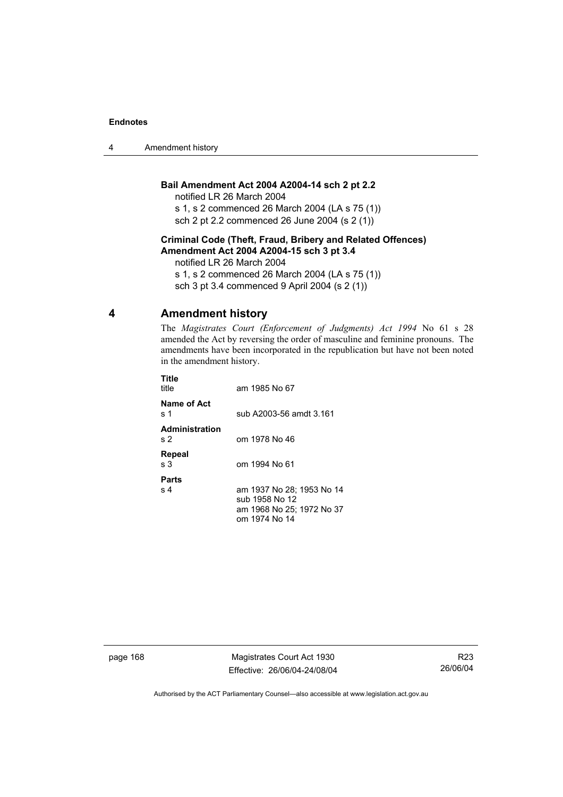4 Amendment history

# **Bail Amendment Act 2004 A2004-14 sch 2 pt 2.2**

notified LR 26 March 2004

s 1, s 2 commenced 26 March 2004 (LA s 75 (1)) sch 2 pt 2.2 commenced 26 June 2004 (s 2 (1))

# **Criminal Code (Theft, Fraud, Bribery and Related Offences) Amendment Act 2004 A2004-15 sch 3 pt 3.4**

notified LR 26 March 2004

s 1, s 2 commenced 26 March 2004 (LA s 75 (1))

sch 3 pt 3.4 commenced 9 April 2004 (s 2 (1))

# **4 Amendment history**

The *Magistrates Court (Enforcement of Judgments) Act 1994* No 61 s 28 amended the Act by reversing the order of masculine and feminine pronouns. The amendments have been incorporated in the republication but have not been noted in the amendment history.

| Title<br>title                          | am 1985 No 67                                                                             |
|-----------------------------------------|-------------------------------------------------------------------------------------------|
| Name of Act<br>s 1                      | sub A2003-56 amdt 3.161                                                                   |
| <b>Administration</b><br>s <sub>2</sub> | om 1978 No 46                                                                             |
| Repeal<br>s 3                           | om 1994 No 61                                                                             |
| Parts<br>s <sub>4</sub>                 | am 1937 No 28; 1953 No 14<br>sub 1958 No 12<br>am 1968 No 25; 1972 No 37<br>om 1974 No 14 |

page 168 Magistrates Court Act 1930 Effective: 26/06/04-24/08/04

R23 26/06/04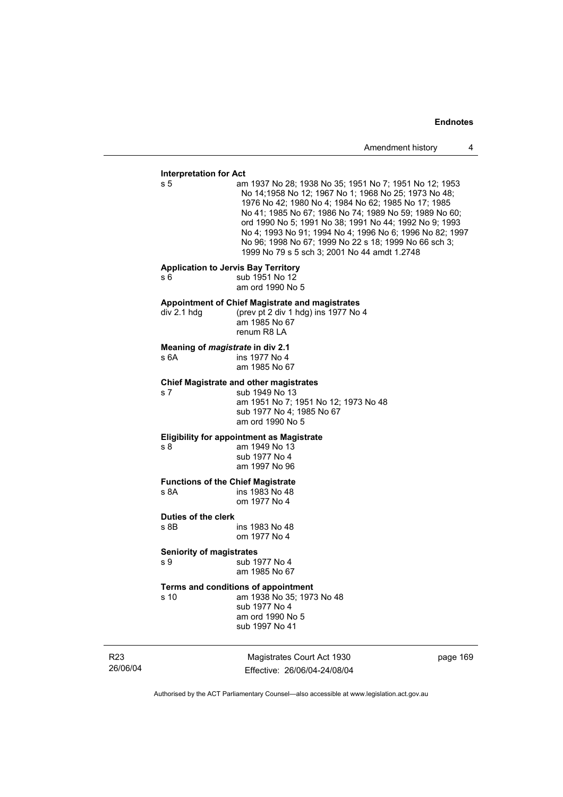### **Interpretation for Act**

s 5 am 1937 No 28; 1938 No 35; 1951 No 7; 1951 No 12; 1953 No 14;1958 No 12; 1967 No 1; 1968 No 25; 1973 No 48; 1976 No 42; 1980 No 4; 1984 No 62; 1985 No 17; 1985 No 41; 1985 No 67; 1986 No 74; 1989 No 59; 1989 No 60; ord 1990 No 5; 1991 No 38; 1991 No 44; 1992 No 9; 1993 No 4; 1993 No 91; 1994 No 4; 1996 No 6; 1996 No 82; 1997 No 96; 1998 No 67; 1999 No 22 s 18; 1999 No 66 sch 3; 1999 No 79 s 5 sch 3; 2001 No 44 amdt 1.2748

#### **Application to Jervis Bay Territory**

s 6 5 sub 1951 No 12

am ord 1990 No 5

#### **Appointment of Chief Magistrate and magistrates**

div 2.1 hdg (prev pt 2 div 1 hdg) ins 1977 No 4 am 1985 No 67 renum R8 LA

#### **Meaning of** *magistrate* **in div 2.1**

s 6A ins 1977 No 4 am 1985 No 67

#### **Chief Magistrate and other magistrates**

s 7 sub 1949 No 13 am 1951 No 7; 1951 No 12; 1973 No 48 sub 1977 No 4; 1985 No 67 am ord 1990 No 5

#### **Eligibility for appointment as Magistrate**

s 8 am 1949 No 13 sub 1977 No 4 am 1997 No 96

# **Functions of the Chief Magistrate**

ins 1983 No 48 om 1977 No 4

# **Duties of the clerk**

ins 1983 No 48 om 1977 No 4

#### **Seniority of magistrates**

s 9 sub 1977 No 4 am 1985 No 67

# **Terms and conditions of appointment**

s 10 am 1938 No 35; 1973 No 48 sub 1977 No 4 am ord 1990 No 5 sub 1997 No 41

R23 26/06/04

Magistrates Court Act 1930 Effective: 26/06/04-24/08/04 page 169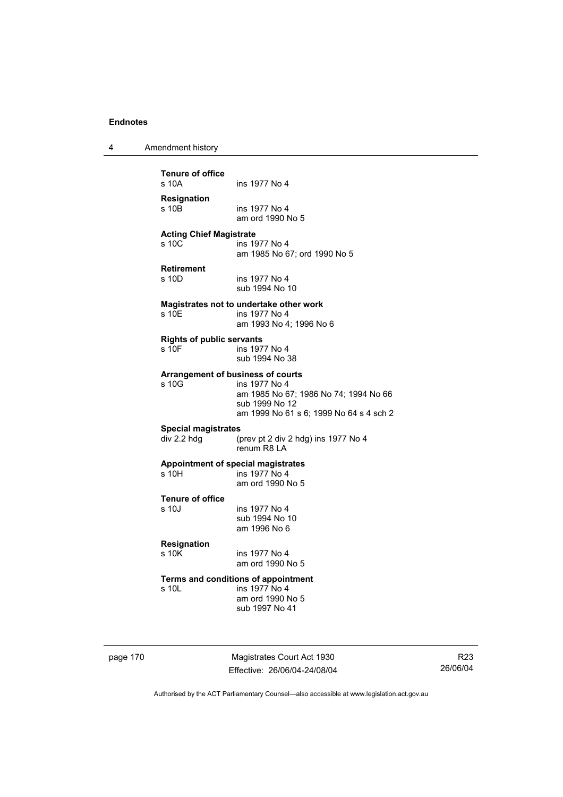4 Amendment history

**Tenure of office**  ins 1977 No 4 **Resignation**  ins 1977 No 4 am ord 1990 No 5 **Acting Chief Magistrate**  s 10C ins 1977 No 4 am 1985 No 67; ord 1990 No 5 **Retirement**  s 10D ins 1977 No 4 sub 1994 No 10 **Magistrates not to undertake other work**  s 10E ins 1977 No 4 am 1993 No 4; 1996 No 6 **Rights of public servants**  s 10F ins 1977 No 4 sub 1994 No 38 **Arrangement of business of courts**  s 10G ins 1977 No 4 am 1985 No 67; 1986 No 74; 1994 No 66 sub 1999 No 12 am 1999 No 61 s 6; 1999 No 64 s 4 sch 2 **Special magistrates**  div 2.2 hdg (prev pt 2 div 2 hdg) ins 1977 No 4 renum R8 LA **Appointment of special magistrates**  ins 1977 No 4 am ord 1990 No 5 **Tenure of office**  s 10J ins 1977 No 4 sub 1994 No 10 am 1996 No 6 **Resignation**  ins 1977 No 4 am ord 1990 No 5 **Terms and conditions of appointment**<br>s 10L ins 1977 No 4 ins 1977 No 4 am ord 1990 No 5 sub 1997 No 41

page 170 Magistrates Court Act 1930 Effective: 26/06/04-24/08/04

R23 26/06/04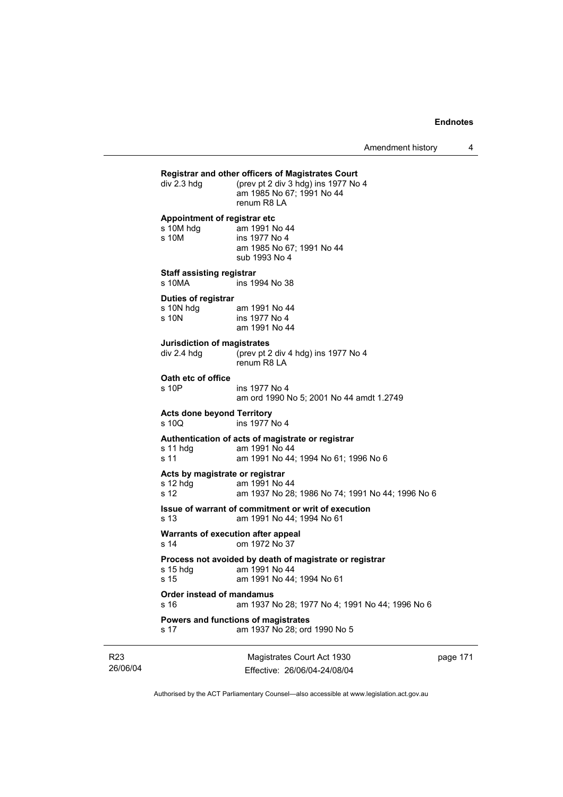|                                                       | Magistrates Court Act 1930                                                                                 | nage 17 |
|-------------------------------------------------------|------------------------------------------------------------------------------------------------------------|---------|
| s 17                                                  | Powers and functions of magistrates<br>am 1937 No 28; ord 1990 No 5                                        |         |
| Order instead of mandamus<br>s 16                     | am 1937 No 28; 1977 No 4; 1991 No 44; 1996 No 6                                                            |         |
| s 15 hdg<br>s 15                                      | Process not avoided by death of magistrate or registrar<br>am 1991 No 44<br>am 1991 No 44; 1994 No 61      |         |
| s 14                                                  | Warrants of execution after appeal<br>om 1972 No 37                                                        |         |
| s 13                                                  | Issue of warrant of commitment or writ of execution<br>am 1991 No 44; 1994 No 61                           |         |
| Acts by magistrate or registrar<br>$s$ 12 hdg<br>s 12 | am 1991 No 44<br>am 1937 No 28; 1986 No 74; 1991 No 44; 1996 No 6                                          |         |
| s 11 hdq<br>s 11                                      | Authentication of acts of magistrate or registrar<br>am 1991 No 44<br>am 1991 No 44; 1994 No 61; 1996 No 6 |         |
| <b>Acts done beyond Territory</b><br>s 10Q            | ins 1977 No 4                                                                                              |         |
| Oath etc of office<br>s 10P                           | ins 1977 No 4<br>am ord 1990 No 5; 2001 No 44 amdt 1.2749                                                  |         |
| <b>Jurisdiction of magistrates</b><br>div 2.4 hdg     | (prev pt 2 div 4 hdg) ins 1977 No 4<br>renum R8 LA                                                         |         |
| Duties of registrar<br>s 10N hdg<br>s 10N             | am 1991 No 44<br>ins 1977 No 4<br>am 1991 No 44                                                            |         |
| <b>Staff assisting registrar</b><br>s 10MA            | ins 1994 No 38                                                                                             |         |
| Appointment of registrar etc<br>s 10M hdg<br>s 10M    | am 1991 No 44<br>ins 1977 No 4<br>am 1985 No 67; 1991 No 44<br>sub 1993 No 4                               |         |
| div 2.3 hdg                                           | (prev pt 2 div 3 hdg) ins 1977 No 4<br>am 1985 No 67; 1991 No 44<br>renum R8 LA                            |         |

26/06/04

R23

lagistrates Court Act 1930 Effective: 26/06/04-24/08/04 page 171

 $\overline{\phantom{a}}$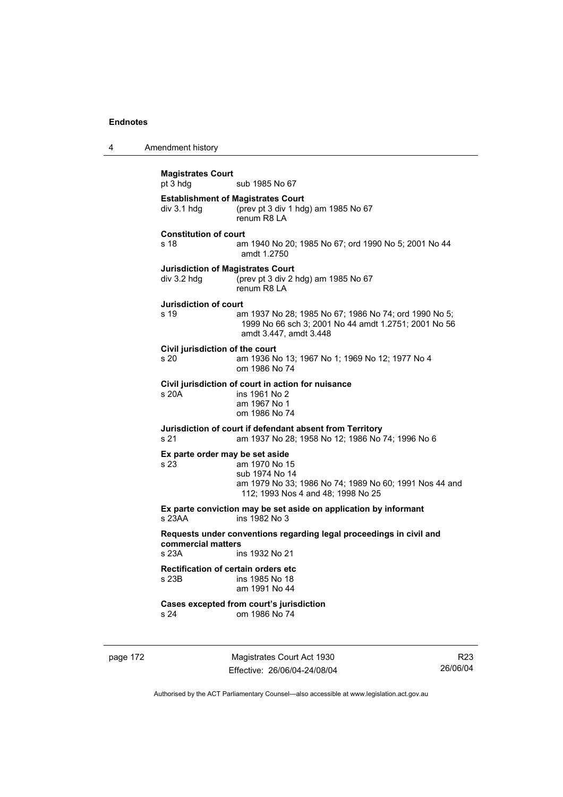4 Amendment history

**Magistrates Court**  sub 1985 No 67 **Establishment of Magistrates Court**  div 3.1 hdg (prev pt 3 div 1 hdg) am 1985 No 67 renum R8 LA **Constitution of court**  s 18 am 1940 No 20; 1985 No 67; ord 1990 No 5; 2001 No 44 amdt 1.2750 **Jurisdiction of Magistrates Court**  div 3.2 hdg (prev pt 3 div 2 hdg) am 1985 No 67 renum R8 LA **Jurisdiction of court**  s 19 am 1937 No 28; 1985 No 67; 1986 No 74; ord 1990 No 5; 1999 No 66 sch 3; 2001 No 44 amdt 1.2751; 2001 No 56 amdt 3.447, amdt 3.448 **Civil jurisdiction of the court**  am 1936 No 13; 1967 No 1; 1969 No 12; 1977 No 4 om 1986 No 74 **Civil jurisdiction of court in action for nuisance**  s 20A ins 1961 No 2 am 1967 No 1 om 1986 No 74 **Jurisdiction of court if defendant absent from Territory**  s 21 am 1937 No 28; 1958 No 12; 1986 No 74; 1996 No 6 **Ex parte order may be set aside**  s 23 am 1970 No 15 sub 1974 No 14 am 1979 No 33; 1986 No 74; 1989 No 60; 1991 Nos 44 and 112; 1993 Nos 4 and 48; 1998 No 25 **Ex parte conviction may be set aside on application by informant**  s 23AA ins 1982 No 3 **Requests under conventions regarding legal proceedings in civil and commercial matters**  s 23A ins 1932 No 21 **Rectification of certain orders etc**  s 23B ins 1985 No 18 am 1991 No 44 **Cases excepted from court's jurisdiction**  s 24 om 1986 No 74

page 172 Magistrates Court Act 1930 Effective: 26/06/04-24/08/04

R23 26/06/04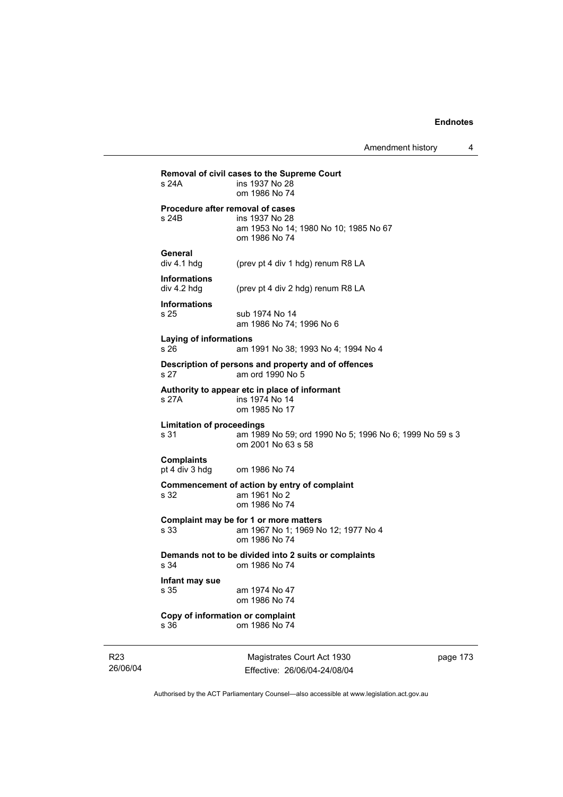| s 24A                                    | Removal of civil cases to the Supreme Court<br>ins 1937 No 28<br>om 1986 No 74                               |
|------------------------------------------|--------------------------------------------------------------------------------------------------------------|
| s 24B                                    | Procedure after removal of cases<br>ins 1937 No 28<br>am 1953 No 14; 1980 No 10; 1985 No 67<br>om 1986 No 74 |
| General<br>div 4.1 hdg                   | (prev pt 4 div 1 hdg) renum R8 LA                                                                            |
| <b>Informations</b><br>div 4.2 hdg       | (prev pt 4 div 2 hdg) renum R8 LA                                                                            |
| <b>Informations</b><br>s 25              | sub 1974 No 14<br>am 1986 No 74; 1996 No 6                                                                   |
| Laying of informations<br>s 26           | am 1991 No 38; 1993 No 4; 1994 No 4                                                                          |
| s 27                                     | Description of persons and property and of offences<br>am ord 1990 No 5                                      |
| s 27A                                    | Authority to appear etc in place of informant<br>ins 1974 No 14<br>om 1985 No 17                             |
| <b>Limitation of proceedings</b><br>s 31 | am 1989 No 59; ord 1990 No 5; 1996 No 6; 1999 No 59 s 3<br>om 2001 No 63 s 58                                |
| <b>Complaints</b><br>pt 4 div 3 hdg      | om 1986 No 74                                                                                                |
| s 32                                     | Commencement of action by entry of complaint<br>am 1961 No 2<br>om 1986 No 74                                |
| s 33                                     | Complaint may be for 1 or more matters<br>am 1967 No 1; 1969 No 12; 1977 No 4<br>om 1986 No 74               |
|                                          | Demands not to be divided into 2 suits or complaints<br>om 1986 No 74                                        |
| s 34                                     |                                                                                                              |
| Infant may sue<br>s 35                   | am 1974 No 47<br>om 1986 No 74                                                                               |

R23 26/06/04

Magistrates Court Act 1930 Effective: 26/06/04-24/08/04 page 173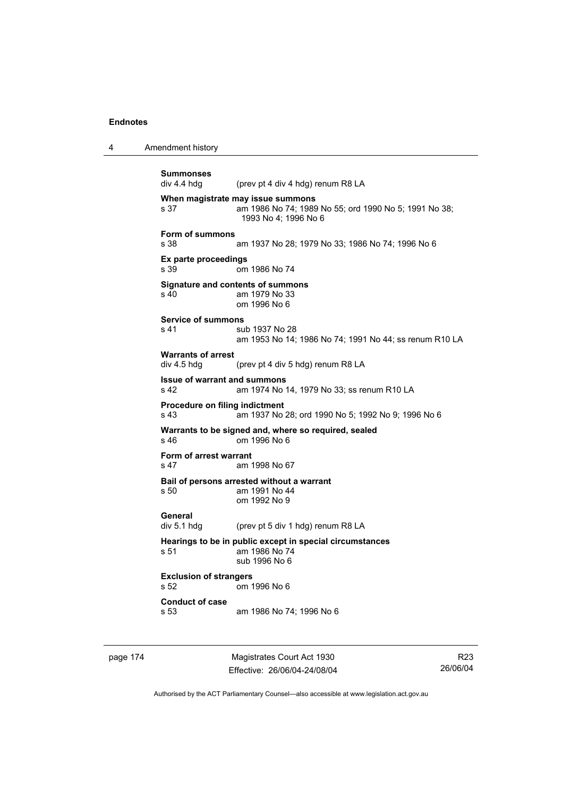4 Amendment history

```
Summonses 
                (prev pt 4 div 4 hdg) renum R8 LA
When magistrate may issue summons 
s 37 am 1986 No 74; 1989 No 55; ord 1990 No 5; 1991 No 38; 
                 1993 No 4; 1996 No 6 
Form of summons 
s 38 am 1937 No 28; 1979 No 33; 1986 No 74; 1996 No 6 
Ex parte proceedings 
s 39 om 1986 No 74 
Signature and contents of summons 
s 40 am 1979 No 33 
                 om 1996 No 6 
Service of summons 
s 41 sub 1937 No 28
                 am 1953 No 14; 1986 No 74; 1991 No 44; ss renum R10 LA 
Warrants of arrest 
div 4.5 hdg (prev pt 4 div 5 hdg) renum R8 LA 
Issue of warrant and summons 
s 42 am 1974 No 14, 1979 No 33; ss renum R10 LA 
Procedure on filing indictment 
s 43 am 1937 No 28; ord 1990 No 5; 1992 No 9; 1996 No 6 
Warrants to be signed and, where so required, sealed 
s 46 om 1996 No 6 
Form of arrest warrant 
s 47 am 1998 No 67 
Bail of persons arrested without a warrant 
s 50 am 1991 No 44 
                 om 1992 No 9 
General 
div 5.1 hdg (prev pt 5 div 1 hdg) renum R8 LA 
Hearings to be in public except in special circumstances 
s 51 am 1986 No 74 
                 sub 1996 No 6 
Exclusion of strangers 
s 52 om 1996 No 6 
Conduct of case 
s 53 am 1986 No 74; 1996 No 6
```
page 174 Magistrates Court Act 1930 Effective: 26/06/04-24/08/04

R23 26/06/04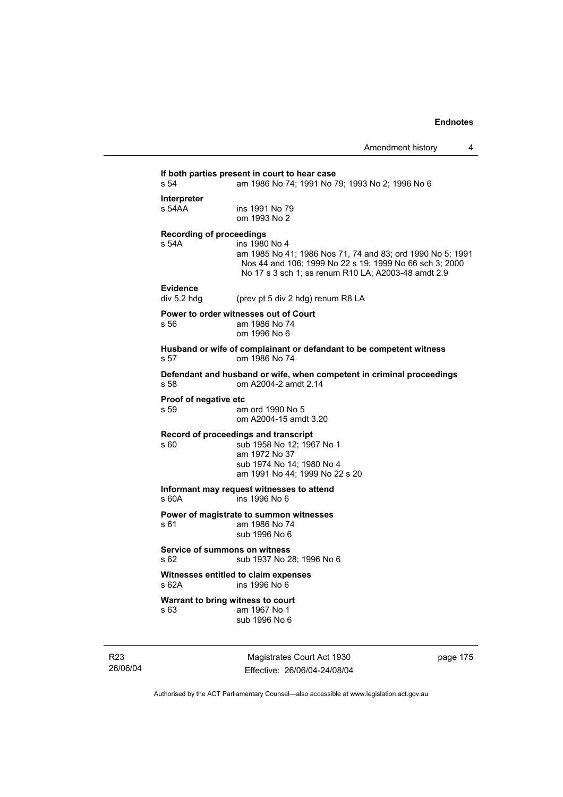# **If both parties present in court to hear case**  am 1986 No 74; 1991 No 79; 1993 No 2; 1996 No 6 **Interpreter**  ins 1991 No 79 om 1993 No 2 **Recording of proceedings**  s 54A ins 1980 No 4 am 1985 No 41; 1986 Nos 71, 74 and 83; ord 1990 No 5; 1991 Nos 44 and 106; 1999 No 22 s 19; 1999 No 66 sch 3; 2000 No 17 s 3 sch 1; ss renum R10 LA; A2003-48 amdt 2.9 **Evidence**  (prev pt 5 div 2 hdg) renum R8 LA **Power to order witnesses out of Court**  s 56 am 1986 No 74 om 1996 No 6 **Husband or wife of complainant or defandant to be competent witness**  s 57 om 1986 No 74 **Defendant and husband or wife, when competent in criminal proceedings**  s 58 om A2004-2 amdt 2.14 **Proof of negative etc**  s 59 am ord 1990 No 5 om A2004-15 amdt 3.20 **Record of proceedings and transcript**  s 60 sub 1958 No 12; 1967 No 1 am 1972 No 37 sub 1974 No 14; 1980 No 4 am 1991 No 44; 1999 No 22 s 20 **Informant may request witnesses to attend**  s 60A ins 1996 No 6 **Power of magistrate to summon witnesses**  am 1986 No 74 sub 1996 No 6 **Service of summons on witness**  s 62 sub 1937 No 28; 1996 No 6 **Witnesses entitled to claim expenses**  s 62A ins 1996 No 6 **Warrant to bring witness to court**  s 63 am 1967 No 1 sub 1996 No 6

R23 26/06/04

Magistrates Court Act 1930 Effective: 26/06/04-24/08/04 page 175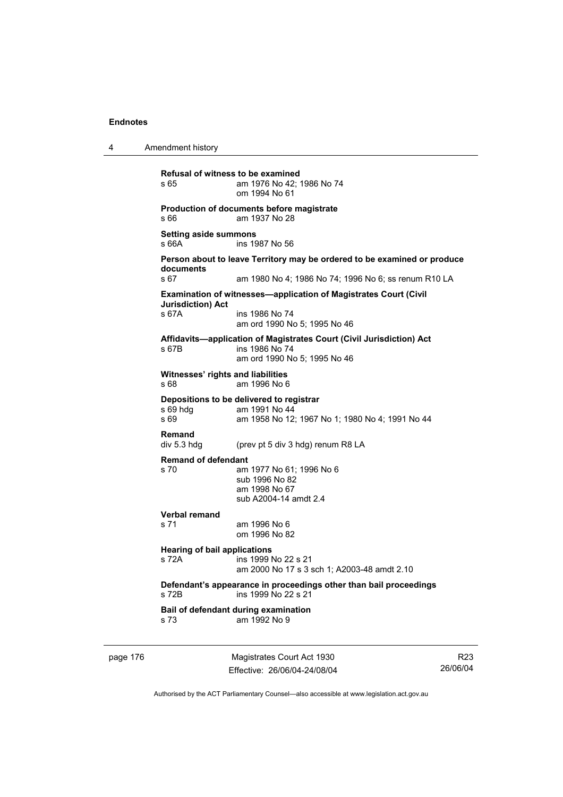4 Amendment history

page 176 Magistrates Court Act 1930 R23 26/06/04 **Refusal of witness to be examined**  s 65 am 1976 No 42; 1986 No 74 om 1994 No 61 **Production of documents before magistrate**  s 66 am 1937 No 28 **Setting aside summons**  s 66A ins 1987 No 56 **Person about to leave Territory may be ordered to be examined or produce documents**  s 67 am 1980 No 4; 1986 No 74; 1996 No 6; ss renum R10 LA **Examination of witnesses—application of Magistrates Court (Civil Jurisdiction) Act**  s 67A ins 1986 No 74 am ord 1990 No 5; 1995 No 46 **Affidavits—application of Magistrates Court (Civil Jurisdiction) Act**  s 67B ins 1986 No 74 am ord 1990 No 5; 1995 No 46 **Witnesses' rights and liabilities**  s 68 am 1996 No 6 **Depositions to be delivered to registrar**  s 69 hdg am 1991 No 44<br>s 69 am 1958 No 12 am 1958 No 12; 1967 No 1; 1980 No 4; 1991 No 44 **Remand**  div 5.3 hdg (prev pt 5 div 3 hdg) renum R8 LA **Remand of defendant**  s 70 am 1977 No 61; 1996 No 6 sub 1996 No 82 am 1998 No 67 sub A2004-14 amdt 2.4 **Verbal remand**  am 1996 No 6 om 1996 No 82 **Hearing of bail applications**  s 72A ins 1999 No 22 s 21 am 2000 No 17 s 3 sch 1; A2003-48 amdt 2.10 **Defendant's appearance in proceedings other than bail proceedings**  s 72B ins 1999 No 22 s 21 **Bail of defendant during examination**  s 73 am 1992 No 9

Authorised by the ACT Parliamentary Counsel—also accessible at www.legislation.act.gov.au

Effective: 26/06/04-24/08/04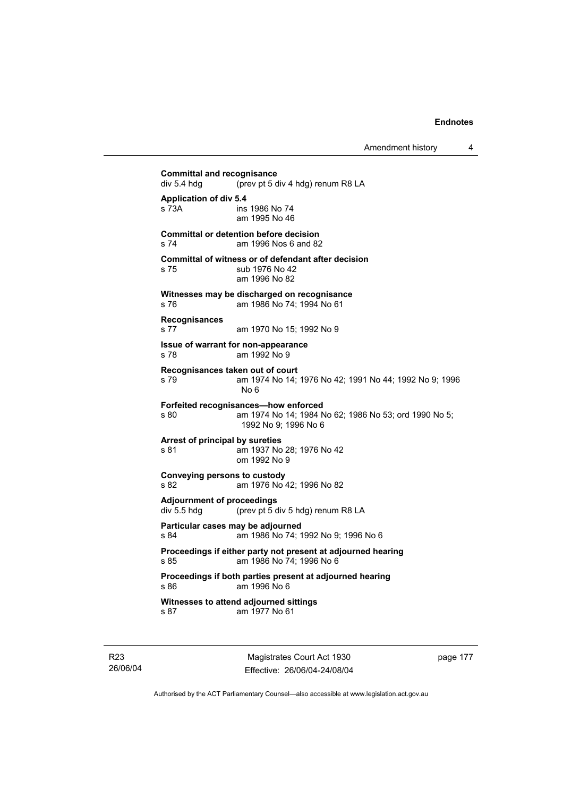**Committal and recognisance**<br>div 5.4 hdg (prev pt 5 d (prev pt 5 div 4 hdg) renum R8 LA **Application of div 5.4**  s 73A ins 1986 No 74 am 1995 No 46 **Committal or detention before decision**  s 74 am 1996 Nos 6 and 82 **Committal of witness or of defendant after decision**  s 75 sub 1976 No 42 am 1996 No 82 **Witnesses may be discharged on recognisance**  s 76 am 1986 No 74; 1994 No 61 **Recognisances**  s 77 am 1970 No 15; 1992 No 9 **Issue of warrant for non-appearance**  s 78 am 1992 No 9 **Recognisances taken out of court**  s 79 am 1974 No 14; 1976 No 42; 1991 No 44; 1992 No 9; 1996 No 6 **Forfeited recognisances—how enforced**  s 80 am 1974 No 14; 1984 No 62; 1986 No 53; ord 1990 No 5; 1992 No 9; 1996 No 6 **Arrest of principal by sureties**  s 81 am 1937 No 28; 1976 No 42 om 1992 No 9 **Conveying persons to custody**  s 82 am 1976 No 42; 1996 No 82 **Adjournment of proceedings**  div 5.5 hdg (prev pt 5 div 5 hdg) renum R8 LA **Particular cases may be adjourned**  s 84 am 1986 No 74; 1992 No 9; 1996 No 6 **Proceedings if either party not present at adjourned hearing**  s 85 am 1986 No 74; 1996 No 6 **Proceedings if both parties present at adjourned hearing**  s 86 am 1996 No 6 **Witnesses to attend adjourned sittings**  s 87 am 1977 No 61

R23 26/06/04

Magistrates Court Act 1930 Effective: 26/06/04-24/08/04 page 177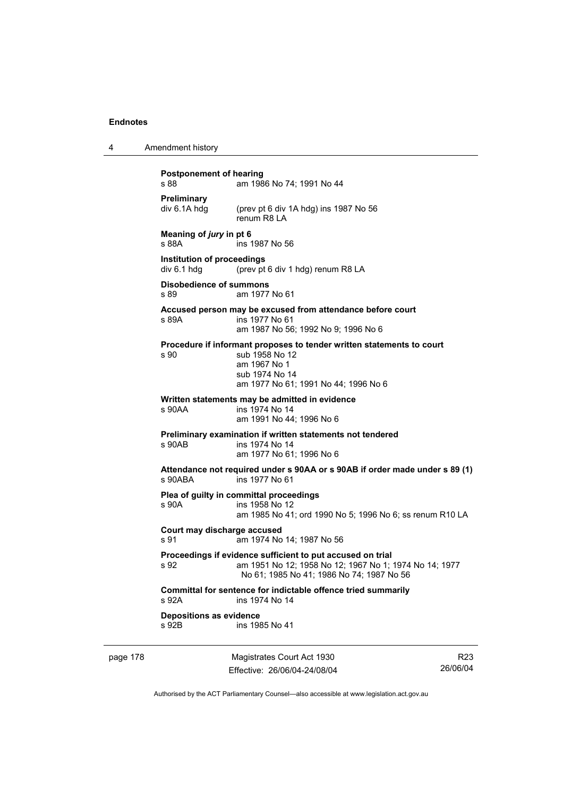| 4 | Amendment history |
|---|-------------------|
|---|-------------------|

# **Postponement of hearing**  s 88 **am 1986 No 74: 1991 No 44 Preliminary**  div 6.1A hdg (prev pt 6 div 1A hdg) ins 1987 No 56 renum R8 LA **Meaning of** *jury* **in pt 6**  s 88A ins 1987 No 56 **Institution of proceedings**  div 6.1 hdg (prev pt 6 div 1 hdg) renum R8 LA **Disobedience of summons**  s 89 am 1977 No 61 **Accused person may be excused from attendance before court**  s 89A ins 1977 No 61 am 1987 No 56; 1992 No 9; 1996 No 6 **Procedure if informant proposes to tender written statements to court**  s 90 sub 1958 No 12 am 1967 No 1 sub 1974 No 14 am 1977 No 61; 1991 No 44; 1996 No 6 **Written statements may be admitted in evidence**  ins 1974 No 14 am 1991 No 44; 1996 No 6 **Preliminary examination if written statements not tendered**  s 90AB ins 1974 No 14 am 1977 No 61; 1996 No 6 **Attendance not required under s 90AA or s 90AB if order made under s 89 (1)**  s 90ABA ins 1977 No 61 **Plea of guilty in committal proceedings**  s 90A ins 1958 No 12 am 1985 No 41; ord 1990 No 5; 1996 No 6; ss renum R10 LA **Court may discharge accused**  s 91 am 1974 No 14; 1987 No 56 **Proceedings if evidence sufficient to put accused on trial**  s 92 am 1951 No 12; 1958 No 12; 1967 No 1; 1974 No 14; 1977 No 61; 1985 No 41; 1986 No 74; 1987 No 56 **Committal for sentence for indictable offence tried summarily**  s 92A ins 1974 No 14 **Depositions as evidence**  s 92B ins 1985 No 41

page 178 Magistrates Court Act 1930 Effective: 26/06/04-24/08/04

R23 26/06/04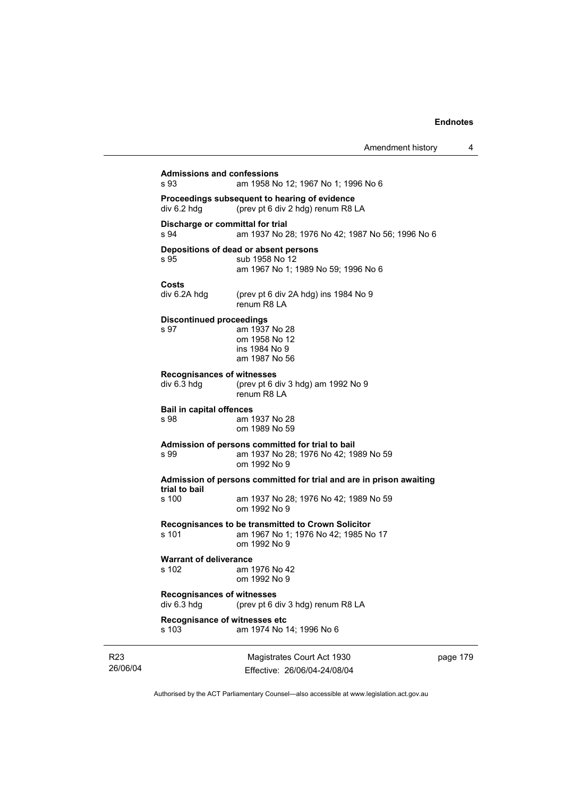| <b>Admissions and confessions</b><br>s 93        | am 1958 No 12; 1967 No 1; 1996 No 6                                                  |    |
|--------------------------------------------------|--------------------------------------------------------------------------------------|----|
|                                                  |                                                                                      |    |
| div 6.2 hdg                                      | Proceedings subsequent to hearing of evidence<br>(prev pt 6 div 2 hdg) renum R8 LA   |    |
|                                                  |                                                                                      |    |
| s 94                                             | Discharge or committal for trial<br>am 1937 No 28; 1976 No 42; 1987 No 56; 1996 No 6 |    |
|                                                  |                                                                                      |    |
| s 95                                             | Depositions of dead or absent persons<br>sub 1958 No 12                              |    |
|                                                  | am 1967 No 1; 1989 No 59; 1996 No 6                                                  |    |
| Costs                                            |                                                                                      |    |
| div 6.2A hdg                                     | (prev pt 6 div 2A hdg) ins 1984 No 9                                                 |    |
|                                                  | renum R8 LA                                                                          |    |
| <b>Discontinued proceedings</b>                  |                                                                                      |    |
| s 97                                             | am 1937 No 28                                                                        |    |
|                                                  | om 1958 No 12<br>ins 1984 No 9                                                       |    |
|                                                  | am 1987 No 56                                                                        |    |
| <b>Recognisances of witnesses</b>                |                                                                                      |    |
| div 6.3 hdg                                      | (prev pt 6 div 3 hdg) am 1992 No 9                                                   |    |
|                                                  | renum R8 LA                                                                          |    |
| <b>Bail in capital offences</b>                  |                                                                                      |    |
| s 98                                             | am 1937 No 28                                                                        |    |
|                                                  | om 1989 No 59                                                                        |    |
|                                                  | Admission of persons committed for trial to bail                                     |    |
| s 99                                             | am 1937 No 28; 1976 No 42; 1989 No 59<br>om 1992 No 9                                |    |
|                                                  |                                                                                      |    |
| trial to bail                                    | Admission of persons committed for trial and are in prison awaiting                  |    |
| s 100                                            | am 1937 No 28; 1976 No 42; 1989 No 59                                                |    |
|                                                  | om 1992 No 9                                                                         |    |
|                                                  | Recognisances to be transmitted to Crown Solicitor                                   |    |
| s 101                                            | am 1967 No 1; 1976 No 42; 1985 No 17                                                 |    |
|                                                  | om 1992 No 9                                                                         |    |
| <b>Warrant of deliverance</b>                    |                                                                                      |    |
| s 102                                            | am 1976 No 42<br>om 1992 No 9                                                        |    |
|                                                  |                                                                                      |    |
| <b>Recognisances of witnesses</b><br>div 6.3 hdg |                                                                                      |    |
|                                                  | (prev pt 6 div 3 hdg) renum R8 LA                                                    |    |
| s 103                                            | Recognisance of witnesses etc                                                        |    |
|                                                  | am 1974 No 14; 1996 No 6                                                             |    |
|                                                  |                                                                                      |    |
|                                                  | Magistrates Court Act 1930                                                           | pa |

R23 26/06/04

Effective: 26/06/04-24/08/04

ge 179

 $\overline{\phantom{a}}$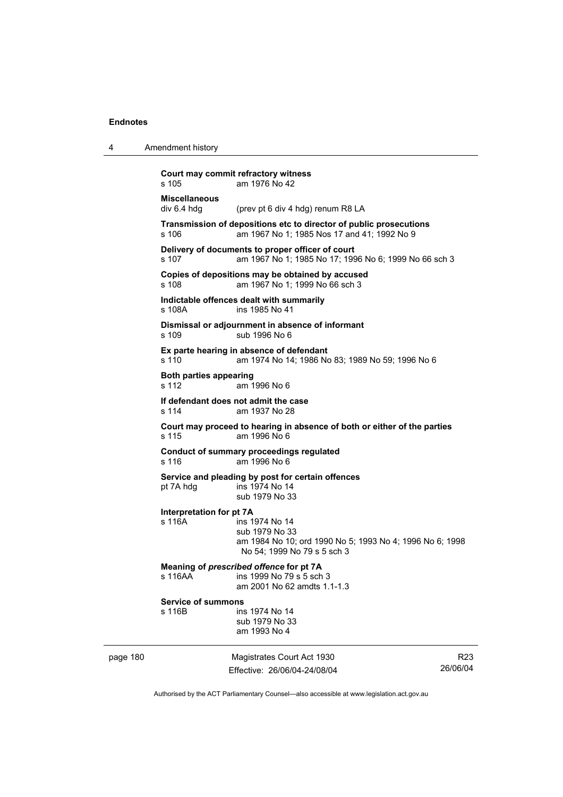4 Amendment history

|          | s 105                                  | Court may commit refractory witness<br>am 1976 No 42                                                                        |                             |
|----------|----------------------------------------|-----------------------------------------------------------------------------------------------------------------------------|-----------------------------|
|          | <b>Miscellaneous</b><br>div 6.4 hda    | (prev pt 6 div 4 hdg) renum R8 LA                                                                                           |                             |
|          | s 106                                  | Transmission of depositions etc to director of public prosecutions<br>am 1967 No 1; 1985 Nos 17 and 41; 1992 No 9           |                             |
|          | s 107                                  | Delivery of documents to proper officer of court<br>am 1967 No 1; 1985 No 17; 1996 No 6; 1999 No 66 sch 3                   |                             |
|          | s 108                                  | Copies of depositions may be obtained by accused<br>am 1967 No 1; 1999 No 66 sch 3                                          |                             |
|          | s 108A                                 | Indictable offences dealt with summarily<br>ins 1985 No 41                                                                  |                             |
|          | s 109                                  | Dismissal or adjournment in absence of informant<br>sub 1996 No 6                                                           |                             |
|          | s 110                                  | Ex parte hearing in absence of defendant<br>am 1974 No 14; 1986 No 83; 1989 No 59; 1996 No 6                                |                             |
|          | <b>Both parties appearing</b><br>s 112 | am 1996 No 6                                                                                                                |                             |
|          | s 114                                  | If defendant does not admit the case<br>am 1937 No 28                                                                       |                             |
|          | s 115                                  | Court may proceed to hearing in absence of both or either of the parties<br>am 1996 No 6                                    |                             |
|          | s 116                                  | <b>Conduct of summary proceedings regulated</b><br>am 1996 No 6                                                             |                             |
|          | pt 7A hdg                              | Service and pleading by post for certain offences<br>ins 1974 No 14<br>sub 1979 No 33                                       |                             |
|          | Interpretation for pt 7A<br>s 116A     | ins 1974 No 14<br>sub 1979 No 33<br>am 1984 No 10; ord 1990 No 5; 1993 No 4; 1996 No 6; 1998<br>No 54; 1999 No 79 s 5 sch 3 |                             |
|          | s 116AA                                | Meaning of prescribed offence for pt 7A<br>ins 1999 No 79 s 5 sch 3<br>am 2001 No 62 amdts 1.1-1.3                          |                             |
|          | <b>Service of summons</b><br>s 116B    | ins 1974 No 14<br>sub 1979 No 33<br>am 1993 No 4                                                                            |                             |
| page 180 |                                        | Magistrates Court Act 1930<br>Effective: 26/06/04-24/08/04                                                                  | R <sub>23</sub><br>26/06/04 |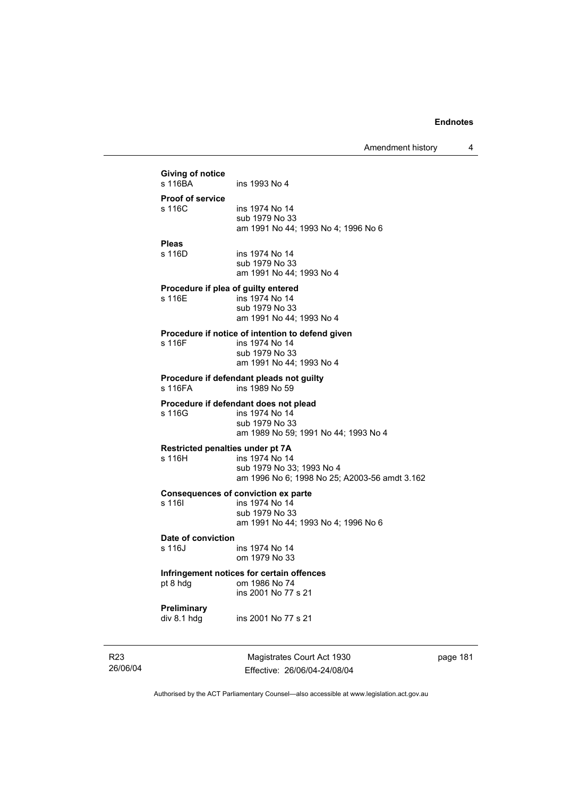|                 | Giving of notice                 |                                                            |
|-----------------|----------------------------------|------------------------------------------------------------|
|                 | s 116BA                          | ins 1993 No 4                                              |
|                 | <b>Proof of service</b>          |                                                            |
|                 | s 116C                           | ins 1974 No 14<br>sub 1979 No 33                           |
|                 |                                  | am 1991 No 44; 1993 No 4; 1996 No 6                        |
|                 | <b>Pleas</b>                     |                                                            |
|                 | s 116D                           | ins 1974 No 14<br>sub 1979 No 33                           |
|                 |                                  | am 1991 No 44; 1993 No 4                                   |
|                 |                                  | Procedure if plea of guilty entered                        |
|                 | s 116E                           | ins 1974 No 14                                             |
|                 |                                  | sub 1979 No 33<br>am 1991 No 44; 1993 No 4                 |
|                 |                                  | Procedure if notice of intention to defend given           |
|                 | s 116F                           | ins 1974 No 14                                             |
|                 |                                  | sub 1979 No 33<br>am 1991 No 44; 1993 No 4                 |
|                 |                                  |                                                            |
|                 | s 116FA                          | Procedure if defendant pleads not guilty<br>ins 1989 No 59 |
|                 |                                  | Procedure if defendant does not plead                      |
|                 | s 116G                           | ins 1974 No 14<br>sub 1979 No 33                           |
|                 |                                  | am 1989 No 59; 1991 No 44; 1993 No 4                       |
|                 | Restricted penalties under pt 7A |                                                            |
|                 | s 116H                           | ins 1974 No 14<br>sub 1979 No 33; 1993 No 4                |
|                 |                                  | am 1996 No 6; 1998 No 25; A2003-56 amdt 3.162              |
|                 |                                  | <b>Consequences of conviction ex parte</b>                 |
|                 | s 116I                           | ins 1974 No 14<br>sub 1979 No 33                           |
|                 |                                  | am 1991 No 44; 1993 No 4; 1996 No 6                        |
|                 | Date of conviction               |                                                            |
|                 | s 116J                           | ins 1974 No 14                                             |
|                 |                                  | om 1979 No 33                                              |
|                 | pt 8 hdg                         | Infringement notices for certain offences<br>om 1986 No 74 |
|                 |                                  | ins 2001 No 77 s 21                                        |
|                 | Preliminary                      |                                                            |
|                 | div 8.1 hdg                      | ins 2001 No 77 s 21                                        |
| R <sub>23</sub> |                                  | Magistrates Court Act 1930                                 |
| 26/06/04        |                                  | Effective: 26/06/04-24/08/04                               |

page 181

J.

Authorised by the ACT Parliamentary Counsel—also accessible at www.legislation.act.gov.au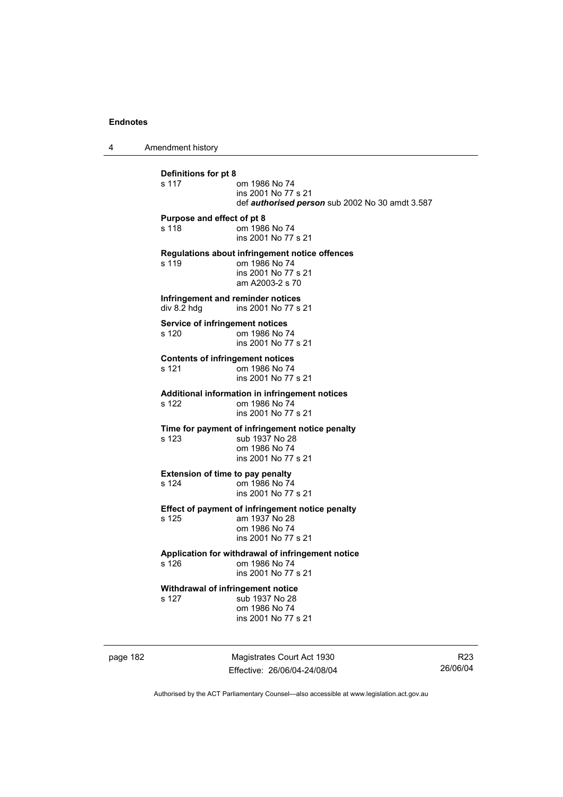4 Amendment history

**Definitions for pt 8**  om 1986 No 74 ins 2001 No 77 s 21 def *authorised person* sub 2002 No 30 amdt 3.587 **Purpose and effect of pt 8**  s 118 om 1986 No 74 ins 2001 No 77 s 21 **Regulations about infringement notice offences**  om 1986 No 74 ins 2001 No 77 s 21 am A2003-2 s 70 **Infringement and reminder notices**<br>div 8.2 hdg ins 2001 No 77 s ins 2001 No 77 s 21 **Service of infringement notices**  s 120 om 1986 No 74 ins 2001 No 77 s 21 **Contents of infringement notices**  s 121 om 1986 No 74 ins 2001 No 77 s 21 **Additional information in infringement notices**  s 122 om 1986 No 74 ins 2001 No 77 s 21 **Time for payment of infringement notice penalty**  s 123 sub 1937 No 28 om 1986 No 74 ins 2001 No 77 s 21 **Extension of time to pay penalty**<br>s 124 om 1986 No 74 om 1986 No 74 ins 2001 No 77 s 21 **Effect of payment of infringement notice penalty**  s 125 am 1937 No 28 om 1986 No 74 ins 2001 No 77 s 21 **Application for withdrawal of infringement notice**  om 1986 No 74 ins 2001 No 77 s 21 **Withdrawal of infringement notice**<br>s 127 sub 1937 No 28 sub 1937 No 28 om 1986 No 74 ins 2001 No 77 s 21

page 182 Magistrates Court Act 1930 Effective: 26/06/04-24/08/04

R23 26/06/04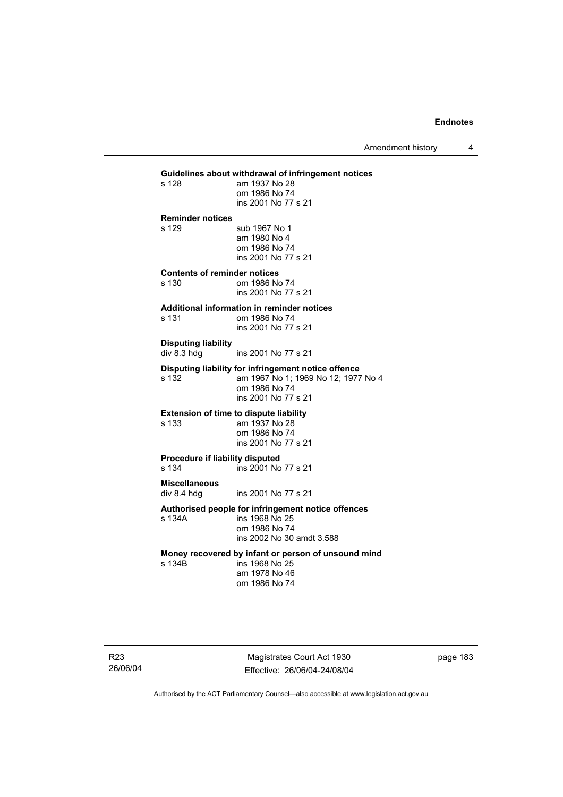Amendment history 4

# **Guidelines about withdrawal of infringement notices**  am 1937 No 28 om 1986 No 74 ins 2001 No 77 s 21 **Reminder notices**  s 129 sub 1967 No 1 am 1980 No 4 om 1986 No 74 ins 2001 No 77 s 21 **Contents of reminder notices**  om 1986 No 74 ins 2001 No 77 s 21 **Additional information in reminder notices**  s 131 om 1986 No 74 ins 2001 No 77 s 21 **Disputing liability**  div 8.3 hdg ins 2001 No 77 s 21 **Disputing liability for infringement notice offence**  am 1967 No 1; 1969 No 12; 1977 No 4 om 1986 No 74 ins 2001 No 77 s 21 **Extension of time to dispute liability**  s 133 am 1937 No 28 om 1986 No 74 ins 2001 No 77 s 21 **Procedure if liability disputed**  s 134 ins 2001 No 77 s 21 **Miscellaneous**  ins 2001 No 77 s 21 **Authorised people for infringement notice offences**  s 134A ins 1968 No 25 om 1986 No 74 ins 2002 No 30 amdt 3.588 **Money recovered by infant or person of unsound mind**  ins 1968 No 25 am 1978 No 46 om 1986 No 74

Magistrates Court Act 1930 Effective: 26/06/04-24/08/04 page 183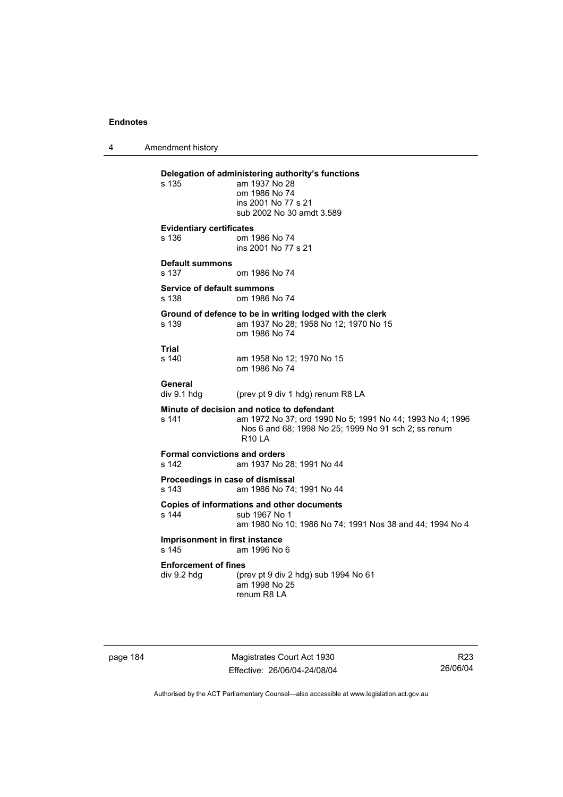4 Amendment history

| s 135                                                | Delegation of administering authority's functions<br>am 1937 No 28<br>om 1986 No 74<br>ins 2001 No 77 s 21<br>sub 2002 No 30 amdt 3.589                                                |
|------------------------------------------------------|----------------------------------------------------------------------------------------------------------------------------------------------------------------------------------------|
| <b>Evidentiary certificates</b><br>s 136             | om 1986 No 74<br>ins 2001 No 77 s 21                                                                                                                                                   |
| <b>Default summons</b><br>s 137                      | om 1986 No 74                                                                                                                                                                          |
| Service of default summons<br>s 138                  | om 1986 No 74                                                                                                                                                                          |
| s 139                                                | Ground of defence to be in writing lodged with the clerk<br>am 1937 No 28; 1958 No 12; 1970 No 15<br>om 1986 No 74                                                                     |
| Trial<br>$s$ 140                                     | am 1958 No 12; 1970 No 15<br>om 1986 No 74                                                                                                                                             |
| General<br>div 9.1 hdg                               | (prev pt 9 div 1 hdg) renum R8 LA                                                                                                                                                      |
| s 141                                                | Minute of decision and notice to defendant<br>am 1972 No 37; ord 1990 No 5; 1991 No 44; 1993 No 4; 1996<br>Nos 6 and 68; 1998 No 25; 1999 No 91 sch 2; ss renum<br>R <sub>10</sub>   A |
| <b>Formal convictions and orders</b><br>s 142        | am 1937 No 28; 1991 No 44                                                                                                                                                              |
| Proceedings in case of dismissal<br>s <sub>143</sub> | am 1986 No 74; 1991 No 44                                                                                                                                                              |
| s 144                                                | Copies of informations and other documents<br>sub 1967 No 1<br>am 1980 No 10; 1986 No 74; 1991 Nos 38 and 44; 1994 No 4                                                                |
| Imprisonment in first instance<br>s 145              | am 1996 No 6                                                                                                                                                                           |
| <b>Enforcement of fines</b><br>div 9.2 hdg           | (prev pt 9 div 2 hdg) sub 1994 No 61<br>am 1998 No 25<br>renum R8 LA                                                                                                                   |

page 184 Magistrates Court Act 1930 Effective: 26/06/04-24/08/04

R23 26/06/04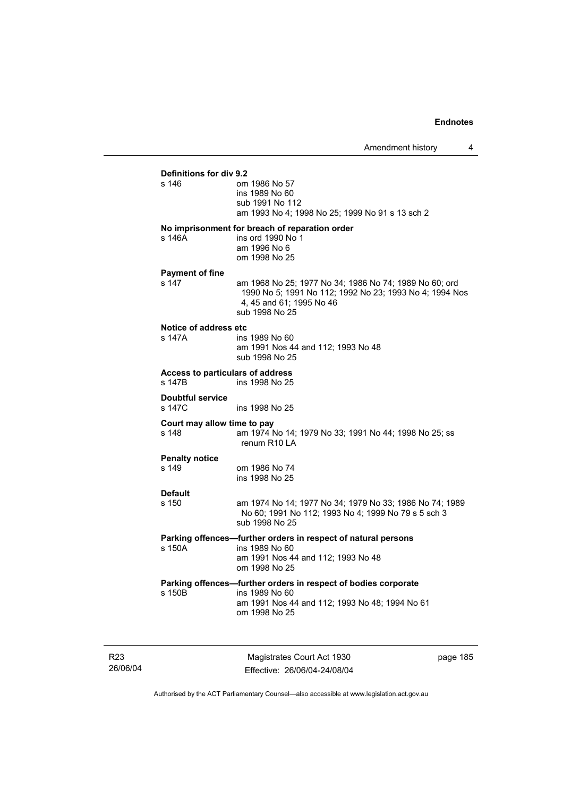# **Definitions for div 9.2**

| s 146                                      | om 1986 No 57<br>ins 1989 No 60<br>sub 1991 No 112<br>am 1993 No 4; 1998 No 25; 1999 No 91 s 13 sch 2                                                           |
|--------------------------------------------|-----------------------------------------------------------------------------------------------------------------------------------------------------------------|
| s 146A                                     | No imprisonment for breach of reparation order<br>ins ord 1990 No 1<br>am 1996 No 6<br>om 1998 No 25                                                            |
| <b>Payment of fine</b><br>s 147            | am 1968 No 25; 1977 No 34; 1986 No 74; 1989 No 60; ord<br>1990 No 5; 1991 No 112; 1992 No 23; 1993 No 4; 1994 Nos<br>4, 45 and 61; 1995 No 46<br>sub 1998 No 25 |
| Notice of address etc<br>s 147A            | ins 1989 No 60<br>am 1991 Nos 44 and 112; 1993 No 48<br>sub 1998 No 25                                                                                          |
| Access to particulars of address<br>s 147B | ins 1998 No 25                                                                                                                                                  |
| <b>Doubtful service</b><br>s 147C          | ins 1998 No 25                                                                                                                                                  |
| Court may allow time to pay<br>s 148       | am 1974 No 14; 1979 No 33; 1991 No 44; 1998 No 25; ss<br>renum R <sub>10</sub> LA                                                                               |
| <b>Penalty notice</b><br>s 149             | om 1986 No 74<br>ins 1998 No 25                                                                                                                                 |
| <b>Default</b><br>s 150                    | am 1974 No 14; 1977 No 34; 1979 No 33; 1986 No 74; 1989<br>No 60; 1991 No 112; 1993 No 4; 1999 No 79 s 5 sch 3<br>sub 1998 No 25                                |
| s 150A                                     | Parking offences-further orders in respect of natural persons<br>ins 1989 No 60<br>am 1991 Nos 44 and 112; 1993 No 48<br>om 1998 No 25                          |
| s 150B                                     | Parking offences-further orders in respect of bodies corporate<br>ins 1989 No 60<br>am 1991 Nos 44 and 112; 1993 No 48; 1994 No 61<br>om 1998 No 25             |
|                                            |                                                                                                                                                                 |

R23 26/06/04

Magistrates Court Act 1930 Effective: 26/06/04-24/08/04 page 185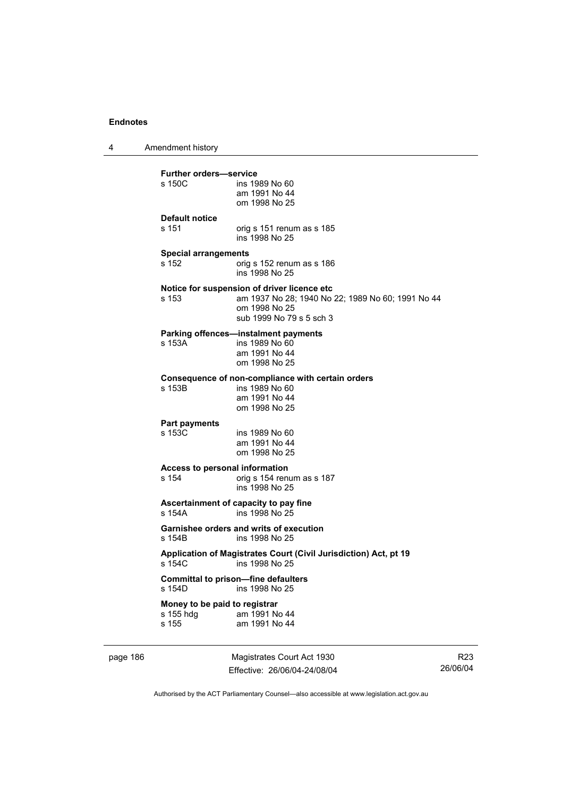4 Amendment history

| <b>Further orders-service</b><br>s 150C             | ins 1989 No 60<br>am 1991 No 44<br>om 1998 No 25                                                                                              |
|-----------------------------------------------------|-----------------------------------------------------------------------------------------------------------------------------------------------|
| <b>Default notice</b>                               |                                                                                                                                               |
| s 151                                               | orig s 151 renum as s 185<br>ins 1998 No 25                                                                                                   |
| <b>Special arrangements</b><br>s 152                | orig s 152 renum as s 186<br>ins 1998 No 25                                                                                                   |
| s 153                                               | Notice for suspension of driver licence etc<br>am 1937 No 28; 1940 No 22; 1989 No 60; 1991 No 44<br>om 1998 No 25<br>sub 1999 No 79 s 5 sch 3 |
| s 153A                                              | Parking offences—instalment payments<br>ins 1989 No 60<br>am 1991 No 44<br>om 1998 No 25                                                      |
| s 153B                                              | Consequence of non-compliance with certain orders<br>ins 1989 No 60<br>am 1991 No 44<br>om 1998 No 25                                         |
| <b>Part payments</b><br>s 153C                      | ins 1989 No 60<br>am 1991 No 44<br>om 1998 No 25                                                                                              |
| s 154                                               | Access to personal information<br>orig s 154 renum as s 187<br>ins 1998 No 25                                                                 |
| s 154A                                              | Ascertainment of capacity to pay fine<br>ins 1998 No 25                                                                                       |
| s 154B                                              | Garnishee orders and writs of execution<br>ins 1998 No 25                                                                                     |
| s 154C                                              | Application of Magistrates Court (Civil Jurisdiction) Act, pt 19<br>ins 1998 No 25                                                            |
| s 154D                                              | <b>Committal to prison-fine defaulters</b><br>ins 1998 No 25                                                                                  |
| Money to be paid to registrar<br>s 155 hdg<br>s 155 | am 1991 No 44<br>am 1991 No 44                                                                                                                |

page 186 Magistrates Court Act 1930 Effective: 26/06/04-24/08/04

R23 26/06/04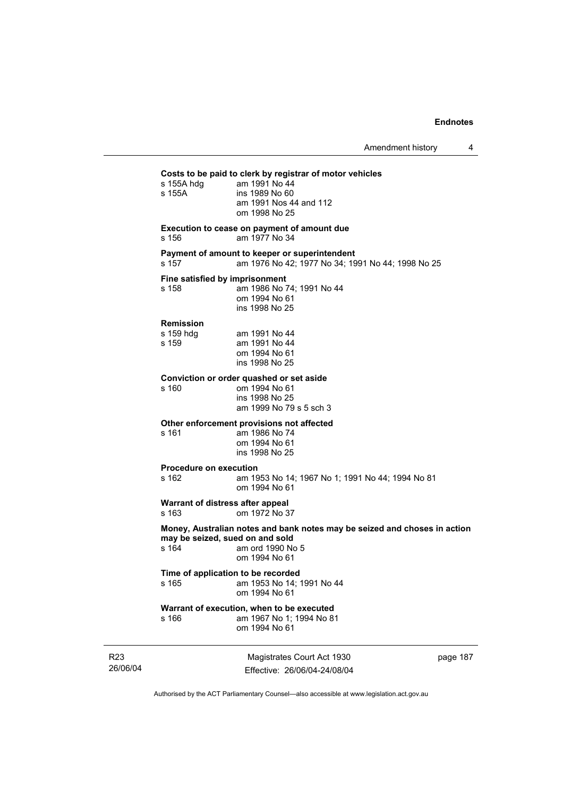| s 155A hdg<br>s 155A                        | Costs to be paid to clerk by registrar of motor vehicles<br>am 1991 No 44<br>ins 1989 No 60<br>am 1991 Nos 44 and 112<br>om 1998 No 25 |
|---------------------------------------------|----------------------------------------------------------------------------------------------------------------------------------------|
| s 156                                       | Execution to cease on payment of amount due<br>am 1977 No 34                                                                           |
| s 157                                       | Payment of amount to keeper or superintendent<br>am 1976 No 42; 1977 No 34; 1991 No 44; 1998 No 25                                     |
| Fine satisfied by imprisonment<br>s 158     | am 1986 No 74; 1991 No 44<br>om 1994 No 61<br>ins 1998 No 25                                                                           |
| <b>Remission</b><br>s 159 hdq<br>s 159      | am 1991 No 44<br>am 1991 No 44<br>om 1994 No 61<br>ins 1998 No 25                                                                      |
| s 160                                       | Conviction or order quashed or set aside<br>om 1994 No 61<br>ins 1998 No 25<br>am 1999 No 79 s 5 sch 3                                 |
| s 161                                       | Other enforcement provisions not affected<br>am 1986 No 74<br>om 1994 No 61<br>ins 1998 No 25                                          |
| <b>Procedure on execution</b><br>s 162      | am 1953 No 14: 1967 No 1: 1991 No 44: 1994 No 81<br>om 1994 No 61                                                                      |
| Warrant of distress after appeal<br>s 163   | om 1972 No 37                                                                                                                          |
| may be seized, sued on and sold<br>s 164    | Money, Australian notes and bank notes may be seized and choses in action<br>am ord 1990 No 5<br>om 1994 No 61                         |
| Time of application to be recorded<br>s 165 | am 1953 No 14; 1991 No 44<br>om 1994 No 61                                                                                             |
| s 166                                       | Warrant of execution, when to be executed<br>am 1967 No 1: 1994 No 81<br>om 1994 No 61                                                 |

R23 26/06/04

Magistrates Court Act 1930 Effective: 26/06/04-24/08/04 page 187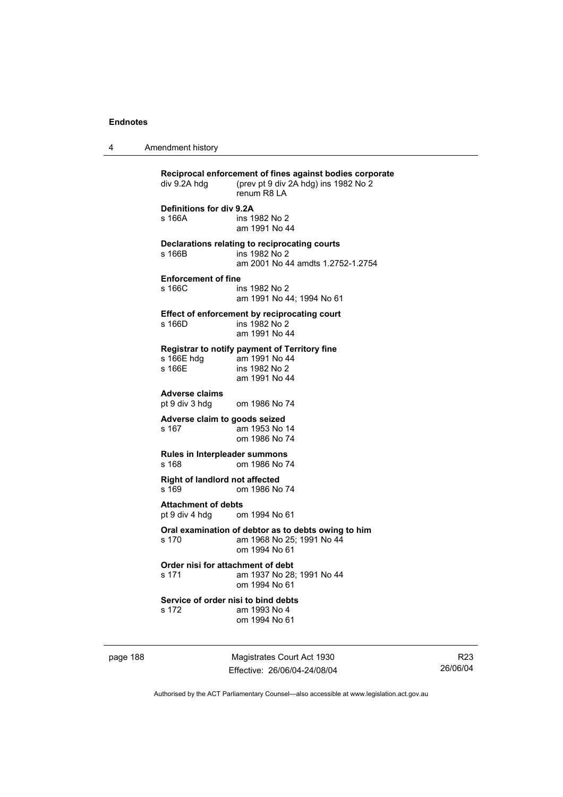4 Amendment history

| div 9.2A hdg                                   | Reciprocal enforcement of fines against bodies corporate<br>(prev pt 9 div 2A hdg) ins 1982 No 2<br>renum R8 LA |
|------------------------------------------------|-----------------------------------------------------------------------------------------------------------------|
| Definitions for div 9.2A<br>s 166A             | ins 1982 No 2<br>am 1991 No 44                                                                                  |
| s 166B                                         | Declarations relating to reciprocating courts<br>ins 1982 No 2<br>am 2001 No 44 amdts 1.2752-1.2754             |
| Enforcement of fine<br>s 166C                  | ins 1982 No 2<br>am 1991 No 44; 1994 No 61                                                                      |
| s 166D                                         | Effect of enforcement by reciprocating court<br>ins 1982 No 2<br>am 1991 No 44                                  |
| s 166E hdg<br>s 166E                           | Registrar to notify payment of Territory fine<br>am 1991 No 44<br>ins 1982 No 2<br>am 1991 No 44                |
| <b>Adverse claims</b><br>pt 9 div 3 hdg        | om 1986 No 74                                                                                                   |
| Adverse claim to goods seized<br>s 167         | am 1953 No 14<br>om 1986 No 74                                                                                  |
| Rules in Interpleader summons<br>s 168         | om 1986 No 74                                                                                                   |
| <b>Right of landlord not affected</b><br>s 169 | om 1986 No 74                                                                                                   |
| <b>Attachment of debts</b><br>pt 9 div 4 hdg   | om 1994 No 61                                                                                                   |
| s 170                                          | Oral examination of debtor as to debts owing to him<br>am 1968 No 25; 1991 No 44<br>om 1994 No 61               |
| Order nisi for attachment of debt<br>s 171     | am 1937 No 28; 1991 No 44<br>om 1994 No 61                                                                      |
| Service of order nisi to bind debts<br>s 172   | am 1993 No 4<br>om 1994 No 61                                                                                   |
|                                                |                                                                                                                 |

page 188 Magistrates Court Act 1930 Effective: 26/06/04-24/08/04

R23 26/06/04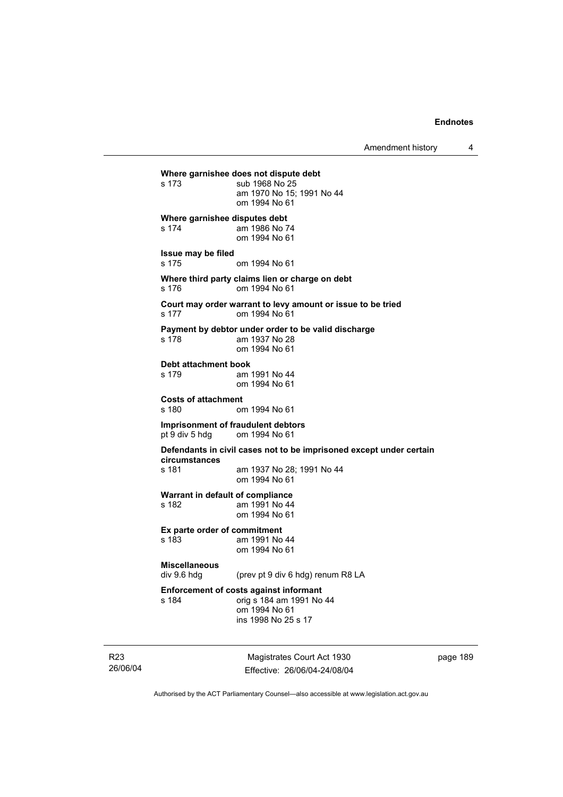Amendment history 4

```
Where garnishee does not dispute debt 
s 173 sub 1968 No 25 
                 am 1970 No 15; 1991 No 44 
                 om 1994 No 61 
Where garnishee disputes debt 
s 174 am 1986 No 74 
                 om 1994 No 61 
Issue may be filed 
s 175 om 1994 No 61 
Where third party claims lien or charge on debt 
s 176 om 1994 No 61 
Court may order warrant to levy amount or issue to be tried 
s 177 om 1994 No 61 
Payment by debtor under order to be valid discharge 
s 178 am 1937 No 28 
                 om 1994 No 61 
Debt attachment book 
s 179 am 1991 No 44 
                 om 1994 No 61 
Costs of attachment 
                om 1994 No 61
Imprisonment of fraudulent debtors 
pt 9 div 5 hdg om 1994 No 61 
Defendants in civil cases not to be imprisoned except under certain 
circumstances 
s 181 am 1937 No 28; 1991 No 44 
                 om 1994 No 61 
Warrant in default of compliance 
s 182 am 1991 No 44 
                 om 1994 No 61 
Ex parte order of commitment 
s 183 am 1991 No 44 
                 om 1994 No 61 
Miscellaneous 
                (prev pt 9 div 6 hdg) renum R8 LA
Enforcement of costs against informant 
s 184 orig s 184 am 1991 No 44 
                 om 1994 No 61 
                 ins 1998 No 25 s 17
```
R23 26/06/04

Magistrates Court Act 1930 Effective: 26/06/04-24/08/04 page 189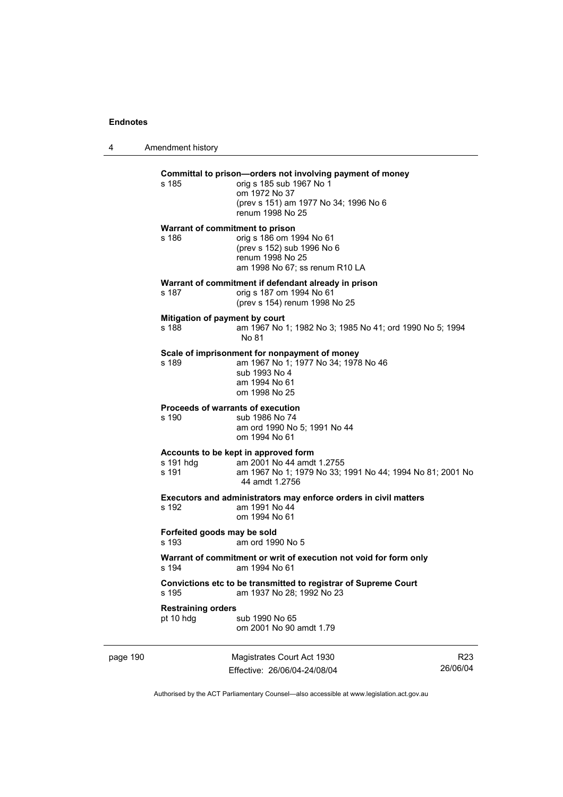4 Amendment history page 190 Magistrates Court Act 1930 R23 **Committal to prison—orders not involving payment of money**  s 185 orig s 185 sub 1967 No 1 om 1972 No 37 (prev s 151) am 1977 No 34; 1996 No 6 renum 1998 No 25 **Warrant of commitment to prison**  s 186 orig s 186 om 1994 No 61 (prev s 152) sub 1996 No 6 renum 1998 No 25 am 1998 No 67; ss renum R10 LA **Warrant of commitment if defendant already in prison**  s 187 orig s 187 om 1994 No 61 (prev s 154) renum 1998 No 25 **Mitigation of payment by court**<br>**s** 188 **am** 1967 No am 1967 No 1; 1982 No 3; 1985 No 41; ord 1990 No 5; 1994 No 81 **Scale of imprisonment for nonpayment of money**  s 189 am 1967 No 1; 1977 No 34; 1978 No 46 sub 1993 No 4 am 1994 No 61 om 1998 No 25 **Proceeds of warrants of execution**  s 190 sub 1986 No 74 am ord 1990 No 5; 1991 No 44 om 1994 No 61 **Accounts to be kept in approved form**  s 191 hdg am 2001 No 44 amdt 1.2755<br>s 191 am 1967 No 1: 1979 No 33: am 1967 No 1; 1979 No 33; 1991 No 44; 1994 No 81; 2001 No 44 amdt 1.2756 **Executors and administrators may enforce orders in civil matters**  s 192 am 1991 No 44 om 1994 No 61 **Forfeited goods may be sold**  s 193 am ord 1990 No 5 **Warrant of commitment or writ of execution not void for form only**  s 194 am 1994 No 61 **Convictions etc to be transmitted to registrar of Supreme Court**  s 195 am 1937 No 28; 1992 No 23 **Restraining orders**  pt 10 hdg sub 1990 No 65 om 2001 No 90 amdt 1.79

Authorised by the ACT Parliamentary Counsel—also accessible at www.legislation.act.gov.au

26/06/04

Effective: 26/06/04-24/08/04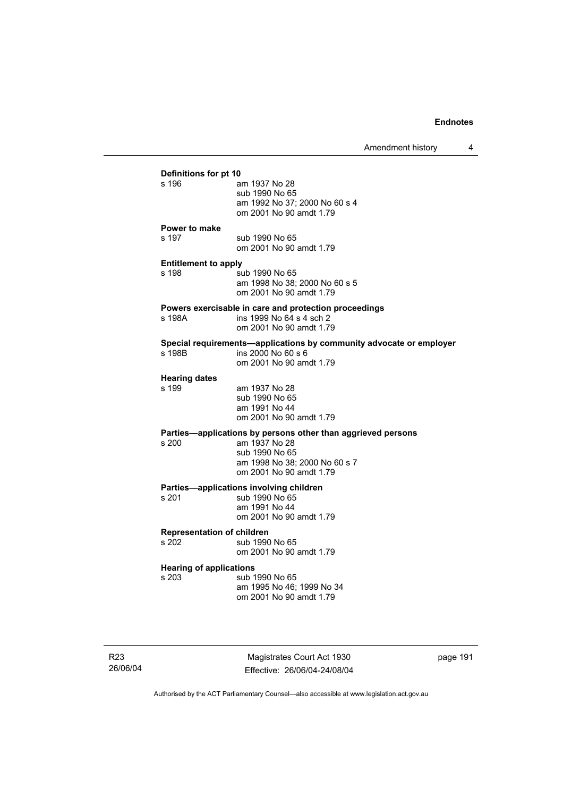| Amendment history |  |
|-------------------|--|
|-------------------|--|

|                                      |                                                                                           | <u>LUIDINIULIULIIOULY</u> |  |
|--------------------------------------|-------------------------------------------------------------------------------------------|---------------------------|--|
| Definitions for pt 10                |                                                                                           |                           |  |
| s 196                                | am 1937 No 28                                                                             |                           |  |
|                                      | sub 1990 No 65                                                                            |                           |  |
|                                      | am 1992 No 37; 2000 No 60 s 4                                                             |                           |  |
|                                      | om 2001 No 90 amdt 1.79                                                                   |                           |  |
|                                      |                                                                                           |                           |  |
| <b>Power to make</b>                 |                                                                                           |                           |  |
| s 197                                | sub 1990 No 65                                                                            |                           |  |
|                                      | om 2001 No 90 amdt 1.79                                                                   |                           |  |
|                                      |                                                                                           |                           |  |
| <b>Entitlement to apply</b><br>s 198 | sub 1990 No 65                                                                            |                           |  |
|                                      | am 1998 No 38; 2000 No 60 s 5                                                             |                           |  |
|                                      | om 2001 No 90 amdt 1.79                                                                   |                           |  |
|                                      |                                                                                           |                           |  |
|                                      | Powers exercisable in care and protection proceedings                                     |                           |  |
| s 198A                               | ins 1999 No 64 s 4 sch 2                                                                  |                           |  |
|                                      | om 2001 No 90 amdt 1.79                                                                   |                           |  |
|                                      |                                                                                           |                           |  |
| s 198B                               | Special requirements-applications by community advocate or employer<br>ins 2000 No 60 s 6 |                           |  |
|                                      | om 2001 No 90 amdt 1.79                                                                   |                           |  |
|                                      |                                                                                           |                           |  |
| <b>Hearing dates</b>                 |                                                                                           |                           |  |
| s 199                                | am 1937 No 28                                                                             |                           |  |
|                                      | sub 1990 No 65                                                                            |                           |  |
|                                      | am 1991 No 44                                                                             |                           |  |
|                                      | om 2001 No 90 amdt 1.79                                                                   |                           |  |
|                                      |                                                                                           |                           |  |
|                                      | Parties-applications by persons other than aggrieved persons                              |                           |  |
| s 200                                | am 1937 No 28                                                                             |                           |  |
|                                      | sub 1990 No 65                                                                            |                           |  |
|                                      | am 1998 No 38; 2000 No 60 s 7                                                             |                           |  |
|                                      | om 2001 No 90 amdt 1.79                                                                   |                           |  |
|                                      | Parties-applications involving children                                                   |                           |  |
| s 201                                | sub 1990 No 65                                                                            |                           |  |
|                                      | am 1991 No 44                                                                             |                           |  |
|                                      | om 2001 No 90 amdt 1.79                                                                   |                           |  |
|                                      |                                                                                           |                           |  |
| <b>Representation of children</b>    |                                                                                           |                           |  |
| s 202                                | sub 1990 No 65                                                                            |                           |  |
|                                      | om 2001 No 90 amdt 1.79                                                                   |                           |  |
| <b>Hearing of applications</b>       |                                                                                           |                           |  |
| s 203                                | sub 1990 No 65                                                                            |                           |  |
|                                      | am 1995 No 46; 1999 No 34                                                                 |                           |  |
|                                      | om 2001 No 90 amdt 1.79                                                                   |                           |  |
|                                      |                                                                                           |                           |  |

R23 26/06/04

Magistrates Court Act 1930 Effective: 26/06/04-24/08/04 page 191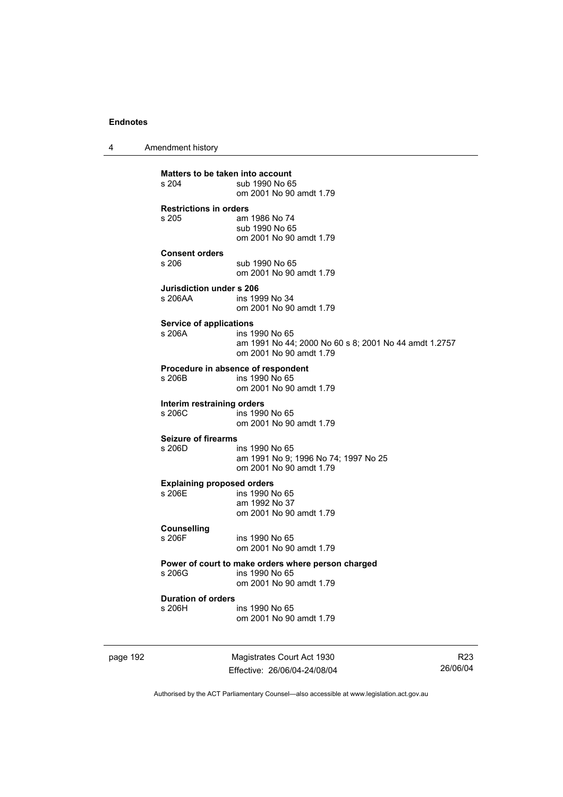4 Amendment history

page 192 Magistrates Court Act 1930 **Matters to be taken into account**<br>s 204 sub 1990 No 6 sub 1990 No 65 om 2001 No 90 amdt 1.79 **Restrictions in orders**  am 1986 No 74 sub 1990 No 65 om 2001 No 90 amdt 1.79 **Consent orders**  sub 1990 No 65 om 2001 No 90 amdt 1.79 **Jurisdiction under s 206**  ins 1999 No 34 om 2001 No 90 amdt 1.79 **Service of applications**  s 206A ins 1990 No 65 am 1991 No 44; 2000 No 60 s 8; 2001 No 44 amdt 1.2757 om 2001 No 90 amdt 1.79 **Procedure in absence of respondent**  ins 1990 No 65 om 2001 No 90 amdt 1.79 **Interim restraining orders**  s 206C ins 1990 No 65 om 2001 No 90 amdt 1.79 **Seizure of firearms**  s 206D ins 1990 No 65 am 1991 No 9; 1996 No 74; 1997 No 25 om 2001 No 90 amdt 1.79 **Explaining proposed orders**  ins 1990 No 65 am 1992 No 37 om 2001 No 90 amdt 1.79 **Counselling**  ins 1990 No 65 om 2001 No 90 amdt 1.79 **Power of court to make orders where person charged**  s 206G ins 1990 No 65 om 2001 No 90 amdt 1.79 **Duration of orders**  s 206H ins 1990 No 65 om 2001 No 90 amdt 1.79

Effective: 26/06/04-24/08/04

R23 26/06/04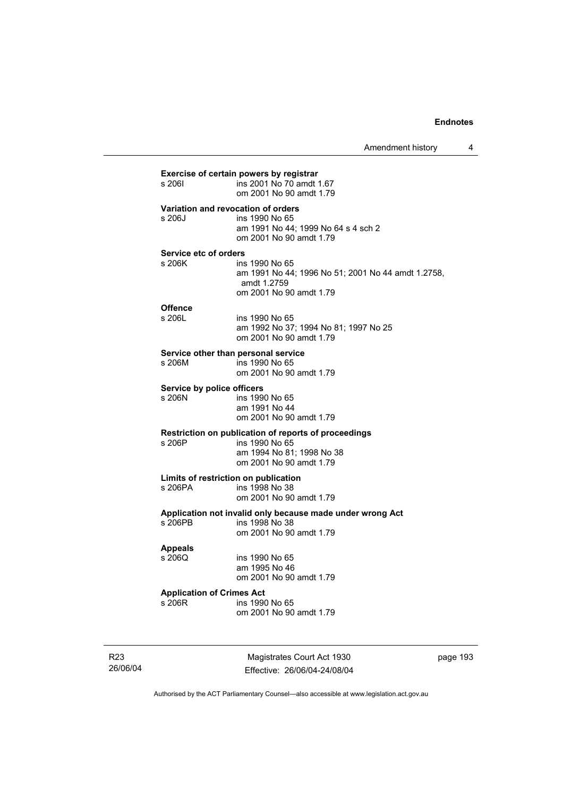| s 2061                           | ins 2001 No 70 amdt 1.67<br>om 2001 No 90 amdt 1.79                                                                    |
|----------------------------------|------------------------------------------------------------------------------------------------------------------------|
| s 206J                           | Variation and revocation of orders<br>ins 1990 No 65<br>am 1991 No 44; 1999 No 64 s 4 sch 2<br>om 2001 No 90 amdt 1.79 |
| Service etc of orders            |                                                                                                                        |
| s 206K                           | ins 1990 No 65<br>am 1991 No 44; 1996 No 51; 2001 No 44 amdt 1.2758,<br>amdt 1.2759<br>om 2001 No 90 amdt 1.79         |
| <b>Offence</b>                   |                                                                                                                        |
| s 206L                           | ins 1990 No 65<br>am 1992 No 37; 1994 No 81; 1997 No 25<br>om 2001 No 90 amdt 1.79                                     |
|                                  | Service other than personal service                                                                                    |
| s 206M                           | ins 1990 No 65<br>om 2001 No 90 amdt 1.79                                                                              |
| Service by police officers       |                                                                                                                        |
| s 206N                           | ins 1990 No 65<br>am 1991 No 44<br>om 2001 No 90 amdt 1.79                                                             |
|                                  | Restriction on publication of reports of proceedings                                                                   |
| s 206P                           | ins 1990 No 65                                                                                                         |
|                                  | am 1994 No 81; 1998 No 38<br>om 2001 No 90 amdt 1.79                                                                   |
|                                  | Limits of restriction on publication                                                                                   |
| s 206PA                          | ins 1998 No 38                                                                                                         |
|                                  | om 2001 No 90 amdt 1.79                                                                                                |
|                                  | Application not invalid only because made under wrong Act                                                              |
| s 206PB                          | ins 1998 No 38<br>om 2001 No 90 amdt 1.79                                                                              |
| <b>Appeals</b>                   |                                                                                                                        |
| s 206Q                           | ins 1990 No 65                                                                                                         |
|                                  | am 1995 No 46<br>om 2001 No 90 amdt 1.79                                                                               |
| <b>Application of Crimes Act</b> |                                                                                                                        |
| s 206R                           | ins 1990 No 65                                                                                                         |
|                                  | om 2001 No 90 amdt 1.79                                                                                                |

R23 26/06/04

Magistrates Court Act 1930 Effective: 26/06/04-24/08/04 page 193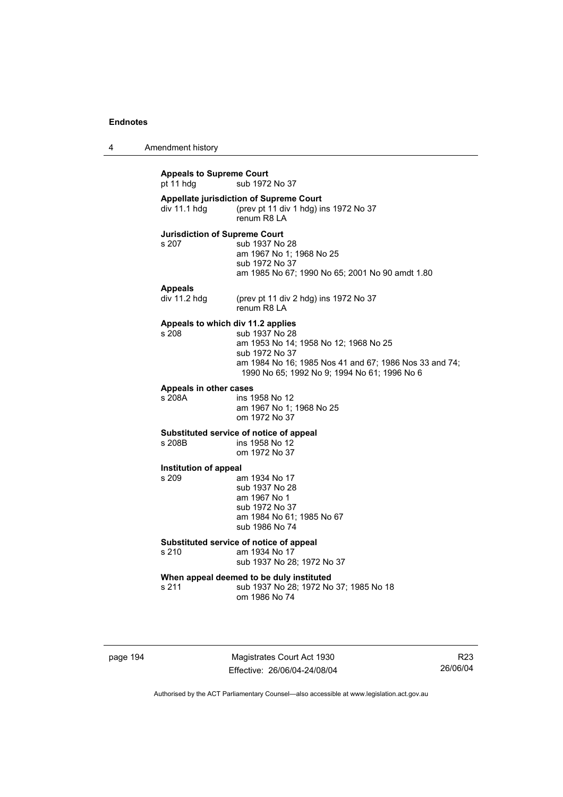4 Amendment history

**Appeals to Supreme Court**  pt 11 hdg sub 1972 No 37 **Appellate jurisdiction of Supreme Court**  div 11.1 hdg (prev pt 11 div 1 hdg) ins 1972 No 37 renum R8 LA **Jurisdiction of Supreme Court**  s 207 sub 1937 No 28 am 1967 No 1; 1968 No 25 sub 1972 No 37 am 1985 No 67; 1990 No 65; 2001 No 90 amdt 1.80 **Appeals**  (prev pt 11 div 2 hdg) ins 1972 No 37 renum R8 LA **Appeals to which div 11.2 applies**  s 208 sub 1937 No 28 am 1953 No 14; 1958 No 12; 1968 No 25 sub 1972 No 37 am 1984 No 16; 1985 Nos 41 and 67; 1986 Nos 33 and 74; 1990 No 65; 1992 No 9; 1994 No 61; 1996 No 6 **Appeals in other cases**  s 208A ins 1958 No 12 am 1967 No 1; 1968 No 25 om 1972 No 37 **Substituted service of notice of appeal**  ins 1958 No 12 om 1972 No 37 **Institution of appeal**  s 209 am 1934 No 17 sub 1937 No 28 am 1967 No 1 sub 1972 No 37 am 1984 No 61; 1985 No 67 sub 1986 No 74 **Substituted service of notice of appeal**  s 210 am 1934 No 17 sub 1937 No 28; 1972 No 37 **When appeal deemed to be duly instituted**  s 211 sub 1937 No 28; 1972 No 37; 1985 No 18 om 1986 No 74

page 194 Magistrates Court Act 1930 Effective: 26/06/04-24/08/04

R23 26/06/04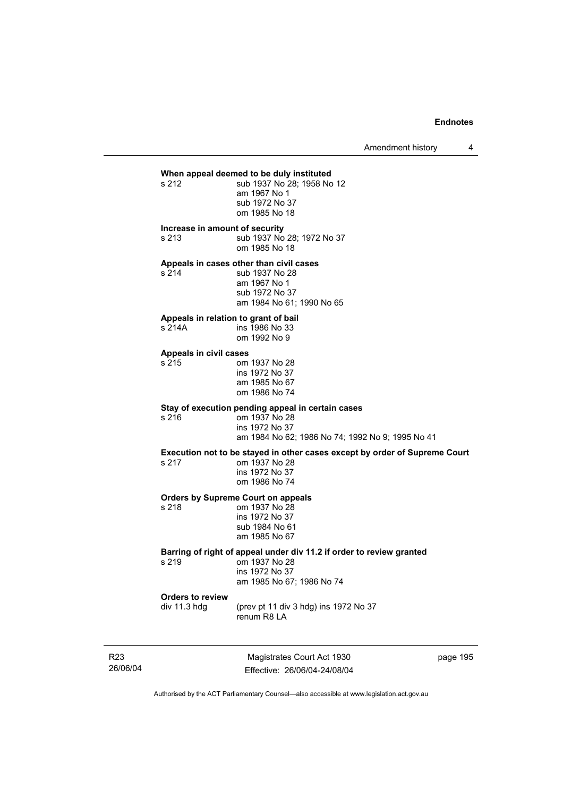# **When appeal deemed to be duly instituted**<br>s 212 **b** sub 1937 No 28: 1958 No

sub 1937 No 28; 1958 No 12 am 1967 No 1 sub 1972 No 37 om 1985 No 18

**Increase in amount of security** 

s 213 sub 1937 No 28; 1972 No 37 om 1985 No 18

**Appeals in cases other than civil cases** 

s 214 sub 1937 No 28 am 1967 No 1 sub 1972 No 37 am 1984 No 61; 1990 No 65

#### **Appeals in relation to grant of bail**

| s 214A | ins 1986 No 33 |
|--------|----------------|
|        | om 1992 No 9   |

#### **Appeals in civil cases**

| s 215 | om 1937 No 28  |
|-------|----------------|
|       | ins 1972 No 37 |
|       | am 1985 No 67  |
|       | om 1986 No 74  |

### **Stay of execution pending appeal in certain cases**

| s 216 | om 1937 No 28        |
|-------|----------------------|
|       | ins 1972 No 37       |
|       | $nm 1001$ No. $62.1$ |

am 1984 No 62; 1986 No 74; 1992 No 9; 1995 No 41

# Execution not to be stayed in other cases except by order of Supreme Court

s 217

s 216

| 5 Z I I | UIIL 1937 INU ZO |
|---------|------------------|
|         | ins 1972 No 37   |
|         | om 1986 No 74    |
|         |                  |

#### **Orders by Supreme Court on appeals**

s 218 om 1937 No 28 ins 1972 No 37 sub 1984 No 61 am 1985 No 67

#### **Barring of right of appeal under div 11.2 if order to review granted**  s 219 om 1937 No 28

 ins 1972 No 37 am 1985 No 67; 1986 No 74

**Orders to review** 

(prev pt 11 div 3 hdg) ins 1972 No 37 renum R8 LA

R23 26/06/04

Magistrates Court Act 1930 Effective: 26/06/04-24/08/04 page 195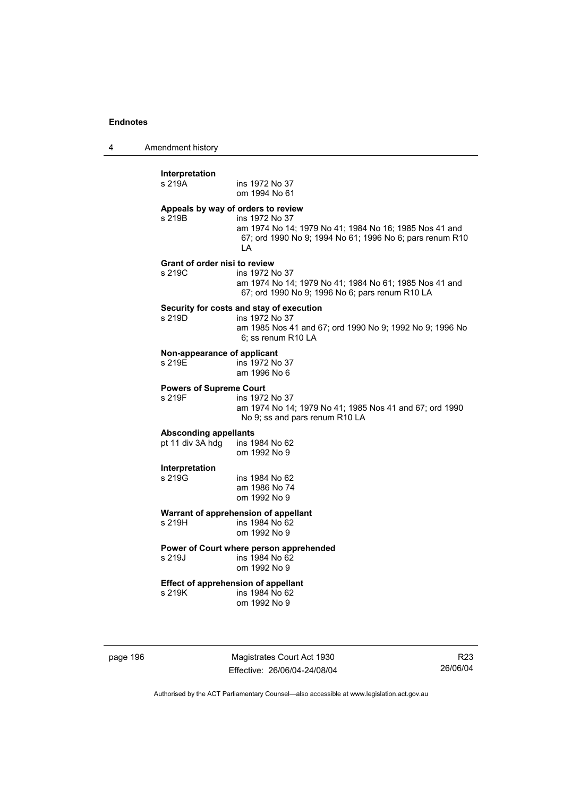4 Amendment history

| s 219A                                   | ins 1972 No 37<br>om 1994 No 61                                                                                                                                                  |
|------------------------------------------|----------------------------------------------------------------------------------------------------------------------------------------------------------------------------------|
| s 219B                                   | Appeals by way of orders to review<br>ins 1972 No 37<br>am 1974 No 14; 1979 No 41; 1984 No 16; 1985 Nos 41 and<br>67; ord 1990 No 9; 1994 No 61; 1996 No 6; pars renum R10<br>LA |
| Grant of order nisi to review<br>s 219C  | ins 1972 No 37<br>am 1974 No 14; 1979 No 41; 1984 No 61; 1985 Nos 41 and<br>67; ord 1990 No 9; 1996 No 6; pars renum R10 LA                                                      |
| s 219D                                   | Security for costs and stay of execution<br>ins 1972 No 37<br>am 1985 Nos 41 and 67; ord 1990 No 9; 1992 No 9; 1996 No<br>6; ss renum R10 LA                                     |
| Non-appearance of applicant<br>s 219E    | ins 1972 No 37<br>am 1996 No 6                                                                                                                                                   |
| <b>Powers of Supreme Court</b><br>s 219F | ins 1972 No 37<br>am 1974 No 14; 1979 No 41; 1985 Nos 41 and 67; ord 1990<br>No 9; ss and pars renum R10 LA                                                                      |
| <b>Absconding appellants</b>             |                                                                                                                                                                                  |
| pt 11 div 3A hdg                         | ins 1984 No 62<br>om 1992 No 9                                                                                                                                                   |
| Interpretation<br>s 219G                 | ins 1984 No 62<br>am 1986 No 74<br>om 1992 No 9                                                                                                                                  |
|                                          | Warrant of apprehension of appellant                                                                                                                                             |
| s 219H                                   | ins 1984 No 62<br>om 1992 No 9                                                                                                                                                   |
| s 219J                                   | Power of Court where person apprehended<br>ins 1984 No 62<br>om 1992 No 9                                                                                                        |
| s 219K                                   | Effect of apprehension of appellant<br>ins 1984 No 62<br>om 1992 No 9                                                                                                            |

page 196 Magistrates Court Act 1930 Effective: 26/06/04-24/08/04

R23 26/06/04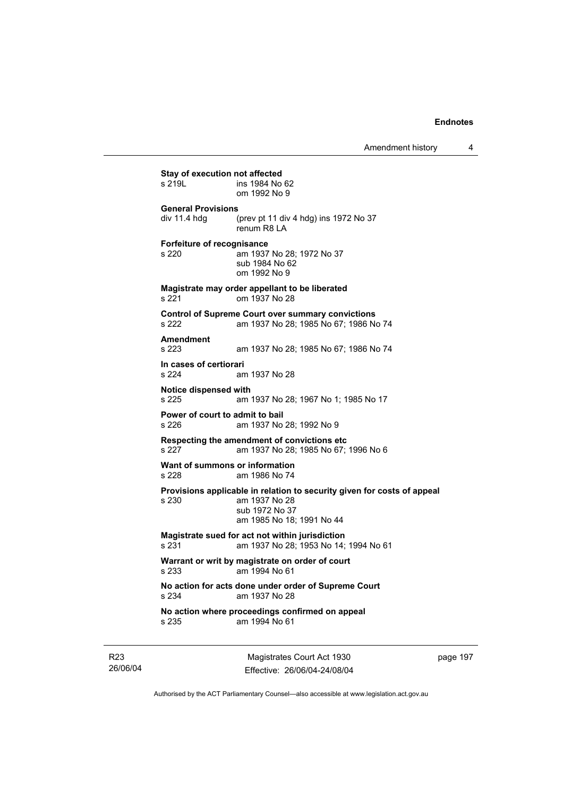Amendment history 4

**Stay of execution not affected**<br>s 219L **ins 1984** No ins 1984 No 62 om 1992 No 9 **General Provisions**  div 11.4 hdg (prev pt 11 div 4 hdg) ins 1972 No 37 renum R8 LA **Forfeiture of recognisance**  s 220 am 1937 No 28; 1972 No 37 sub 1984 No 62 om 1992 No 9 **Magistrate may order appellant to be liberated**  s 221 om 1937 No 28 **Control of Supreme Court over summary convictions**  s 222 am 1937 No 28; 1985 No 67; 1986 No 74 **Amendment**  am 1937 No 28; 1985 No 67; 1986 No 74 **In cases of certiorari**  s 224 am 1937 No 28 **Notice dispensed with**  am 1937 No 28; 1967 No 1; 1985 No 17 **Power of court to admit to bail**  s 226 am 1937 No 28; 1992 No 9 **Respecting the amendment of convictions etc**  s 227 am 1937 No 28; 1985 No 67; 1996 No 6 **Want of summons or information**  s 228 am 1986 No 74 **Provisions applicable in relation to security given for costs of appeal**  s 230 am 1937 No 28 sub 1972 No 37 am 1985 No 18; 1991 No 44 **Magistrate sued for act not within jurisdiction**  s 231 am 1937 No 28; 1953 No 14; 1994 No 61 **Warrant or writ by magistrate on order of court**  s 233 am 1994 No 61 **No action for acts done under order of Supreme Court**  s 234 am 1937 No 28 **No action where proceedings confirmed on appeal**  s 235 am 1994 No 61

R23 26/06/04

Magistrates Court Act 1930 Effective: 26/06/04-24/08/04 page 197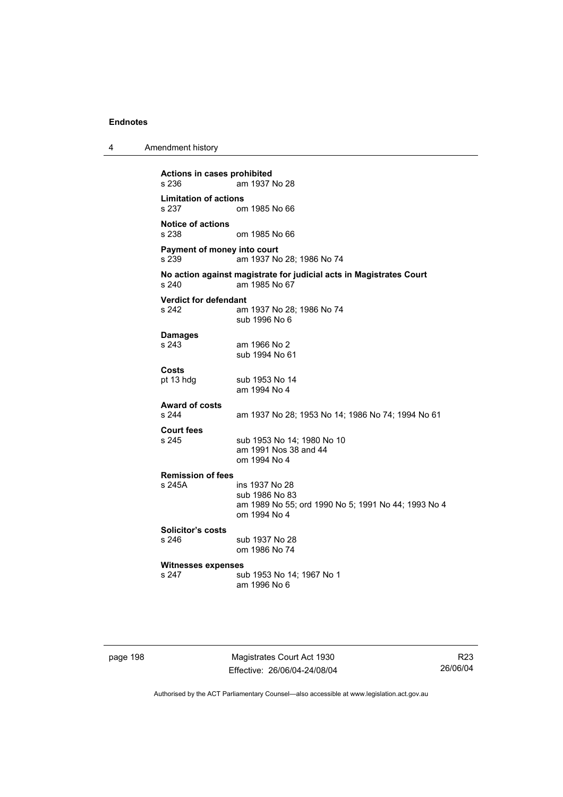**Actions in cases prohibited**  am 1937 No 28 **Limitation of actions**  om 1985 No 66 **Notice of actions**  om 1985 No 66 **Payment of money into court**  s 239 am 1937 No 28; 1986 No 74 **No action against magistrate for judicial acts in Magistrates Court**  am 1985 No 67 **Verdict for defendant**  s 242 am 1937 No 28; 1986 No 74 sub 1996 No 6 **Damages**  s 243 am 1966 No 2 sub 1994 No 61 **Costs**  sub 1953 No 14 am 1994 No 4 **Award of costs**  am 1937 No 28; 1953 No 14; 1986 No 74; 1994 No 61 **Court fees**  s 245 sub 1953 No 14; 1980 No 10 am 1991 Nos 38 and 44 om 1994 No 4 **Remission of fees**  s 245A ins 1937 No 28 sub 1986 No 83 am 1989 No 55; ord 1990 No 5; 1991 No 44; 1993 No 4 om 1994 No 4 **Solicitor's costs**  sub 1937 No 28 om 1986 No 74 **Witnesses expenses**  sub 1953 No 14; 1967 No 1 am 1996 No 6

page 198 Magistrates Court Act 1930 Effective: 26/06/04-24/08/04

R23 26/06/04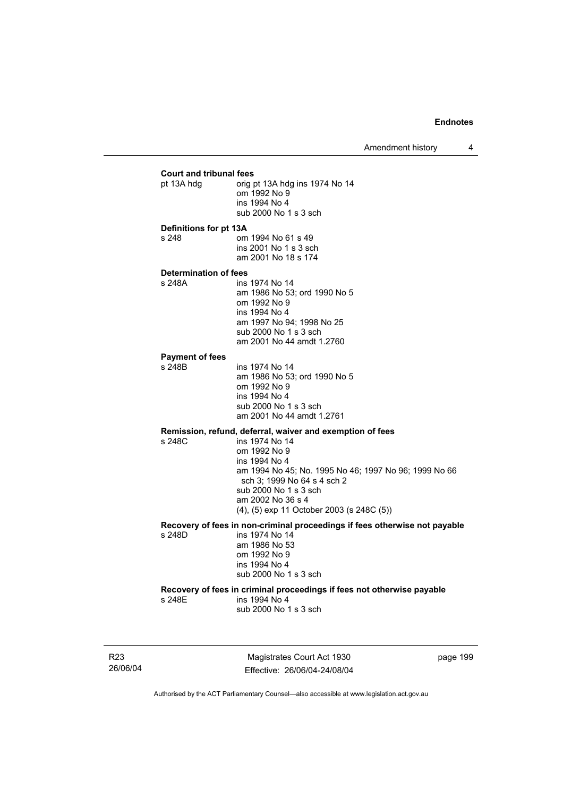# **Court and tribunal fees**  prig pt 13A hdg ins 1974 No 14 om 1992 No 9 ins 1994 No 4 sub 2000 No 1 s 3 sch **Definitions for pt 13A**  s 248 om 1994 No 61 s 49 ins 2001 No 1 s 3 sch am 2001 No 18 s 174 **Determination of fees**  ins 1974 No 14 am 1986 No 53; ord 1990 No 5 om 1992 No 9 ins 1994 No 4 am 1997 No 94; 1998 No 25 sub 2000 No 1 s 3 sch am 2001 No 44 amdt 1.2760 **Payment of fees**  ins 1974 No 14 am 1986 No 53; ord 1990 No 5 om 1992 No 9 ins 1994 No 4 sub 2000 No 1 s 3 sch am 2001 No 44 amdt 1.2761 **Remission, refund, deferral, waiver and exemption of fees**  ins 1974 No 14 om 1992 No 9 ins 1994 No 4 am 1994 No 45; No. 1995 No 46; 1997 No 96; 1999 No 66 sch 3; 1999 No 64 s 4 sch 2 sub 2000 No 1 s 3 sch am 2002 No 36 s 4 (4), (5) exp 11 October 2003 (s 248C (5)) **Recovery of fees in non-criminal proceedings if fees otherwise not payable**  ins 1974 No 14 am 1986 No 53 om 1992 No 9 ins 1994 No 4 sub 2000 No 1 s 3 sch **Recovery of fees in criminal proceedings if fees not otherwise payable**  s 248E ins 1994 No 4 sub 2000 No 1 s 3 sch

R23 26/06/04

Magistrates Court Act 1930 Effective: 26/06/04-24/08/04 page 199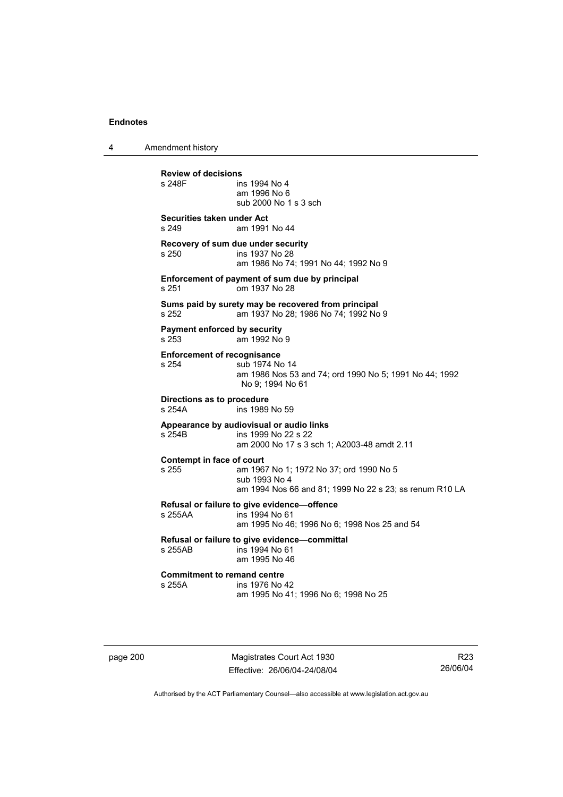4 Amendment history

**Review of decisions**  ins 1994 No 4 am 1996 No 6 sub 2000 No 1 s 3 sch **Securities taken under Act**  s 249 am 1991 No 44 **Recovery of sum due under security**  s 250 ins 1937 No 28 am 1986 No 74; 1991 No 44; 1992 No 9 **Enforcement of payment of sum due by principal**  s 251 om 1937 No 28 **Sums paid by surety may be recovered from principal**  s 252 am 1937 No 28; 1986 No 74; 1992 No 9 **Payment enforced by security**  s 253 am 1992 No 9 **Enforcement of recognisance**  s 254 sub 1974 No 14 am 1986 Nos 53 and 74; ord 1990 No 5; 1991 No 44; 1992 No 9; 1994 No 61 **Directions as to procedure**  ins 1989 No 59 **Appearance by audiovisual or audio links**  s 254B ins 1999 No 22 s 22 am 2000 No 17 s 3 sch 1; A2003-48 amdt 2.11 **Contempt in face of court**  s 255 am 1967 No 1; 1972 No 37; ord 1990 No 5 sub 1993 No 4 am 1994 Nos 66 and 81; 1999 No 22 s 23; ss renum R10 LA **Refusal or failure to give evidence—offence**   $ins$  1994 No 61 am 1995 No 46; 1996 No 6; 1998 Nos 25 and 54 **Refusal or failure to give evidence—committal**  s 255AB ins 1994 No 61 am 1995 No 46 **Commitment to remand centre**<br>s 255A **ins** 1976 No ins 1976 No 42 am 1995 No 41; 1996 No 6; 1998 No 25

page 200 Magistrates Court Act 1930 Effective: 26/06/04-24/08/04

R23 26/06/04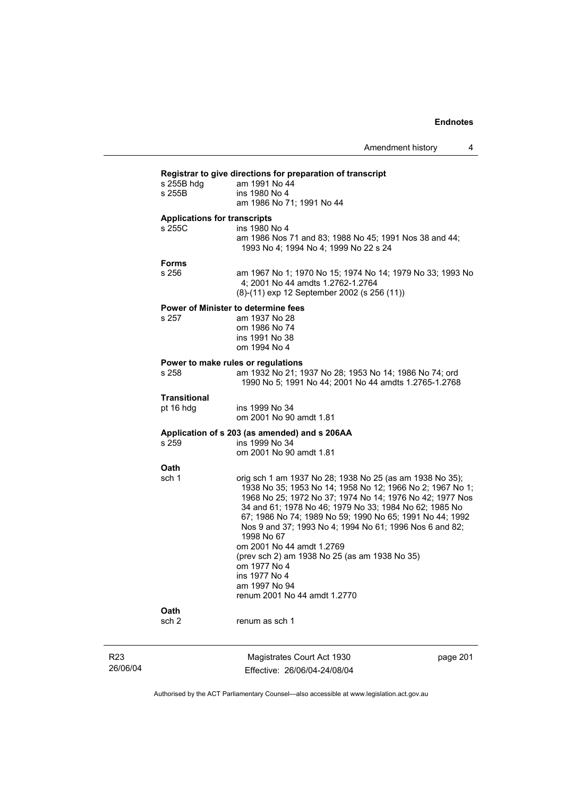| s 255B hdg                                    | am 1991 No 44                                                                                                                                                                                                                                                                                                                                                                                                                                                                                                    |
|-----------------------------------------------|------------------------------------------------------------------------------------------------------------------------------------------------------------------------------------------------------------------------------------------------------------------------------------------------------------------------------------------------------------------------------------------------------------------------------------------------------------------------------------------------------------------|
| s 255B                                        | ins 1980 No 4                                                                                                                                                                                                                                                                                                                                                                                                                                                                                                    |
|                                               | am 1986 No 71; 1991 No 44                                                                                                                                                                                                                                                                                                                                                                                                                                                                                        |
| <b>Applications for transcripts</b><br>s 255C | ins 1980 No 4                                                                                                                                                                                                                                                                                                                                                                                                                                                                                                    |
|                                               | am 1986 Nos 71 and 83; 1988 No 45; 1991 Nos 38 and 44;<br>1993 No 4; 1994 No 4; 1999 No 22 s 24                                                                                                                                                                                                                                                                                                                                                                                                                  |
| <b>Forms</b>                                  |                                                                                                                                                                                                                                                                                                                                                                                                                                                                                                                  |
| s 256                                         | am 1967 No 1; 1970 No 15; 1974 No 14; 1979 No 33; 1993 No<br>4; 2001 No 44 amdts 1.2762-1.2764<br>(8)-(11) exp 12 September 2002 (s 256 (11))                                                                                                                                                                                                                                                                                                                                                                    |
|                                               | Power of Minister to determine fees                                                                                                                                                                                                                                                                                                                                                                                                                                                                              |
| s 257                                         | am 1937 No 28                                                                                                                                                                                                                                                                                                                                                                                                                                                                                                    |
|                                               | om 1986 No 74<br>ins 1991 No 38                                                                                                                                                                                                                                                                                                                                                                                                                                                                                  |
|                                               | om 1994 No 4                                                                                                                                                                                                                                                                                                                                                                                                                                                                                                     |
|                                               | Power to make rules or regulations                                                                                                                                                                                                                                                                                                                                                                                                                                                                               |
| s 258                                         | am 1932 No 21; 1937 No 28; 1953 No 14; 1986 No 74; ord<br>1990 No 5; 1991 No 44; 2001 No 44 amdts 1.2765-1.2768                                                                                                                                                                                                                                                                                                                                                                                                  |
| <b>Transitional</b>                           |                                                                                                                                                                                                                                                                                                                                                                                                                                                                                                                  |
| pt 16 hdg                                     | ins 1999 No 34<br>om 2001 No 90 amdt 1.81                                                                                                                                                                                                                                                                                                                                                                                                                                                                        |
|                                               | Application of s 203 (as amended) and s 206AA                                                                                                                                                                                                                                                                                                                                                                                                                                                                    |
| s 259                                         | ins 1999 No 34                                                                                                                                                                                                                                                                                                                                                                                                                                                                                                   |
|                                               | om 2001 No 90 amdt 1.81                                                                                                                                                                                                                                                                                                                                                                                                                                                                                          |
| Oath                                          |                                                                                                                                                                                                                                                                                                                                                                                                                                                                                                                  |
| sch 1                                         | orig sch 1 am 1937 No 28; 1938 No 25 (as am 1938 No 35);<br>1938 No 35; 1953 No 14; 1958 No 12; 1966 No 2; 1967 No 1;<br>1968 No 25; 1972 No 37; 1974 No 14; 1976 No 42; 1977 Nos<br>34 and 61; 1978 No 46; 1979 No 33; 1984 No 62; 1985 No<br>67; 1986 No 74; 1989 No 59; 1990 No 65; 1991 No 44; 1992<br>Nos 9 and 37; 1993 No 4; 1994 No 61; 1996 Nos 6 and 82;<br>1998 No 67<br>om 2001 No 44 amdt 1.2769<br>(prev sch 2) am 1938 No 25 (as am 1938 No 35)<br>om 1977 No 4<br>ins 1977 No 4<br>am 1997 No 94 |
|                                               | renum 2001 No 44 amdt 1.2770                                                                                                                                                                                                                                                                                                                                                                                                                                                                                     |
| Oath                                          |                                                                                                                                                                                                                                                                                                                                                                                                                                                                                                                  |
| sch <sub>2</sub>                              | renum as sch 1                                                                                                                                                                                                                                                                                                                                                                                                                                                                                                   |

R23 26/06/04

Magistrates Court Act 1930 Effective: 26/06/04-24/08/04 page 201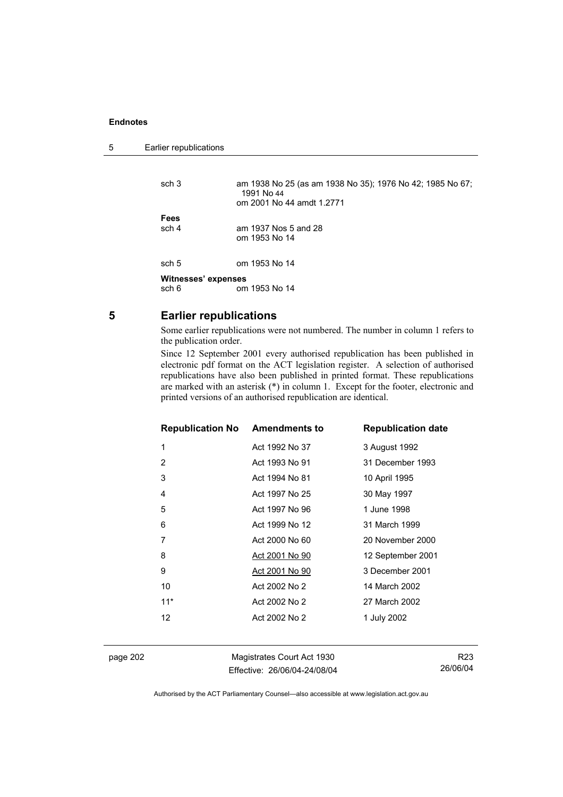```
5 Earlier republications
```

| sch 3               | am 1938 No 25 (as am 1938 No 35); 1976 No 42; 1985 No 67;<br>1991 No 44<br>om 2001 No 44 amdt 1.2771 |  |
|---------------------|------------------------------------------------------------------------------------------------------|--|
| Fees                |                                                                                                      |  |
| sch 4               | am 1937 Nos 5 and 28                                                                                 |  |
|                     | om 1953 No 14                                                                                        |  |
| sch 5               | om 1953 No 14                                                                                        |  |
| Witnesses' expenses |                                                                                                      |  |
| sch 6               | om 1953 No 14                                                                                        |  |

# **5 Earlier republications**

Some earlier republications were not numbered. The number in column 1 refers to the publication order.

Since 12 September 2001 every authorised republication has been published in electronic pdf format on the ACT legislation register. A selection of authorised republications have also been published in printed format. These republications are marked with an asterisk (\*) in column 1. Except for the footer, electronic and printed versions of an authorised republication are identical.

| <b>Republication No Amendments to</b> |                       | <b>Republication date</b> |
|---------------------------------------|-----------------------|---------------------------|
| 1                                     | Act 1992 No 37        | 3 August 1992             |
| 2                                     | Act 1993 No 91        | 31 December 1993          |
| 3                                     | Act 1994 No 81        | 10 April 1995             |
| 4                                     | Act 1997 No 25        | 30 May 1997               |
| 5                                     | Act 1997 No 96        | 1 June 1998               |
| 6                                     | Act 1999 No 12        | 31 March 1999             |
| 7                                     | Act 2000 No 60        | 20 November 2000          |
| 8                                     | <u>Act 2001 No 90</u> | 12 September 2001         |
| 9                                     | Act 2001 No 90        | 3 December 2001           |
| 10                                    | Act 2002 No 2         | 14 March 2002             |
| $11*$                                 | Act 2002 No 2         | 27 March 2002             |
| 12                                    | Act 2002 No 2         | 1 July 2002               |
|                                       |                       |                           |

page 202 Magistrates Court Act 1930 Effective: 26/06/04-24/08/04

R23 26/06/04